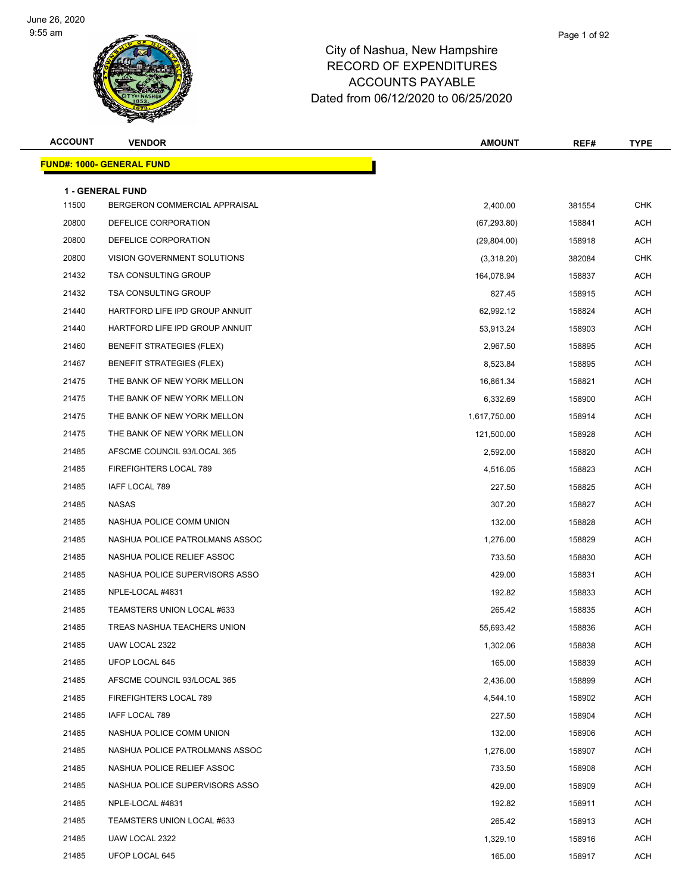

| <b>ACCOUNT</b> | <b>VENDOR</b>                                     | <b>AMOUNT</b> | REF#   | <b>TYPE</b> |
|----------------|---------------------------------------------------|---------------|--------|-------------|
|                | <u> FUND#: 1000- GENERAL FUND</u>                 |               |        |             |
|                |                                                   |               |        |             |
| 11500          | 1 - GENERAL FUND<br>BERGERON COMMERCIAL APPRAISAL | 2,400.00      | 381554 | <b>CHK</b>  |
| 20800          | DEFELICE CORPORATION                              | (67, 293.80)  | 158841 | ACH         |
| 20800          | DEFELICE CORPORATION                              | (29, 804.00)  | 158918 | ACH         |
| 20800          | VISION GOVERNMENT SOLUTIONS                       | (3,318.20)    | 382084 | <b>CHK</b>  |
| 21432          | <b>TSA CONSULTING GROUP</b>                       | 164,078.94    | 158837 | <b>ACH</b>  |
| 21432          | TSA CONSULTING GROUP                              | 827.45        | 158915 | <b>ACH</b>  |
| 21440          | HARTFORD LIFE IPD GROUP ANNUIT                    | 62,992.12     | 158824 | ACH         |
| 21440          | HARTFORD LIFE IPD GROUP ANNUIT                    | 53,913.24     | 158903 | ACH         |
| 21460          | <b>BENEFIT STRATEGIES (FLEX)</b>                  | 2,967.50      | 158895 | <b>ACH</b>  |
| 21467          | <b>BENEFIT STRATEGIES (FLEX)</b>                  | 8,523.84      | 158895 | <b>ACH</b>  |
| 21475          | THE BANK OF NEW YORK MELLON                       | 16,861.34     | 158821 | ACH         |
| 21475          | THE BANK OF NEW YORK MELLON                       | 6,332.69      | 158900 | ACH         |
| 21475          | THE BANK OF NEW YORK MELLON                       | 1,617,750.00  | 158914 | ACH         |
| 21475          | THE BANK OF NEW YORK MELLON                       | 121,500.00    | 158928 | ACH         |
| 21485          | AFSCME COUNCIL 93/LOCAL 365                       | 2,592.00      | 158820 | <b>ACH</b>  |
| 21485          | FIREFIGHTERS LOCAL 789                            | 4,516.05      | 158823 | <b>ACH</b>  |
| 21485          | IAFF LOCAL 789                                    | 227.50        | 158825 | ACH         |
| 21485          | NASAS                                             | 307.20        | 158827 | ACH         |
| 21485          | NASHUA POLICE COMM UNION                          | 132.00        | 158828 | <b>ACH</b>  |
| 21485          | NASHUA POLICE PATROLMANS ASSOC                    | 1,276.00      | 158829 | <b>ACH</b>  |
| 21485          | NASHUA POLICE RELIEF ASSOC                        | 733.50        | 158830 | ACH         |
| 21485          | NASHUA POLICE SUPERVISORS ASSO                    | 429.00        | 158831 | ACH         |
| 21485          | NPLE-LOCAL #4831                                  | 192.82        | 158833 | ACH         |
| 21485          | TEAMSTERS UNION LOCAL #633                        | 265.42        | 158835 | ACH         |
| 21485          | TREAS NASHUA TEACHERS UNION                       | 55,693.42     | 158836 | ACH         |
| 21485          | UAW LOCAL 2322                                    | 1,302.06      | 158838 | ACH         |
| 21485          | UFOP LOCAL 645                                    | 165.00        | 158839 | ACH         |
| 21485          | AFSCME COUNCIL 93/LOCAL 365                       | 2,436.00      | 158899 | <b>ACH</b>  |
| 21485          | FIREFIGHTERS LOCAL 789                            | 4,544.10      | 158902 | ACH         |
| 21485          | IAFF LOCAL 789                                    | 227.50        | 158904 | <b>ACH</b>  |
| 21485          | NASHUA POLICE COMM UNION                          | 132.00        | 158906 | <b>ACH</b>  |
| 21485          | NASHUA POLICE PATROLMANS ASSOC                    | 1,276.00      | 158907 | ACH         |
| 21485          | NASHUA POLICE RELIEF ASSOC                        | 733.50        | 158908 | ACH         |
| 21485          | NASHUA POLICE SUPERVISORS ASSO                    | 429.00        | 158909 | <b>ACH</b>  |
| 21485          | NPLE-LOCAL #4831                                  | 192.82        | 158911 | <b>ACH</b>  |
| 21485          | TEAMSTERS UNION LOCAL #633                        | 265.42        | 158913 | <b>ACH</b>  |
| 21485          | UAW LOCAL 2322                                    | 1,329.10      | 158916 | ACH         |
| 21485          | UFOP LOCAL 645                                    | 165.00        | 158917 | ACH         |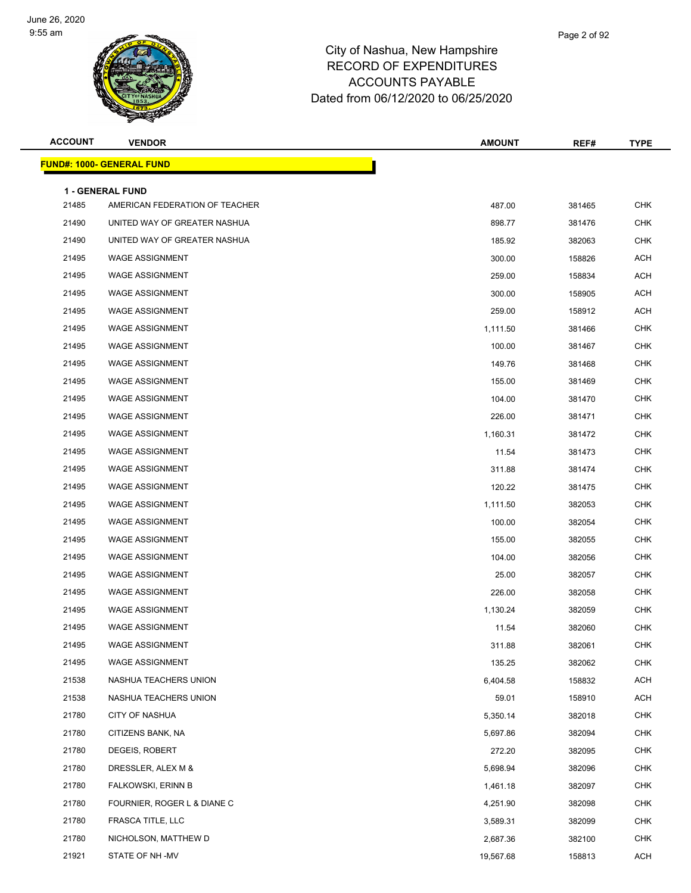

| <b>ACCOUNT</b> | <b>VENDOR</b>                                      | <b>AMOUNT</b> | REF#   | <b>TYPE</b> |
|----------------|----------------------------------------------------|---------------|--------|-------------|
|                | <u> FUND#: 1000- GENERAL FUND</u>                  |               |        |             |
|                |                                                    |               |        |             |
| 21485          | 1 - GENERAL FUND<br>AMERICAN FEDERATION OF TEACHER | 487.00        | 381465 | <b>CHK</b>  |
| 21490          | UNITED WAY OF GREATER NASHUA                       | 898.77        | 381476 | <b>CHK</b>  |
| 21490          | UNITED WAY OF GREATER NASHUA                       | 185.92        | 382063 | CHK         |
| 21495          | <b>WAGE ASSIGNMENT</b>                             | 300.00        | 158826 | <b>ACH</b>  |
| 21495          | <b>WAGE ASSIGNMENT</b>                             | 259.00        | 158834 | <b>ACH</b>  |
| 21495          | <b>WAGE ASSIGNMENT</b>                             | 300.00        | 158905 | <b>ACH</b>  |
| 21495          | <b>WAGE ASSIGNMENT</b>                             | 259.00        | 158912 | ACH         |
| 21495          | <b>WAGE ASSIGNMENT</b>                             | 1,111.50      | 381466 | <b>CHK</b>  |
| 21495          | <b>WAGE ASSIGNMENT</b>                             | 100.00        | 381467 | <b>CHK</b>  |
| 21495          | <b>WAGE ASSIGNMENT</b>                             | 149.76        | 381468 | CHK         |
| 21495          | <b>WAGE ASSIGNMENT</b>                             | 155.00        | 381469 | <b>CHK</b>  |
| 21495          | <b>WAGE ASSIGNMENT</b>                             | 104.00        | 381470 | <b>CHK</b>  |
| 21495          | <b>WAGE ASSIGNMENT</b>                             | 226.00        | 381471 | CHK         |
| 21495          | <b>WAGE ASSIGNMENT</b>                             | 1,160.31      | 381472 | <b>CHK</b>  |
| 21495          | <b>WAGE ASSIGNMENT</b>                             | 11.54         | 381473 | CHK         |
| 21495          | <b>WAGE ASSIGNMENT</b>                             | 311.88        | 381474 | <b>CHK</b>  |
| 21495          | <b>WAGE ASSIGNMENT</b>                             | 120.22        | 381475 | <b>CHK</b>  |
| 21495          | <b>WAGE ASSIGNMENT</b>                             | 1,111.50      | 382053 | CHK         |
| 21495          | <b>WAGE ASSIGNMENT</b>                             | 100.00        | 382054 | <b>CHK</b>  |
| 21495          | <b>WAGE ASSIGNMENT</b>                             | 155.00        | 382055 | CHK         |
| 21495          | <b>WAGE ASSIGNMENT</b>                             | 104.00        | 382056 | <b>CHK</b>  |
| 21495          | <b>WAGE ASSIGNMENT</b>                             | 25.00         | 382057 | <b>CHK</b>  |
| 21495          | <b>WAGE ASSIGNMENT</b>                             | 226.00        | 382058 | CHK         |
| 21495          | <b>WAGE ASSIGNMENT</b>                             | 1,130.24      | 382059 | <b>CHK</b>  |
| 21495          | <b>WAGE ASSIGNMENT</b>                             | 11.54         | 382060 | CHK         |
| 21495          | WAGE ASSIGNMENT                                    | 311.88        | 382061 | CHK         |
| 21495          | <b>WAGE ASSIGNMENT</b>                             | 135.25        | 382062 | CHK         |
| 21538          | NASHUA TEACHERS UNION                              | 6,404.58      | 158832 | <b>ACH</b>  |
| 21538          | NASHUA TEACHERS UNION                              | 59.01         | 158910 | <b>ACH</b>  |
| 21780          | <b>CITY OF NASHUA</b>                              | 5,350.14      | 382018 | <b>CHK</b>  |
| 21780          | CITIZENS BANK, NA                                  | 5,697.86      | 382094 | <b>CHK</b>  |
| 21780          | DEGEIS, ROBERT                                     | 272.20        | 382095 | <b>CHK</b>  |
| 21780          | DRESSLER, ALEX M &                                 | 5,698.94      | 382096 | <b>CHK</b>  |
| 21780          | FALKOWSKI, ERINN B                                 | 1,461.18      | 382097 | <b>CHK</b>  |
| 21780          | FOURNIER, ROGER L & DIANE C                        | 4,251.90      | 382098 | <b>CHK</b>  |
| 21780          | FRASCA TITLE, LLC                                  | 3,589.31      | 382099 | <b>CHK</b>  |
| 21780          | NICHOLSON, MATTHEW D                               | 2,687.36      | 382100 | <b>CHK</b>  |
| 21921          | STATE OF NH -MV                                    | 19,567.68     | 158813 | <b>ACH</b>  |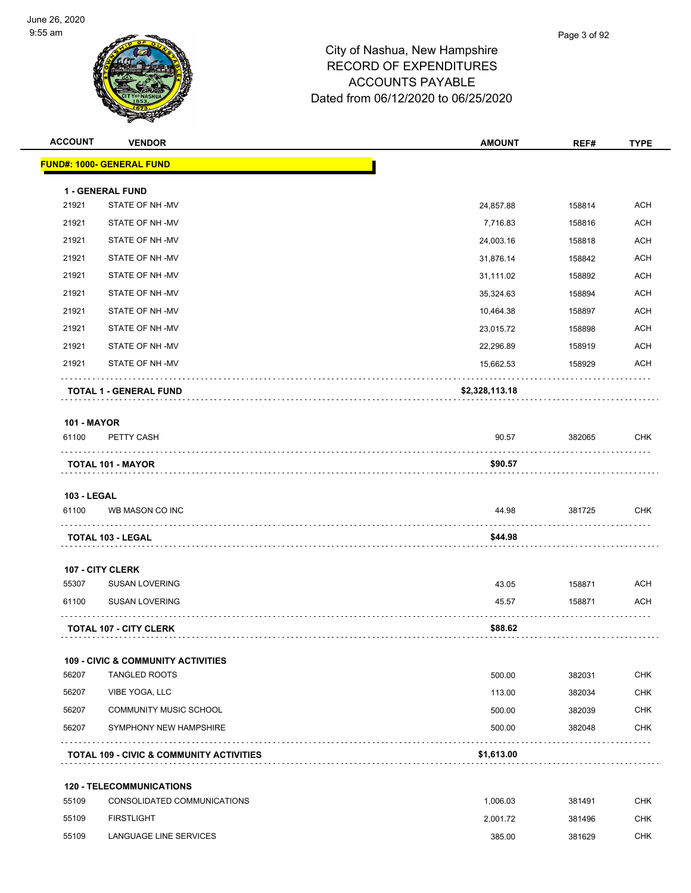

| <b>ACCOUNT</b>     | <b>VENDOR</b>                                       | <b>AMOUNT</b>  | REF#   | <b>TYPE</b> |
|--------------------|-----------------------------------------------------|----------------|--------|-------------|
|                    | <b>FUND#: 1000- GENERAL FUND</b>                    |                |        |             |
|                    | 1 - GENERAL FUND                                    |                |        |             |
| 21921              | STATE OF NH-MV                                      | 24,857.88      | 158814 | <b>ACH</b>  |
| 21921              | STATE OF NH-MV                                      | 7,716.83       | 158816 | <b>ACH</b>  |
| 21921              | STATE OF NH-MV                                      | 24,003.16      | 158818 | <b>ACH</b>  |
| 21921              | STATE OF NH-MV                                      | 31,876.14      | 158842 | ACH         |
| 21921              | STATE OF NH-MV                                      | 31,111.02      | 158892 | <b>ACH</b>  |
| 21921              | STATE OF NH-MV                                      | 35,324.63      | 158894 | <b>ACH</b>  |
| 21921              | STATE OF NH-MV                                      | 10,464.38      | 158897 | <b>ACH</b>  |
| 21921              | STATE OF NH-MV                                      | 23,015.72      | 158898 | <b>ACH</b>  |
| 21921              | STATE OF NH-MV                                      | 22,296.89      | 158919 | <b>ACH</b>  |
| 21921              | STATE OF NH-MV                                      | 15,662.53      | 158929 | <b>ACH</b>  |
|                    | <b>TOTAL 1 - GENERAL FUND</b>                       | \$2,328,113.18 |        |             |
| <b>101 - MAYOR</b> |                                                     |                |        |             |
| 61100              | PETTY CASH                                          | 90.57          | 382065 | CHK         |
|                    | <b>TOTAL 101 - MAYOR</b>                            | \$90.57        |        |             |
| <b>103 - LEGAL</b> |                                                     |                |        |             |
| 61100              | WB MASON CO INC                                     | 44.98          | 381725 | <b>CHK</b>  |
|                    | <b>TOTAL 103 - LEGAL</b>                            | \$44.98        | .      |             |
|                    | 107 - CITY CLERK                                    |                |        |             |
| 55307              | <b>SUSAN LOVERING</b>                               | 43.05          | 158871 | <b>ACH</b>  |
| 61100              | <b>SUSAN LOVERING</b>                               | 45.57          | 158871 | <b>ACH</b>  |
|                    | <b>TOTAL 107 - CITY CLERK</b>                       | \$88.62        |        |             |
|                    | <b>109 - CIVIC &amp; COMMUNITY ACTIVITIES</b>       |                |        |             |
| 56207              | <b>TANGLED ROOTS</b>                                | 500.00         | 382031 | <b>CHK</b>  |
| 56207              | VIBE YOGA, LLC                                      | 113.00         | 382034 | <b>CHK</b>  |
| 56207              | <b>COMMUNITY MUSIC SCHOOL</b>                       | 500.00         | 382039 | <b>CHK</b>  |
| 56207              | SYMPHONY NEW HAMPSHIRE                              | 500.00         | 382048 | <b>CHK</b>  |
|                    | <b>TOTAL 109 - CIVIC &amp; COMMUNITY ACTIVITIES</b> | \$1,613.00     |        |             |
|                    | <b>120 - TELECOMMUNICATIONS</b>                     |                |        |             |
| 55109              | CONSOLIDATED COMMUNICATIONS                         | 1,006.03       | 381491 | <b>CHK</b>  |
| 55109              | <b>FIRSTLIGHT</b>                                   | 2,001.72       | 381496 | <b>CHK</b>  |
| 55109              | LANGUAGE LINE SERVICES                              | 385.00         | 381629 | <b>CHK</b>  |
|                    |                                                     |                |        |             |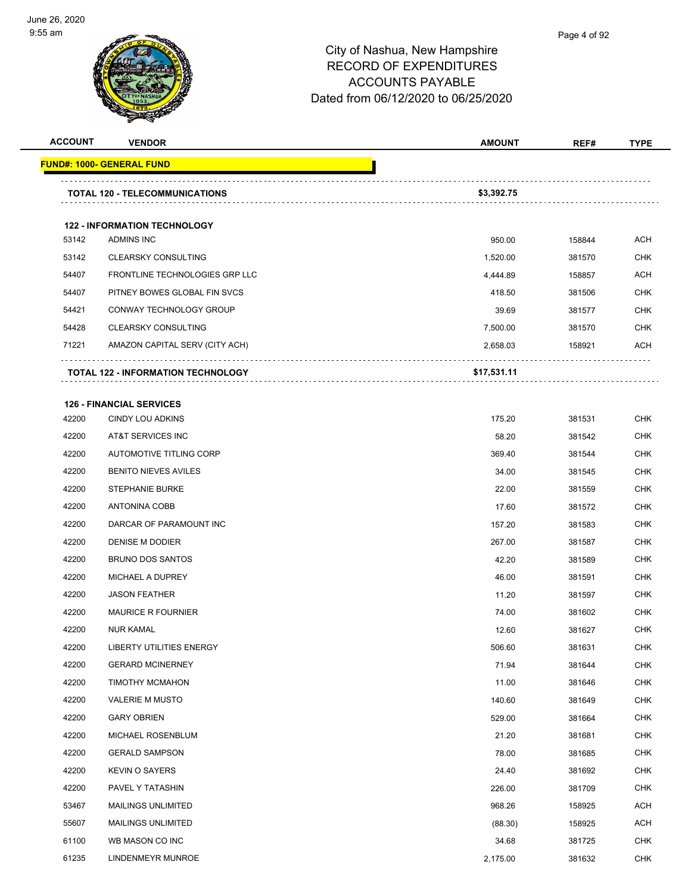

| <b>ACCOUNT</b> | <b>VENDOR</b>                             | <b>AMOUNT</b> | REF#   | <b>TYPE</b> |
|----------------|-------------------------------------------|---------------|--------|-------------|
|                | <b>FUND#: 1000- GENERAL FUND</b>          |               |        |             |
|                | <b>TOTAL 120 - TELECOMMUNICATIONS</b>     | \$3,392.75    |        |             |
|                | <b>122 - INFORMATION TECHNOLOGY</b>       |               |        |             |
| 53142          | ADMINS INC                                | 950.00        | 158844 | ACH         |
| 53142          | <b>CLEARSKY CONSULTING</b>                | 1,520.00      | 381570 | <b>CHK</b>  |
| 54407          | FRONTLINE TECHNOLOGIES GRP LLC            | 4,444.89      | 158857 | <b>ACH</b>  |
| 54407          | PITNEY BOWES GLOBAL FIN SVCS              | 418.50        | 381506 | <b>CHK</b>  |
| 54421          | CONWAY TECHNOLOGY GROUP                   | 39.69         | 381577 | <b>CHK</b>  |
| 54428          | <b>CLEARSKY CONSULTING</b>                | 7,500.00      | 381570 | <b>CHK</b>  |
| 71221          | AMAZON CAPITAL SERV (CITY ACH)            | 2,658.03      | 158921 | <b>ACH</b>  |
|                | <b>TOTAL 122 - INFORMATION TECHNOLOGY</b> | \$17,531.11   |        |             |
|                | <b>126 - FINANCIAL SERVICES</b>           |               |        |             |
| 42200          | <b>CINDY LOU ADKINS</b>                   | 175.20        | 381531 | <b>CHK</b>  |
| 42200          | AT&T SERVICES INC                         | 58.20         | 381542 | <b>CHK</b>  |
| 42200          | AUTOMOTIVE TITLING CORP                   | 369.40        | 381544 | <b>CHK</b>  |
| 42200          | <b>BENITO NIEVES AVILES</b>               | 34.00         | 381545 | <b>CHK</b>  |
| 42200          | <b>STEPHANIE BURKE</b>                    | 22.00         | 381559 | <b>CHK</b>  |
| 42200          | ANTONINA COBB                             | 17.60         | 381572 | <b>CHK</b>  |
| 42200          | DARCAR OF PARAMOUNT INC                   | 157.20        | 381583 | <b>CHK</b>  |
| 42200          | DENISE M DODIER                           | 267.00        | 381587 | <b>CHK</b>  |
| 42200          | <b>BRUNO DOS SANTOS</b>                   | 42.20         | 381589 | <b>CHK</b>  |
| 42200          | MICHAEL A DUPREY                          | 46.00         | 381591 | <b>CHK</b>  |
| 42200          | <b>JASON FEATHER</b>                      | 11.20         | 381597 | CHK         |
| 42200          | <b>MAURICE R FOURNIER</b>                 | 74.00         | 381602 | <b>CHK</b>  |
| 42200          | <b>NUR KAMAL</b>                          | 12.60         | 381627 | CHK         |
| 42200          | <b>LIBERTY UTILITIES ENERGY</b>           | 506.60        | 381631 | CHK         |
| 42200          | <b>GERARD MCINERNEY</b>                   | 71.94         | 381644 | CHK         |
| 42200          | TIMOTHY MCMAHON                           | 11.00         | 381646 | <b>CHK</b>  |
| 42200          | <b>VALERIE M MUSTO</b>                    | 140.60        | 381649 | <b>CHK</b>  |
| 42200          | <b>GARY OBRIEN</b>                        | 529.00        | 381664 | <b>CHK</b>  |
| 42200          | MICHAEL ROSENBLUM                         | 21.20         | 381681 | <b>CHK</b>  |
| 42200          | <b>GERALD SAMPSON</b>                     | 78.00         | 381685 | <b>CHK</b>  |
| 42200          | <b>KEVIN O SAYERS</b>                     | 24.40         | 381692 | <b>CHK</b>  |
| 42200          | PAVEL Y TATASHIN                          | 226.00        | 381709 | <b>CHK</b>  |
| 53467          | MAILINGS UNLIMITED                        | 968.26        | 158925 | ACH         |
| 55607          | <b>MAILINGS UNLIMITED</b>                 | (88.30)       | 158925 | ACH         |
| 61100          | WB MASON CO INC                           | 34.68         | 381725 | <b>CHK</b>  |
| 61235          | LINDENMEYR MUNROE                         | 2,175.00      | 381632 | <b>CHK</b>  |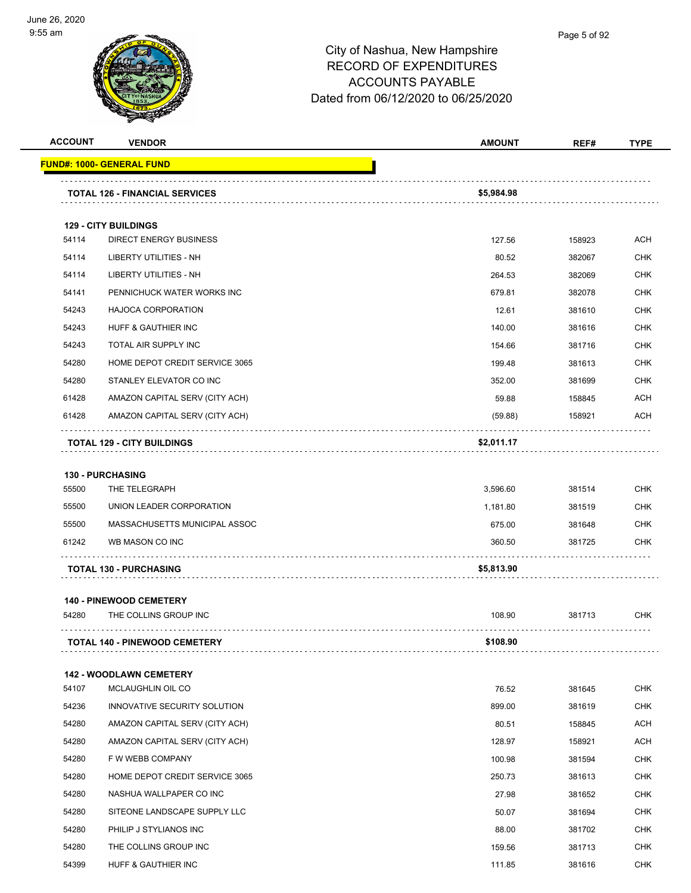

| <b>ACCOUNT</b> | <b>VENDOR</b>                         | <b>AMOUNT</b> | REF#   | <b>TYPE</b> |
|----------------|---------------------------------------|---------------|--------|-------------|
|                | <u> FUND#: 1000- GENERAL FUND</u>     |               |        |             |
|                |                                       |               |        |             |
|                | <b>TOTAL 126 - FINANCIAL SERVICES</b> | \$5,984.98    |        |             |
|                | <b>129 - CITY BUILDINGS</b>           |               |        |             |
| 54114          | <b>DIRECT ENERGY BUSINESS</b>         | 127.56        | 158923 | ACH         |
| 54114          | <b>LIBERTY UTILITIES - NH</b>         | 80.52         | 382067 | <b>CHK</b>  |
| 54114          | LIBERTY UTILITIES - NH                | 264.53        | 382069 | <b>CHK</b>  |
| 54141          | PENNICHUCK WATER WORKS INC            | 679.81        | 382078 | <b>CHK</b>  |
| 54243          | <b>HAJOCA CORPORATION</b>             | 12.61         | 381610 | <b>CHK</b>  |
| 54243          | HUFF & GAUTHIER INC                   | 140.00        | 381616 | <b>CHK</b>  |
| 54243          | TOTAL AIR SUPPLY INC                  | 154.66        | 381716 | <b>CHK</b>  |
| 54280          | HOME DEPOT CREDIT SERVICE 3065        | 199.48        | 381613 | <b>CHK</b>  |
| 54280          | STANLEY ELEVATOR CO INC               | 352.00        | 381699 | <b>CHK</b>  |
| 61428          | AMAZON CAPITAL SERV (CITY ACH)        | 59.88         | 158845 | <b>ACH</b>  |
| 61428          | AMAZON CAPITAL SERV (CITY ACH)        | (59.88)       | 158921 | ACH         |
|                | <b>TOTAL 129 - CITY BUILDINGS</b>     | \$2,011.17    |        |             |
|                | <b>130 - PURCHASING</b>               |               |        |             |
| 55500          | THE TELEGRAPH                         | 3,596.60      | 381514 | <b>CHK</b>  |
| 55500          | UNION LEADER CORPORATION              | 1,181.80      | 381519 | <b>CHK</b>  |
| 55500          | MASSACHUSETTS MUNICIPAL ASSOC         | 675.00        | 381648 | <b>CHK</b>  |
| 61242          | WB MASON CO INC                       | 360.50        | 381725 | <b>CHK</b>  |
|                | <b>TOTAL 130 - PURCHASING</b>         | \$5,813.90    |        |             |
|                | <b>140 - PINEWOOD CEMETERY</b>        |               |        |             |
| 54280          | THE COLLINS GROUP INC                 | 108.90        | 381713 | CHK         |
|                | <b>TOTAL 140 - PINEWOOD CEMETERY</b>  | \$108.90      |        |             |
|                | 142 - WOODLAWN CEMETERY               |               |        |             |
| 54107          | MCLAUGHLIN OIL CO                     | 76.52         | 381645 | <b>CHK</b>  |
| 54236          | INNOVATIVE SECURITY SOLUTION          | 899.00        | 381619 | <b>CHK</b>  |
| 54280          | AMAZON CAPITAL SERV (CITY ACH)        | 80.51         | 158845 | <b>ACH</b>  |
| 54280          | AMAZON CAPITAL SERV (CITY ACH)        | 128.97        | 158921 | <b>ACH</b>  |
| 54280          | F W WEBB COMPANY                      | 100.98        | 381594 | <b>CHK</b>  |
| 54280          | HOME DEPOT CREDIT SERVICE 3065        | 250.73        | 381613 | <b>CHK</b>  |
| 54280          | NASHUA WALLPAPER CO INC               | 27.98         | 381652 | CHK         |
| 54280          | SITEONE LANDSCAPE SUPPLY LLC          | 50.07         | 381694 | <b>CHK</b>  |
| 54280          | PHILIP J STYLIANOS INC                | 88.00         | 381702 | <b>CHK</b>  |
| 54280          | THE COLLINS GROUP INC                 | 159.56        | 381713 | <b>CHK</b>  |
| 54399          | HUFF & GAUTHIER INC                   | 111.85        | 381616 | <b>CHK</b>  |
|                |                                       |               |        |             |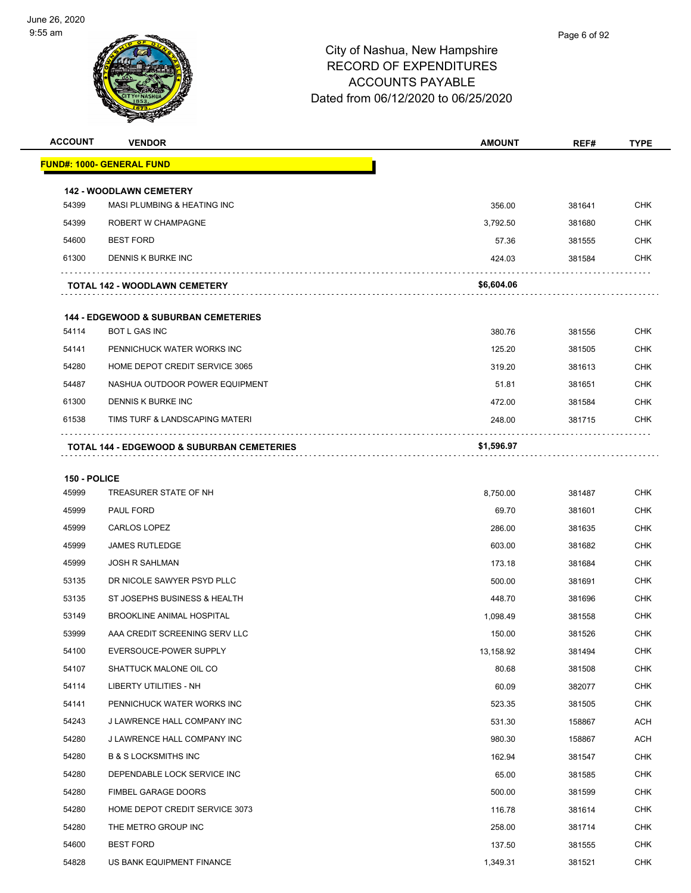

| <b>ACCOUNT</b> | <b>VENDOR</b>                                                            | <b>AMOUNT</b> | REF#   | <b>TYPE</b> |
|----------------|--------------------------------------------------------------------------|---------------|--------|-------------|
|                | <b>FUND#: 1000- GENERAL FUND</b>                                         |               |        |             |
|                |                                                                          |               |        |             |
| 54399          | <b>142 - WOODLAWN CEMETERY</b><br><b>MASI PLUMBING &amp; HEATING INC</b> | 356.00        | 381641 | <b>CHK</b>  |
| 54399          | ROBERT W CHAMPAGNE                                                       | 3,792.50      | 381680 | <b>CHK</b>  |
| 54600          | <b>BEST FORD</b>                                                         | 57.36         | 381555 | <b>CHK</b>  |
| 61300          | DENNIS K BURKE INC                                                       | 424.03        | 381584 | <b>CHK</b>  |
|                | <b>TOTAL 142 - WOODLAWN CEMETERY</b>                                     | \$6,604.06    |        |             |
|                |                                                                          |               |        |             |
| 54114          | <b>144 - EDGEWOOD &amp; SUBURBAN CEMETERIES</b><br><b>BOT L GAS INC</b>  | 380.76        | 381556 | <b>CHK</b>  |
| 54141          | PENNICHUCK WATER WORKS INC                                               | 125.20        | 381505 | <b>CHK</b>  |
| 54280          | HOME DEPOT CREDIT SERVICE 3065                                           | 319.20        | 381613 | <b>CHK</b>  |
| 54487          | NASHUA OUTDOOR POWER EQUIPMENT                                           | 51.81         | 381651 | <b>CHK</b>  |
| 61300          | DENNIS K BURKE INC                                                       | 472.00        | 381584 | <b>CHK</b>  |
| 61538          | TIMS TURF & LANDSCAPING MATERI                                           | 248.00        | 381715 | <b>CHK</b>  |
|                | <b>TOTAL 144 - EDGEWOOD &amp; SUBURBAN CEMETERIES</b>                    | \$1,596.97    |        |             |
|                |                                                                          |               |        |             |
| 150 - POLICE   |                                                                          |               |        |             |
| 45999          | TREASURER STATE OF NH                                                    | 8,750.00      | 381487 | <b>CHK</b>  |
| 45999          | PAUL FORD                                                                | 69.70         | 381601 | <b>CHK</b>  |
| 45999          | <b>CARLOS LOPEZ</b>                                                      | 286.00        | 381635 | <b>CHK</b>  |
| 45999          | <b>JAMES RUTLEDGE</b>                                                    | 603.00        | 381682 | <b>CHK</b>  |
| 45999          | <b>JOSH R SAHLMAN</b>                                                    | 173.18        | 381684 | <b>CHK</b>  |
| 53135          | DR NICOLE SAWYER PSYD PLLC                                               | 500.00        | 381691 | <b>CHK</b>  |
| 53135          | ST JOSEPHS BUSINESS & HEALTH                                             | 448.70        | 381696 | <b>CHK</b>  |
| 53149          | BROOKLINE ANIMAL HOSPITAL                                                | 1,098.49      | 381558 | <b>CHK</b>  |
| 53999          | AAA CREDIT SCREENING SERV LLC                                            | 150.00        | 381526 | <b>CHK</b>  |
| 54100          | EVERSOUCE-POWER SUPPLY                                                   | 13,158.92     | 381494 | <b>CHK</b>  |
| 54107          | SHATTUCK MALONE OIL CO                                                   | 80.68         | 381508 | <b>CHK</b>  |
| 54114          | LIBERTY UTILITIES - NH                                                   | 60.09         | 382077 | <b>CHK</b>  |
| 54141          | PENNICHUCK WATER WORKS INC                                               | 523.35        | 381505 | <b>CHK</b>  |
| 54243          | J LAWRENCE HALL COMPANY INC                                              | 531.30        | 158867 | <b>ACH</b>  |
| 54280          | J LAWRENCE HALL COMPANY INC                                              | 980.30        | 158867 | <b>ACH</b>  |
| 54280          | <b>B &amp; S LOCKSMITHS INC</b>                                          | 162.94        | 381547 | <b>CHK</b>  |
| 54280          | DEPENDABLE LOCK SERVICE INC                                              | 65.00         | 381585 | CHK         |
| 54280          | <b>FIMBEL GARAGE DOORS</b>                                               | 500.00        | 381599 | <b>CHK</b>  |
| 54280          | HOME DEPOT CREDIT SERVICE 3073                                           | 116.78        | 381614 | <b>CHK</b>  |
| 54280          | THE METRO GROUP INC                                                      | 258.00        | 381714 | CHK         |
| 54600          | <b>BEST FORD</b>                                                         | 137.50        | 381555 | <b>CHK</b>  |
| 54828          | US BANK EQUIPMENT FINANCE                                                | 1,349.31      | 381521 | <b>CHK</b>  |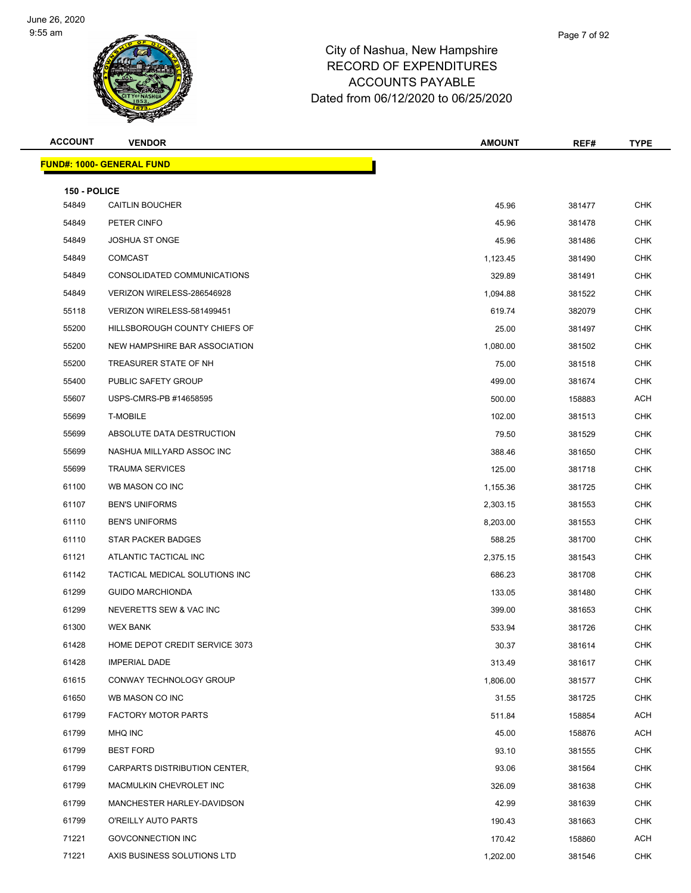

| <b>VENDOR</b>                    | <b>AMOUNT</b>                                                                                                                                                                                                                | REF#                                                                                     | <b>TYPE</b>                                                                            |
|----------------------------------|------------------------------------------------------------------------------------------------------------------------------------------------------------------------------------------------------------------------------|------------------------------------------------------------------------------------------|----------------------------------------------------------------------------------------|
| <b>FUND#: 1000- GENERAL FUND</b> |                                                                                                                                                                                                                              |                                                                                          |                                                                                        |
|                                  |                                                                                                                                                                                                                              |                                                                                          |                                                                                        |
|                                  |                                                                                                                                                                                                                              |                                                                                          | <b>CHK</b>                                                                             |
|                                  |                                                                                                                                                                                                                              |                                                                                          | CHK                                                                                    |
|                                  |                                                                                                                                                                                                                              |                                                                                          | <b>CHK</b>                                                                             |
|                                  |                                                                                                                                                                                                                              |                                                                                          | CHK                                                                                    |
|                                  |                                                                                                                                                                                                                              |                                                                                          | <b>CHK</b>                                                                             |
|                                  |                                                                                                                                                                                                                              |                                                                                          | <b>CHK</b>                                                                             |
|                                  |                                                                                                                                                                                                                              |                                                                                          | CHK                                                                                    |
|                                  |                                                                                                                                                                                                                              |                                                                                          | <b>CHK</b>                                                                             |
| NEW HAMPSHIRE BAR ASSOCIATION    |                                                                                                                                                                                                                              |                                                                                          | CHK                                                                                    |
| TREASURER STATE OF NH            | 75.00                                                                                                                                                                                                                        | 381518                                                                                   | <b>CHK</b>                                                                             |
| PUBLIC SAFETY GROUP              | 499.00                                                                                                                                                                                                                       | 381674                                                                                   | <b>CHK</b>                                                                             |
| USPS-CMRS-PB #14658595           | 500.00                                                                                                                                                                                                                       | 158883                                                                                   | ACH                                                                                    |
| <b>T-MOBILE</b>                  | 102.00                                                                                                                                                                                                                       | 381513                                                                                   | <b>CHK</b>                                                                             |
| ABSOLUTE DATA DESTRUCTION        | 79.50                                                                                                                                                                                                                        | 381529                                                                                   | CHK                                                                                    |
| NASHUA MILLYARD ASSOC INC        | 388.46                                                                                                                                                                                                                       | 381650                                                                                   | <b>CHK</b>                                                                             |
| <b>TRAUMA SERVICES</b>           | 125.00                                                                                                                                                                                                                       | 381718                                                                                   | CHK                                                                                    |
| WB MASON CO INC                  | 1,155.36                                                                                                                                                                                                                     | 381725                                                                                   | CHK                                                                                    |
| <b>BEN'S UNIFORMS</b>            | 2,303.15                                                                                                                                                                                                                     | 381553                                                                                   | <b>CHK</b>                                                                             |
| <b>BEN'S UNIFORMS</b>            | 8,203.00                                                                                                                                                                                                                     | 381553                                                                                   | <b>CHK</b>                                                                             |
| <b>STAR PACKER BADGES</b>        | 588.25                                                                                                                                                                                                                       | 381700                                                                                   | <b>CHK</b>                                                                             |
| ATLANTIC TACTICAL INC            | 2,375.15                                                                                                                                                                                                                     | 381543                                                                                   | <b>CHK</b>                                                                             |
| TACTICAL MEDICAL SOLUTIONS INC   | 686.23                                                                                                                                                                                                                       | 381708                                                                                   | CHK                                                                                    |
| <b>GUIDO MARCHIONDA</b>          | 133.05                                                                                                                                                                                                                       | 381480                                                                                   | <b>CHK</b>                                                                             |
| NEVERETTS SEW & VAC INC          | 399.00                                                                                                                                                                                                                       | 381653                                                                                   | CHK                                                                                    |
| <b>WEX BANK</b>                  | 533.94                                                                                                                                                                                                                       | 381726                                                                                   | <b>CHK</b>                                                                             |
| HOME DEPOT CREDIT SERVICE 3073   | 30.37                                                                                                                                                                                                                        | 381614                                                                                   | <b>CHK</b>                                                                             |
| <b>IMPERIAL DADE</b>             | 313.49                                                                                                                                                                                                                       | 381617                                                                                   | <b>CHK</b>                                                                             |
| CONWAY TECHNOLOGY GROUP          | 1,806.00                                                                                                                                                                                                                     | 381577                                                                                   | <b>CHK</b>                                                                             |
| WB MASON CO INC                  | 31.55                                                                                                                                                                                                                        | 381725                                                                                   | CHK                                                                                    |
| <b>FACTORY MOTOR PARTS</b>       | 511.84                                                                                                                                                                                                                       | 158854                                                                                   | ACH                                                                                    |
| MHQ INC                          | 45.00                                                                                                                                                                                                                        | 158876                                                                                   | ACH                                                                                    |
| <b>BEST FORD</b>                 | 93.10                                                                                                                                                                                                                        | 381555                                                                                   | CHK                                                                                    |
| CARPARTS DISTRIBUTION CENTER,    | 93.06                                                                                                                                                                                                                        | 381564                                                                                   | <b>CHK</b>                                                                             |
| MACMULKIN CHEVROLET INC          | 326.09                                                                                                                                                                                                                       | 381638                                                                                   | <b>CHK</b>                                                                             |
| MANCHESTER HARLEY-DAVIDSON       | 42.99                                                                                                                                                                                                                        | 381639                                                                                   | <b>CHK</b>                                                                             |
| O'REILLY AUTO PARTS              | 190.43                                                                                                                                                                                                                       | 381663                                                                                   | CHK                                                                                    |
| GOVCONNECTION INC                | 170.42                                                                                                                                                                                                                       | 158860                                                                                   | ACH                                                                                    |
| AXIS BUSINESS SOLUTIONS LTD      | 1,202.00                                                                                                                                                                                                                     | 381546                                                                                   | <b>CHK</b>                                                                             |
|                                  | 150 - POLICE<br><b>CAITLIN BOUCHER</b><br>PETER CINFO<br><b>JOSHUA ST ONGE</b><br><b>COMCAST</b><br>CONSOLIDATED COMMUNICATIONS<br>VERIZON WIRELESS-286546928<br>VERIZON WIRELESS-581499451<br>HILLSBOROUGH COUNTY CHIEFS OF | 45.96<br>45.96<br>45.96<br>1,123.45<br>329.89<br>1,094.88<br>619.74<br>25.00<br>1,080.00 | 381477<br>381478<br>381486<br>381490<br>381491<br>381522<br>382079<br>381497<br>381502 |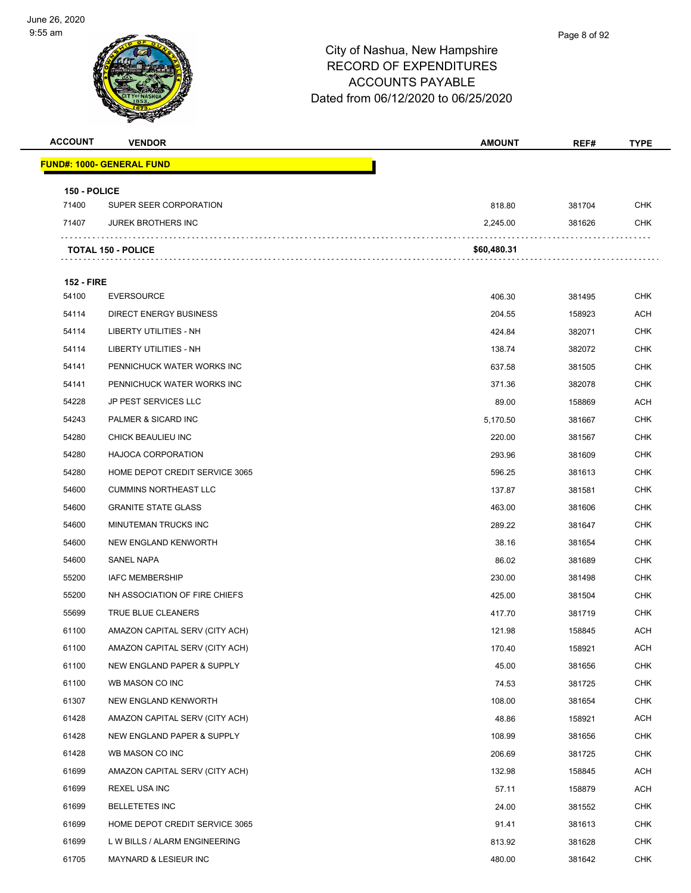

| <b>ACCOUNT</b>             | <b>VENDOR</b>                    | <b>AMOUNT</b> | REF#   | <b>TYPE</b> |
|----------------------------|----------------------------------|---------------|--------|-------------|
|                            | <b>FUND#: 1000- GENERAL FUND</b> |               |        |             |
|                            |                                  |               |        |             |
| 150 - POLICE<br>71400      | SUPER SEER CORPORATION           | 818.80        | 381704 | CHK         |
| 71407                      | <b>JUREK BROTHERS INC</b>        | 2,245.00      | 381626 | CHK         |
|                            |                                  |               |        |             |
|                            | <b>TOTAL 150 - POLICE</b>        | \$60,480.31   |        |             |
|                            |                                  |               |        |             |
| <b>152 - FIRE</b><br>54100 | <b>EVERSOURCE</b>                | 406.30        | 381495 | <b>CHK</b>  |
| 54114                      | <b>DIRECT ENERGY BUSINESS</b>    | 204.55        | 158923 | ACH         |
| 54114                      | LIBERTY UTILITIES - NH           | 424.84        | 382071 | <b>CHK</b>  |
| 54114                      | <b>LIBERTY UTILITIES - NH</b>    | 138.74        | 382072 | CHK         |
| 54141                      | PENNICHUCK WATER WORKS INC       | 637.58        | 381505 | CHK         |
| 54141                      | PENNICHUCK WATER WORKS INC       | 371.36        | 382078 | <b>CHK</b>  |
| 54228                      | <b>JP PEST SERVICES LLC</b>      | 89.00         | 158869 | ACH         |
| 54243                      | PALMER & SICARD INC              | 5,170.50      | 381667 | <b>CHK</b>  |
| 54280                      | CHICK BEAULIEU INC               | 220.00        | 381567 | CHK         |
| 54280                      | <b>HAJOCA CORPORATION</b>        | 293.96        | 381609 | CHK         |
| 54280                      | HOME DEPOT CREDIT SERVICE 3065   | 596.25        | 381613 | <b>CHK</b>  |
| 54600                      | <b>CUMMINS NORTHEAST LLC</b>     | 137.87        | 381581 | CHK         |
| 54600                      | <b>GRANITE STATE GLASS</b>       | 463.00        | 381606 | <b>CHK</b>  |
| 54600                      | MINUTEMAN TRUCKS INC             | 289.22        | 381647 | CHK         |
| 54600                      | NEW ENGLAND KENWORTH             | 38.16         | 381654 | CHK         |
| 54600                      | SANEL NAPA                       | 86.02         | 381689 | <b>CHK</b>  |
| 55200                      | <b>IAFC MEMBERSHIP</b>           | 230.00        | 381498 | CHK         |
| 55200                      | NH ASSOCIATION OF FIRE CHIEFS    | 425.00        | 381504 | <b>CHK</b>  |
| 55699                      | TRUE BLUE CLEANERS               | 417.70        | 381719 | CHK         |
| 61100                      | AMAZON CAPITAL SERV (CITY ACH)   | 121.98        | 158845 | ACH         |
| 61100                      | AMAZON CAPITAL SERV (CITY ACH)   | 170.40        | 158921 | <b>ACH</b>  |
| 61100                      | NEW ENGLAND PAPER & SUPPLY       | 45.00         | 381656 | <b>CHK</b>  |
| 61100                      | WB MASON CO INC                  | 74.53         | 381725 | <b>CHK</b>  |
| 61307                      | NEW ENGLAND KENWORTH             | 108.00        | 381654 | <b>CHK</b>  |
| 61428                      | AMAZON CAPITAL SERV (CITY ACH)   | 48.86         | 158921 | <b>ACH</b>  |
| 61428                      | NEW ENGLAND PAPER & SUPPLY       | 108.99        | 381656 | <b>CHK</b>  |
| 61428                      | WB MASON CO INC                  | 206.69        | 381725 | <b>CHK</b>  |
| 61699                      | AMAZON CAPITAL SERV (CITY ACH)   | 132.98        | 158845 | ACH         |
| 61699                      | <b>REXEL USA INC</b>             | 57.11         | 158879 | <b>ACH</b>  |
| 61699                      | <b>BELLETETES INC</b>            | 24.00         | 381552 | <b>CHK</b>  |
| 61699                      | HOME DEPOT CREDIT SERVICE 3065   | 91.41         | 381613 | <b>CHK</b>  |
| 61699                      | L W BILLS / ALARM ENGINEERING    | 813.92        | 381628 | <b>CHK</b>  |
| 61705                      | MAYNARD & LESIEUR INC            | 480.00        | 381642 | <b>CHK</b>  |
|                            |                                  |               |        |             |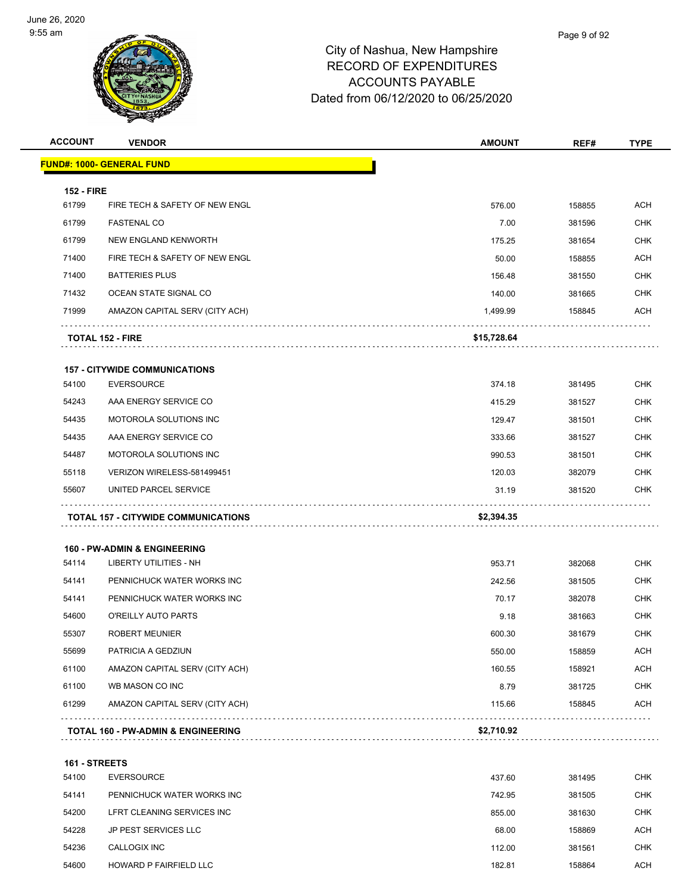

| <b>ACCOUNT</b>    | <b>VENDOR</b>                                 | <b>AMOUNT</b> | REF#   | <b>TYPE</b> |
|-------------------|-----------------------------------------------|---------------|--------|-------------|
|                   | <u> FUND#: 1000- GENERAL FUND</u>             |               |        |             |
| <b>152 - FIRE</b> |                                               |               |        |             |
| 61799             | FIRE TECH & SAFETY OF NEW ENGL                | 576.00        | 158855 | <b>ACH</b>  |
| 61799             | <b>FASTENAL CO</b>                            | 7.00          | 381596 | <b>CHK</b>  |
| 61799             | NEW ENGLAND KENWORTH                          | 175.25        | 381654 | <b>CHK</b>  |
| 71400             | FIRE TECH & SAFETY OF NEW ENGL                | 50.00         | 158855 | <b>ACH</b>  |
| 71400             | <b>BATTERIES PLUS</b>                         | 156.48        | 381550 | <b>CHK</b>  |
| 71432             | OCEAN STATE SIGNAL CO                         | 140.00        | 381665 | <b>CHK</b>  |
| 71999             | AMAZON CAPITAL SERV (CITY ACH)                | 1,499.99      | 158845 | ACH         |
|                   | <b>TOTAL 152 - FIRE</b>                       | \$15,728.64   |        |             |
|                   | <b>157 - CITYWIDE COMMUNICATIONS</b>          |               |        |             |
| 54100             | <b>EVERSOURCE</b>                             | 374.18        | 381495 | <b>CHK</b>  |
| 54243             | AAA ENERGY SERVICE CO                         | 415.29        | 381527 | <b>CHK</b>  |
| 54435             | MOTOROLA SOLUTIONS INC                        | 129.47        | 381501 | <b>CHK</b>  |
| 54435             | AAA ENERGY SERVICE CO                         | 333.66        | 381527 | <b>CHK</b>  |
| 54487             | MOTOROLA SOLUTIONS INC                        | 990.53        | 381501 | <b>CHK</b>  |
| 55118             | VERIZON WIRELESS-581499451                    | 120.03        | 382079 | <b>CHK</b>  |
| 55607             | UNITED PARCEL SERVICE                         | 31.19         | 381520 | <b>CHK</b>  |
|                   | <b>TOTAL 157 - CITYWIDE COMMUNICATIONS</b>    | \$2,394.35    |        |             |
|                   | <b>160 - PW-ADMIN &amp; ENGINEERING</b>       |               |        |             |
| 54114             | <b>LIBERTY UTILITIES - NH</b>                 | 953.71        | 382068 | <b>CHK</b>  |
| 54141             | PENNICHUCK WATER WORKS INC                    | 242.56        | 381505 | <b>CHK</b>  |
| 54141             | PENNICHUCK WATER WORKS INC                    | 70.17         | 382078 | <b>CHK</b>  |
| 54600             | O'REILLY AUTO PARTS                           | 9.18          | 381663 | <b>CHK</b>  |
| 55307             | <b>ROBERT MEUNIER</b>                         | 600.30        | 381679 | <b>CHK</b>  |
| 55699             | PATRICIA A GEDZIUN                            | 550.00        | 158859 | <b>ACH</b>  |
| 61100             | AMAZON CAPITAL SERV (CITY ACH)                | 160.55        | 158921 | <b>ACH</b>  |
| 61100             | WB MASON CO INC                               | 8.79          | 381725 | <b>CHK</b>  |
| 61299             | AMAZON CAPITAL SERV (CITY ACH)                | 115.66        | 158845 | <b>ACH</b>  |
|                   | <b>TOTAL 160 - PW-ADMIN &amp; ENGINEERING</b> | \$2,710.92    |        |             |
| 161 - STREETS     |                                               |               |        |             |
| 54100             | <b>EVERSOURCE</b>                             | 437.60        | 381495 | <b>CHK</b>  |

| <b>54100</b> | EVERSUURUE                 | 437.60 | 381495 | CHK.       |
|--------------|----------------------------|--------|--------|------------|
| 54141        | PENNICHUCK WATER WORKS INC | 742.95 | 381505 | <b>CHK</b> |
| 54200        | LFRT CLEANING SERVICES INC | 855.00 | 381630 | <b>CHK</b> |
| 54228        | JP PEST SERVICES LLC       | 68.00  | 158869 | <b>ACH</b> |
| 54236        | CALLOGIX INC               | 112.00 | 381561 | CHK        |
| 54600        | HOWARD P FAIRFIELD LLC     | 182.81 | 158864 | ACH        |
|              |                            |        |        |            |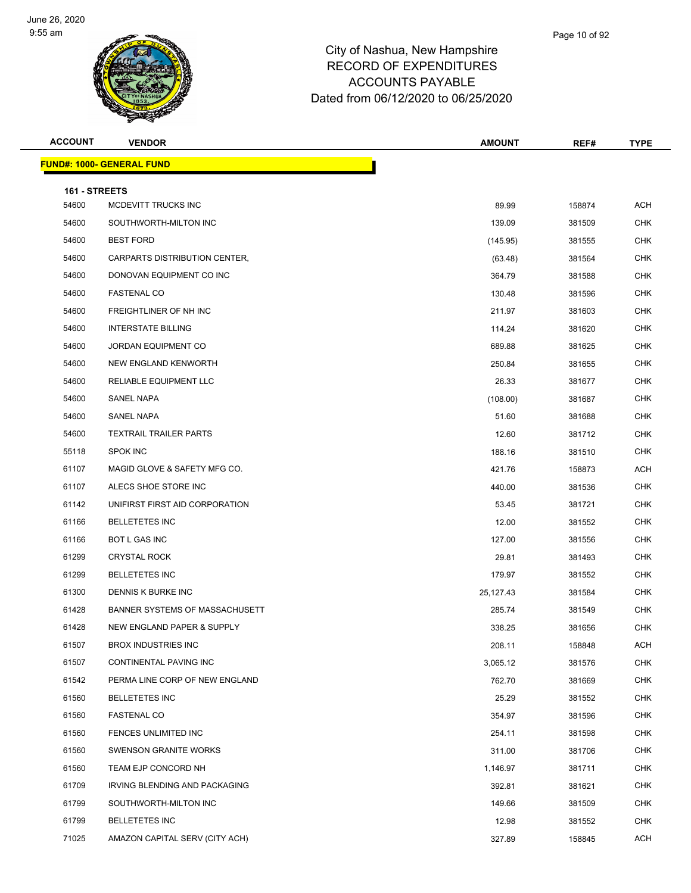

| <b>ACCOUNT</b>         | <b>VENDOR</b>                    | <b>AMOUNT</b> | REF#   | <b>TYPE</b> |
|------------------------|----------------------------------|---------------|--------|-------------|
|                        | <b>FUND#: 1000- GENERAL FUND</b> |               |        |             |
|                        |                                  |               |        |             |
| 161 - STREETS<br>54600 | MCDEVITT TRUCKS INC              | 89.99         | 158874 | <b>ACH</b>  |
| 54600                  | SOUTHWORTH-MILTON INC            | 139.09        | 381509 | <b>CHK</b>  |
| 54600                  | <b>BEST FORD</b>                 | (145.95)      | 381555 | <b>CHK</b>  |
| 54600                  | CARPARTS DISTRIBUTION CENTER,    | (63.48)       | 381564 | <b>CHK</b>  |
| 54600                  | DONOVAN EQUIPMENT CO INC         | 364.79        | 381588 | <b>CHK</b>  |
| 54600                  | <b>FASTENAL CO</b>               | 130.48        | 381596 | <b>CHK</b>  |
| 54600                  | FREIGHTLINER OF NH INC           | 211.97        | 381603 | <b>CHK</b>  |
| 54600                  | <b>INTERSTATE BILLING</b>        | 114.24        | 381620 | <b>CHK</b>  |
| 54600                  | <b>JORDAN EQUIPMENT CO</b>       | 689.88        | 381625 | <b>CHK</b>  |
| 54600                  | NEW ENGLAND KENWORTH             | 250.84        | 381655 | <b>CHK</b>  |
| 54600                  | RELIABLE EQUIPMENT LLC           | 26.33         | 381677 | <b>CHK</b>  |
| 54600                  | <b>SANEL NAPA</b>                | (108.00)      | 381687 | <b>CHK</b>  |
| 54600                  | <b>SANEL NAPA</b>                | 51.60         | 381688 | <b>CHK</b>  |
| 54600                  | <b>TEXTRAIL TRAILER PARTS</b>    | 12.60         | 381712 | <b>CHK</b>  |
| 55118                  | <b>SPOK INC</b>                  | 188.16        | 381510 | <b>CHK</b>  |
| 61107                  | MAGID GLOVE & SAFETY MFG CO.     | 421.76        | 158873 | <b>ACH</b>  |
| 61107                  | ALECS SHOE STORE INC             | 440.00        | 381536 | <b>CHK</b>  |
| 61142                  | UNIFIRST FIRST AID CORPORATION   | 53.45         | 381721 | <b>CHK</b>  |
| 61166                  | <b>BELLETETES INC</b>            | 12.00         | 381552 | <b>CHK</b>  |
| 61166                  | <b>BOT L GAS INC</b>             | 127.00        | 381556 | <b>CHK</b>  |
| 61299                  | <b>CRYSTAL ROCK</b>              | 29.81         | 381493 | <b>CHK</b>  |
| 61299                  | <b>BELLETETES INC</b>            | 179.97        | 381552 | <b>CHK</b>  |
| 61300                  | <b>DENNIS K BURKE INC</b>        | 25,127.43     | 381584 | <b>CHK</b>  |
| 61428                  | BANNER SYSTEMS OF MASSACHUSETT   | 285.74        | 381549 | <b>CHK</b>  |
| 61428                  | NEW ENGLAND PAPER & SUPPLY       | 338.25        | 381656 | <b>CHK</b>  |
| 61507                  | BROX INDUSTRIES INC              | 208.11        | 158848 | ACH         |
| 61507                  | CONTINENTAL PAVING INC           | 3,065.12      | 381576 | CHK         |
| 61542                  | PERMA LINE CORP OF NEW ENGLAND   | 762.70        | 381669 | <b>CHK</b>  |
| 61560                  | <b>BELLETETES INC</b>            | 25.29         | 381552 | <b>CHK</b>  |
| 61560                  | <b>FASTENAL CO</b>               | 354.97        | 381596 | <b>CHK</b>  |
| 61560                  | FENCES UNLIMITED INC             | 254.11        | 381598 | <b>CHK</b>  |
| 61560                  | <b>SWENSON GRANITE WORKS</b>     | 311.00        | 381706 | <b>CHK</b>  |
| 61560                  | TEAM EJP CONCORD NH              | 1,146.97      | 381711 | <b>CHK</b>  |
| 61709                  | IRVING BLENDING AND PACKAGING    | 392.81        | 381621 | <b>CHK</b>  |
| 61799                  | SOUTHWORTH-MILTON INC            | 149.66        | 381509 | <b>CHK</b>  |
| 61799                  | <b>BELLETETES INC</b>            | 12.98         | 381552 | <b>CHK</b>  |
| 71025                  | AMAZON CAPITAL SERV (CITY ACH)   | 327.89        | 158845 | <b>ACH</b>  |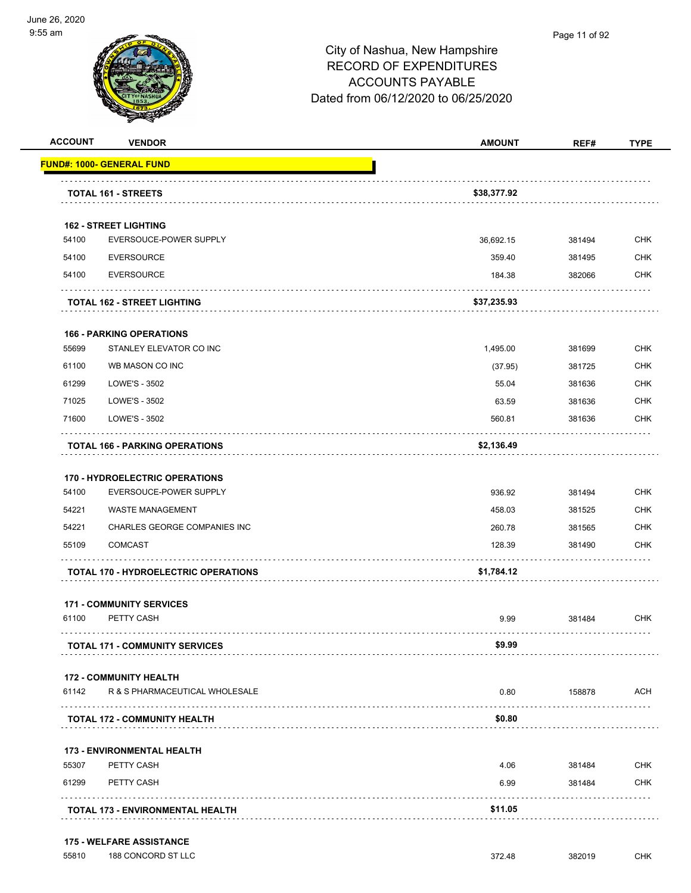

#### Page 11 of 92

| 54100<br>54100 | <b>FUND#: 1000- GENERAL FUND</b><br>TOTAL 161 - STREETS | \$38,377.92 |        |            |
|----------------|---------------------------------------------------------|-------------|--------|------------|
|                |                                                         |             |        |            |
|                |                                                         |             |        |            |
|                |                                                         |             |        |            |
|                | <b>162 - STREET LIGHTING</b>                            |             |        |            |
|                | EVERSOUCE-POWER SUPPLY                                  | 36,692.15   | 381494 | <b>CHK</b> |
|                | <b>EVERSOURCE</b>                                       | 359.40      | 381495 | <b>CHK</b> |
| 54100          | <b>EVERSOURCE</b>                                       | 184.38      | 382066 | CHK        |
|                | <b>TOTAL 162 - STREET LIGHTING</b>                      | \$37,235.93 |        |            |
|                | <b>166 - PARKING OPERATIONS</b>                         |             |        |            |
| 55699          | STANLEY ELEVATOR CO INC                                 | 1,495.00    | 381699 | <b>CHK</b> |
| 61100          | WB MASON CO INC                                         | (37.95)     | 381725 | <b>CHK</b> |
| 61299          | LOWE'S - 3502                                           | 55.04       | 381636 | <b>CHK</b> |
| 71025          | LOWE'S - 3502                                           | 63.59       | 381636 | <b>CHK</b> |
| 71600          | LOWE'S - 3502                                           | 560.81      | 381636 | <b>CHK</b> |
|                | <b>TOTAL 166 - PARKING OPERATIONS</b>                   | \$2,136.49  |        |            |
|                | <b>170 - HYDROELECTRIC OPERATIONS</b>                   |             |        |            |
| 54100          | EVERSOUCE-POWER SUPPLY                                  | 936.92      | 381494 | <b>CHK</b> |
| 54221          | <b>WASTE MANAGEMENT</b>                                 | 458.03      | 381525 | <b>CHK</b> |
| 54221          | CHARLES GEORGE COMPANIES INC                            | 260.78      | 381565 | <b>CHK</b> |
| 55109          | <b>COMCAST</b>                                          | 128.39      | 381490 | <b>CHK</b> |
|                | <b>TOTAL 170 - HYDROELECTRIC OPERATIONS</b>             | \$1,784.12  |        |            |
|                | <b>171 - COMMUNITY SERVICES</b>                         |             |        |            |
| 61100          | PETTY CASH                                              | 9.99        | 381484 | CHK        |
|                | <b>TOTAL 171 - COMMUNITY SERVICES</b>                   | \$9.99      |        |            |
|                | <b>172 - COMMUNITY HEALTH</b>                           |             |        |            |
| 61142          | R & S PHARMACEUTICAL WHOLESALE                          | 0.80        | 158878 | ACH        |
|                | <b>TOTAL 172 - COMMUNITY HEALTH</b>                     | \$0.80      | .      |            |
|                | <b>173 - ENVIRONMENTAL HEALTH</b>                       |             |        |            |
| 55307          | PETTY CASH                                              | 4.06        | 381484 | <b>CHK</b> |
| 61299          | PETTY CASH                                              | 6.99        | 381484 | CHK        |
|                | <b>TOTAL 173 - ENVIRONMENTAL HEALTH</b>                 | \$11.05     |        |            |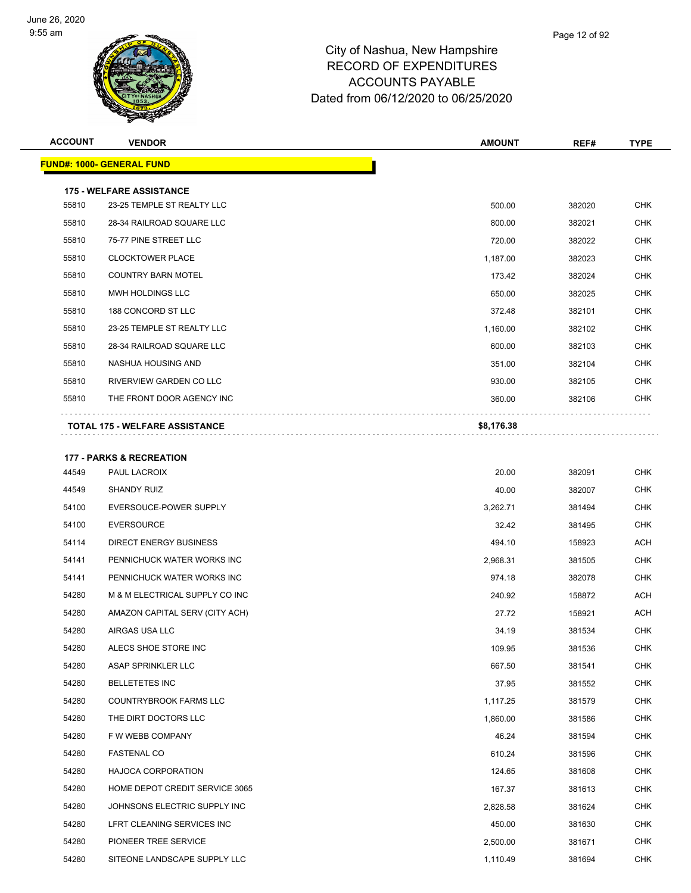

| <b>ACCOUNT</b> | <b>VENDOR</b>                         | <b>AMOUNT</b> | REF#   | <b>TYPE</b> |
|----------------|---------------------------------------|---------------|--------|-------------|
|                | <b>FUND#: 1000- GENERAL FUND</b>      |               |        |             |
|                | <b>175 - WELFARE ASSISTANCE</b>       |               |        |             |
| 55810          | 23-25 TEMPLE ST REALTY LLC            | 500.00        | 382020 | <b>CHK</b>  |
| 55810          | 28-34 RAILROAD SQUARE LLC             | 800.00        | 382021 | <b>CHK</b>  |
| 55810          | 75-77 PINE STREET LLC                 | 720.00        | 382022 | <b>CHK</b>  |
| 55810          | <b>CLOCKTOWER PLACE</b>               | 1,187.00      | 382023 | <b>CHK</b>  |
| 55810          | <b>COUNTRY BARN MOTEL</b>             | 173.42        | 382024 | <b>CHK</b>  |
| 55810          | <b>MWH HOLDINGS LLC</b>               | 650.00        | 382025 | <b>CHK</b>  |
| 55810          | 188 CONCORD ST LLC                    | 372.48        | 382101 | CHK         |
| 55810          | 23-25 TEMPLE ST REALTY LLC            | 1,160.00      | 382102 | <b>CHK</b>  |
| 55810          | 28-34 RAILROAD SQUARE LLC             | 600.00        | 382103 | CHK         |
| 55810          | NASHUA HOUSING AND                    | 351.00        | 382104 | <b>CHK</b>  |
| 55810          | RIVERVIEW GARDEN CO LLC               | 930.00        | 382105 | <b>CHK</b>  |
| 55810          | THE FRONT DOOR AGENCY INC             | 360.00        | 382106 | CHK         |
|                | <b>TOTAL 175 - WELFARE ASSISTANCE</b> | \$8,176.38    |        |             |
|                | <b>177 - PARKS &amp; RECREATION</b>   |               |        |             |
| 44549          | PAUL LACROIX                          | 20.00         | 382091 | <b>CHK</b>  |
| 44549          | <b>SHANDY RUIZ</b>                    | 40.00         | 382007 | <b>CHK</b>  |
| 54100          | EVERSOUCE-POWER SUPPLY                | 3,262.71      | 381494 | <b>CHK</b>  |
| 54100          | <b>EVERSOURCE</b>                     | 32.42         | 381495 | <b>CHK</b>  |
| 54114          | <b>DIRECT ENERGY BUSINESS</b>         | 494.10        | 158923 | ACH         |
| 54141          | PENNICHUCK WATER WORKS INC            | 2,968.31      | 381505 | <b>CHK</b>  |
| 54141          | PENNICHUCK WATER WORKS INC            | 974.18        | 382078 | CHK         |
| 54280          | M & M ELECTRICAL SUPPLY CO INC        | 240.92        | 158872 | ACH         |
| 54280          | AMAZON CAPITAL SERV (CITY ACH)        | 27.72         | 158921 | ACH         |
| 54280          | AIRGAS USA LLC                        | 34.19         | 381534 | CHK         |
| 54280          | ALECS SHOE STORE INC                  | 109.95        | 381536 | <b>CHK</b>  |
| 54280          | ASAP SPRINKLER LLC                    | 667.50        | 381541 | <b>CHK</b>  |
| 54280          | <b>BELLETETES INC</b>                 | 37.95         | 381552 | <b>CHK</b>  |
| 54280          | <b>COUNTRYBROOK FARMS LLC</b>         | 1,117.25      | 381579 | <b>CHK</b>  |
| 54280          | THE DIRT DOCTORS LLC                  | 1,860.00      | 381586 | <b>CHK</b>  |
| 54280          | F W WEBB COMPANY                      | 46.24         | 381594 | <b>CHK</b>  |
| 54280          | <b>FASTENAL CO</b>                    | 610.24        | 381596 | <b>CHK</b>  |
| 54280          | <b>HAJOCA CORPORATION</b>             | 124.65        | 381608 | <b>CHK</b>  |
| 54280          | HOME DEPOT CREDIT SERVICE 3065        | 167.37        | 381613 | <b>CHK</b>  |
| 54280          | JOHNSONS ELECTRIC SUPPLY INC          | 2,828.58      | 381624 | <b>CHK</b>  |
| 54280          | LFRT CLEANING SERVICES INC            | 450.00        | 381630 | <b>CHK</b>  |
| 54280          | PIONEER TREE SERVICE                  | 2,500.00      | 381671 | CHK         |
| 54280          | SITEONE LANDSCAPE SUPPLY LLC          | 1,110.49      | 381694 | <b>CHK</b>  |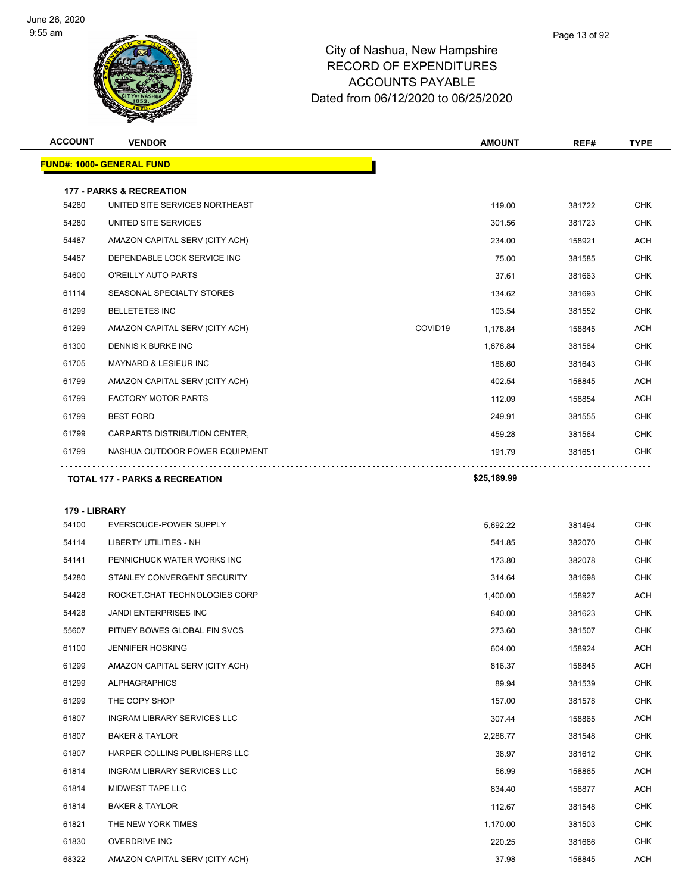

| <b>ACCOUNT</b> | <b>VENDOR</b>                             | <b>AMOUNT</b>       | REF#   | <b>TYPE</b> |
|----------------|-------------------------------------------|---------------------|--------|-------------|
|                | <u> FUND#: 1000- GENERAL FUND</u>         |                     |        |             |
|                | <b>177 - PARKS &amp; RECREATION</b>       |                     |        |             |
| 54280          | UNITED SITE SERVICES NORTHEAST            | 119.00              | 381722 | <b>CHK</b>  |
| 54280          | UNITED SITE SERVICES                      | 301.56              | 381723 | CHK         |
| 54487          | AMAZON CAPITAL SERV (CITY ACH)            | 234.00              | 158921 | <b>ACH</b>  |
| 54487          | DEPENDABLE LOCK SERVICE INC               | 75.00               | 381585 | <b>CHK</b>  |
| 54600          | O'REILLY AUTO PARTS                       | 37.61               | 381663 | <b>CHK</b>  |
| 61114          | SEASONAL SPECIALTY STORES                 | 134.62              | 381693 | <b>CHK</b>  |
| 61299          | <b>BELLETETES INC</b>                     | 103.54              | 381552 | <b>CHK</b>  |
| 61299          | AMAZON CAPITAL SERV (CITY ACH)            | COVID19<br>1,178.84 | 158845 | <b>ACH</b>  |
| 61300          | DENNIS K BURKE INC                        | 1,676.84            | 381584 | <b>CHK</b>  |
| 61705          | <b>MAYNARD &amp; LESIEUR INC</b>          | 188.60              | 381643 | <b>CHK</b>  |
| 61799          | AMAZON CAPITAL SERV (CITY ACH)            | 402.54              | 158845 | <b>ACH</b>  |
| 61799          | <b>FACTORY MOTOR PARTS</b>                | 112.09              | 158854 | ACH         |
| 61799          | <b>BEST FORD</b>                          | 249.91              | 381555 | <b>CHK</b>  |
| 61799          | CARPARTS DISTRIBUTION CENTER,             | 459.28              | 381564 | <b>CHK</b>  |
| 61799          | NASHUA OUTDOOR POWER EQUIPMENT            | 191.79              | 381651 | <b>CHK</b>  |
|                | <b>TOTAL 177 - PARKS &amp; RECREATION</b> | \$25,189.99         |        |             |
|                |                                           |                     |        |             |
| 179 - LIBRARY  |                                           |                     |        |             |
| 54100          | EVERSOUCE-POWER SUPPLY                    | 5,692.22            | 381494 | <b>CHK</b>  |
| 54114          | LIBERTY UTILITIES - NH                    | 541.85              | 382070 | <b>CHK</b>  |
| 54141          | PENNICHUCK WATER WORKS INC                | 173.80              | 382078 | <b>CHK</b>  |
| 54280          | STANLEY CONVERGENT SECURITY               | 314.64              | 381698 | <b>CHK</b>  |
| 54428          | ROCKET.CHAT TECHNOLOGIES CORP             | 1,400.00            | 158927 | ACH         |
| 54428          | <b>JANDI ENTERPRISES INC</b>              | 840.00              | 381623 | <b>CHK</b>  |
| 55607          | PITNEY BOWES GLOBAL FIN SVCS              | 273.60              | 381507 | CHK         |
| 61100          | JENNIFER HOSKING                          | 604.00              | 158924 | <b>ACH</b>  |
| 61299          | AMAZON CAPITAL SERV (CITY ACH)            | 816.37              | 158845 | ACH         |
| 61299          | <b>ALPHAGRAPHICS</b>                      | 89.94               | 381539 | <b>CHK</b>  |
| 61299          | THE COPY SHOP                             | 157.00              | 381578 | <b>CHK</b>  |
| 61807          | INGRAM LIBRARY SERVICES LLC               | 307.44              | 158865 | ACH         |
| 61807          | <b>BAKER &amp; TAYLOR</b>                 | 2,286.77            | 381548 | <b>CHK</b>  |
| 61807          | HARPER COLLINS PUBLISHERS LLC             | 38.97               | 381612 | <b>CHK</b>  |
| 61814          | INGRAM LIBRARY SERVICES LLC               | 56.99               | 158865 | ACH         |
| 61814          | MIDWEST TAPE LLC                          | 834.40              | 158877 | ACH         |
| 61814          | <b>BAKER &amp; TAYLOR</b>                 | 112.67              | 381548 | <b>CHK</b>  |
| 61821          | THE NEW YORK TIMES                        | 1,170.00            | 381503 | <b>CHK</b>  |
| 61830          | <b>OVERDRIVE INC</b>                      | 220.25              | 381666 | <b>CHK</b>  |

68322 AMAZON CAPITAL SERV (CITY ACH) 37.98 37.98 158845 ACH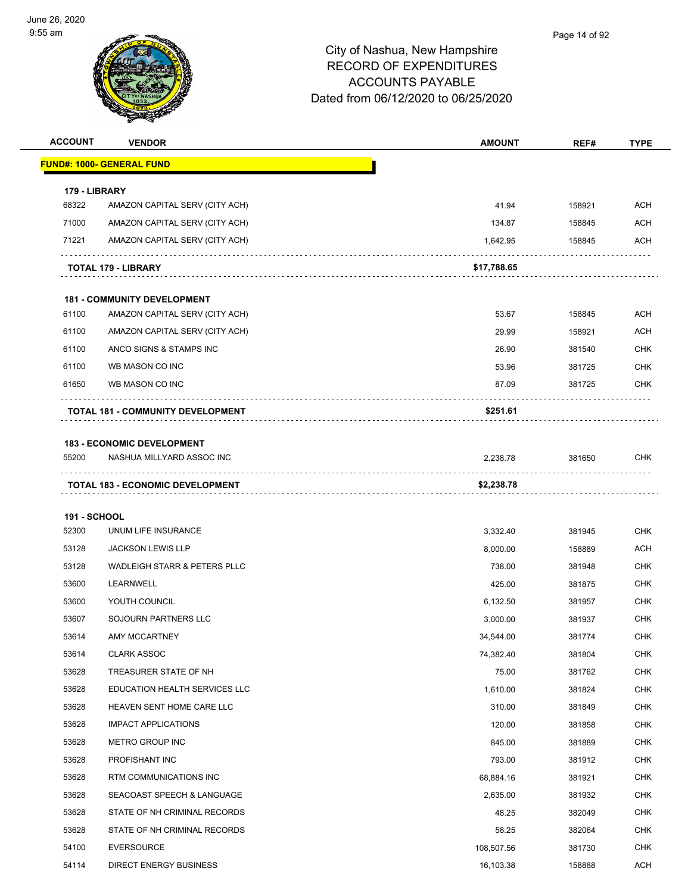

| <b>ACCOUNT</b>         | <b>VENDOR</b>                                                        | <b>AMOUNT</b> | REF#   | <b>TYPE</b>       |
|------------------------|----------------------------------------------------------------------|---------------|--------|-------------------|
|                        | <b>FUND#: 1000- GENERAL FUND</b>                                     |               |        |                   |
|                        |                                                                      |               |        |                   |
| 179 - LIBRARY<br>68322 | AMAZON CAPITAL SERV (CITY ACH)                                       | 41.94         | 158921 | ACH               |
| 71000                  | AMAZON CAPITAL SERV (CITY ACH)                                       | 134.87        | 158845 | ACH               |
| 71221                  | AMAZON CAPITAL SERV (CITY ACH)                                       | 1,642.95      | 158845 | ACH               |
|                        |                                                                      |               | .      |                   |
|                        | TOTAL 179 - LIBRARY                                                  | \$17,788.65   |        |                   |
|                        |                                                                      |               |        |                   |
| 61100                  | <b>181 - COMMUNITY DEVELOPMENT</b><br>AMAZON CAPITAL SERV (CITY ACH) | 53.67         | 158845 | <b>ACH</b>        |
| 61100                  |                                                                      |               |        | ACH               |
|                        | AMAZON CAPITAL SERV (CITY ACH)                                       | 29.99         | 158921 |                   |
| 61100<br>61100         | ANCO SIGNS & STAMPS INC<br>WB MASON CO INC                           | 26.90         | 381540 | CHK<br><b>CHK</b> |
| 61650                  | WB MASON CO INC                                                      | 53.96         | 381725 | CHK               |
|                        |                                                                      | 87.09         | 381725 |                   |
|                        | <b>TOTAL 181 - COMMUNITY DEVELOPMENT</b>                             | \$251.61      |        |                   |
|                        | <b>183 - ECONOMIC DEVELOPMENT</b>                                    |               |        |                   |
| 55200                  | NASHUA MILLYARD ASSOC INC                                            | 2,238.78      | 381650 | <b>CHK</b>        |
|                        | <b>TOTAL 183 - ECONOMIC DEVELOPMENT</b>                              | \$2,238.78    |        |                   |
|                        |                                                                      |               |        |                   |
| <b>191 - SCHOOL</b>    |                                                                      |               |        |                   |
| 52300                  | UNUM LIFE INSURANCE                                                  | 3,332.40      | 381945 | <b>CHK</b>        |
| 53128                  | <b>JACKSON LEWIS LLP</b>                                             | 8,000.00      | 158889 | ACH               |
| 53128                  | WADLEIGH STARR & PETERS PLLC                                         | 738.00        | 381948 | <b>CHK</b>        |
| 53600                  | LEARNWELL                                                            | 425.00        | 381875 | <b>CHK</b>        |
| 53600                  | YOUTH COUNCIL                                                        | 6,132.50      | 381957 | <b>CHK</b>        |
| 53607                  | SOJOURN PARTNERS LLC                                                 | 3,000.00      | 381937 | CHK               |
| 53614                  | <b>AMY MCCARTNEY</b>                                                 | 34.544.00     | 381774 | <b>CHK</b>        |
| 53614                  | <b>CLARK ASSOC</b>                                                   | 74,382.40     | 381804 | <b>CHK</b>        |
| 53628                  | TREASURER STATE OF NH                                                | 75.00         | 381762 | <b>CHK</b>        |
| 53628                  | EDUCATION HEALTH SERVICES LLC                                        | 1,610.00      | 381824 | <b>CHK</b>        |
| 53628                  | HEAVEN SENT HOME CARE LLC                                            | 310.00        | 381849 | <b>CHK</b>        |
| 53628                  | <b>IMPACT APPLICATIONS</b>                                           | 120.00        | 381858 | <b>CHK</b>        |
| 53628                  | METRO GROUP INC                                                      | 845.00        | 381889 | <b>CHK</b>        |
| 53628                  | PROFISHANT INC                                                       | 793.00        | 381912 | <b>CHK</b>        |
| 53628                  | RTM COMMUNICATIONS INC                                               | 68,884.16     | 381921 | <b>CHK</b>        |
| 53628                  | SEACOAST SPEECH & LANGUAGE                                           | 2,635.00      | 381932 | <b>CHK</b>        |
| 53628                  | STATE OF NH CRIMINAL RECORDS                                         | 48.25         | 382049 | <b>CHK</b>        |
| 53628                  | STATE OF NH CRIMINAL RECORDS                                         | 58.25         | 382064 | <b>CHK</b>        |
| 54100                  | <b>EVERSOURCE</b>                                                    | 108,507.56    | 381730 | <b>CHK</b>        |
| 54114                  | DIRECT ENERGY BUSINESS                                               | 16,103.38     | 158888 | ACH               |
|                        |                                                                      |               |        |                   |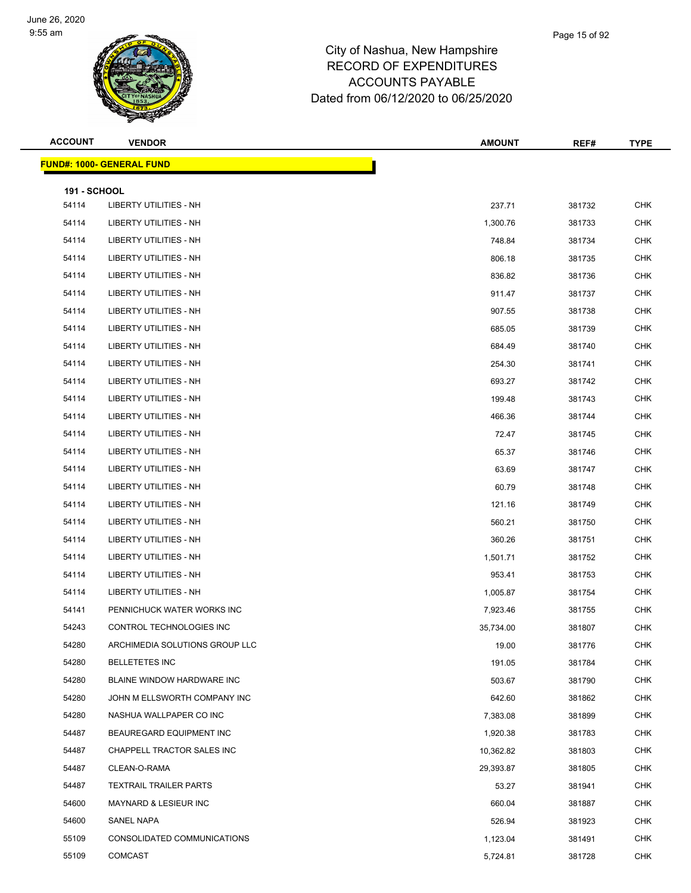

| <b>ACCOUNT</b>               | <b>VENDOR</b>                     | <b>AMOUNT</b> | REF#   | <b>TYPE</b> |
|------------------------------|-----------------------------------|---------------|--------|-------------|
|                              | <u> FUND#: 1000- GENERAL FUND</u> |               |        |             |
|                              |                                   |               |        |             |
| <b>191 - SCHOOL</b><br>54114 | <b>LIBERTY UTILITIES - NH</b>     | 237.71        | 381732 | <b>CHK</b>  |
| 54114                        | LIBERTY UTILITIES - NH            | 1,300.76      | 381733 | <b>CHK</b>  |
| 54114                        | LIBERTY UTILITIES - NH            | 748.84        | 381734 | <b>CHK</b>  |
| 54114                        | LIBERTY UTILITIES - NH            | 806.18        | 381735 | <b>CHK</b>  |
| 54114                        | LIBERTY UTILITIES - NH            | 836.82        | 381736 | <b>CHK</b>  |
| 54114                        | LIBERTY UTILITIES - NH            | 911.47        | 381737 | <b>CHK</b>  |
| 54114                        | LIBERTY UTILITIES - NH            | 907.55        | 381738 | <b>CHK</b>  |
| 54114                        | LIBERTY UTILITIES - NH            | 685.05        | 381739 | <b>CHK</b>  |
| 54114                        | LIBERTY UTILITIES - NH            | 684.49        | 381740 | <b>CHK</b>  |
| 54114                        | LIBERTY UTILITIES - NH            | 254.30        | 381741 | <b>CHK</b>  |
| 54114                        | LIBERTY UTILITIES - NH            | 693.27        | 381742 | <b>CHK</b>  |
| 54114                        | LIBERTY UTILITIES - NH            | 199.48        | 381743 | <b>CHK</b>  |
| 54114                        | LIBERTY UTILITIES - NH            | 466.36        | 381744 | <b>CHK</b>  |
| 54114                        | LIBERTY UTILITIES - NH            | 72.47         | 381745 | <b>CHK</b>  |
| 54114                        | LIBERTY UTILITIES - NH            | 65.37         | 381746 | <b>CHK</b>  |
| 54114                        | LIBERTY UTILITIES - NH            | 63.69         | 381747 | <b>CHK</b>  |
| 54114                        | LIBERTY UTILITIES - NH            | 60.79         | 381748 | <b>CHK</b>  |
| 54114                        | LIBERTY UTILITIES - NH            | 121.16        | 381749 | <b>CHK</b>  |
| 54114                        | LIBERTY UTILITIES - NH            | 560.21        | 381750 | <b>CHK</b>  |
| 54114                        | LIBERTY UTILITIES - NH            | 360.26        | 381751 | <b>CHK</b>  |
| 54114                        | LIBERTY UTILITIES - NH            | 1,501.71      | 381752 | <b>CHK</b>  |
| 54114                        | LIBERTY UTILITIES - NH            | 953.41        | 381753 | <b>CHK</b>  |
| 54114                        | LIBERTY UTILITIES - NH            | 1,005.87      | 381754 | <b>CHK</b>  |
| 54141                        | PENNICHUCK WATER WORKS INC        | 7,923.46      | 381755 | CHK         |
| 54243                        | CONTROL TECHNOLOGIES INC          | 35,734.00     | 381807 | CHK         |
| 54280                        | ARCHIMEDIA SOLUTIONS GROUP LLC    | 19.00         | 381776 | CHK         |
| 54280                        | <b>BELLETETES INC</b>             | 191.05        | 381784 | <b>CHK</b>  |
| 54280                        | BLAINE WINDOW HARDWARE INC        | 503.67        | 381790 | <b>CHK</b>  |
| 54280                        | JOHN M ELLSWORTH COMPANY INC      | 642.60        | 381862 | <b>CHK</b>  |
| 54280                        | NASHUA WALLPAPER CO INC           | 7,383.08      | 381899 | CHK         |
| 54487                        | BEAUREGARD EQUIPMENT INC          | 1,920.38      | 381783 | <b>CHK</b>  |
| 54487                        | CHAPPELL TRACTOR SALES INC        | 10,362.82     | 381803 | CHK         |
| 54487                        | CLEAN-O-RAMA                      | 29,393.87     | 381805 | <b>CHK</b>  |
| 54487                        | <b>TEXTRAIL TRAILER PARTS</b>     | 53.27         | 381941 | <b>CHK</b>  |
| 54600                        | MAYNARD & LESIEUR INC             | 660.04        | 381887 | CHK         |
| 54600                        | SANEL NAPA                        | 526.94        | 381923 | <b>CHK</b>  |
| 55109                        | CONSOLIDATED COMMUNICATIONS       | 1,123.04      | 381491 | <b>CHK</b>  |
| 55109                        | <b>COMCAST</b>                    | 5,724.81      | 381728 | <b>CHK</b>  |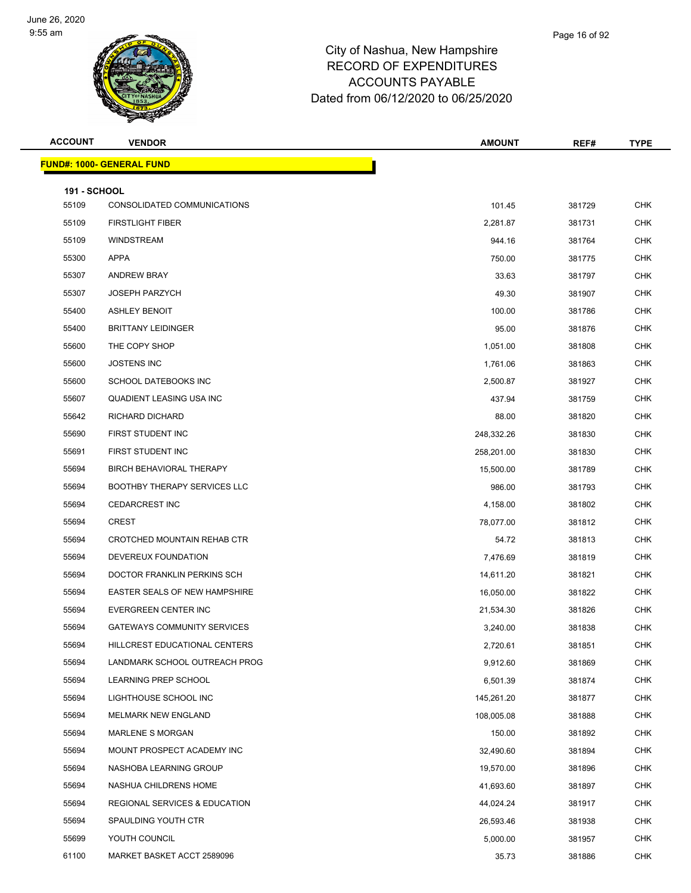

| <b>ACCOUNT</b>               | <b>VENDOR</b>                        | <b>AMOUNT</b> | REF#   | <b>TYPE</b> |
|------------------------------|--------------------------------------|---------------|--------|-------------|
|                              | <b>FUND#: 1000- GENERAL FUND</b>     |               |        |             |
|                              |                                      |               |        |             |
| <b>191 - SCHOOL</b><br>55109 | CONSOLIDATED COMMUNICATIONS          | 101.45        | 381729 | <b>CHK</b>  |
| 55109                        | <b>FIRSTLIGHT FIBER</b>              | 2,281.87      | 381731 | CHK         |
| 55109                        | <b>WINDSTREAM</b>                    | 944.16        | 381764 | <b>CHK</b>  |
| 55300                        | APPA                                 | 750.00        | 381775 | CHK         |
| 55307                        | <b>ANDREW BRAY</b>                   | 33.63         | 381797 | <b>CHK</b>  |
| 55307                        | <b>JOSEPH PARZYCH</b>                | 49.30         | 381907 | <b>CHK</b>  |
| 55400                        | <b>ASHLEY BENOIT</b>                 | 100.00        | 381786 | CHK         |
| 55400                        | <b>BRITTANY LEIDINGER</b>            | 95.00         | 381876 | <b>CHK</b>  |
| 55600                        | THE COPY SHOP                        | 1,051.00      | 381808 | <b>CHK</b>  |
| 55600                        | <b>JOSTENS INC</b>                   | 1,761.06      | 381863 | <b>CHK</b>  |
| 55600                        | SCHOOL DATEBOOKS INC                 | 2,500.87      | 381927 | <b>CHK</b>  |
| 55607                        | QUADIENT LEASING USA INC             | 437.94        | 381759 | CHK         |
| 55642                        | RICHARD DICHARD                      | 88.00         | 381820 | <b>CHK</b>  |
| 55690                        | FIRST STUDENT INC                    | 248,332.26    | 381830 | CHK         |
| 55691                        | FIRST STUDENT INC                    | 258,201.00    | 381830 | <b>CHK</b>  |
| 55694                        | BIRCH BEHAVIORAL THERAPY             | 15,500.00     | 381789 | <b>CHK</b>  |
| 55694                        | <b>BOOTHBY THERAPY SERVICES LLC</b>  | 986.00        | 381793 | CHK         |
| 55694                        | <b>CEDARCREST INC</b>                | 4,158.00      | 381802 | <b>CHK</b>  |
| 55694                        | <b>CREST</b>                         | 78,077.00     | 381812 | <b>CHK</b>  |
| 55694                        | CROTCHED MOUNTAIN REHAB CTR          | 54.72         | 381813 | <b>CHK</b>  |
| 55694                        | DEVEREUX FOUNDATION                  | 7,476.69      | 381819 | <b>CHK</b>  |
| 55694                        | DOCTOR FRANKLIN PERKINS SCH          | 14,611.20     | 381821 | CHK         |
| 55694                        | <b>EASTER SEALS OF NEW HAMPSHIRE</b> | 16,050.00     | 381822 | <b>CHK</b>  |
| 55694                        | EVERGREEN CENTER INC                 | 21,534.30     | 381826 | CHK         |
| 55694                        | <b>GATEWAYS COMMUNITY SERVICES</b>   | 3,240.00      | 381838 | <b>CHK</b>  |
| 55694                        | HILLCREST EDUCATIONAL CENTERS        | 2,720.61      | 381851 | <b>CHK</b>  |
| 55694                        | LANDMARK SCHOOL OUTREACH PROG        | 9,912.60      | 381869 | <b>CHK</b>  |
| 55694                        | LEARNING PREP SCHOOL                 | 6,501.39      | 381874 | <b>CHK</b>  |
| 55694                        | LIGHTHOUSE SCHOOL INC                | 145,261.20    | 381877 | <b>CHK</b>  |
| 55694                        | MELMARK NEW ENGLAND                  | 108,005.08    | 381888 | <b>CHK</b>  |
| 55694                        | MARLENE S MORGAN                     | 150.00        | 381892 | <b>CHK</b>  |
| 55694                        | MOUNT PROSPECT ACADEMY INC           | 32,490.60     | 381894 | CHK         |
| 55694                        | NASHOBA LEARNING GROUP               | 19,570.00     | 381896 | <b>CHK</b>  |
| 55694                        | NASHUA CHILDRENS HOME                | 41,693.60     | 381897 | <b>CHK</b>  |
| 55694                        | REGIONAL SERVICES & EDUCATION        | 44,024.24     | 381917 | <b>CHK</b>  |
| 55694                        | SPAULDING YOUTH CTR                  | 26,593.46     | 381938 | <b>CHK</b>  |
| 55699                        | YOUTH COUNCIL                        | 5,000.00      | 381957 | CHK         |
| 61100                        | MARKET BASKET ACCT 2589096           | 35.73         | 381886 | <b>CHK</b>  |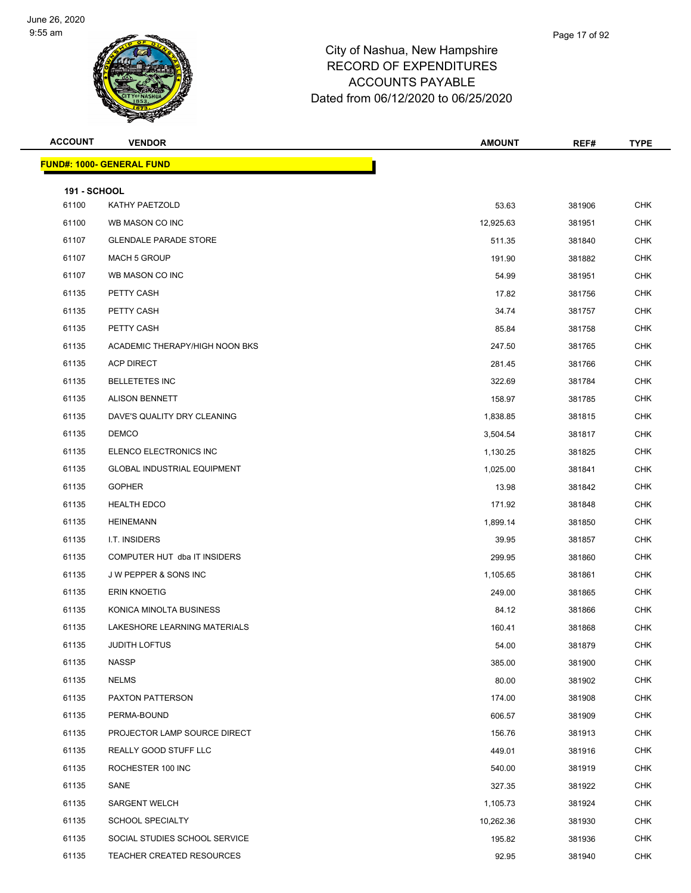

| <b>ACCOUNT</b>      | <b>VENDOR</b>                      | <b>AMOUNT</b> | REF#   | <b>TYPE</b> |
|---------------------|------------------------------------|---------------|--------|-------------|
|                     | <b>FUND#: 1000- GENERAL FUND</b>   |               |        |             |
| <b>191 - SCHOOL</b> |                                    |               |        |             |
| 61100               | KATHY PAETZOLD                     | 53.63         | 381906 | <b>CHK</b>  |
| 61100               | WB MASON CO INC                    | 12,925.63     | 381951 | <b>CHK</b>  |
| 61107               | <b>GLENDALE PARADE STORE</b>       | 511.35        | 381840 | <b>CHK</b>  |
| 61107               | <b>MACH 5 GROUP</b>                | 191.90        | 381882 | <b>CHK</b>  |
| 61107               | WB MASON CO INC                    | 54.99         | 381951 | <b>CHK</b>  |
| 61135               | PETTY CASH                         | 17.82         | 381756 | <b>CHK</b>  |
| 61135               | PETTY CASH                         | 34.74         | 381757 | <b>CHK</b>  |
| 61135               | PETTY CASH                         | 85.84         | 381758 | <b>CHK</b>  |
| 61135               | ACADEMIC THERAPY/HIGH NOON BKS     | 247.50        | 381765 | <b>CHK</b>  |
| 61135               | <b>ACP DIRECT</b>                  | 281.45        | 381766 | <b>CHK</b>  |
| 61135               | <b>BELLETETES INC</b>              | 322.69        | 381784 | <b>CHK</b>  |
| 61135               | <b>ALISON BENNETT</b>              | 158.97        | 381785 | <b>CHK</b>  |
| 61135               | DAVE'S QUALITY DRY CLEANING        | 1,838.85      | 381815 | <b>CHK</b>  |
| 61135               | <b>DEMCO</b>                       | 3,504.54      | 381817 | <b>CHK</b>  |
| 61135               | ELENCO ELECTRONICS INC             | 1,130.25      | 381825 | <b>CHK</b>  |
| 61135               | <b>GLOBAL INDUSTRIAL EQUIPMENT</b> | 1,025.00      | 381841 | <b>CHK</b>  |
| 61135               | <b>GOPHER</b>                      | 13.98         | 381842 | CHK         |
| 61135               | <b>HEALTH EDCO</b>                 | 171.92        | 381848 | <b>CHK</b>  |
| 61135               | <b>HEINEMANN</b>                   | 1,899.14      | 381850 | <b>CHK</b>  |
| 61135               | I.T. INSIDERS                      | 39.95         | 381857 | <b>CHK</b>  |
| 61135               | COMPUTER HUT dba IT INSIDERS       | 299.95        | 381860 | <b>CHK</b>  |
| 61135               | J W PEPPER & SONS INC              | 1,105.65      | 381861 | <b>CHK</b>  |
| 61135               | <b>ERIN KNOETIG</b>                | 249.00        | 381865 | <b>CHK</b>  |
| 61135               | KONICA MINOLTA BUSINESS            | 84.12         | 381866 | <b>CHK</b>  |
| 61135               | LAKESHORE LEARNING MATERIALS       | 160.41        | 381868 | <b>CHK</b>  |
| 61135               | JUDITH LOFTUS                      | 54.00         | 381879 | <b>CHK</b>  |
| 61135               | <b>NASSP</b>                       | 385.00        | 381900 | CHK         |
| 61135               | <b>NELMS</b>                       | 80.00         | 381902 | CHK         |
| 61135               | PAXTON PATTERSON                   | 174.00        | 381908 | <b>CHK</b>  |
| 61135               | PERMA-BOUND                        | 606.57        | 381909 | <b>CHK</b>  |
| 61135               | PROJECTOR LAMP SOURCE DIRECT       | 156.76        | 381913 | <b>CHK</b>  |
| 61135               | REALLY GOOD STUFF LLC              | 449.01        | 381916 | CHK         |
| 61135               | ROCHESTER 100 INC                  | 540.00        | 381919 | <b>CHK</b>  |
| 61135               | SANE                               | 327.35        | 381922 | <b>CHK</b>  |
| 61135               | <b>SARGENT WELCH</b>               | 1,105.73      | 381924 | <b>CHK</b>  |
| 61135               | <b>SCHOOL SPECIALTY</b>            | 10,262.36     | 381930 | <b>CHK</b>  |
| 61135               | SOCIAL STUDIES SCHOOL SERVICE      | 195.82        | 381936 | <b>CHK</b>  |
| 61135               | <b>TEACHER CREATED RESOURCES</b>   | 92.95         | 381940 | <b>CHK</b>  |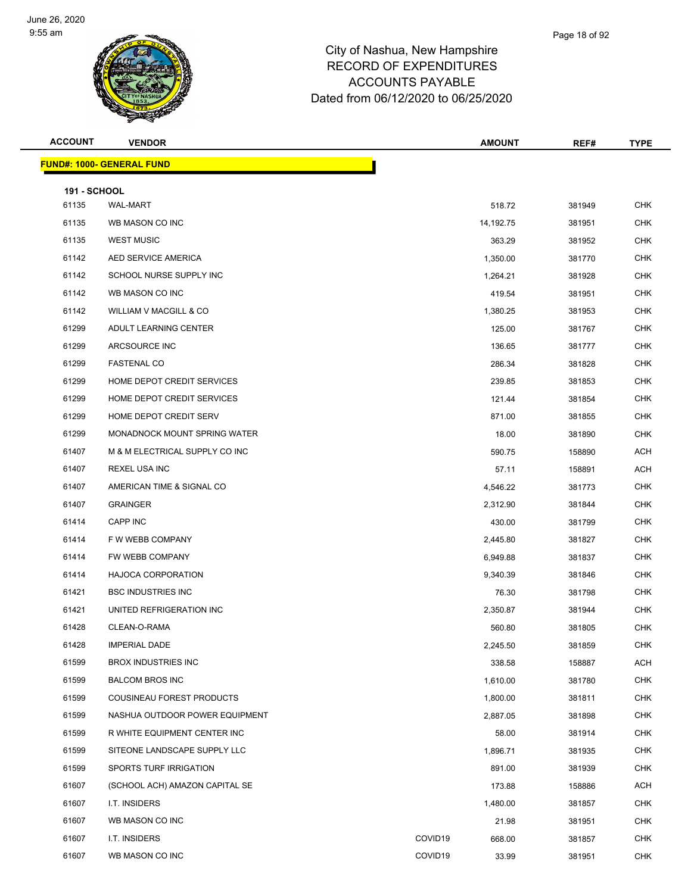

| <b>ACCOUNT</b>      | <b>VENDOR</b>                    |         | <b>AMOUNT</b> | REF#   | <b>TYPE</b> |
|---------------------|----------------------------------|---------|---------------|--------|-------------|
|                     | <b>FUND#: 1000- GENERAL FUND</b> |         |               |        |             |
| <b>191 - SCHOOL</b> |                                  |         |               |        |             |
| 61135               | <b>WAL-MART</b>                  |         | 518.72        | 381949 | <b>CHK</b>  |
| 61135               | WB MASON CO INC                  |         | 14,192.75     | 381951 | <b>CHK</b>  |
| 61135               | <b>WEST MUSIC</b>                |         | 363.29        | 381952 | <b>CHK</b>  |
| 61142               | AED SERVICE AMERICA              |         | 1,350.00      | 381770 | <b>CHK</b>  |
| 61142               | SCHOOL NURSE SUPPLY INC          |         | 1,264.21      | 381928 | <b>CHK</b>  |
| 61142               | WB MASON CO INC                  |         | 419.54        | 381951 | <b>CHK</b>  |
| 61142               | WILLIAM V MACGILL & CO           |         | 1,380.25      | 381953 | <b>CHK</b>  |
| 61299               | ADULT LEARNING CENTER            |         | 125.00        | 381767 | <b>CHK</b>  |
| 61299               | ARCSOURCE INC                    |         | 136.65        | 381777 | <b>CHK</b>  |
| 61299               | <b>FASTENAL CO</b>               |         | 286.34        | 381828 | <b>CHK</b>  |
| 61299               | HOME DEPOT CREDIT SERVICES       |         | 239.85        | 381853 | <b>CHK</b>  |
| 61299               | HOME DEPOT CREDIT SERVICES       |         | 121.44        | 381854 | <b>CHK</b>  |
| 61299               | HOME DEPOT CREDIT SERV           |         | 871.00        | 381855 | <b>CHK</b>  |
| 61299               | MONADNOCK MOUNT SPRING WATER     |         | 18.00         | 381890 | <b>CHK</b>  |
| 61407               | M & M ELECTRICAL SUPPLY CO INC   |         | 590.75        | 158890 | <b>ACH</b>  |
| 61407               | <b>REXEL USA INC</b>             |         | 57.11         | 158891 | <b>ACH</b>  |
| 61407               | AMERICAN TIME & SIGNAL CO        |         | 4,546.22      | 381773 | <b>CHK</b>  |
| 61407               | <b>GRAINGER</b>                  |         | 2,312.90      | 381844 | <b>CHK</b>  |
| 61414               | CAPP INC                         |         | 430.00        | 381799 | <b>CHK</b>  |
| 61414               | F W WEBB COMPANY                 |         | 2,445.80      | 381827 | <b>CHK</b>  |
| 61414               | FW WEBB COMPANY                  |         | 6,949.88      | 381837 | <b>CHK</b>  |
| 61414               | <b>HAJOCA CORPORATION</b>        |         | 9,340.39      | 381846 | <b>CHK</b>  |
| 61421               | <b>BSC INDUSTRIES INC</b>        |         | 76.30         | 381798 | <b>CHK</b>  |
| 61421               | UNITED REFRIGERATION INC         |         | 2,350.87      | 381944 | CHK         |
| 61428               | CLEAN-O-RAMA                     |         | 560.80        | 381805 | <b>CHK</b>  |
| 61428               | <b>IMPERIAL DADE</b>             |         | 2,245.50      | 381859 | <b>CHK</b>  |
| 61599               | <b>BROX INDUSTRIES INC</b>       |         | 338.58        | 158887 | <b>ACH</b>  |
| 61599               | <b>BALCOM BROS INC</b>           |         | 1,610.00      | 381780 | CHK         |
| 61599               | COUSINEAU FOREST PRODUCTS        |         | 1,800.00      | 381811 | <b>CHK</b>  |
| 61599               | NASHUA OUTDOOR POWER EQUIPMENT   |         | 2,887.05      | 381898 | <b>CHK</b>  |
| 61599               | R WHITE EQUIPMENT CENTER INC     |         | 58.00         | 381914 | <b>CHK</b>  |
| 61599               | SITEONE LANDSCAPE SUPPLY LLC     |         | 1,896.71      | 381935 | <b>CHK</b>  |
| 61599               | SPORTS TURF IRRIGATION           |         | 891.00        | 381939 | <b>CHK</b>  |
| 61607               | (SCHOOL ACH) AMAZON CAPITAL SE   |         | 173.88        | 158886 | ACH         |
| 61607               | I.T. INSIDERS                    |         | 1,480.00      | 381857 | <b>CHK</b>  |
| 61607               | WB MASON CO INC                  |         | 21.98         | 381951 | <b>CHK</b>  |
| 61607               | I.T. INSIDERS                    | COVID19 | 668.00        | 381857 | <b>CHK</b>  |
| 61607               | WB MASON CO INC                  | COVID19 | 33.99         | 381951 | <b>CHK</b>  |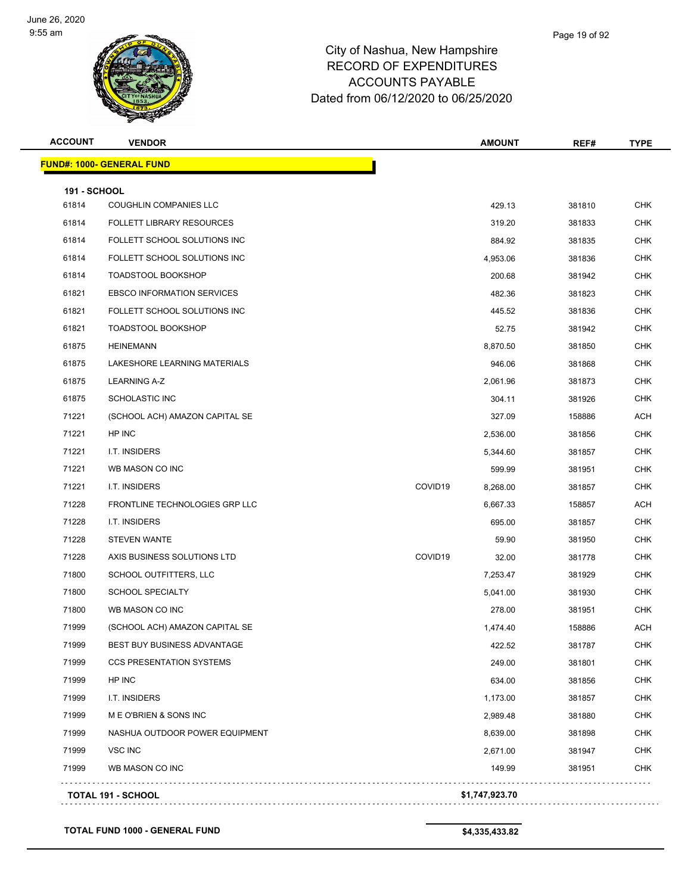

| <b>ACCOUNT</b>      | <b>VENDOR</b>                     |         | <b>AMOUNT</b>  | REF#   | <b>TYPE</b> |
|---------------------|-----------------------------------|---------|----------------|--------|-------------|
|                     | <b>FUND#: 1000- GENERAL FUND</b>  |         |                |        |             |
| <b>191 - SCHOOL</b> |                                   |         |                |        |             |
| 61814               | <b>COUGHLIN COMPANIES LLC</b>     |         | 429.13         | 381810 | <b>CHK</b>  |
| 61814               | <b>FOLLETT LIBRARY RESOURCES</b>  |         | 319.20         | 381833 | <b>CHK</b>  |
| 61814               | FOLLETT SCHOOL SOLUTIONS INC      |         | 884.92         | 381835 | <b>CHK</b>  |
| 61814               | FOLLETT SCHOOL SOLUTIONS INC      |         | 4,953.06       | 381836 | <b>CHK</b>  |
| 61814               | <b>TOADSTOOL BOOKSHOP</b>         |         | 200.68         | 381942 | <b>CHK</b>  |
| 61821               | <b>EBSCO INFORMATION SERVICES</b> |         | 482.36         | 381823 | <b>CHK</b>  |
| 61821               | FOLLETT SCHOOL SOLUTIONS INC      |         | 445.52         | 381836 | <b>CHK</b>  |
| 61821               | <b>TOADSTOOL BOOKSHOP</b>         |         | 52.75          | 381942 | <b>CHK</b>  |
| 61875               | <b>HEINEMANN</b>                  |         | 8,870.50       | 381850 | <b>CHK</b>  |
| 61875               | LAKESHORE LEARNING MATERIALS      |         | 946.06         | 381868 | <b>CHK</b>  |
| 61875               | <b>LEARNING A-Z</b>               |         | 2,061.96       | 381873 | <b>CHK</b>  |
| 61875               | <b>SCHOLASTIC INC</b>             |         | 304.11         | 381926 | <b>CHK</b>  |
| 71221               | (SCHOOL ACH) AMAZON CAPITAL SE    |         | 327.09         | 158886 | ACH         |
| 71221               | HP INC                            |         | 2,536.00       | 381856 | <b>CHK</b>  |
| 71221               | I.T. INSIDERS                     |         | 5,344.60       | 381857 | <b>CHK</b>  |
| 71221               | WB MASON CO INC                   |         | 599.99         | 381951 | <b>CHK</b>  |
| 71221               | I.T. INSIDERS                     | COVID19 | 8,268.00       | 381857 | <b>CHK</b>  |
| 71228               | FRONTLINE TECHNOLOGIES GRP LLC    |         | 6,667.33       | 158857 | ACH         |
| 71228               | I.T. INSIDERS                     |         | 695.00         | 381857 | <b>CHK</b>  |
| 71228               | <b>STEVEN WANTE</b>               |         | 59.90          | 381950 | <b>CHK</b>  |
| 71228               | AXIS BUSINESS SOLUTIONS LTD       | COVID19 | 32.00          | 381778 | <b>CHK</b>  |
| 71800               | SCHOOL OUTFITTERS, LLC            |         | 7,253.47       | 381929 | <b>CHK</b>  |
| 71800               | <b>SCHOOL SPECIALTY</b>           |         | 5,041.00       | 381930 | <b>CHK</b>  |
| 71800               | WB MASON CO INC                   |         | 278.00         | 381951 | <b>CHK</b>  |
| 71999               | (SCHOOL ACH) AMAZON CAPITAL SE    |         | 1,474.40       | 158886 | ACH         |
| 71999               | BEST BUY BUSINESS ADVANTAGE       |         | 422.52         | 381787 | CHK         |
| 71999               | <b>CCS PRESENTATION SYSTEMS</b>   |         | 249.00         | 381801 | <b>CHK</b>  |
| 71999               | HP INC                            |         | 634.00         | 381856 | <b>CHK</b>  |
| 71999               | I.T. INSIDERS                     |         | 1,173.00       | 381857 | <b>CHK</b>  |
| 71999               | M E O'BRIEN & SONS INC            |         | 2,989.48       | 381880 | <b>CHK</b>  |
| 71999               | NASHUA OUTDOOR POWER EQUIPMENT    |         | 8,639.00       | 381898 | <b>CHK</b>  |
| 71999               | <b>VSC INC</b>                    |         | 2,671.00       | 381947 | <b>CHK</b>  |
| 71999               | WB MASON CO INC                   |         | 149.99         | 381951 | CHK         |
|                     | TOTAL 191 - SCHOOL                |         | \$1,747,923.70 |        |             |
|                     |                                   |         |                |        |             |

**TOTAL FUND 1000 - GENERAL FUND \$4,335,433.82**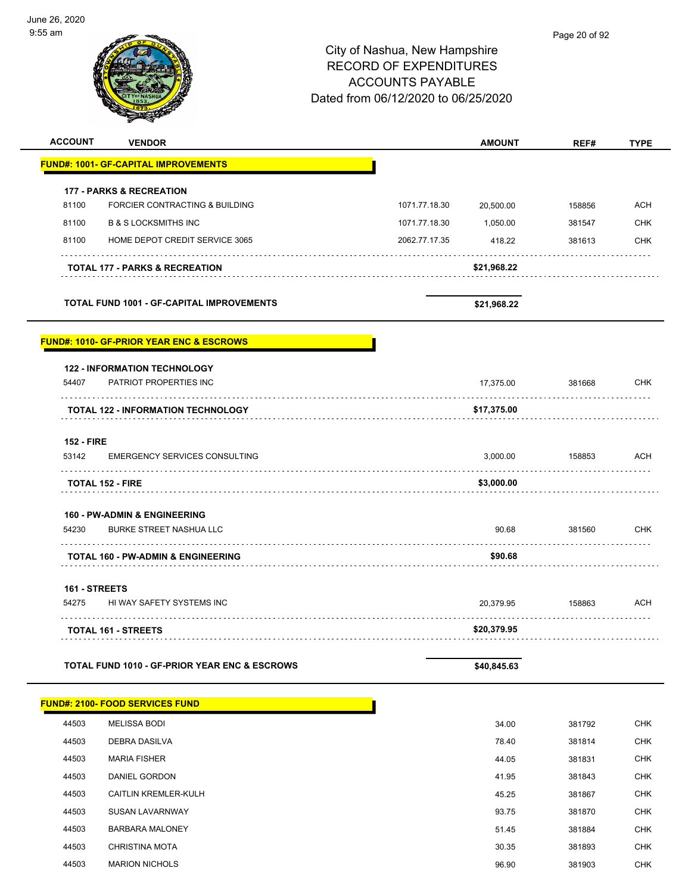-

|                                                                                            |                                                  | City of Nashua, New Hampshire<br><b>RECORD OF EXPENDITURES</b><br><b>ACCOUNTS PAYABLE</b><br>Dated from 06/12/2020 to 06/25/2020 |                          | Page 20 of 92 |                                 |
|--------------------------------------------------------------------------------------------|--------------------------------------------------|----------------------------------------------------------------------------------------------------------------------------------|--------------------------|---------------|---------------------------------|
| <b>ACCOUNT</b><br><b>VENDOR</b>                                                            |                                                  |                                                                                                                                  | <b>AMOUNT</b>            | REF#          | <b>TYPE</b>                     |
| <b>FUND#: 1001- GF-CAPITAL IMPROVEMENTS</b>                                                |                                                  |                                                                                                                                  |                          |               |                                 |
| <b>177 - PARKS &amp; RECREATION</b>                                                        |                                                  |                                                                                                                                  |                          |               |                                 |
| 81100                                                                                      | FORCIER CONTRACTING & BUILDING                   | 1071.77.18.30                                                                                                                    | 20,500.00                | 158856        | <b>ACH</b>                      |
| 81100<br><b>B &amp; S LOCKSMITHS INC</b>                                                   |                                                  | 1071.77.18.30                                                                                                                    | 1,050.00                 | 381547        | <b>CHK</b>                      |
| 81100                                                                                      | HOME DEPOT CREDIT SERVICE 3065                   | 2062.77.17.35                                                                                                                    | 418.22                   | 381613        | <b>CHK</b>                      |
| <b>TOTAL 177 - PARKS &amp; RECREATION</b>                                                  |                                                  |                                                                                                                                  | \$21,968.22              |               |                                 |
|                                                                                            | <b>TOTAL FUND 1001 - GF-CAPITAL IMPROVEMENTS</b> |                                                                                                                                  | \$21,968.22              |               |                                 |
| <b>FUND#: 1010- GF-PRIOR YEAR ENC &amp; ESCROWS</b><br><b>122 - INFORMATION TECHNOLOGY</b> |                                                  |                                                                                                                                  |                          |               |                                 |
| PATRIOT PROPERTIES INC<br>54407<br><b>TOTAL 122 - INFORMATION TECHNOLOGY</b>               |                                                  |                                                                                                                                  | 17,375.00<br>\$17,375.00 | 381668        |                                 |
|                                                                                            |                                                  |                                                                                                                                  |                          |               |                                 |
| <b>152 - FIRE</b><br>53142                                                                 | <b>EMERGENCY SERVICES CONSULTING</b>             |                                                                                                                                  | 3,000.00                 | 158853        |                                 |
| .<br><b>TOTAL 152 - FIRE</b>                                                               |                                                  |                                                                                                                                  | \$3,000.00               |               |                                 |
|                                                                                            |                                                  |                                                                                                                                  |                          |               |                                 |
| <b>160 - PW-ADMIN &amp; ENGINEERING</b><br>54230                                           | <b>BURKE STREET NASHUA LLC</b>                   |                                                                                                                                  | 90.68                    | 381560        |                                 |
| <b>TOTAL 160 - PW-ADMIN &amp; ENGINEERING</b>                                              |                                                  |                                                                                                                                  | \$90.68                  |               | <b>CHK</b><br>ACH<br><b>CHK</b> |
| 161 - STREETS                                                                              |                                                  |                                                                                                                                  |                          |               |                                 |
| 54275                                                                                      | HI WAY SAFETY SYSTEMS INC                        |                                                                                                                                  | 20,379.95                | 158863        | <b>ACH</b>                      |
| <b>TOTAL 161 - STREETS</b>                                                                 |                                                  |                                                                                                                                  | \$20,379.95              |               |                                 |

|       | <b>FUND#: 2100- FOOD SERVICES FUND</b> |       |        |            |
|-------|----------------------------------------|-------|--------|------------|
| 44503 | <b>MELISSA BODI</b>                    | 34.00 | 381792 | <b>CHK</b> |
| 44503 | <b>DEBRA DASILVA</b>                   | 78.40 | 381814 | <b>CHK</b> |
| 44503 | <b>MARIA FISHER</b>                    | 44.05 | 381831 | <b>CHK</b> |
| 44503 | <b>DANIEL GORDON</b>                   | 41.95 | 381843 | <b>CHK</b> |
| 44503 | <b>CAITLIN KREMLER-KULH</b>            | 45.25 | 381867 | <b>CHK</b> |
| 44503 | <b>SUSAN LAVARNWAY</b>                 | 93.75 | 381870 | <b>CHK</b> |
| 44503 | <b>BARBARA MALONEY</b>                 | 51.45 | 381884 | <b>CHK</b> |
| 44503 | <b>CHRISTINA MOTA</b>                  | 30.35 | 381893 | <b>CHK</b> |

44503 MARION NICHOLS 96.90 381903 CHK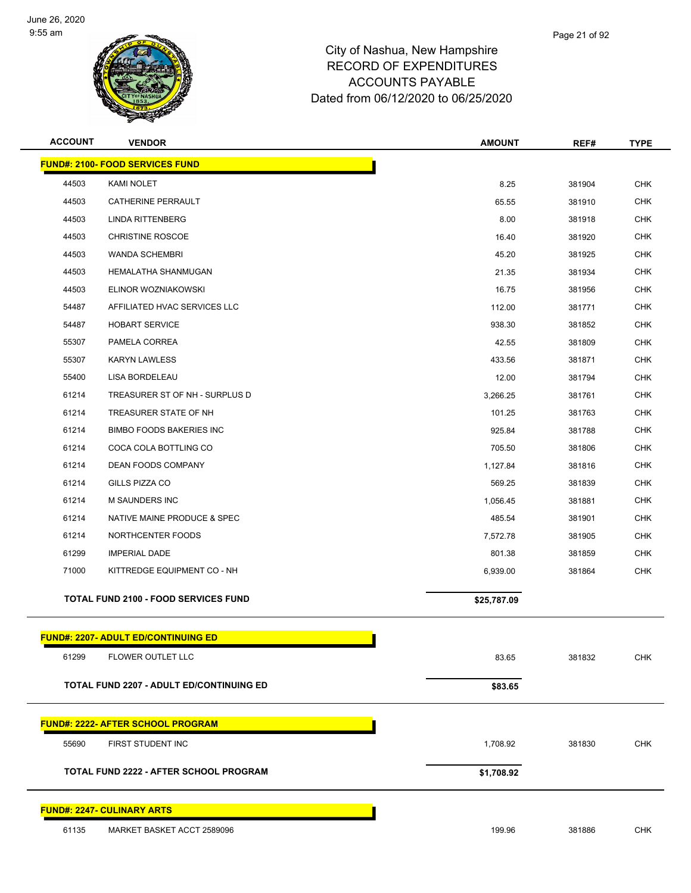

| <b>ACCOUNT</b> | <b>VENDOR</b>                                   | <b>AMOUNT</b> | REF#   | <b>TYPE</b> |
|----------------|-------------------------------------------------|---------------|--------|-------------|
|                | <b>FUND#: 2100- FOOD SERVICES FUND</b>          |               |        |             |
| 44503          | KAMI NOLET                                      | 8.25          | 381904 | <b>CHK</b>  |
| 44503          | CATHERINE PERRAULT                              | 65.55         | 381910 | <b>CHK</b>  |
| 44503          | <b>LINDA RITTENBERG</b>                         | 8.00          | 381918 | <b>CHK</b>  |
| 44503          | <b>CHRISTINE ROSCOE</b>                         | 16.40         | 381920 | <b>CHK</b>  |
| 44503          | <b>WANDA SCHEMBRI</b>                           | 45.20         | 381925 | <b>CHK</b>  |
| 44503          | HEMALATHA SHANMUGAN                             | 21.35         | 381934 | <b>CHK</b>  |
| 44503          | ELINOR WOZNIAKOWSKI                             | 16.75         | 381956 | <b>CHK</b>  |
| 54487          | AFFILIATED HVAC SERVICES LLC                    | 112.00        | 381771 | <b>CHK</b>  |
| 54487          | <b>HOBART SERVICE</b>                           | 938.30        | 381852 | <b>CHK</b>  |
| 55307          | PAMELA CORREA                                   | 42.55         | 381809 | <b>CHK</b>  |
| 55307          | <b>KARYN LAWLESS</b>                            | 433.56        | 381871 | <b>CHK</b>  |
| 55400          | LISA BORDELEAU                                  | 12.00         | 381794 | <b>CHK</b>  |
| 61214          | TREASURER ST OF NH - SURPLUS D                  | 3,266.25      | 381761 | <b>CHK</b>  |
| 61214          | TREASURER STATE OF NH                           | 101.25        | 381763 | <b>CHK</b>  |
| 61214          | <b>BIMBO FOODS BAKERIES INC</b>                 | 925.84        | 381788 | <b>CHK</b>  |
| 61214          | COCA COLA BOTTLING CO                           | 705.50        | 381806 | <b>CHK</b>  |
| 61214          | DEAN FOODS COMPANY                              | 1,127.84      | 381816 | <b>CHK</b>  |
| 61214          | GILLS PIZZA CO                                  | 569.25        | 381839 | <b>CHK</b>  |
| 61214          | <b>M SAUNDERS INC</b>                           | 1,056.45      | 381881 | <b>CHK</b>  |
| 61214          | NATIVE MAINE PRODUCE & SPEC                     | 485.54        | 381901 | <b>CHK</b>  |
| 61214          | NORTHCENTER FOODS                               | 7,572.78      | 381905 | <b>CHK</b>  |
| 61299          | <b>IMPERIAL DADE</b>                            | 801.38        | 381859 | <b>CHK</b>  |
| 71000          | KITTREDGE EQUIPMENT CO - NH                     | 6,939.00      | 381864 | <b>CHK</b>  |
|                | <b>TOTAL FUND 2100 - FOOD SERVICES FUND</b>     | \$25,787.09   |        |             |
|                | <b>FUND#: 2207- ADULT ED/CONTINUING ED</b>      |               |        |             |
| 61299          | FLOWER OUTLET LLC                               | 83.65         | 381832 | <b>CHK</b>  |
|                |                                                 |               |        |             |
|                | <b>TOTAL FUND 2207 - ADULT ED/CONTINUING ED</b> | \$83.65       |        |             |
|                | <b>FUND#: 2222- AFTER SCHOOL PROGRAM</b>        |               |        |             |
| 55690          | FIRST STUDENT INC                               | 1,708.92      | 381830 | <b>CHK</b>  |
|                | <b>TOTAL FUND 2222 - AFTER SCHOOL PROGRAM</b>   | \$1,708.92    |        |             |
|                | <b>FUND#: 2247- CULINARY ARTS</b>               |               |        |             |
| 61135          | MARKET BASKET ACCT 2589096                      | 199.96        | 381886 | <b>CHK</b>  |
|                |                                                 |               |        |             |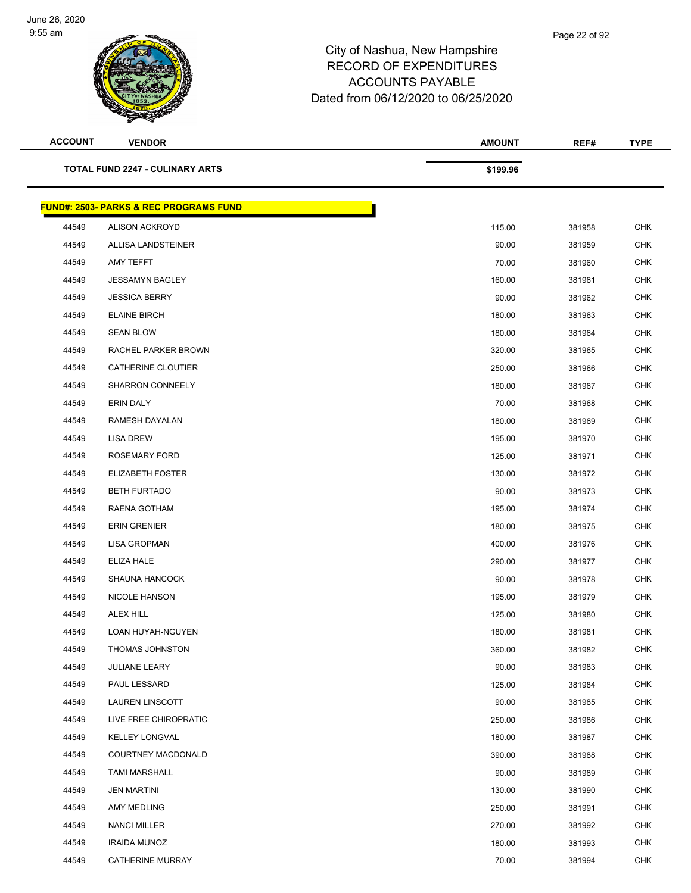

| <b>ACCOUNT</b> | <b>VENDOR</b>                                     | <b>AMOUNT</b> | REF#   | <b>TYPE</b> |
|----------------|---------------------------------------------------|---------------|--------|-------------|
|                | <b>TOTAL FUND 2247 - CULINARY ARTS</b>            | \$199.96      |        |             |
|                | <b>FUND#: 2503- PARKS &amp; REC PROGRAMS FUND</b> |               |        |             |
| 44549          | <b>ALISON ACKROYD</b>                             | 115.00        | 381958 | <b>CHK</b>  |
| 44549          | <b>ALLISA LANDSTEINER</b>                         | 90.00         | 381959 | <b>CHK</b>  |
| 44549          | AMY TEFFT                                         | 70.00         | 381960 | <b>CHK</b>  |
| 44549          | <b>JESSAMYN BAGLEY</b>                            | 160.00        | 381961 | <b>CHK</b>  |
| 44549          | <b>JESSICA BERRY</b>                              | 90.00         | 381962 | <b>CHK</b>  |
| 44549          | <b>ELAINE BIRCH</b>                               | 180.00        | 381963 | <b>CHK</b>  |
| 44549          | <b>SEAN BLOW</b>                                  | 180.00        | 381964 | <b>CHK</b>  |
| 44549          | RACHEL PARKER BROWN                               | 320.00        | 381965 | <b>CHK</b>  |
| 44549          | CATHERINE CLOUTIER                                | 250.00        | 381966 | <b>CHK</b>  |
| 44549          | <b>SHARRON CONNEELY</b>                           | 180.00        | 381967 | <b>CHK</b>  |
| 44549          | <b>ERIN DALY</b>                                  | 70.00         | 381968 | <b>CHK</b>  |
| 44549          | RAMESH DAYALAN                                    | 180.00        | 381969 | <b>CHK</b>  |
| 44549          | LISA DREW                                         | 195.00        | 381970 | <b>CHK</b>  |
| 44549          | ROSEMARY FORD                                     | 125.00        | 381971 | <b>CHK</b>  |
| 44549          | <b>ELIZABETH FOSTER</b>                           | 130.00        | 381972 | <b>CHK</b>  |
| 44549          | <b>BETH FURTADO</b>                               | 90.00         | 381973 | <b>CHK</b>  |
| 44549          | RAENA GOTHAM                                      | 195.00        | 381974 | <b>CHK</b>  |
| 44549          | <b>ERIN GRENIER</b>                               | 180.00        | 381975 | <b>CHK</b>  |
| 44549          | <b>LISA GROPMAN</b>                               | 400.00        | 381976 | <b>CHK</b>  |
| 44549          | ELIZA HALE                                        | 290.00        | 381977 | <b>CHK</b>  |
| 44549          | <b>SHAUNA HANCOCK</b>                             | 90.00         | 381978 | <b>CHK</b>  |
| 44549          | <b>NICOLE HANSON</b>                              | 195.00        | 381979 | <b>CHK</b>  |
| 44549          | ALEX HILL                                         | 125.00        | 381980 | <b>CHK</b>  |
| 44549          | LOAN HUYAH-NGUYEN                                 | 180.00        | 381981 | <b>CHK</b>  |
| 44549          | THOMAS JOHNSTON                                   | 360.00        | 381982 | <b>CHK</b>  |
| 44549          | <b>JULIANE LEARY</b>                              | 90.00         | 381983 | <b>CHK</b>  |
| 44549          | PAUL LESSARD                                      | 125.00        | 381984 | <b>CHK</b>  |
| 44549          | <b>LAUREN LINSCOTT</b>                            | 90.00         | 381985 | <b>CHK</b>  |
| 44549          | LIVE FREE CHIROPRATIC                             | 250.00        | 381986 | <b>CHK</b>  |
| 44549          | <b>KELLEY LONGVAL</b>                             | 180.00        | 381987 | <b>CHK</b>  |
| 44549          | COURTNEY MACDONALD                                | 390.00        | 381988 | <b>CHK</b>  |
| 44549          | <b>TAMI MARSHALL</b>                              | 90.00         | 381989 | <b>CHK</b>  |
| 44549          | <b>JEN MARTINI</b>                                | 130.00        | 381990 | <b>CHK</b>  |
| 44549          | AMY MEDLING                                       | 250.00        | 381991 | <b>CHK</b>  |
| 44549          | <b>NANCI MILLER</b>                               | 270.00        | 381992 | <b>CHK</b>  |
| 44549          | <b>IRAIDA MUNOZ</b>                               | 180.00        | 381993 | <b>CHK</b>  |
| 44549          | CATHERINE MURRAY                                  | 70.00         | 381994 | <b>CHK</b>  |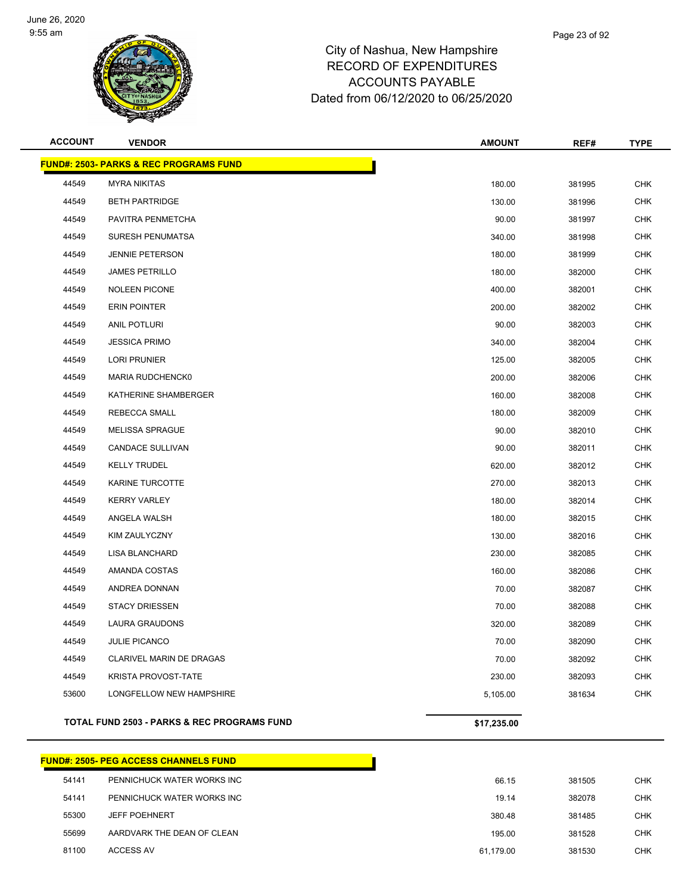

| <b>ACCOUNT</b> | <b>VENDOR</b>                                          | <b>AMOUNT</b> | REF#   | <b>TYPE</b> |
|----------------|--------------------------------------------------------|---------------|--------|-------------|
|                | <b>FUND#: 2503- PARKS &amp; REC PROGRAMS FUND</b>      |               |        |             |
| 44549          | <b>MYRA NIKITAS</b>                                    | 180.00        | 381995 | <b>CHK</b>  |
| 44549          | <b>BETH PARTRIDGE</b>                                  | 130.00        | 381996 | <b>CHK</b>  |
| 44549          | PAVITRA PENMETCHA                                      | 90.00         | 381997 | <b>CHK</b>  |
| 44549          | SURESH PENUMATSA                                       | 340.00        | 381998 | <b>CHK</b>  |
| 44549          | <b>JENNIE PETERSON</b>                                 | 180.00        | 381999 | <b>CHK</b>  |
| 44549          | <b>JAMES PETRILLO</b>                                  | 180.00        | 382000 | CHK         |
| 44549          | <b>NOLEEN PICONE</b>                                   | 400.00        | 382001 | <b>CHK</b>  |
| 44549          | <b>ERIN POINTER</b>                                    | 200.00        | 382002 | <b>CHK</b>  |
| 44549          | <b>ANIL POTLURI</b>                                    | 90.00         | 382003 | <b>CHK</b>  |
| 44549          | <b>JESSICA PRIMO</b>                                   | 340.00        | 382004 | <b>CHK</b>  |
| 44549          | <b>LORI PRUNIER</b>                                    | 125.00        | 382005 | CHK         |
| 44549          | MARIA RUDCHENCK0                                       | 200.00        | 382006 | <b>CHK</b>  |
| 44549          | KATHERINE SHAMBERGER                                   | 160.00        | 382008 | <b>CHK</b>  |
| 44549          | REBECCA SMALL                                          | 180.00        | 382009 | <b>CHK</b>  |
| 44549          | <b>MELISSA SPRAGUE</b>                                 | 90.00         | 382010 | <b>CHK</b>  |
| 44549          | CANDACE SULLIVAN                                       | 90.00         | 382011 | CHK         |
| 44549          | <b>KELLY TRUDEL</b>                                    | 620.00        | 382012 | <b>CHK</b>  |
| 44549          | KARINE TURCOTTE                                        | 270.00        | 382013 | <b>CHK</b>  |
| 44549          | <b>KERRY VARLEY</b>                                    | 180.00        | 382014 | <b>CHK</b>  |
| 44549          | ANGELA WALSH                                           | 180.00        | 382015 | <b>CHK</b>  |
| 44549          | KIM ZAULYCZNY                                          | 130.00        | 382016 | CHK         |
| 44549          | <b>LISA BLANCHARD</b>                                  | 230.00        | 382085 | <b>CHK</b>  |
| 44549          | AMANDA COSTAS                                          | 160.00        | 382086 | <b>CHK</b>  |
| 44549          | ANDREA DONNAN                                          | 70.00         | 382087 | <b>CHK</b>  |
| 44549          | <b>STACY DRIESSEN</b>                                  | 70.00         | 382088 | <b>CHK</b>  |
| 44549          | LAURA GRAUDONS                                         | 320.00        | 382089 | CHK         |
| 44549          | JULIE PICANCO                                          | 70.00         | 382090 | <b>CHK</b>  |
| 44549          | CLARIVEL MARIN DE DRAGAS                               | 70.00         | 382092 | <b>CHK</b>  |
| 44549          | <b>KRISTA PROVOST-TATE</b>                             | 230.00        | 382093 | <b>CHK</b>  |
| 53600          | LONGFELLOW NEW HAMPSHIRE                               | 5,105.00      | 381634 | CHK         |
|                | <b>TOTAL FUND 2503 - PARKS &amp; REC PROGRAMS FUND</b> | \$17,235.00   |        |             |

## **FUND#: 2505- PEG ACCESS CHANNELS FUND** PENNICHUCK WATER WORKS INC 66.15 381505 CHK PENNICHUCK WATER WORKS INC 19.14 382078 CHK JEFF POEHNERT 380.48 381485 CHK AARDVARK THE DEAN OF CLEAN 195.00 381528 CHK ACCESS AV 61,179.00 381530 CHK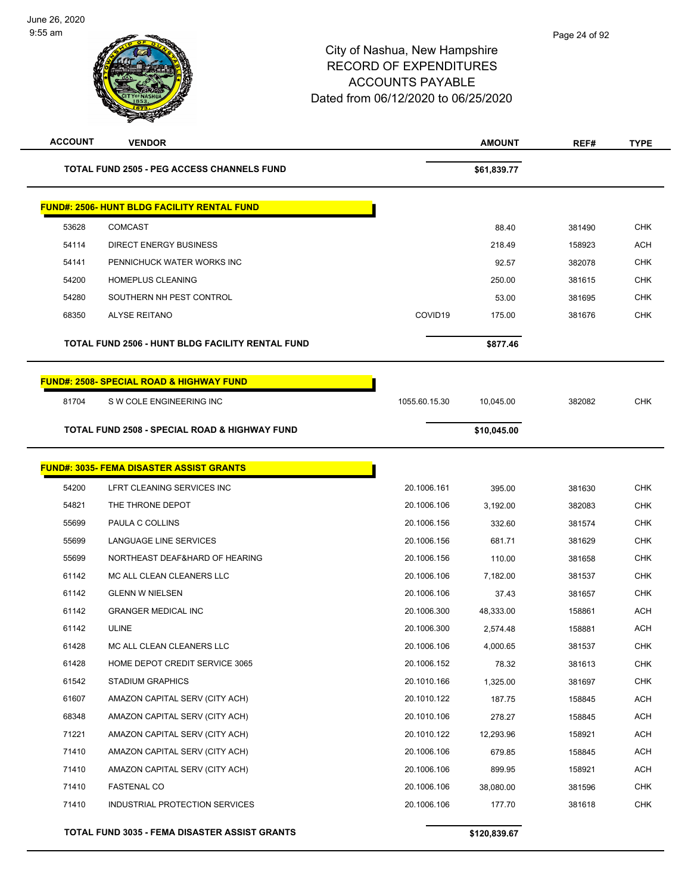| <b>ACCOUNT</b> | <b>VENDOR</b>                                            |               | <b>AMOUNT</b> | REF#   | <b>TYPE</b> |
|----------------|----------------------------------------------------------|---------------|---------------|--------|-------------|
|                | <b>TOTAL FUND 2505 - PEG ACCESS CHANNELS FUND</b>        |               | \$61,839.77   |        |             |
|                | <b>FUND#: 2506- HUNT BLDG FACILITY RENTAL FUND</b>       |               |               |        |             |
| 53628          | <b>COMCAST</b>                                           |               | 88.40         | 381490 | <b>CHK</b>  |
| 54114          | DIRECT ENERGY BUSINESS                                   |               | 218.49        | 158923 | <b>ACH</b>  |
| 54141          | PENNICHUCK WATER WORKS INC                               |               | 92.57         | 382078 | <b>CHK</b>  |
| 54200          | HOMEPLUS CLEANING                                        |               | 250.00        | 381615 | <b>CHK</b>  |
| 54280          | SOUTHERN NH PEST CONTROL                                 |               | 53.00         | 381695 | <b>CHK</b>  |
| 68350          | <b>ALYSE REITANO</b>                                     | COVID19       | 175.00        | 381676 | <b>CHK</b>  |
|                | TOTAL FUND 2506 - HUNT BLDG FACILITY RENTAL FUND         |               | \$877.46      |        |             |
|                | <b>FUND#: 2508- SPECIAL ROAD &amp; HIGHWAY FUND</b>      |               |               |        |             |
| 81704          | S W COLE ENGINEERING INC                                 | 1055.60.15.30 | 10,045.00     | 382082 | <b>CHK</b>  |
|                | <b>TOTAL FUND 2508 - SPECIAL ROAD &amp; HIGHWAY FUND</b> |               | \$10,045.00   |        |             |
|                | <b>FUND#: 3035- FEMA DISASTER ASSIST GRANTS</b>          |               |               |        |             |
| 54200          | LFRT CLEANING SERVICES INC                               | 20.1006.161   | 395.00        | 381630 | <b>CHK</b>  |
| 54821          | THE THRONE DEPOT                                         | 20.1006.106   | 3,192.00      | 382083 | <b>CHK</b>  |
| 55699          | PAULA C COLLINS                                          | 20.1006.156   | 332.60        | 381574 | <b>CHK</b>  |
| 55699          | LANGUAGE LINE SERVICES                                   | 20.1006.156   | 681.71        | 381629 | <b>CHK</b>  |
| 55699          | NORTHEAST DEAF&HARD OF HEARING                           | 20.1006.156   | 110.00        | 381658 | <b>CHK</b>  |
| 61142          | MC ALL CLEAN CLEANERS LLC                                | 20.1006.106   | 7,182.00      | 381537 | <b>CHK</b>  |
| 61142          | <b>GLENN W NIELSEN</b>                                   | 20.1006.106   | 37.43         | 381657 | <b>CHK</b>  |
| 61142          | <b>GRANGER MEDICAL INC</b>                               | 20.1006.300   | 48,333.00     | 158861 | <b>ACH</b>  |
| 61142          | <b>ULINE</b>                                             | 20.1006.300   | 2,574.48      | 158881 | ACH         |
| 61428          | MC ALL CLEAN CLEANERS LLC                                | 20.1006.106   | 4,000.65      | 381537 | <b>CHK</b>  |
| 61428          | HOME DEPOT CREDIT SERVICE 3065                           | 20.1006.152   | 78.32         | 381613 | CHK         |
| 61542          | <b>STADIUM GRAPHICS</b>                                  | 20.1010.166   | 1,325.00      | 381697 | <b>CHK</b>  |
| 61607          | AMAZON CAPITAL SERV (CITY ACH)                           | 20.1010.122   | 187.75        | 158845 | <b>ACH</b>  |
| 68348          | AMAZON CAPITAL SERV (CITY ACH)                           | 20.1010.106   | 278.27        | 158845 | <b>ACH</b>  |
| 71221          | AMAZON CAPITAL SERV (CITY ACH)                           | 20.1010.122   | 12,293.96     | 158921 | <b>ACH</b>  |
| 71410          | AMAZON CAPITAL SERV (CITY ACH)                           | 20.1006.106   | 679.85        | 158845 | <b>ACH</b>  |
| 71410          | AMAZON CAPITAL SERV (CITY ACH)                           | 20.1006.106   | 899.95        | 158921 | <b>ACH</b>  |
| 71410          | <b>FASTENAL CO</b>                                       | 20.1006.106   | 38,080.00     | 381596 | <b>CHK</b>  |
| 71410          | INDUSTRIAL PROTECTION SERVICES                           | 20.1006.106   | 177.70        | 381618 | <b>CHK</b>  |
|                | <b>TOTAL FUND 3035 - FEMA DISASTER ASSIST GRANTS</b>     |               | \$120,839.67  |        |             |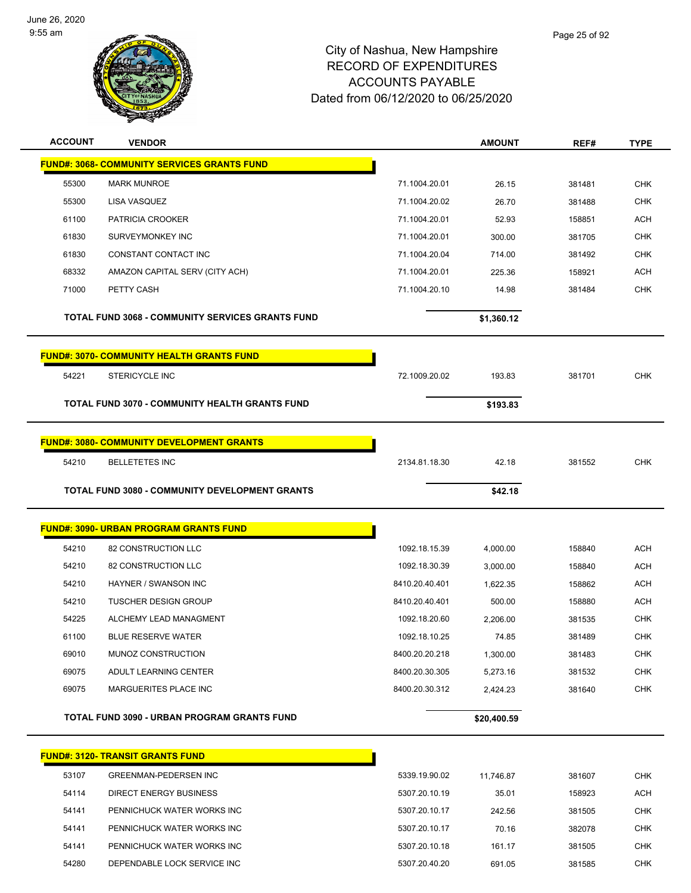

| <b>ACCOUNT</b> | <b>VENDOR</b>                                           |                | <b>AMOUNT</b> | REF#   | <b>TYPE</b> |
|----------------|---------------------------------------------------------|----------------|---------------|--------|-------------|
|                | <b>FUND#: 3068- COMMUNITY SERVICES GRANTS FUND</b>      |                |               |        |             |
| 55300          | <b>MARK MUNROE</b>                                      | 71.1004.20.01  | 26.15         | 381481 | <b>CHK</b>  |
| 55300          | <b>LISA VASQUEZ</b>                                     | 71.1004.20.02  | 26.70         | 381488 | <b>CHK</b>  |
| 61100          | PATRICIA CROOKER                                        | 71.1004.20.01  | 52.93         | 158851 | <b>ACH</b>  |
| 61830          | SURVEYMONKEY INC                                        | 71.1004.20.01  | 300.00        | 381705 | <b>CHK</b>  |
| 61830          | CONSTANT CONTACT INC                                    | 71.1004.20.04  | 714.00        | 381492 | <b>CHK</b>  |
| 68332          | AMAZON CAPITAL SERV (CITY ACH)                          | 71.1004.20.01  | 225.36        | 158921 | <b>ACH</b>  |
| 71000          | PETTY CASH                                              | 71.1004.20.10  | 14.98         | 381484 | <b>CHK</b>  |
|                | <b>TOTAL FUND 3068 - COMMUNITY SERVICES GRANTS FUND</b> |                | \$1,360.12    |        |             |
|                | <b>FUND#: 3070- COMMUNITY HEALTH GRANTS FUND</b>        |                |               |        |             |
| 54221          | <b>STERICYCLE INC</b>                                   | 72.1009.20.02  | 193.83        | 381701 | <b>CHK</b>  |
|                | <b>TOTAL FUND 3070 - COMMUNITY HEALTH GRANTS FUND</b>   |                | \$193.83      |        |             |
|                | <b>FUND#: 3080- COMMUNITY DEVELOPMENT GRANTS</b>        |                |               |        |             |
| 54210          | <b>BELLETETES INC</b>                                   | 2134.81.18.30  | 42.18         | 381552 | <b>CHK</b>  |
|                | TOTAL FUND 3080 - COMMUNITY DEVELOPMENT GRANTS          |                | \$42.18       |        |             |
|                |                                                         |                |               |        |             |
|                | <b>FUND#: 3090- URBAN PROGRAM GRANTS FUND</b>           |                |               |        |             |
| 54210          | 82 CONSTRUCTION LLC                                     | 1092.18.15.39  | 4,000.00      | 158840 | <b>ACH</b>  |
| 54210          | 82 CONSTRUCTION LLC                                     | 1092.18.30.39  | 3,000.00      | 158840 | <b>ACH</b>  |
| 54210          | HAYNER / SWANSON INC                                    | 8410.20.40.401 | 1,622.35      | 158862 | ACH         |
| 54210          | <b>TUSCHER DESIGN GROUP</b>                             | 8410.20.40.401 | 500.00        | 158880 | <b>ACH</b>  |
| 54225          | ALCHEMY LEAD MANAGMENT                                  | 1092.18.20.60  | 2.206.00      | 381535 | <b>CHK</b>  |
| 61100          | <b>BLUE RESERVE WATER</b>                               | 1092.18.10.25  | 74.85         | 381489 | <b>CHK</b>  |
| 69010          | MUNOZ CONSTRUCTION                                      | 8400.20.20.218 | 1,300.00      | 381483 | <b>CHK</b>  |
| 69075          | ADULT LEARNING CENTER                                   | 8400.20.30.305 | 5,273.16      | 381532 | <b>CHK</b>  |
| 69075          | MARGUERITES PLACE INC                                   | 8400.20.30.312 | 2,424.23      | 381640 | <b>CHK</b>  |
|                | TOTAL FUND 3090 - URBAN PROGRAM GRANTS FUND             |                | \$20,400.59   |        |             |
|                | <b>FUND#: 3120- TRANSIT GRANTS FUND</b>                 |                |               |        |             |
| 53107          | <b>GREENMAN-PEDERSEN INC</b>                            | 5339.19.90.02  | 11,746.87     | 381607 | <b>CHK</b>  |
| 54114          | <b>DIRECT ENERGY BUSINESS</b>                           | 5307.20.10.19  | 35.01         | 158923 | <b>ACH</b>  |
| 54141          | PENNICHUCK WATER WORKS INC                              | 5307.20.10.17  | 242.56        | 381505 | <b>CHK</b>  |
| 54141          | PENNICHUCK WATER WORKS INC                              | 5307.20.10.17  | 70.16         | 382078 | <b>CHK</b>  |
| 54141          | PENNICHUCK WATER WORKS INC                              | 5307.20.10.18  | 161.17        | 381505 | <b>CHK</b>  |
| 54280          | DEPENDABLE LOCK SERVICE INC                             | 5307.20.40.20  | 691.05        | 381585 | <b>CHK</b>  |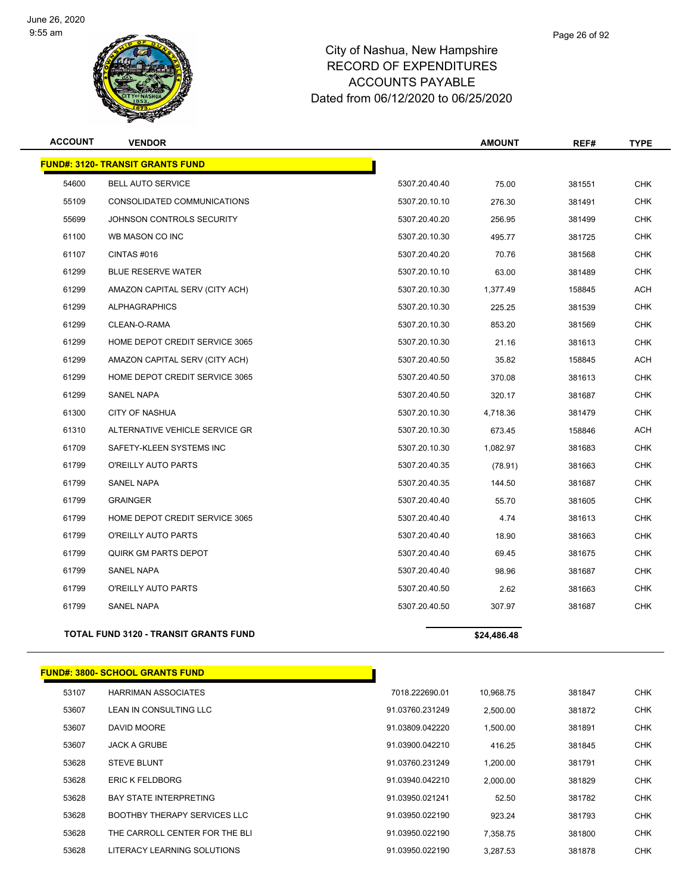

| <b>ACCOUNT</b> | <b>VENDOR</b>                                |               | <b>AMOUNT</b> | REF#   | <b>TYPE</b> |
|----------------|----------------------------------------------|---------------|---------------|--------|-------------|
|                | <b>FUND#: 3120- TRANSIT GRANTS FUND</b>      |               |               |        |             |
| 54600          | <b>BELL AUTO SERVICE</b>                     | 5307.20.40.40 | 75.00         | 381551 | <b>CHK</b>  |
| 55109          | CONSOLIDATED COMMUNICATIONS                  | 5307.20.10.10 | 276.30        | 381491 | <b>CHK</b>  |
| 55699          | JOHNSON CONTROLS SECURITY                    | 5307.20.40.20 | 256.95        | 381499 | <b>CHK</b>  |
| 61100          | WB MASON CO INC                              | 5307.20.10.30 | 495.77        | 381725 | <b>CHK</b>  |
| 61107          | CINTAS #016                                  | 5307.20.40.20 | 70.76         | 381568 | <b>CHK</b>  |
| 61299          | <b>BLUE RESERVE WATER</b>                    | 5307.20.10.10 | 63.00         | 381489 | <b>CHK</b>  |
| 61299          | AMAZON CAPITAL SERV (CITY ACH)               | 5307.20.10.30 | 1,377.49      | 158845 | ACH         |
| 61299          | <b>ALPHAGRAPHICS</b>                         | 5307.20.10.30 | 225.25        | 381539 | <b>CHK</b>  |
| 61299          | CLEAN-O-RAMA                                 | 5307.20.10.30 | 853.20        | 381569 | <b>CHK</b>  |
| 61299          | HOME DEPOT CREDIT SERVICE 3065               | 5307.20.10.30 | 21.16         | 381613 | <b>CHK</b>  |
| 61299          | AMAZON CAPITAL SERV (CITY ACH)               | 5307.20.40.50 | 35.82         | 158845 | <b>ACH</b>  |
| 61299          | HOME DEPOT CREDIT SERVICE 3065               | 5307.20.40.50 | 370.08        | 381613 | <b>CHK</b>  |
| 61299          | <b>SANEL NAPA</b>                            | 5307.20.40.50 | 320.17        | 381687 | <b>CHK</b>  |
| 61300          | <b>CITY OF NASHUA</b>                        | 5307.20.10.30 | 4,718.36      | 381479 | <b>CHK</b>  |
| 61310          | ALTERNATIVE VEHICLE SERVICE GR               | 5307.20.10.30 | 673.45        | 158846 | <b>ACH</b>  |
| 61709          | SAFETY-KLEEN SYSTEMS INC                     | 5307.20.10.30 | 1,082.97      | 381683 | <b>CHK</b>  |
| 61799          | O'REILLY AUTO PARTS                          | 5307.20.40.35 | (78.91)       | 381663 | <b>CHK</b>  |
| 61799          | <b>SANEL NAPA</b>                            | 5307.20.40.35 | 144.50        | 381687 | <b>CHK</b>  |
| 61799          | <b>GRAINGER</b>                              | 5307.20.40.40 | 55.70         | 381605 | <b>CHK</b>  |
| 61799          | HOME DEPOT CREDIT SERVICE 3065               | 5307.20.40.40 | 4.74          | 381613 | <b>CHK</b>  |
| 61799          | O'REILLY AUTO PARTS                          | 5307.20.40.40 | 18.90         | 381663 | <b>CHK</b>  |
| 61799          | QUIRK GM PARTS DEPOT                         | 5307.20.40.40 | 69.45         | 381675 | <b>CHK</b>  |
| 61799          | <b>SANEL NAPA</b>                            | 5307.20.40.40 | 98.96         | 381687 | <b>CHK</b>  |
| 61799          | O'REILLY AUTO PARTS                          | 5307.20.40.50 | 2.62          | 381663 | <b>CHK</b>  |
| 61799          | <b>SANEL NAPA</b>                            | 5307.20.40.50 | 307.97        | 381687 | <b>CHK</b>  |
|                | <b>TOTAL FUND 3120 - TRANSIT GRANTS FUND</b> |               | \$24,486.48   |        |             |

# **FUND#: 3800- SCHOOL GRANTS FUND**

| 53107 | <b>HARRIMAN ASSOCIATES</b>          | 7018.222690.01  | 10.968.75 | 381847 | <b>CHK</b> |
|-------|-------------------------------------|-----------------|-----------|--------|------------|
| 53607 | LEAN IN CONSULTING LLC              | 91.03760.231249 | 2.500.00  | 381872 | <b>CHK</b> |
| 53607 | DAVID MOORE                         | 91.03809.042220 | 1.500.00  | 381891 | <b>CHK</b> |
| 53607 | <b>JACK A GRUBE</b>                 | 91.03900.042210 | 416.25    | 381845 | <b>CHK</b> |
| 53628 | <b>STEVE BLUNT</b>                  | 91.03760.231249 | 1.200.00  | 381791 | <b>CHK</b> |
| 53628 | <b>ERIC K FELDBORG</b>              | 91.03940.042210 | 2.000.00  | 381829 | <b>CHK</b> |
| 53628 | <b>BAY STATE INTERPRETING</b>       | 91.03950.021241 | 52.50     | 381782 | <b>CHK</b> |
| 53628 | <b>BOOTHBY THERAPY SERVICES LLC</b> | 91.03950.022190 | 923.24    | 381793 | <b>CHK</b> |
| 53628 | THE CARROLL CENTER FOR THE BLI      | 91.03950.022190 | 7.358.75  | 381800 | <b>CHK</b> |
| 53628 | LITERACY LEARNING SOLUTIONS         | 91.03950.022190 | 3.287.53  | 381878 | <b>CHK</b> |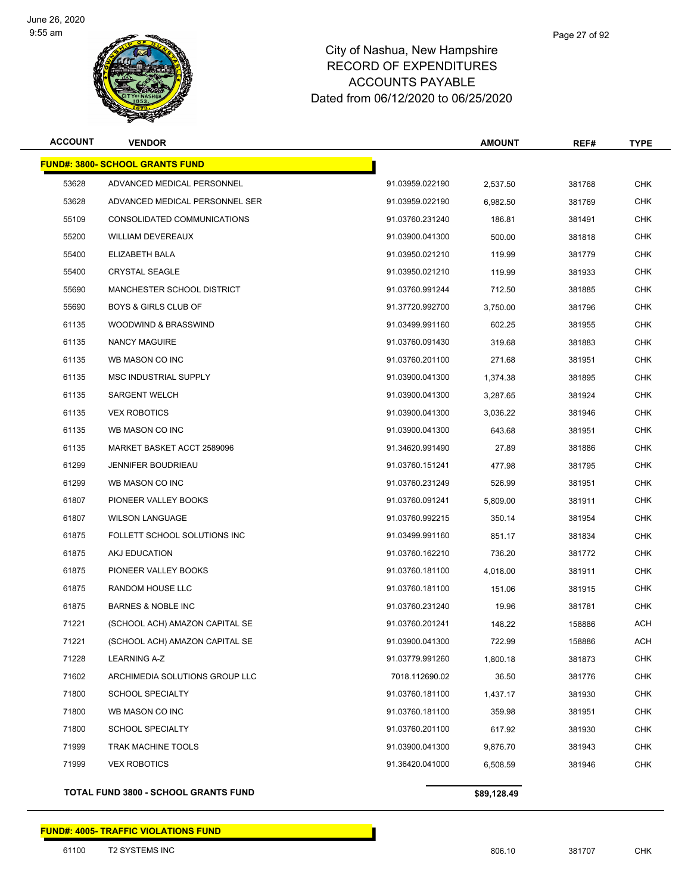

#### Page 27 of 92

#### City of Nashua, New Hampshire RECORD OF EXPENDITURES ACCOUNTS PAYABLE Dated from 06/12/2020 to 06/25/2020

| <b>ACCOUNT</b> | <b>VENDOR</b>                          |                 | <b>AMOUNT</b> | REF#   | <b>TYPE</b> |
|----------------|----------------------------------------|-----------------|---------------|--------|-------------|
|                | <b>FUND#: 3800- SCHOOL GRANTS FUND</b> |                 |               |        |             |
| 53628          | ADVANCED MEDICAL PERSONNEL             | 91.03959.022190 | 2,537.50      | 381768 | <b>CHK</b>  |
| 53628          | ADVANCED MEDICAL PERSONNEL SER         | 91.03959.022190 | 6,982.50      | 381769 | <b>CHK</b>  |
| 55109          | CONSOLIDATED COMMUNICATIONS            | 91.03760.231240 | 186.81        | 381491 | <b>CHK</b>  |
| 55200          | <b>WILLIAM DEVEREAUX</b>               | 91.03900.041300 | 500.00        | 381818 | <b>CHK</b>  |
| 55400          | ELIZABETH BALA                         | 91.03950.021210 | 119.99        | 381779 | <b>CHK</b>  |
| 55400          | <b>CRYSTAL SEAGLE</b>                  | 91.03950.021210 | 119.99        | 381933 | <b>CHK</b>  |
| 55690          | MANCHESTER SCHOOL DISTRICT             | 91.03760.991244 | 712.50        | 381885 | <b>CHK</b>  |
| 55690          | <b>BOYS &amp; GIRLS CLUB OF</b>        | 91.37720.992700 | 3,750.00      | 381796 | <b>CHK</b>  |
| 61135          | WOODWIND & BRASSWIND                   | 91.03499.991160 | 602.25        | 381955 | <b>CHK</b>  |
| 61135          | <b>NANCY MAGUIRE</b>                   | 91.03760.091430 | 319.68        | 381883 | <b>CHK</b>  |
| 61135          | WB MASON CO INC                        | 91.03760.201100 | 271.68        | 381951 | <b>CHK</b>  |
| 61135          | <b>MSC INDUSTRIAL SUPPLY</b>           | 91.03900.041300 | 1,374.38      | 381895 | <b>CHK</b>  |
| 61135          | <b>SARGENT WELCH</b>                   | 91.03900.041300 | 3,287.65      | 381924 | <b>CHK</b>  |
| 61135          | <b>VEX ROBOTICS</b>                    | 91.03900.041300 | 3,036.22      | 381946 | <b>CHK</b>  |
| 61135          | WB MASON CO INC                        | 91.03900.041300 | 643.68        | 381951 | <b>CHK</b>  |
| 61135          | MARKET BASKET ACCT 2589096             | 91.34620.991490 | 27.89         | 381886 | <b>CHK</b>  |
| 61299          | <b>JENNIFER BOUDRIEAU</b>              | 91.03760.151241 | 477.98        | 381795 | <b>CHK</b>  |
| 61299          | WB MASON CO INC                        | 91.03760.231249 | 526.99        | 381951 | <b>CHK</b>  |
| 61807          | PIONEER VALLEY BOOKS                   | 91.03760.091241 | 5,809.00      | 381911 | <b>CHK</b>  |
| 61807          | <b>WILSON LANGUAGE</b>                 | 91.03760.992215 | 350.14        | 381954 | <b>CHK</b>  |
| 61875          | FOLLETT SCHOOL SOLUTIONS INC           | 91.03499.991160 | 851.17        | 381834 | <b>CHK</b>  |
| 61875          | AKJ EDUCATION                          | 91.03760.162210 | 736.20        | 381772 | <b>CHK</b>  |
| 61875          | PIONEER VALLEY BOOKS                   | 91.03760.181100 | 4,018.00      | 381911 | <b>CHK</b>  |
| 61875          | RANDOM HOUSE LLC                       | 91.03760.181100 | 151.06        | 381915 | CHK         |
| 61875          | <b>BARNES &amp; NOBLE INC</b>          | 91.03760.231240 | 19.96         | 381781 | <b>CHK</b>  |
| 71221          | (SCHOOL ACH) AMAZON CAPITAL SE         | 91.03760.201241 | 148.22        | 158886 | ACH         |
| 71221          | (SCHOOL ACH) AMAZON CAPITAL SE         | 91.03900.041300 | 722.99        | 158886 | ACH         |
| 71228          | LEARNING A-Z                           | 91.03779.991260 | 1,800.18      | 381873 | <b>CHK</b>  |
| 71602          | ARCHIMEDIA SOLUTIONS GROUP LLC         | 7018.112690.02  | 36.50         | 381776 | <b>CHK</b>  |
| 71800          | <b>SCHOOL SPECIALTY</b>                | 91.03760.181100 | 1,437.17      | 381930 | <b>CHK</b>  |
| 71800          | WB MASON CO INC                        | 91.03760.181100 | 359.98        | 381951 | <b>CHK</b>  |
| 71800          | <b>SCHOOL SPECIALTY</b>                | 91.03760.201100 | 617.92        | 381930 | <b>CHK</b>  |
| 71999          | <b>TRAK MACHINE TOOLS</b>              | 91.03900.041300 | 9,876.70      | 381943 | <b>CHK</b>  |
| 71999          | <b>VEX ROBOTICS</b>                    | 91.36420.041000 | 6,508.59      | 381946 | <b>CHK</b>  |
|                |                                        |                 |               |        |             |

**TOTAL FUND 3800 - SCHOOL GRANTS FUND \$89,128.49 \$89,128.49** 

#### **FUND#: 4005- TRAFFIC VIOLATIONS FUND**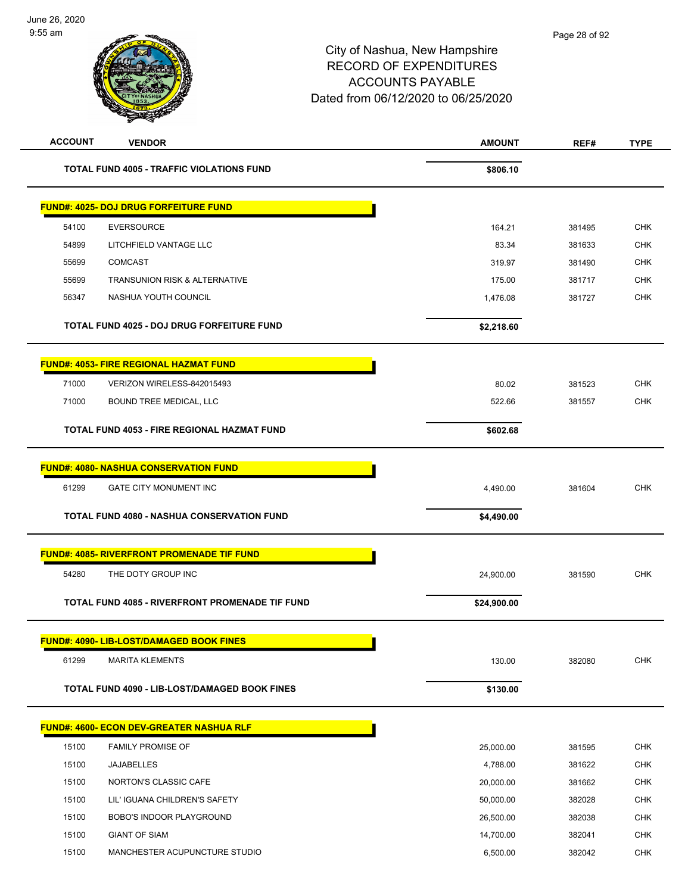| <b>ACCOUNT</b> | <b>VENDOR</b>                                          | <b>AMOUNT</b> | REF#   | <b>TYPE</b> |
|----------------|--------------------------------------------------------|---------------|--------|-------------|
|                | <b>TOTAL FUND 4005 - TRAFFIC VIOLATIONS FUND</b>       | \$806.10      |        |             |
|                | <u> FUND#: 4025- DOJ DRUG FORFEITURE FUND</u>          |               |        |             |
| 54100          | <b>EVERSOURCE</b>                                      | 164.21        | 381495 | <b>CHK</b>  |
| 54899          | LITCHFIELD VANTAGE LLC                                 | 83.34         | 381633 | <b>CHK</b>  |
| 55699          | <b>COMCAST</b>                                         | 319.97        | 381490 | <b>CHK</b>  |
| 55699          | <b>TRANSUNION RISK &amp; ALTERNATIVE</b>               | 175.00        | 381717 | <b>CHK</b>  |
| 56347          | NASHUA YOUTH COUNCIL                                   | 1,476.08      | 381727 | <b>CHK</b>  |
|                | TOTAL FUND 4025 - DOJ DRUG FORFEITURE FUND             | \$2,218.60    |        |             |
|                | <b>FUND#: 4053- FIRE REGIONAL HAZMAT FUND</b>          |               |        |             |
| 71000          | VERIZON WIRELESS-842015493                             | 80.02         | 381523 | <b>CHK</b>  |
| 71000          | BOUND TREE MEDICAL, LLC                                | 522.66        | 381557 | <b>CHK</b>  |
|                | TOTAL FUND 4053 - FIRE REGIONAL HAZMAT FUND            | \$602.68      |        |             |
|                | <u> FUND#: 4080- NASHUA CONSERVATION FUND</u>          |               |        |             |
| 61299          | <b>GATE CITY MONUMENT INC</b>                          | 4,490.00      | 381604 | <b>CHK</b>  |
|                | <b>TOTAL FUND 4080 - NASHUA CONSERVATION FUND</b>      | \$4,490.00    |        |             |
|                | <b>FUND#: 4085- RIVERFRONT PROMENADE TIF FUND</b>      |               |        |             |
| 54280          | THE DOTY GROUP INC                                     | 24,900.00     | 381590 | <b>CHK</b>  |
|                | <b>TOTAL FUND 4085 - RIVERFRONT PROMENADE TIF FUND</b> | \$24,900.00   |        |             |
|                | <u> FUND#: 4090- LIB-LOST/DAMAGED BOOK FINES</u>       |               |        |             |
| 61299          | <b>MARITA KLEMENTS</b>                                 | 130.00        | 382080 | <b>CHK</b>  |
|                | TOTAL FUND 4090 - LIB-LOST/DAMAGED BOOK FINES          | \$130.00      |        |             |
|                | <u> FUND#: 4600- ECON DEV-GREATER NASHUA RLF</u>       |               |        |             |
| 15100          | <b>FAMILY PROMISE OF</b>                               | 25,000.00     | 381595 | <b>CHK</b>  |
| 15100          | <b>JAJABELLES</b>                                      | 4,788.00      | 381622 | <b>CHK</b>  |
| 15100          | NORTON'S CLASSIC CAFE                                  | 20,000.00     | 381662 | <b>CHK</b>  |
| 15100          | LIL' IGUANA CHILDREN'S SAFETY                          | 50,000.00     | 382028 | <b>CHK</b>  |
| 15100          | BOBO'S INDOOR PLAYGROUND                               | 26,500.00     | 382038 | <b>CHK</b>  |
| 15100          | <b>GIANT OF SIAM</b>                                   | 14,700.00     | 382041 | <b>CHK</b>  |
| 15100          | MANCHESTER ACUPUNCTURE STUDIO                          | 6,500.00      | 382042 | <b>CHK</b>  |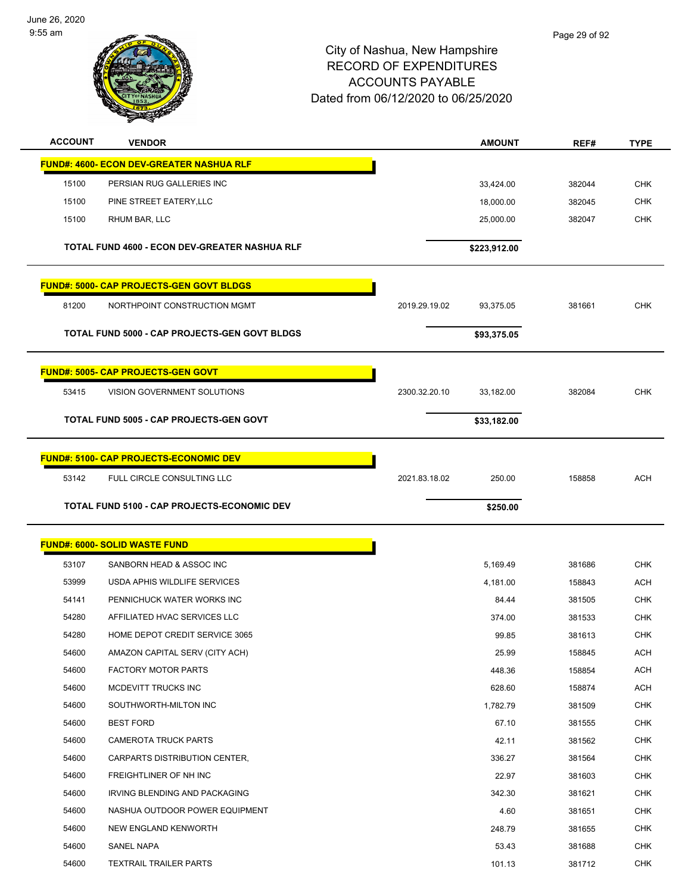

| <b>ACCOUNT</b> | <b>VENDOR</b>                                    |               | <b>AMOUNT</b> | REF#   | <b>TYPE</b> |
|----------------|--------------------------------------------------|---------------|---------------|--------|-------------|
|                | <u> FUND#: 4600- ECON DEV-GREATER NASHUA RLF</u> |               |               |        |             |
| 15100          | PERSIAN RUG GALLERIES INC                        |               | 33,424.00     | 382044 | <b>CHK</b>  |
| 15100          | PINE STREET EATERY, LLC                          |               | 18,000.00     | 382045 | <b>CHK</b>  |
| 15100          | RHUM BAR, LLC                                    |               | 25,000.00     | 382047 | <b>CHK</b>  |
|                | TOTAL FUND 4600 - ECON DEV-GREATER NASHUA RLF    |               | \$223,912.00  |        |             |
|                | <u> FUND#: 5000- CAP PROJECTS-GEN GOVT BLDGS</u> |               |               |        |             |
| 81200          | NORTHPOINT CONSTRUCTION MGMT                     | 2019.29.19.02 | 93,375.05     | 381661 | <b>CHK</b>  |
|                | TOTAL FUND 5000 - CAP PROJECTS-GEN GOVT BLDGS    |               | \$93,375.05   |        |             |
|                | <b>FUND#: 5005- CAP PROJECTS-GEN GOVT</b>        |               |               |        |             |
| 53415          | <b>VISION GOVERNMENT SOLUTIONS</b>               | 2300.32.20.10 | 33,182.00     | 382084 | <b>CHK</b>  |
|                | TOTAL FUND 5005 - CAP PROJECTS-GEN GOVT          |               | \$33,182.00   |        |             |
|                | FUND#: 5100- CAP PROJECTS-ECONOMIC DEV           |               |               |        |             |
| 53142          | FULL CIRCLE CONSULTING LLC                       | 2021.83.18.02 | 250.00        | 158858 | <b>ACH</b>  |
|                | TOTAL FUND 5100 - CAP PROJECTS-ECONOMIC DEV      |               | \$250.00      |        |             |
|                | <u> FUND#: 6000- SOLID WASTE FUND</u>            |               |               |        |             |
| 53107          | SANBORN HEAD & ASSOC INC                         |               | 5,169.49      | 381686 | <b>CHK</b>  |
| 53999          | USDA APHIS WILDLIFE SERVICES                     |               | 4,181.00      | 158843 | <b>ACH</b>  |
| 54141          | PENNICHUCK WATER WORKS INC                       |               | 84.44         | 381505 | <b>CHK</b>  |
| 54280          | AFFILIATED HVAC SERVICES LLC                     |               | 374.00        | 381533 | <b>CHK</b>  |
| 54280          | HOME DEPOT CREDIT SERVICE 3065                   |               | 99.85         | 381613 | CHK         |
| 54600          | AMAZON CAPITAL SERV (CITY ACH)                   |               | 25.99         | 158845 | ACH         |
| 54600          | <b>FACTORY MOTOR PARTS</b>                       |               | 448.36        | 158854 | ACH         |
| 54600          | MCDEVITT TRUCKS INC                              |               | 628.60        | 158874 | ACH         |
| 54600          | SOUTHWORTH-MILTON INC                            |               | 1,782.79      | 381509 | <b>CHK</b>  |
| 54600          | <b>BEST FORD</b>                                 |               | 67.10         | 381555 | CHK         |
| 54600          | <b>CAMEROTA TRUCK PARTS</b>                      |               | 42.11         | 381562 | <b>CHK</b>  |
| 54600          | CARPARTS DISTRIBUTION CENTER,                    |               | 336.27        | 381564 | <b>CHK</b>  |
| 54600          | FREIGHTLINER OF NH INC                           |               | 22.97         | 381603 | <b>CHK</b>  |
| 54600          | IRVING BLENDING AND PACKAGING                    |               | 342.30        | 381621 | <b>CHK</b>  |
| 54600          | NASHUA OUTDOOR POWER EQUIPMENT                   |               | 4.60          | 381651 | <b>CHK</b>  |
| 54600          | NEW ENGLAND KENWORTH                             |               | 248.79        | 381655 | <b>CHK</b>  |
| 54600          | SANEL NAPA                                       |               | 53.43         | 381688 | <b>CHK</b>  |
| 54600          | <b>TEXTRAIL TRAILER PARTS</b>                    |               | 101.13        | 381712 | <b>CHK</b>  |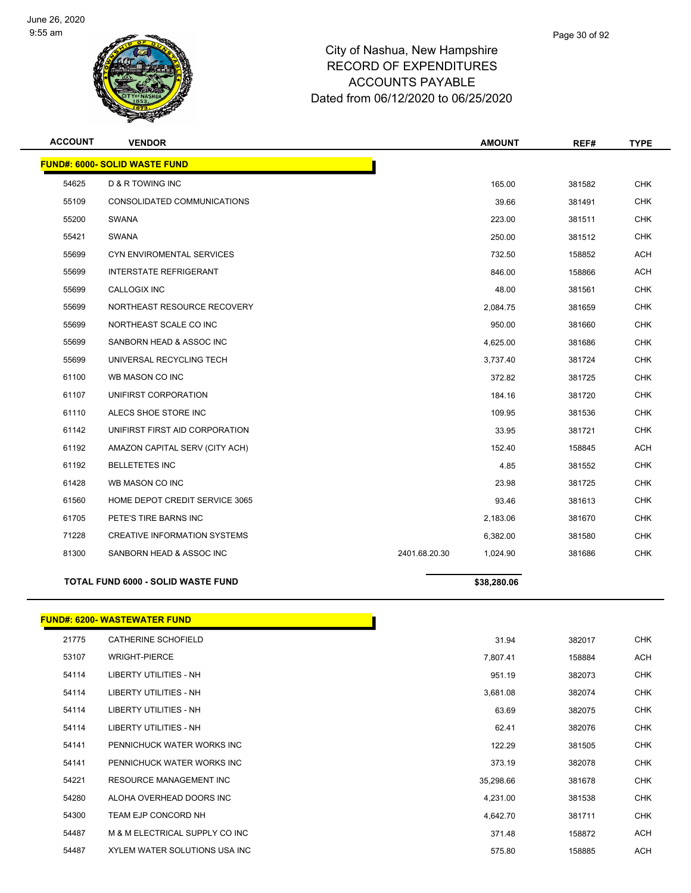

| <b>ACCOUNT</b> | <b>VENDOR</b>                             | <b>AMOUNT</b>             | REF#   | <b>TYPE</b> |
|----------------|-------------------------------------------|---------------------------|--------|-------------|
|                | <b>FUND#: 6000- SOLID WASTE FUND</b>      |                           |        |             |
| 54625          | <b>D &amp; R TOWING INC</b>               | 165.00                    | 381582 | <b>CHK</b>  |
| 55109          | CONSOLIDATED COMMUNICATIONS               | 39.66                     | 381491 | <b>CHK</b>  |
| 55200          | <b>SWANA</b>                              | 223.00                    | 381511 | <b>CHK</b>  |
| 55421          | <b>SWANA</b>                              | 250.00                    | 381512 | <b>CHK</b>  |
| 55699          | CYN ENVIROMENTAL SERVICES                 | 732.50                    | 158852 | ACH         |
| 55699          | <b>INTERSTATE REFRIGERANT</b>             | 846.00                    | 158866 | <b>ACH</b>  |
| 55699          | CALLOGIX INC                              | 48.00                     | 381561 | <b>CHK</b>  |
| 55699          | NORTHEAST RESOURCE RECOVERY               | 2,084.75                  | 381659 | <b>CHK</b>  |
| 55699          | NORTHEAST SCALE CO INC                    | 950.00                    | 381660 | <b>CHK</b>  |
| 55699          | SANBORN HEAD & ASSOC INC                  | 4,625.00                  | 381686 | <b>CHK</b>  |
| 55699          | UNIVERSAL RECYCLING TECH                  | 3,737.40                  | 381724 | <b>CHK</b>  |
| 61100          | WB MASON CO INC                           | 372.82                    | 381725 | <b>CHK</b>  |
| 61107          | UNIFIRST CORPORATION                      | 184.16                    | 381720 | <b>CHK</b>  |
| 61110          | ALECS SHOE STORE INC                      | 109.95                    | 381536 | <b>CHK</b>  |
| 61142          | UNIFIRST FIRST AID CORPORATION            | 33.95                     | 381721 | <b>CHK</b>  |
| 61192          | AMAZON CAPITAL SERV (CITY ACH)            | 152.40                    | 158845 | <b>ACH</b>  |
| 61192          | <b>BELLETETES INC</b>                     | 4.85                      | 381552 | <b>CHK</b>  |
| 61428          | WB MASON CO INC                           | 23.98                     | 381725 | <b>CHK</b>  |
| 61560          | HOME DEPOT CREDIT SERVICE 3065            | 93.46                     | 381613 | <b>CHK</b>  |
| 61705          | PETE'S TIRE BARNS INC                     | 2,183.06                  | 381670 | <b>CHK</b>  |
| 71228          | <b>CREATIVE INFORMATION SYSTEMS</b>       | 6,382.00                  | 381580 | <b>CHK</b>  |
| 81300          | SANBORN HEAD & ASSOC INC                  | 2401.68.20.30<br>1,024.90 | 381686 | <b>CHK</b>  |
|                | <b>TOTAL FUND 6000 - SOLID WASTE FUND</b> | \$38,280.06               |        |             |
|                |                                           |                           |        |             |
|                | <b>FUND#: 6200- WASTEWATER FUND</b>       |                           |        |             |

| 21775 | <b>CATHERINE SCHOFIELD</b>     | 31.94     | 382017 | <b>CHK</b> |
|-------|--------------------------------|-----------|--------|------------|
| 53107 | <b>WRIGHT-PIERCE</b>           | 7,807.41  | 158884 | <b>ACH</b> |
| 54114 | <b>LIBERTY UTILITIES - NH</b>  | 951.19    | 382073 | <b>CHK</b> |
| 54114 | <b>LIBERTY UTILITIES - NH</b>  | 3,681.08  | 382074 | <b>CHK</b> |
| 54114 | LIBERTY UTILITIES - NH         | 63.69     | 382075 | <b>CHK</b> |
| 54114 | LIBERTY UTILITIES - NH         | 62.41     | 382076 | <b>CHK</b> |
| 54141 | PENNICHUCK WATER WORKS INC     | 122.29    | 381505 | CHK        |
| 54141 | PENNICHUCK WATER WORKS INC     | 373.19    | 382078 | <b>CHK</b> |
| 54221 | <b>RESOURCE MANAGEMENT INC</b> | 35,298.66 | 381678 | <b>CHK</b> |
| 54280 | ALOHA OVERHEAD DOORS INC       | 4,231.00  | 381538 | <b>CHK</b> |
| 54300 | TEAM EJP CONCORD NH            | 4,642.70  | 381711 | <b>CHK</b> |
| 54487 | M & M ELECTRICAL SUPPLY CO INC | 371.48    | 158872 | <b>ACH</b> |
| 54487 | XYLEM WATER SOLUTIONS USA INC  | 575.80    | 158885 | <b>ACH</b> |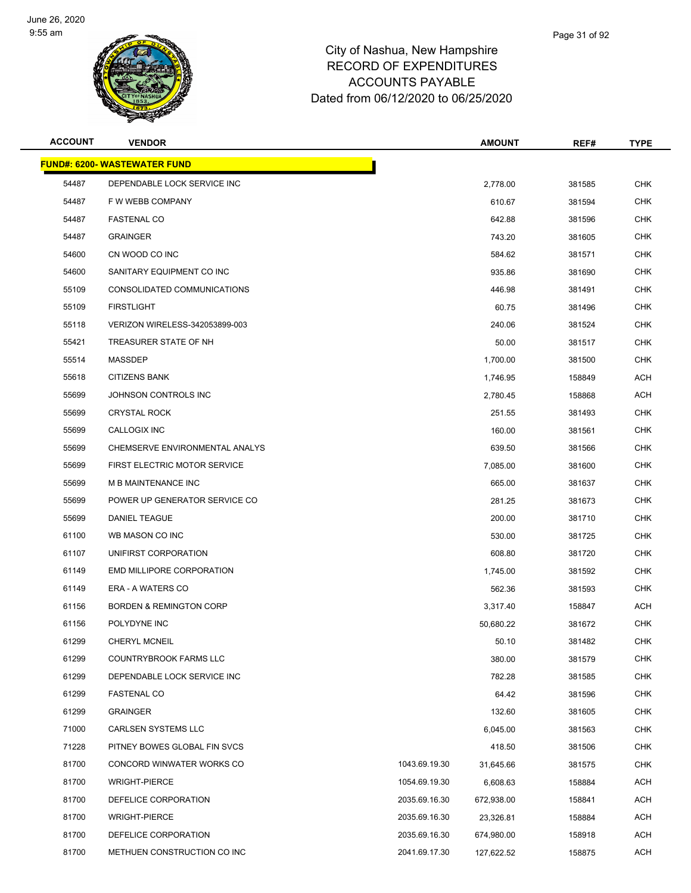

| <b>ACCOUNT</b> | <b>VENDOR</b>                       |               | <b>AMOUNT</b> | REF#   | TYPE       |
|----------------|-------------------------------------|---------------|---------------|--------|------------|
|                | <b>FUND#: 6200- WASTEWATER FUND</b> |               |               |        |            |
| 54487          | DEPENDABLE LOCK SERVICE INC         |               | 2,778.00      | 381585 | <b>CHK</b> |
| 54487          | F W WEBB COMPANY                    |               | 610.67        | 381594 | <b>CHK</b> |
| 54487          | <b>FASTENAL CO</b>                  |               | 642.88        | 381596 | CHK        |
| 54487          | <b>GRAINGER</b>                     |               | 743.20        | 381605 | <b>CHK</b> |
| 54600          | CN WOOD CO INC                      |               | 584.62        | 381571 | <b>CHK</b> |
| 54600          | SANITARY EQUIPMENT CO INC           |               | 935.86        | 381690 | CHK        |
| 55109          | CONSOLIDATED COMMUNICATIONS         |               | 446.98        | 381491 | <b>CHK</b> |
| 55109          | <b>FIRSTLIGHT</b>                   |               | 60.75         | 381496 | CHK        |
| 55118          | VERIZON WIRELESS-342053899-003      |               | 240.06        | 381524 | <b>CHK</b> |
| 55421          | TREASURER STATE OF NH               |               | 50.00         | 381517 | CHK        |
| 55514          | MASSDEP                             |               | 1,700.00      | 381500 | CHK        |
| 55618          | <b>CITIZENS BANK</b>                |               | 1,746.95      | 158849 | ACH        |
| 55699          | JOHNSON CONTROLS INC                |               | 2,780.45      | 158868 | ACH        |
| 55699          | <b>CRYSTAL ROCK</b>                 |               | 251.55        | 381493 | <b>CHK</b> |
| 55699          | CALLOGIX INC                        |               | 160.00        | 381561 | <b>CHK</b> |
| 55699          | CHEMSERVE ENVIRONMENTAL ANALYS      |               | 639.50        | 381566 | CHK        |
| 55699          | FIRST ELECTRIC MOTOR SERVICE        |               | 7,085.00      | 381600 | <b>CHK</b> |
| 55699          | M B MAINTENANCE INC                 |               | 665.00        | 381637 | CHK        |
| 55699          | POWER UP GENERATOR SERVICE CO       |               | 281.25        | 381673 | <b>CHK</b> |
| 55699          | DANIEL TEAGUE                       |               | 200.00        | 381710 | <b>CHK</b> |
| 61100          | WB MASON CO INC                     |               | 530.00        | 381725 | CHK        |
| 61107          | UNIFIRST CORPORATION                |               | 608.80        | 381720 | <b>CHK</b> |
| 61149          | EMD MILLIPORE CORPORATION           |               | 1,745.00      | 381592 | CHK        |
| 61149          | ERA - A WATERS CO                   |               | 562.36        | 381593 | <b>CHK</b> |
| 61156          | <b>BORDEN &amp; REMINGTON CORP</b>  |               | 3,317.40      | 158847 | ACH        |
| 61156          | POLYDYNE INC                        |               | 50,680.22     | 381672 | CHK        |
| 61299          | <b>CHERYL MCNEIL</b>                |               | 50.10         | 381482 | <b>CHK</b> |
| 61299          | COUNTRYBROOK FARMS LLC              |               | 380.00        | 381579 | <b>CHK</b> |
| 61299          | DEPENDABLE LOCK SERVICE INC         |               | 782.28        | 381585 | <b>CHK</b> |
| 61299          | <b>FASTENAL CO</b>                  |               | 64.42         | 381596 | <b>CHK</b> |
| 61299          | <b>GRAINGER</b>                     |               | 132.60        | 381605 | <b>CHK</b> |
| 71000          | <b>CARLSEN SYSTEMS LLC</b>          |               | 6,045.00      | 381563 | <b>CHK</b> |
| 71228          | PITNEY BOWES GLOBAL FIN SVCS        |               | 418.50        | 381506 | <b>CHK</b> |
| 81700          | CONCORD WINWATER WORKS CO           | 1043.69.19.30 | 31,645.66     | 381575 | <b>CHK</b> |
| 81700          | <b>WRIGHT-PIERCE</b>                | 1054.69.19.30 | 6,608.63      | 158884 | ACH        |
| 81700          | DEFELICE CORPORATION                | 2035.69.16.30 | 672,938.00    | 158841 | ACH        |
| 81700          | <b>WRIGHT-PIERCE</b>                | 2035.69.16.30 | 23,326.81     | 158884 | ACH        |
| 81700          | DEFELICE CORPORATION                | 2035.69.16.30 | 674,980.00    | 158918 | ACH        |
| 81700          | METHUEN CONSTRUCTION CO INC         | 2041.69.17.30 | 127,622.52    | 158875 | ACH        |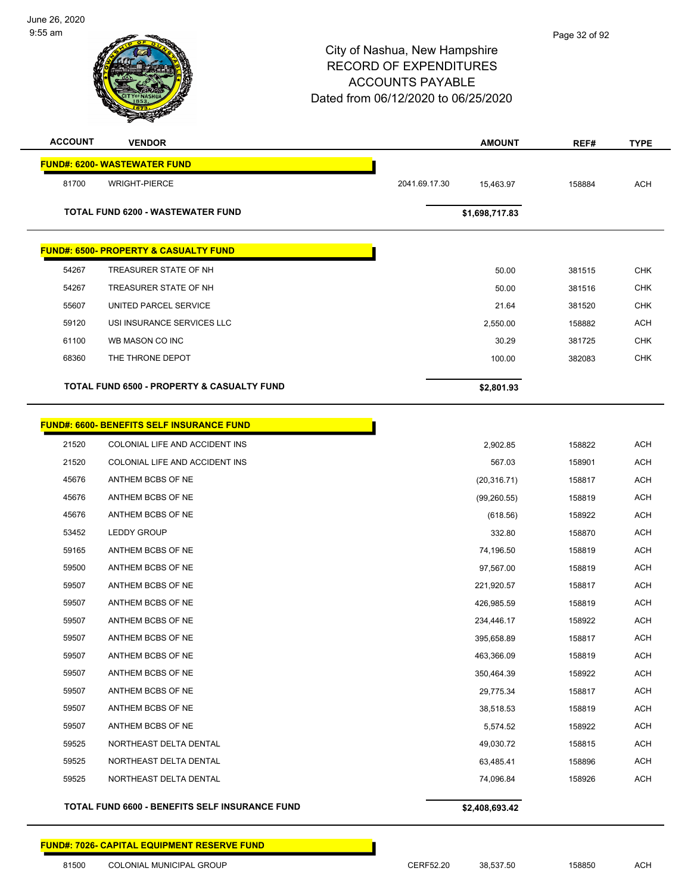

| <b>ACCOUNT</b> | <b>VENDOR</b>                                         |               | <b>AMOUNT</b>  | REF#   | <b>TYPE</b> |
|----------------|-------------------------------------------------------|---------------|----------------|--------|-------------|
|                | <b>FUND#: 6200- WASTEWATER FUND</b>                   |               |                |        |             |
| 81700          | <b>WRIGHT-PIERCE</b>                                  | 2041.69.17.30 | 15,463.97      | 158884 | <b>ACH</b>  |
|                |                                                       |               |                |        |             |
|                | <b>TOTAL FUND 6200 - WASTEWATER FUND</b>              |               | \$1,698,717.83 |        |             |
|                |                                                       |               |                |        |             |
|                | <b>FUND#: 6500- PROPERTY &amp; CASUALTY FUND</b>      |               |                |        |             |
| 54267          | TREASURER STATE OF NH                                 |               | 50.00          | 381515 | <b>CHK</b>  |
| 54267          | TREASURER STATE OF NH                                 |               | 50.00          | 381516 | <b>CHK</b>  |
| 55607          | UNITED PARCEL SERVICE                                 |               | 21.64          | 381520 | <b>CHK</b>  |
| 59120          | USI INSURANCE SERVICES LLC                            |               | 2,550.00       | 158882 | <b>ACH</b>  |
| 61100          | WB MASON CO INC                                       |               | 30.29          | 381725 | <b>CHK</b>  |
| 68360          | THE THRONE DEPOT                                      |               | 100.00         | 382083 | <b>CHK</b>  |
|                | <b>TOTAL FUND 6500 - PROPERTY &amp; CASUALTY FUND</b> |               | \$2,801.93     |        |             |
|                |                                                       |               |                |        |             |
|                | <b>FUND#: 6600- BENEFITS SELF INSURANCE FUND</b>      |               |                |        |             |
| 21520          | COLONIAL LIFE AND ACCIDENT INS                        |               | 2,902.85       | 158822 | <b>ACH</b>  |
| 21520          | COLONIAL LIFE AND ACCIDENT INS                        |               | 567.03         | 158901 | <b>ACH</b>  |
| 45676          | ANTHEM BCBS OF NE                                     |               | (20, 316.71)   | 158817 | <b>ACH</b>  |
| 45676          | ANTHEM BCBS OF NE                                     |               | (99,260.55)    | 158819 | <b>ACH</b>  |
| 45676          | ANTHEM BCBS OF NE                                     |               | (618.56)       | 158922 | <b>ACH</b>  |
| 53452          | <b>LEDDY GROUP</b>                                    |               | 332.80         | 158870 | <b>ACH</b>  |
| 59165          | ANTHEM BCBS OF NE                                     |               | 74,196.50      | 158819 | <b>ACH</b>  |
| 59500          | ANTHEM BCBS OF NE                                     |               | 97,567.00      | 158819 | <b>ACH</b>  |
| 59507          | ANTHEM BCBS OF NE                                     |               | 221,920.57     | 158817 | <b>ACH</b>  |
| 59507          | ANTHEM BCBS OF NE                                     |               | 426,985.59     | 158819 | ACH         |
| 59507          | ANTHEM BCBS OF NE                                     |               | 234,446.17     | 158922 | <b>ACH</b>  |
| 59507          | ANTHEM BCBS OF NE                                     |               | 395,658.89     | 158817 | ACH         |
| 59507          | ANTHEM BCBS OF NE                                     |               | 463,366.09     | 158819 | <b>ACH</b>  |
| 59507          | ANTHEM BCBS OF NE                                     |               | 350,464.39     | 158922 | <b>ACH</b>  |
| 59507          | ANTHEM BCBS OF NE                                     |               | 29,775.34      | 158817 | <b>ACH</b>  |
| 59507          | ANTHEM BCBS OF NE                                     |               | 38,518.53      | 158819 | <b>ACH</b>  |
| 59507          | ANTHEM BCBS OF NE                                     |               | 5,574.52       | 158922 | <b>ACH</b>  |
| 59525          | NORTHEAST DELTA DENTAL                                |               | 49,030.72      | 158815 | <b>ACH</b>  |
| 59525          | NORTHEAST DELTA DENTAL                                |               | 63,485.41      | 158896 | <b>ACH</b>  |
| 59525          | NORTHEAST DELTA DENTAL                                |               | 74,096.84      | 158926 | <b>ACH</b>  |
|                | TOTAL FUND 6600 - BENEFITS SELF INSURANCE FUND        |               | \$2,408,693.42 |        |             |

**FUND#: 7026- CAPITAL EQUIPMENT RESERVE FUND**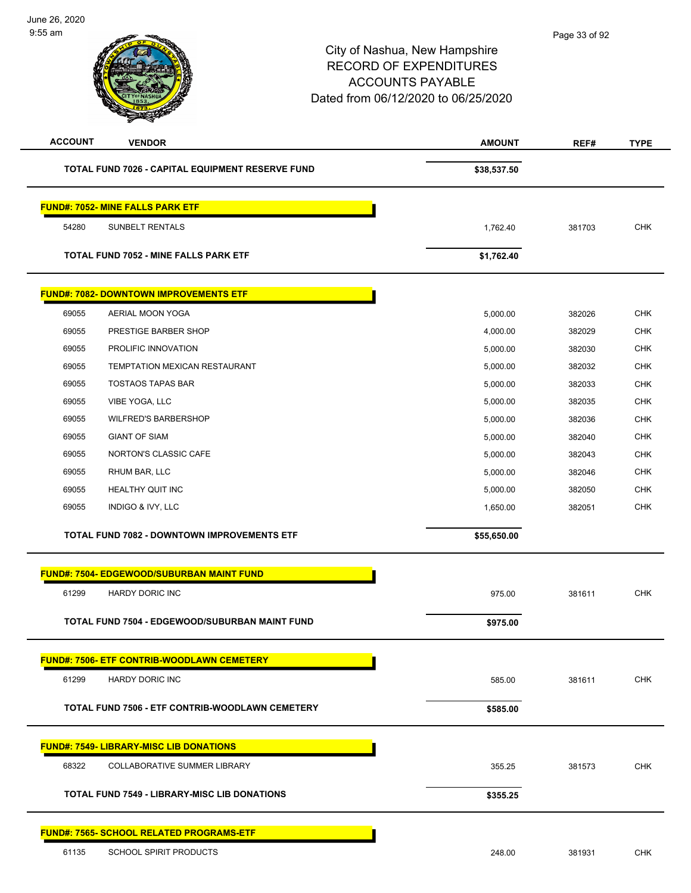| <b>ACCOUNT</b><br><b>VENDOR</b>                     | <b>AMOUNT</b> | REF#   | <b>TYPE</b> |
|-----------------------------------------------------|---------------|--------|-------------|
| TOTAL FUND 7026 - CAPITAL EQUIPMENT RESERVE FUND    | \$38,537.50   |        |             |
| <b>FUND#: 7052- MINE FALLS PARK ETF</b>             |               |        |             |
| 54280<br>SUNBELT RENTALS                            | 1,762.40      | 381703 | <b>CHK</b>  |
| <b>TOTAL FUND 7052 - MINE FALLS PARK ETF</b>        | \$1,762.40    |        |             |
|                                                     |               |        |             |
| <b>FUND#: 7082- DOWNTOWN IMPROVEMENTS ETF</b>       |               |        |             |
| 69055<br>AERIAL MOON YOGA                           | 5,000.00      | 382026 | <b>CHK</b>  |
| 69055<br>PRESTIGE BARBER SHOP                       | 4,000.00      | 382029 | <b>CHK</b>  |
| 69055<br>PROLIFIC INNOVATION                        | 5,000.00      | 382030 | <b>CHK</b>  |
| 69055<br><b>TEMPTATION MEXICAN RESTAURANT</b>       | 5,000.00      | 382032 | <b>CHK</b>  |
| 69055<br><b>TOSTAOS TAPAS BAR</b>                   | 5,000.00      | 382033 | <b>CHK</b>  |
| 69055<br>VIBE YOGA, LLC                             | 5,000.00      | 382035 | <b>CHK</b>  |
| 69055<br><b>WILFRED'S BARBERSHOP</b>                | 5,000.00      | 382036 | <b>CHK</b>  |
| 69055<br><b>GIANT OF SIAM</b>                       | 5,000.00      | 382040 | <b>CHK</b>  |
| 69055<br>NORTON'S CLASSIC CAFE                      | 5,000.00      | 382043 | <b>CHK</b>  |
| RHUM BAR, LLC<br>69055                              | 5,000.00      | 382046 | <b>CHK</b>  |
| 69055<br>HEALTHY QUIT INC                           | 5,000.00      | 382050 | <b>CHK</b>  |
| 69055<br>INDIGO & IVY, LLC                          | 1,650.00      | 382051 | <b>CHK</b>  |
| <b>TOTAL FUND 7082 - DOWNTOWN IMPROVEMENTS ETF</b>  | \$55,650.00   |        |             |
| <b>FUND#: 7504- EDGEWOOD/SUBURBAN MAINT FUND</b>    |               |        |             |
| 61299<br>HARDY DORIC INC                            | 975.00        | 381611 | <b>CHK</b>  |
|                                                     |               |        |             |
| TOTAL FUND 7504 - EDGEWOOD/SUBURBAN MAINT FUND      | \$975.00      |        |             |
| <b>FUND#: 7506- ETF CONTRIB-WOODLAWN CEMETERY</b>   |               |        |             |
| 61299<br>HARDY DORIC INC                            | 585.00        | 381611 | CHK         |
| TOTAL FUND 7506 - ETF CONTRIB-WOODLAWN CEMETERY     | \$585.00      |        |             |
| <b>FUND#: 7549- LIBRARY-MISC LIB DONATIONS</b>      |               |        |             |
| 68322<br>COLLABORATIVE SUMMER LIBRARY               | 355.25        | 381573 | CHK         |
|                                                     |               |        |             |
| <b>TOTAL FUND 7549 - LIBRARY-MISC LIB DONATIONS</b> | \$355.25      |        |             |
| <b>FUND#: 7565- SCHOOL RELATED PROGRAMS-ETF</b>     |               |        |             |
| 61135<br><b>SCHOOL SPIRIT PRODUCTS</b>              | 248.00        | 381931 | CHK         |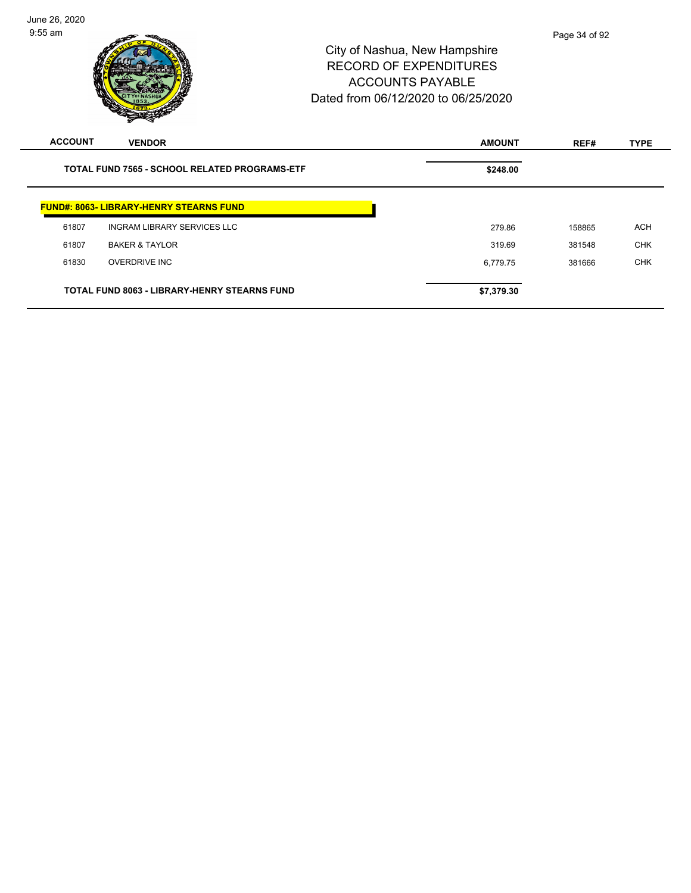| <b>ACCOUNT</b>                                       | <b>VENDOR</b>                                       | <b>AMOUNT</b> | REF#   | <b>TYPE</b> |
|------------------------------------------------------|-----------------------------------------------------|---------------|--------|-------------|
| <b>TOTAL FUND 7565 - SCHOOL RELATED PROGRAMS-ETF</b> |                                                     | \$248.00      |        |             |
|                                                      | <b>FUND#: 8063- LIBRARY-HENRY STEARNS FUND</b>      |               |        |             |
| 61807                                                | <b>INGRAM LIBRARY SERVICES LLC</b>                  | 279.86        | 158865 | <b>ACH</b>  |
| 61807                                                | <b>BAKER &amp; TAYLOR</b>                           | 319.69        | 381548 | <b>CHK</b>  |
| 61830                                                | <b>OVERDRIVE INC</b>                                | 6,779.75      | 381666 | <b>CHK</b>  |
|                                                      | <b>TOTAL FUND 8063 - LIBRARY-HENRY STEARNS FUND</b> | \$7,379.30    |        |             |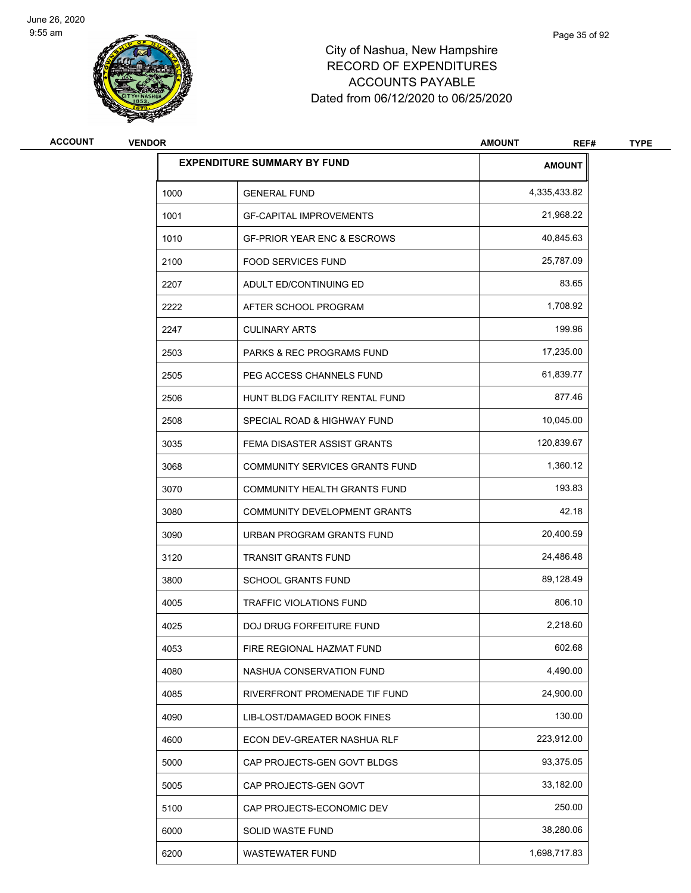

| <b>ACCOUNT</b> | <b>VENDOR</b>                      |                                        | <b>AMOUNT</b><br>REF# | <b>TYPE</b> |
|----------------|------------------------------------|----------------------------------------|-----------------------|-------------|
|                | <b>EXPENDITURE SUMMARY BY FUND</b> |                                        | <b>AMOUNT</b>         |             |
|                | 1000                               | <b>GENERAL FUND</b>                    | 4,335,433.82          |             |
|                | 1001                               | <b>GF-CAPITAL IMPROVEMENTS</b>         | 21,968.22             |             |
|                | 1010                               | <b>GF-PRIOR YEAR ENC &amp; ESCROWS</b> | 40,845.63             |             |
|                | 2100                               | <b>FOOD SERVICES FUND</b>              | 25,787.09             |             |
|                | 2207                               | ADULT ED/CONTINUING ED                 | 83.65                 |             |
|                | 2222                               | AFTER SCHOOL PROGRAM                   | 1,708.92              |             |
|                | 2247                               | <b>CULINARY ARTS</b>                   | 199.96                |             |
|                | 2503                               | <b>PARKS &amp; REC PROGRAMS FUND</b>   | 17,235.00             |             |
|                | 2505                               | PEG ACCESS CHANNELS FUND               | 61,839.77             |             |
|                | 2506                               | HUNT BLDG FACILITY RENTAL FUND         | 877.46                |             |
|                | 2508                               | SPECIAL ROAD & HIGHWAY FUND            | 10,045.00             |             |
|                | 3035                               | FEMA DISASTER ASSIST GRANTS            | 120,839.67            |             |
|                | 3068                               | COMMUNITY SERVICES GRANTS FUND         | 1,360.12              |             |
|                | 3070                               | COMMUNITY HEALTH GRANTS FUND           | 193.83                |             |
|                | 3080                               | COMMUNITY DEVELOPMENT GRANTS           | 42.18                 |             |
|                | 3090                               | URBAN PROGRAM GRANTS FUND              | 20,400.59             |             |
|                | 3120                               | <b>TRANSIT GRANTS FUND</b>             | 24,486.48             |             |
|                | 3800                               | <b>SCHOOL GRANTS FUND</b>              | 89,128.49             |             |
|                | 4005                               | <b>TRAFFIC VIOLATIONS FUND</b>         | 806.10                |             |
|                | 4025                               | DOJ DRUG FORFEITURE FUND               | 2,218.60              |             |
|                | 4053                               | FIRE REGIONAL HAZMAT FUND              | 602.68                |             |
|                | 4080                               | NASHUA CONSERVATION FUND               | 4,490.00              |             |
|                | 4085                               | RIVERFRONT PROMENADE TIF FUND          | 24,900.00             |             |
|                | 4090                               | LIB-LOST/DAMAGED BOOK FINES            | 130.00                |             |
|                | 4600                               | ECON DEV-GREATER NASHUA RLF            | 223,912.00            |             |
|                | 5000                               | CAP PROJECTS-GEN GOVT BLDGS            | 93,375.05             |             |
|                | 5005                               | CAP PROJECTS-GEN GOVT                  | 33,182.00             |             |
|                | 5100                               | CAP PROJECTS-ECONOMIC DEV              | 250.00                |             |
|                | 6000                               | SOLID WASTE FUND                       | 38,280.06             |             |
|                | 6200                               | WASTEWATER FUND                        | 1,698,717.83          |             |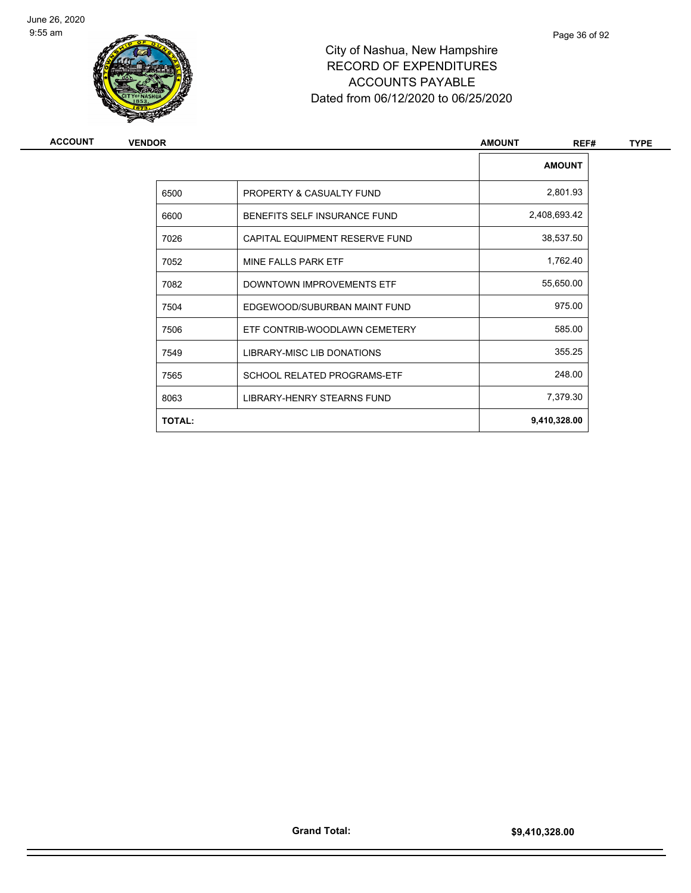

| ACCOUNT | <b>VENDOR</b> |                                    | <b>AMOUNT</b><br>REF# | <b>TYPE</b> |  |
|---------|---------------|------------------------------------|-----------------------|-------------|--|
|         |               |                                    | <b>AMOUNT</b>         |             |  |
|         | 6500          | PROPERTY & CASUALTY FUND           | 2,801.93              |             |  |
|         | 6600          | BENEFITS SELF INSURANCE FUND       | 2,408,693.42          |             |  |
|         | 7026          | CAPITAL EQUIPMENT RESERVE FUND     | 38,537.50             |             |  |
|         | 7052          | MINE FALLS PARK ETF                | 1,762.40              |             |  |
|         | 7082          | DOWNTOWN IMPROVEMENTS ETF          | 55,650.00             |             |  |
|         | 7504          | EDGEWOOD/SUBURBAN MAINT FUND       | 975.00                |             |  |
|         | 7506          | ETF CONTRIB-WOODLAWN CEMETERY      | 585.00                |             |  |
|         | 7549          | LIBRARY-MISC LIB DONATIONS         | 355.25                |             |  |
|         | 7565          | <b>SCHOOL RELATED PROGRAMS-ETF</b> | 248.00                |             |  |
|         | 8063          | LIBRARY-HENRY STEARNS FUND         | 7,379.30              |             |  |
|         | <b>TOTAL:</b> |                                    | 9,410,328.00          |             |  |
|         |               |                                    |                       |             |  |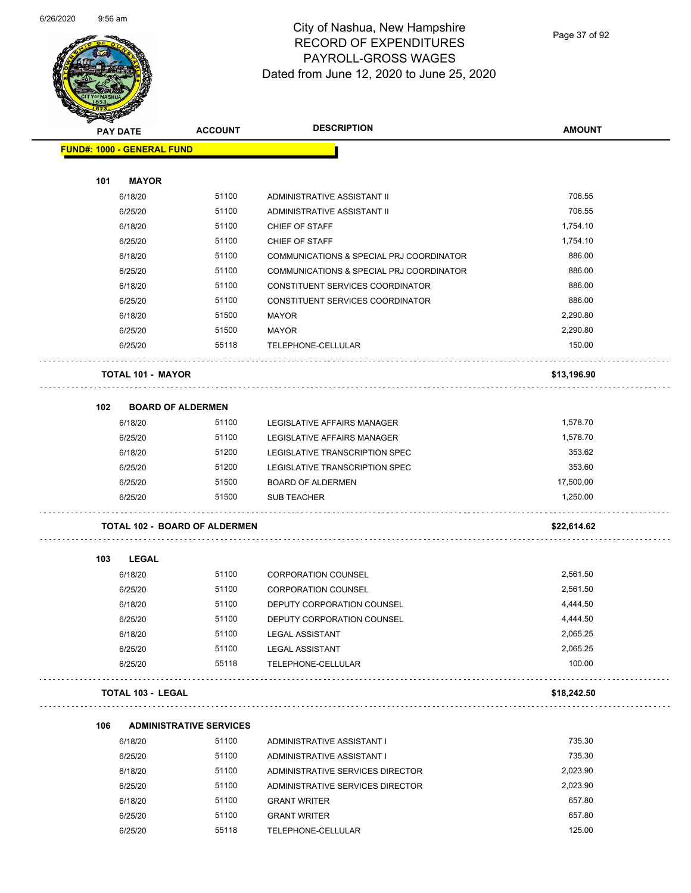

Page 37 of 92

| <b>PAY DATE</b>                   | <b>ACCOUNT</b>                       | <b>DESCRIPTION</b>                       | <b>AMOUNT</b> |
|-----------------------------------|--------------------------------------|------------------------------------------|---------------|
| <b>FUND#: 1000 - GENERAL FUND</b> |                                      |                                          |               |
| 101                               | <b>MAYOR</b>                         |                                          |               |
| 6/18/20                           | 51100                                | ADMINISTRATIVE ASSISTANT II              | 706.55        |
| 6/25/20                           | 51100                                | ADMINISTRATIVE ASSISTANT II              | 706.55        |
| 6/18/20                           | 51100                                | CHIEF OF STAFF                           | 1,754.10      |
| 6/25/20                           | 51100                                | CHIEF OF STAFF                           | 1,754.10      |
| 6/18/20                           | 51100                                | COMMUNICATIONS & SPECIAL PRJ COORDINATOR | 886.00        |
| 6/25/20                           | 51100                                | COMMUNICATIONS & SPECIAL PRJ COORDINATOR | 886.00        |
| 6/18/20                           | 51100                                | CONSTITUENT SERVICES COORDINATOR         | 886.00        |
| 6/25/20                           | 51100                                | CONSTITUENT SERVICES COORDINATOR         | 886.00        |
| 6/18/20                           | 51500                                | <b>MAYOR</b>                             | 2,290.80      |
| 6/25/20                           | 51500                                | <b>MAYOR</b>                             | 2,290.80      |
| 6/25/20                           | 55118                                | TELEPHONE-CELLULAR                       | 150.00        |
|                                   | <b>TOTAL 101 - MAYOR</b>             |                                          | \$13,196.90   |
| 102                               | <b>BOARD OF ALDERMEN</b>             |                                          |               |
| 6/18/20                           | 51100                                | LEGISLATIVE AFFAIRS MANAGER              | 1,578.70      |
| 6/25/20                           | 51100                                | LEGISLATIVE AFFAIRS MANAGER              | 1,578.70      |
| 6/18/20                           | 51200                                | LEGISLATIVE TRANSCRIPTION SPEC           | 353.62        |
| 6/25/20                           | 51200                                | LEGISLATIVE TRANSCRIPTION SPEC           | 353.60        |
| 6/25/20                           | 51500                                | <b>BOARD OF ALDERMEN</b>                 | 17,500.00     |
| 6/25/20                           | 51500                                | <b>SUB TEACHER</b>                       | 1,250.00      |
|                                   | <b>TOTAL 102 - BOARD OF ALDERMEN</b> |                                          | \$22,614.62   |
| 103<br><b>LEGAL</b>               |                                      |                                          |               |
| 6/18/20                           | 51100                                | <b>CORPORATION COUNSEL</b>               | 2.561.50      |
| 6/25/20                           | 51100                                | <b>CORPORATION COUNSEL</b>               | 2,561.50      |
| 6/18/20                           | 51100                                | DEPUTY CORPORATION COUNSEL               | 4,444.50      |
| 6/25/20                           | 51100                                | DEPUTY CORPORATION COUNSEL               | 4,444.50      |
| 6/18/20                           | 51100                                | <b>LEGAL ASSISTANT</b>                   | 2,065.25      |
| 6/25/20                           | 51100                                | <b>LEGAL ASSISTANT</b>                   | 2,065.25      |
| 6/25/20                           | 55118                                | TELEPHONE-CELLULAR                       | 100.00        |
| <b>TOTAL 103 - LEGAL</b>          |                                      |                                          | \$18,242.50   |
| 106                               | <b>ADMINISTRATIVE SERVICES</b>       |                                          |               |
| 6/18/20                           | 51100                                | ADMINISTRATIVE ASSISTANT I               | 735.30        |
| 6/25/20                           | 51100                                | ADMINISTRATIVE ASSISTANT I               | 735.30        |
| 6/18/20                           | 51100                                | ADMINISTRATIVE SERVICES DIRECTOR         | 2,023.90      |
| 6/25/20                           | 51100                                | ADMINISTRATIVE SERVICES DIRECTOR         | 2,023.90      |
| 6/18/20                           | 51100                                | <b>GRANT WRITER</b>                      | 657.80        |
| 6/25/20                           | 51100                                | <b>GRANT WRITER</b>                      | 657.80        |
| 6/25/20                           | 55118                                | TELEPHONE-CELLULAR                       | 125.00        |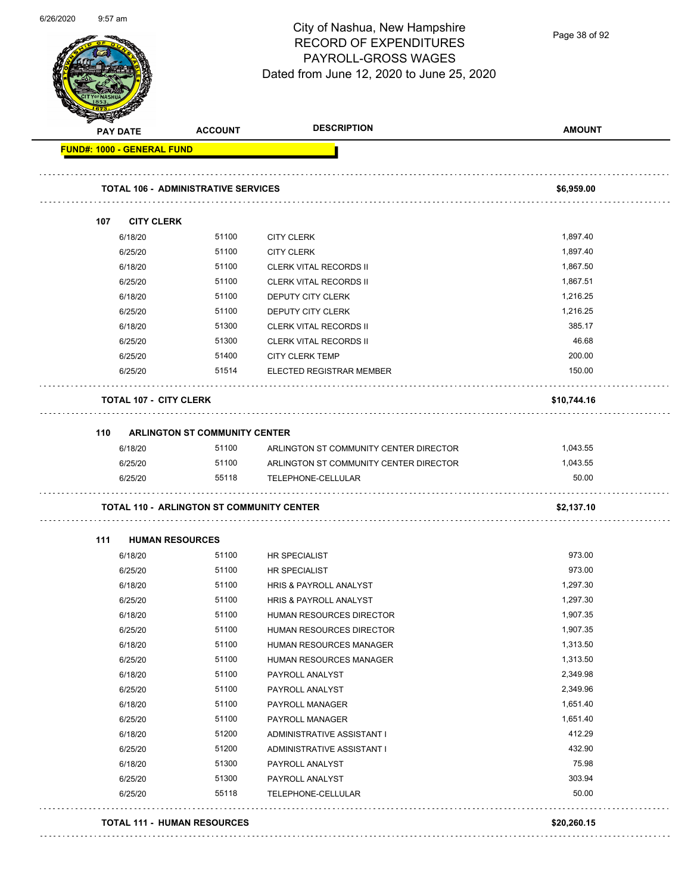| 6/26/2020 |  | $9:57$ am |
|-----------|--|-----------|
|-----------|--|-----------|

Page 38 of 92

| <b>PAY DATE</b>    | <b>ACCOUNT</b>                                   | <b>DESCRIPTION</b>                     | <b>AMOUNT</b>   |
|--------------------|--------------------------------------------------|----------------------------------------|-----------------|
|                    | <b>FUND#: 1000 - GENERAL FUND</b>                |                                        |                 |
|                    | <b>TOTAL 106 - ADMINISTRATIVE SERVICES</b>       |                                        | \$6,959.00      |
|                    |                                                  |                                        |                 |
| 107                | <b>CITY CLERK</b>                                |                                        |                 |
| 6/18/20            | 51100                                            | <b>CITY CLERK</b>                      | 1,897.40        |
| 6/25/20            | 51100                                            | <b>CITY CLERK</b>                      | 1,897.40        |
| 6/18/20            | 51100                                            | <b>CLERK VITAL RECORDS II</b>          | 1,867.50        |
| 6/25/20            | 51100                                            | <b>CLERK VITAL RECORDS II</b>          | 1,867.51        |
| 6/18/20            | 51100                                            | DEPUTY CITY CLERK                      | 1,216.25        |
| 6/25/20            | 51100                                            | DEPUTY CITY CLERK                      | 1,216.25        |
| 6/18/20            | 51300                                            | <b>CLERK VITAL RECORDS II</b>          | 385.17          |
| 6/25/20            | 51300                                            | <b>CLERK VITAL RECORDS II</b>          | 46.68           |
| 6/25/20            | 51400                                            | <b>CITY CLERK TEMP</b>                 | 200.00          |
| 6/25/20            | 51514                                            | <b>ELECTED REGISTRAR MEMBER</b>        | 150.00          |
|                    | <b>TOTAL 107 - CITY CLERK</b>                    |                                        | \$10,744.16     |
| 110                | <b>ARLINGTON ST COMMUNITY CENTER</b>             |                                        |                 |
| 6/18/20            | 51100                                            | ARLINGTON ST COMMUNITY CENTER DIRECTOR | 1,043.55        |
| 6/25/20            | 51100                                            | ARLINGTON ST COMMUNITY CENTER DIRECTOR | 1,043.55        |
| 6/25/20            | 55118                                            | TELEPHONE-CELLULAR                     | 50.00           |
|                    | <b>TOTAL 110 - ARLINGTON ST COMMUNITY CENTER</b> |                                        | \$2,137.10      |
|                    |                                                  |                                        |                 |
| 111                | <b>HUMAN RESOURCES</b>                           |                                        |                 |
| 6/18/20            | 51100                                            | <b>HR SPECIALIST</b>                   | 973.00          |
| 6/25/20            | 51100                                            | <b>HR SPECIALIST</b>                   | 973.00          |
|                    | 51100                                            | <b>HRIS &amp; PAYROLL ANALYST</b>      | 1,297.30        |
| 6/18/20            | 51100                                            | HRIS & PAYROLL ANALYST                 | 1,297.30        |
| 6/25/20            |                                                  | HUMAN RESOURCES DIRECTOR               | 1,907.35        |
| 6/18/20            | 51100                                            |                                        | 1,907.35        |
| 6/25/20            | 51100                                            | HUMAN RESOURCES DIRECTOR               |                 |
| 6/18/20            | 51100                                            | HUMAN RESOURCES MANAGER                | 1,313.50        |
| 6/25/20            | 51100                                            | HUMAN RESOURCES MANAGER                | 1,313.50        |
| 6/18/20            | 51100                                            | PAYROLL ANALYST                        | 2,349.98        |
| 6/25/20            | 51100                                            | PAYROLL ANALYST                        | 2,349.96        |
| 6/18/20            | 51100                                            | PAYROLL MANAGER                        | 1,651.40        |
| 6/25/20            | 51100                                            | PAYROLL MANAGER                        | 1,651.40        |
| 6/18/20            | 51200                                            | ADMINISTRATIVE ASSISTANT I             | 412.29          |
| 6/25/20            | 51200                                            | ADMINISTRATIVE ASSISTANT I             | 432.90          |
| 6/18/20            | 51300                                            | PAYROLL ANALYST                        | 75.98           |
| 6/25/20<br>6/25/20 | 51300<br>55118                                   | PAYROLL ANALYST<br>TELEPHONE-CELLULAR  | 303.94<br>50.00 |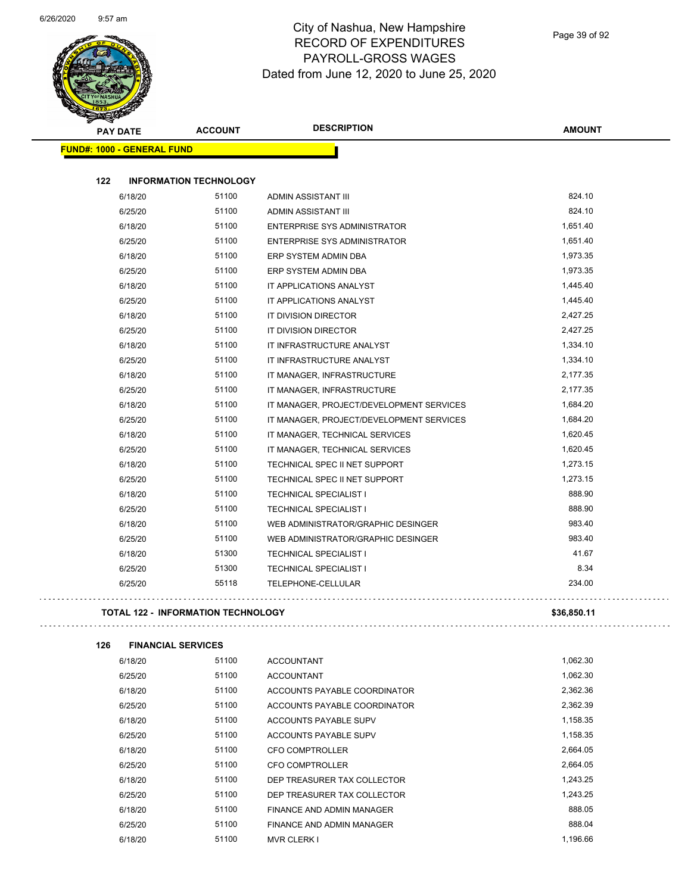

| <b>PAY DATE</b>                   | <b>ACCOUNT</b>                | <b>DESCRIPTION</b>                       | <b>AMOUNT</b> |
|-----------------------------------|-------------------------------|------------------------------------------|---------------|
| <b>FUND#: 1000 - GENERAL FUND</b> |                               |                                          |               |
|                                   |                               |                                          |               |
| 122                               | <b>INFORMATION TECHNOLOGY</b> |                                          |               |
| 6/18/20                           | 51100                         | ADMIN ASSISTANT III                      | 824.10        |
| 6/25/20                           | 51100                         | ADMIN ASSISTANT III                      | 824.10        |
| 6/18/20                           | 51100                         | <b>ENTERPRISE SYS ADMINISTRATOR</b>      | 1,651.40      |
| 6/25/20                           | 51100                         | <b>ENTERPRISE SYS ADMINISTRATOR</b>      | 1,651.40      |
| 6/18/20                           | 51100                         | ERP SYSTEM ADMIN DBA                     | 1,973.35      |
| 6/25/20                           | 51100                         | ERP SYSTEM ADMIN DBA                     | 1,973.35      |
| 6/18/20                           | 51100                         | IT APPLICATIONS ANALYST                  | 1,445.40      |
| 6/25/20                           | 51100                         | IT APPLICATIONS ANALYST                  | 1,445.40      |
| 6/18/20                           | 51100                         | IT DIVISION DIRECTOR                     | 2,427.25      |
| 6/25/20                           | 51100                         | IT DIVISION DIRECTOR                     | 2,427.25      |
| 6/18/20                           | 51100                         | IT INFRASTRUCTURE ANALYST                | 1,334.10      |
| 6/25/20                           | 51100                         | IT INFRASTRUCTURE ANALYST                | 1,334.10      |
| 6/18/20                           | 51100                         | IT MANAGER, INFRASTRUCTURE               | 2,177.35      |
| 6/25/20                           | 51100                         | IT MANAGER, INFRASTRUCTURE               | 2,177.35      |
| 6/18/20                           | 51100                         | IT MANAGER, PROJECT/DEVELOPMENT SERVICES | 1,684.20      |
| 6/25/20                           | 51100                         | IT MANAGER, PROJECT/DEVELOPMENT SERVICES | 1,684.20      |
| 6/18/20                           | 51100                         | IT MANAGER, TECHNICAL SERVICES           | 1,620.45      |
| 6/25/20                           | 51100                         | IT MANAGER, TECHNICAL SERVICES           | 1,620.45      |
| 6/18/20                           | 51100                         | TECHNICAL SPEC II NET SUPPORT            | 1,273.15      |
| 6/25/20                           | 51100                         | TECHNICAL SPEC II NET SUPPORT            | 1,273.15      |
| 6/18/20                           | 51100                         | <b>TECHNICAL SPECIALIST I</b>            | 888.90        |
| 6/25/20                           | 51100                         | <b>TECHNICAL SPECIALIST I</b>            | 888.90        |
| 6/18/20                           | 51100                         | WEB ADMINISTRATOR/GRAPHIC DESINGER       | 983.40        |
| 6/25/20                           | 51100                         | WEB ADMINISTRATOR/GRAPHIC DESINGER       | 983.40        |
| 6/18/20                           | 51300                         | <b>TECHNICAL SPECIALIST I</b>            | 41.67         |
| 6/25/20                           | 51300                         | <b>TECHNICAL SPECIALIST I</b>            | 8.34          |
| 6/25/20                           | 55118                         | TELEPHONE-CELLULAR                       | 234.00        |
|                                   |                               |                                          |               |

**TOTAL 122 - INFORMATION TECHNOLOGY \$36,850.11**

**126 FINANCIAL SERVICES**

| 6/18/20 | 51100 | <b>ACCOUNTANT</b>            | 1,062.30 |
|---------|-------|------------------------------|----------|
| 6/25/20 | 51100 | <b>ACCOUNTANT</b>            | 1,062.30 |
| 6/18/20 | 51100 | ACCOUNTS PAYABLE COORDINATOR | 2,362.36 |
| 6/25/20 | 51100 | ACCOUNTS PAYABLE COORDINATOR | 2,362.39 |
| 6/18/20 | 51100 | ACCOUNTS PAYABLE SUPV        | 1,158.35 |
| 6/25/20 | 51100 | ACCOUNTS PAYABLE SUPV        | 1,158.35 |
| 6/18/20 | 51100 | CFO COMPTROLLER              | 2,664.05 |
| 6/25/20 | 51100 | CFO COMPTROLLER              | 2.664.05 |
| 6/18/20 | 51100 | DEP TREASURER TAX COLLECTOR  | 1.243.25 |
| 6/25/20 | 51100 | DEP TREASURER TAX COLLECTOR  | 1.243.25 |
| 6/18/20 | 51100 | FINANCE AND ADMIN MANAGER    | 888.05   |
| 6/25/20 | 51100 | FINANCE AND ADMIN MANAGER    | 888.04   |
| 6/18/20 | 51100 | <b>MVR CLERK I</b>           | 1.196.66 |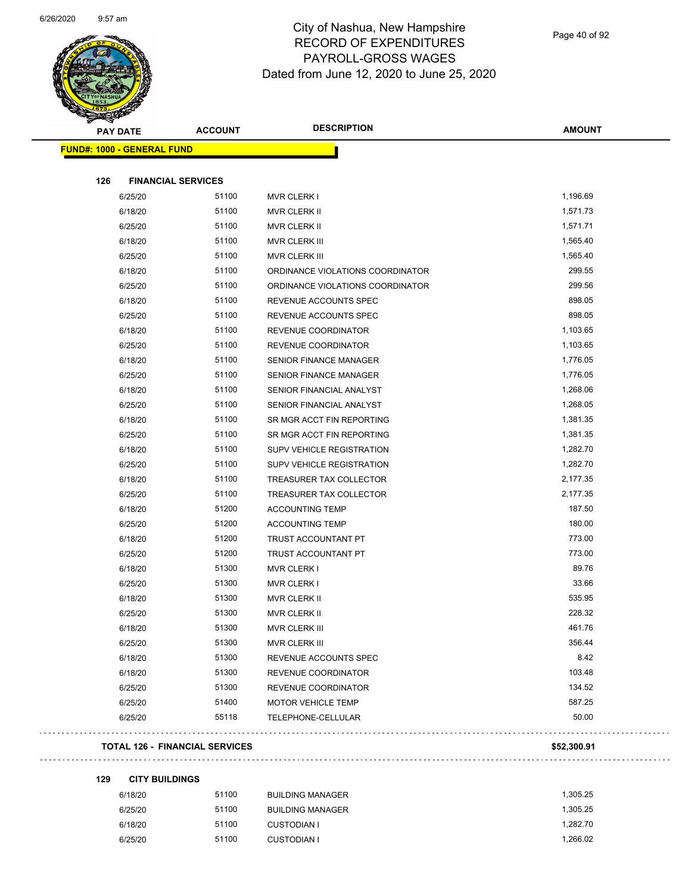

| <b>PAY DATE</b>                   | <b>ACCOUNT</b>                        | <b>DESCRIPTION</b>               | <b>AMOUNT</b> |
|-----------------------------------|---------------------------------------|----------------------------------|---------------|
| <b>FUND#: 1000 - GENERAL FUND</b> |                                       |                                  |               |
|                                   |                                       |                                  |               |
| 126                               | <b>FINANCIAL SERVICES</b>             |                                  |               |
| 6/25/20                           | 51100                                 | <b>MVR CLERK I</b>               | 1,196.69      |
| 6/18/20                           | 51100                                 | MVR CLERK II                     | 1,571.73      |
| 6/25/20                           | 51100                                 | MVR CLERK II                     | 1,571.71      |
| 6/18/20                           | 51100                                 | MVR CLERK III                    | 1,565.40      |
| 6/25/20                           | 51100                                 | MVR CLERK III                    | 1,565.40      |
| 6/18/20                           | 51100                                 | ORDINANCE VIOLATIONS COORDINATOR | 299.55        |
| 6/25/20                           | 51100                                 | ORDINANCE VIOLATIONS COORDINATOR | 299.56        |
| 6/18/20                           | 51100                                 | REVENUE ACCOUNTS SPEC            | 898.05        |
| 6/25/20                           | 51100                                 | REVENUE ACCOUNTS SPEC            | 898.05        |
| 6/18/20                           | 51100                                 | REVENUE COORDINATOR              | 1,103.65      |
| 6/25/20                           | 51100                                 | REVENUE COORDINATOR              | 1,103.65      |
| 6/18/20                           | 51100                                 | <b>SENIOR FINANCE MANAGER</b>    | 1,776.05      |
| 6/25/20                           | 51100                                 | <b>SENIOR FINANCE MANAGER</b>    | 1,776.05      |
| 6/18/20                           | 51100                                 | SENIOR FINANCIAL ANALYST         | 1,268.06      |
| 6/25/20                           | 51100                                 | SENIOR FINANCIAL ANALYST         | 1,268.05      |
| 6/18/20                           | 51100                                 | SR MGR ACCT FIN REPORTING        | 1,381.35      |
| 6/25/20                           | 51100                                 | SR MGR ACCT FIN REPORTING        | 1,381.35      |
| 6/18/20                           | 51100                                 | SUPV VEHICLE REGISTRATION        | 1,282.70      |
| 6/25/20                           | 51100                                 | SUPV VEHICLE REGISTRATION        | 1,282.70      |
| 6/18/20                           | 51100                                 | TREASURER TAX COLLECTOR          | 2,177.35      |
| 6/25/20                           | 51100                                 | TREASURER TAX COLLECTOR          | 2,177.35      |
| 6/18/20                           | 51200                                 | <b>ACCOUNTING TEMP</b>           | 187.50        |
| 6/25/20                           | 51200                                 | <b>ACCOUNTING TEMP</b>           | 180.00        |
| 6/18/20                           | 51200                                 | TRUST ACCOUNTANT PT              | 773.00        |
| 6/25/20                           | 51200                                 | TRUST ACCOUNTANT PT              | 773.00        |
| 6/18/20                           | 51300                                 | <b>MVR CLERK I</b>               | 89.76         |
| 6/25/20                           | 51300                                 | <b>MVR CLERK I</b>               | 33.66         |
| 6/18/20                           | 51300                                 | <b>MVR CLERK II</b>              | 535.95        |
| 6/25/20                           | 51300                                 | MVR CLERK II                     | 228.32        |
| 6/18/20                           | 51300                                 | MVR CLERK III                    | 461.76        |
| 6/25/20                           | 51300                                 | MVR CLERK III                    | 356.44        |
| 6/18/20                           | 51300                                 | REVENUE ACCOUNTS SPEC            | 8.42          |
| 6/18/20                           | 51300                                 | REVENUE COORDINATOR              | 103.48        |
| 6/25/20                           | 51300                                 | REVENUE COORDINATOR              | 134.52        |
| 6/25/20                           | 51400                                 | <b>MOTOR VEHICLE TEMP</b>        | 587.25        |
| 6/25/20                           | 55118                                 | TELEPHONE-CELLULAR               | 50.00         |
|                                   | <b>TOTAL 126 - FINANCIAL SERVICES</b> |                                  | \$52,300.91   |
| 129<br><b>CITY BUILDINGS</b>      |                                       |                                  |               |
|                                   |                                       |                                  |               |

| 6/18/20 | 51100 | <b>BUILDING MANAGER</b> | 1.305.25 |
|---------|-------|-------------------------|----------|
| 6/25/20 | 51100 | <b>BUILDING MANAGER</b> | 1.305.25 |
| 6/18/20 | 51100 | CUSTODIAN I             | 1.282.70 |
| 6/25/20 | 51100 | CUSTODIAN I             | 1.266.02 |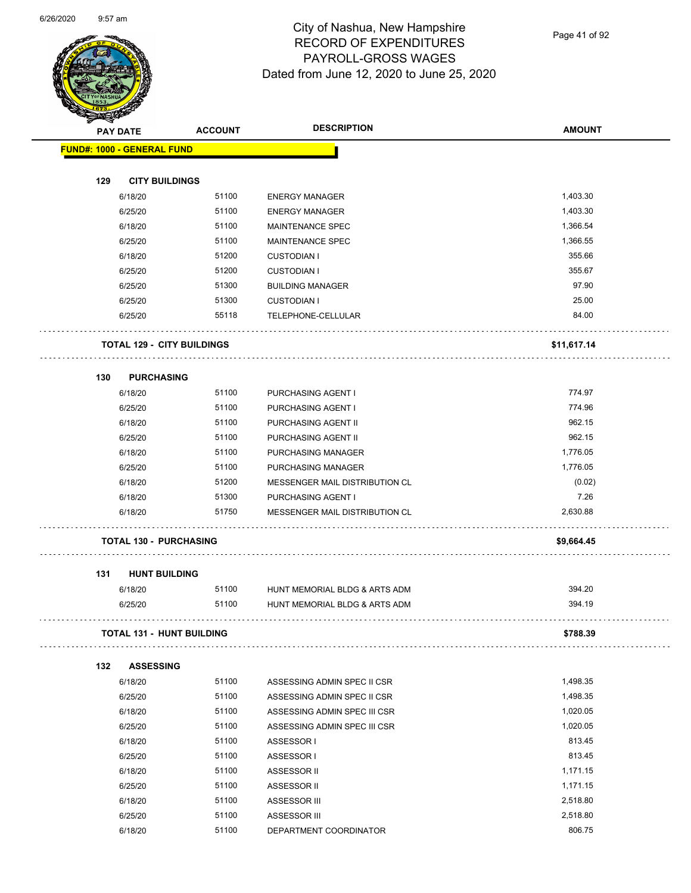

Page 41 of 92

|     | <b>PAY DATE</b>               | <b>ACCOUNT</b>                    | <b>DESCRIPTION</b>             | <b>AMOUNT</b> |
|-----|-------------------------------|-----------------------------------|--------------------------------|---------------|
|     | FUND#: 1000 - GENERAL FUND    |                                   |                                |               |
|     |                               |                                   |                                |               |
| 129 | <b>CITY BUILDINGS</b>         |                                   |                                |               |
|     | 6/18/20                       | 51100                             | <b>ENERGY MANAGER</b>          | 1,403.30      |
|     | 6/25/20                       | 51100                             | <b>ENERGY MANAGER</b>          | 1,403.30      |
|     | 6/18/20                       | 51100                             | MAINTENANCE SPEC               | 1,366.54      |
|     | 6/25/20                       | 51100                             | <b>MAINTENANCE SPEC</b>        | 1,366.55      |
|     | 6/18/20                       | 51200                             | <b>CUSTODIAN I</b>             | 355.66        |
|     | 6/25/20                       | 51200                             | <b>CUSTODIAN I</b>             | 355.67        |
|     | 6/25/20                       | 51300                             | <b>BUILDING MANAGER</b>        | 97.90         |
|     | 6/25/20                       | 51300                             | <b>CUSTODIAN I</b>             | 25.00         |
|     | 6/25/20                       | 55118                             | TELEPHONE-CELLULAR             | 84.00         |
|     |                               | <b>TOTAL 129 - CITY BUILDINGS</b> |                                | \$11,617.14   |
| 130 | <b>PURCHASING</b>             |                                   |                                |               |
|     | 6/18/20                       | 51100                             | PURCHASING AGENT I             | 774.97        |
|     | 6/25/20                       | 51100                             | PURCHASING AGENT I             | 774.96        |
|     | 6/18/20                       | 51100                             | PURCHASING AGENT II            | 962.15        |
|     | 6/25/20                       | 51100                             | PURCHASING AGENT II            | 962.15        |
|     | 6/18/20                       | 51100                             | PURCHASING MANAGER             | 1,776.05      |
|     | 6/25/20                       | 51100                             | PURCHASING MANAGER             | 1,776.05      |
|     | 6/18/20                       | 51200                             | MESSENGER MAIL DISTRIBUTION CL | (0.02)        |
|     | 6/18/20                       | 51300                             | PURCHASING AGENT I             | 7.26          |
|     | 6/18/20                       | 51750                             | MESSENGER MAIL DISTRIBUTION CL | 2,630.88      |
|     | <b>TOTAL 130 - PURCHASING</b> |                                   |                                | \$9,664.45    |
| 131 | <b>HUNT BUILDING</b>          |                                   |                                |               |
|     | 6/18/20                       | 51100                             | HUNT MEMORIAL BLDG & ARTS ADM  | 394.20        |
|     | 6/25/20                       | 51100                             | HUNT MEMORIAL BLDG & ARTS ADM  | 394.19        |
|     |                               | <b>TOTAL 131 - HUNT BUILDING</b>  |                                | \$788.39      |
|     |                               |                                   |                                |               |
| 132 | <b>ASSESSING</b><br>6/18/20   | 51100                             | ASSESSING ADMIN SPEC II CSR    | 1,498.35      |
|     | 6/25/20                       | 51100                             | ASSESSING ADMIN SPEC II CSR    | 1,498.35      |
|     |                               | 51100                             |                                | 1,020.05      |
|     | 6/18/20<br>6/25/20            | 51100                             | ASSESSING ADMIN SPEC III CSR   | 1,020.05      |
|     | 6/18/20                       | 51100                             | ASSESSING ADMIN SPEC III CSR   | 813.45        |
|     | 6/25/20                       | 51100                             | ASSESSOR I<br>ASSESSOR I       | 813.45        |
|     | 6/18/20                       | 51100                             |                                | 1,171.15      |
|     | 6/25/20                       | 51100                             | ASSESSOR II<br>ASSESSOR II     | 1,171.15      |
|     | 6/18/20                       | 51100                             | ASSESSOR III                   | 2,518.80      |
|     | 6/25/20                       | 51100                             | ASSESSOR III                   | 2,518.80      |
|     | 6/18/20                       | 51100                             | DEPARTMENT COORDINATOR         | 806.75        |
|     |                               |                                   |                                |               |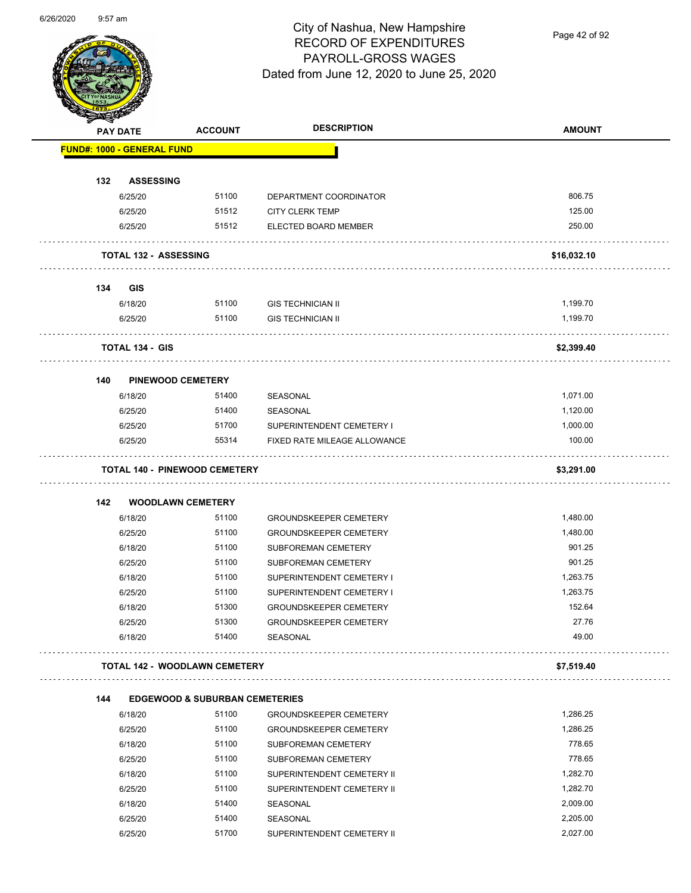

Page 42 of 92

|     | <b>PAY DATE</b>                   | <b>ACCOUNT</b>                            | <b>DESCRIPTION</b>            | <b>AMOUNT</b> |
|-----|-----------------------------------|-------------------------------------------|-------------------------------|---------------|
|     | <b>FUND#: 1000 - GENERAL FUND</b> |                                           |                               |               |
| 132 | <b>ASSESSING</b>                  |                                           |                               |               |
|     | 6/25/20                           | 51100                                     | DEPARTMENT COORDINATOR        | 806.75        |
|     | 6/25/20                           | 51512                                     | <b>CITY CLERK TEMP</b>        | 125.00        |
|     | 6/25/20                           | 51512                                     | ELECTED BOARD MEMBER          | 250.00        |
|     | <b>TOTAL 132 - ASSESSING</b>      |                                           |                               | \$16,032.10   |
| 134 | <b>GIS</b>                        |                                           |                               |               |
|     | 6/18/20                           | 51100                                     | <b>GIS TECHNICIAN II</b>      | 1,199.70      |
|     | 6/25/20                           | 51100                                     | <b>GIS TECHNICIAN II</b>      | 1,199.70      |
|     | TOTAL 134 - GIS                   |                                           |                               | \$2,399.40    |
| 140 |                                   | <b>PINEWOOD CEMETERY</b>                  |                               |               |
|     | 6/18/20                           | 51400                                     | SEASONAL                      | 1,071.00      |
|     | 6/25/20                           | 51400                                     | SEASONAL                      | 1,120.00      |
|     | 6/25/20                           | 51700                                     | SUPERINTENDENT CEMETERY I     | 1,000.00      |
|     | 6/25/20                           | 55314                                     | FIXED RATE MILEAGE ALLOWANCE  | 100.00        |
|     |                                   | <b>TOTAL 140 - PINEWOOD CEMETERY</b>      |                               | \$3,291.00    |
| 142 |                                   | <b>WOODLAWN CEMETERY</b>                  |                               |               |
|     | 6/18/20                           | 51100                                     | <b>GROUNDSKEEPER CEMETERY</b> | 1,480.00      |
|     | 6/25/20                           | 51100                                     | <b>GROUNDSKEEPER CEMETERY</b> | 1,480.00      |
|     | 6/18/20                           | 51100                                     | <b>SUBFOREMAN CEMETERY</b>    | 901.25        |
|     | 6/25/20                           | 51100                                     | SUBFOREMAN CEMETERY           | 901.25        |
|     | 6/18/20                           | 51100                                     | SUPERINTENDENT CEMETERY I     | 1,263.75      |
|     | 6/25/20                           | 51100                                     | SUPERINTENDENT CEMETERY I     | 1,263.75      |
|     | 6/18/20                           | 51300                                     | <b>GROUNDSKEEPER CEMETERY</b> | 152.64        |
|     | 6/25/20                           | 51300                                     | <b>GROUNDSKEEPER CEMETERY</b> | 27.76         |
|     | 6/18/20                           | 51400                                     | SEASONAL                      | 49.00         |
|     |                                   | <b>TOTAL 142 - WOODLAWN CEMETERY</b>      |                               | \$7,519.40    |
| 144 |                                   | <b>EDGEWOOD &amp; SUBURBAN CEMETERIES</b> |                               |               |
|     | 6/18/20                           | 51100                                     | <b>GROUNDSKEEPER CEMETERY</b> | 1,286.25      |
|     | 6/25/20                           | 51100                                     | <b>GROUNDSKEEPER CEMETERY</b> | 1,286.25      |
|     | 6/18/20                           | 51100                                     | SUBFOREMAN CEMETERY           | 778.65        |
|     | 6/25/20                           | 51100                                     | SUBFOREMAN CEMETERY           | 778.65        |
|     | 6/18/20                           | 51100                                     | SUPERINTENDENT CEMETERY II    | 1,282.70      |
|     | 6/25/20                           | 51100                                     | SUPERINTENDENT CEMETERY II    | 1,282.70      |
|     | 6/18/20                           | 51400                                     | SEASONAL                      | 2,009.00      |
|     | 6/25/20                           | 51400                                     | SEASONAL                      | 2,205.00      |
|     | 6/25/20                           | 51700                                     | SUPERINTENDENT CEMETERY II    | 2,027.00      |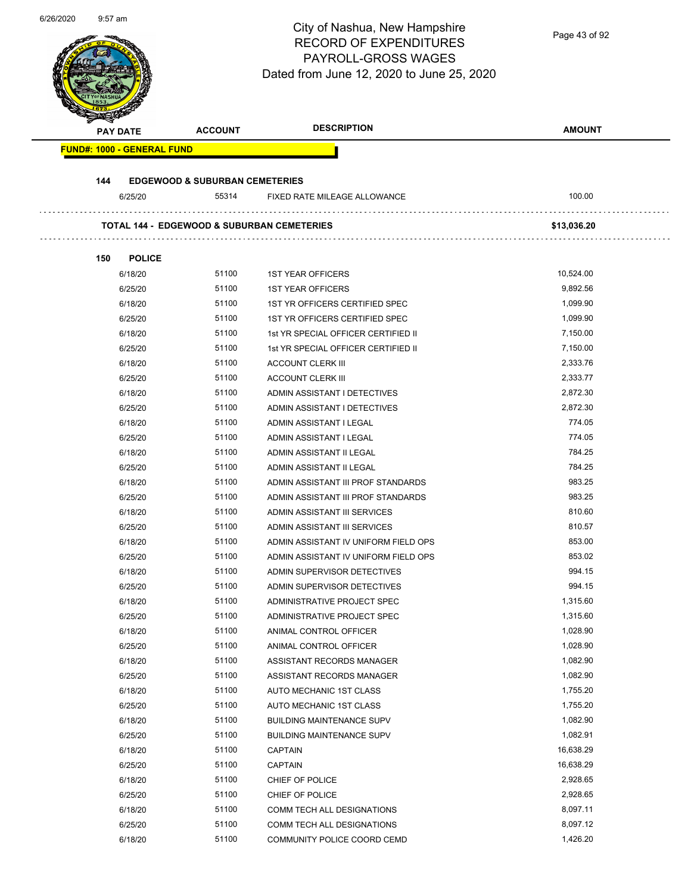| 0/20/2020 | $9.57$ am                         |                                                       | City of Nashua, New Hampshire<br><b>RECORD OF EXPENDITURES</b><br>PAYROLL-GROSS WAGES<br>Dated from June 12, 2020 to June 25, 2020 | Page 43 of 92 |
|-----------|-----------------------------------|-------------------------------------------------------|------------------------------------------------------------------------------------------------------------------------------------|---------------|
|           |                                   |                                                       |                                                                                                                                    |               |
|           | <b>PAY DATE</b>                   | <b>ACCOUNT</b>                                        | <b>DESCRIPTION</b>                                                                                                                 | <b>AMOUNT</b> |
|           | <b>FUND#: 1000 - GENERAL FUND</b> |                                                       |                                                                                                                                    |               |
|           |                                   |                                                       |                                                                                                                                    |               |
|           | 144                               | <b>EDGEWOOD &amp; SUBURBAN CEMETERIES</b>             |                                                                                                                                    |               |
|           | 6/25/20                           | 55314                                                 | FIXED RATE MILEAGE ALLOWANCE                                                                                                       | 100.00        |
|           |                                   |                                                       |                                                                                                                                    |               |
|           |                                   | <b>TOTAL 144 - EDGEWOOD &amp; SUBURBAN CEMETERIES</b> |                                                                                                                                    | \$13,036.20   |
|           |                                   |                                                       |                                                                                                                                    |               |
|           | 150<br><b>POLICE</b><br>6/18/20   | 51100                                                 | <b>1ST YEAR OFFICERS</b>                                                                                                           | 10,524.00     |
|           | 6/25/20                           | 51100                                                 | <b>1ST YEAR OFFICERS</b>                                                                                                           | 9,892.56      |
|           | 6/18/20                           | 51100                                                 | 1ST YR OFFICERS CERTIFIED SPEC                                                                                                     | 1,099.90      |
|           | 6/25/20                           | 51100                                                 | 1ST YR OFFICERS CERTIFIED SPEC                                                                                                     | 1,099.90      |
|           |                                   | 51100                                                 |                                                                                                                                    | 7,150.00      |
|           | 6/18/20                           | 51100                                                 | 1st YR SPECIAL OFFICER CERTIFIED II                                                                                                |               |
|           | 6/25/20                           |                                                       | 1st YR SPECIAL OFFICER CERTIFIED II                                                                                                | 7,150.00      |
|           | 6/18/20                           | 51100                                                 | <b>ACCOUNT CLERK III</b>                                                                                                           | 2,333.76      |
|           | 6/25/20                           | 51100                                                 | <b>ACCOUNT CLERK III</b>                                                                                                           | 2,333.77      |
|           | 6/18/20                           | 51100                                                 | ADMIN ASSISTANT I DETECTIVES                                                                                                       | 2,872.30      |
|           | 6/25/20                           | 51100                                                 | ADMIN ASSISTANT I DETECTIVES                                                                                                       | 2,872.30      |
|           | 6/18/20                           | 51100                                                 | ADMIN ASSISTANT I LEGAL                                                                                                            | 774.05        |
|           | 6/25/20                           | 51100                                                 | ADMIN ASSISTANT I LEGAL                                                                                                            | 774.05        |
|           | 6/18/20                           | 51100                                                 | ADMIN ASSISTANT II LEGAL                                                                                                           | 784.25        |
|           | 6/25/20                           | 51100                                                 | ADMIN ASSISTANT II LEGAL                                                                                                           | 784.25        |
|           | 6/18/20                           | 51100                                                 | ADMIN ASSISTANT III PROF STANDARDS                                                                                                 | 983.25        |
|           | 6/25/20                           | 51100                                                 | ADMIN ASSISTANT III PROF STANDARDS                                                                                                 | 983.25        |
|           | 6/18/20                           | 51100                                                 | ADMIN ASSISTANT III SERVICES                                                                                                       | 810.60        |
|           | 6/25/20                           | 51100                                                 | ADMIN ASSISTANT III SERVICES                                                                                                       | 810.57        |
|           | 6/18/20                           | 51100                                                 | ADMIN ASSISTANT IV UNIFORM FIELD OPS                                                                                               | 853.00        |
|           | 6/25/20                           | 51100                                                 | ADMIN ASSISTANT IV UNIFORM FIELD OPS                                                                                               | 853.02        |
|           | 6/18/20                           | 51100                                                 | ADMIN SUPERVISOR DETECTIVES                                                                                                        | 994.15        |
|           | 6/25/20                           | 51100                                                 | ADMIN SUPERVISOR DETECTIVES                                                                                                        | 994.15        |
|           | 6/18/20                           | 51100                                                 | ADMINISTRATIVE PROJECT SPEC                                                                                                        | 1,315.60      |
|           | 6/25/20                           | 51100                                                 | ADMINISTRATIVE PROJECT SPEC                                                                                                        | 1,315.60      |
|           | 6/18/20                           | 51100                                                 | ANIMAL CONTROL OFFICER                                                                                                             | 1,028.90      |
|           | 6/25/20                           | 51100                                                 | ANIMAL CONTROL OFFICER                                                                                                             | 1,028.90      |
|           | 6/18/20                           | 51100                                                 | ASSISTANT RECORDS MANAGER                                                                                                          | 1,082.90      |
|           | 6/25/20                           | 51100                                                 | ASSISTANT RECORDS MANAGER                                                                                                          | 1,082.90      |
|           | 6/18/20                           | 51100                                                 | AUTO MECHANIC 1ST CLASS                                                                                                            | 1,755.20      |
|           | 6/25/20                           | 51100                                                 | AUTO MECHANIC 1ST CLASS                                                                                                            | 1,755.20      |
|           | 6/18/20                           | 51100                                                 | <b>BUILDING MAINTENANCE SUPV</b>                                                                                                   | 1,082.90      |
|           | 6/25/20                           | 51100                                                 | <b>BUILDING MAINTENANCE SUPV</b>                                                                                                   | 1,082.91      |
|           | 6/18/20                           | 51100                                                 | <b>CAPTAIN</b>                                                                                                                     | 16,638.29     |
|           | 6/25/20                           | 51100                                                 | <b>CAPTAIN</b>                                                                                                                     | 16,638.29     |
|           | 6/18/20                           | 51100                                                 | CHIEF OF POLICE                                                                                                                    | 2,928.65      |
|           | 6/25/20                           | 51100                                                 | CHIEF OF POLICE                                                                                                                    | 2,928.65      |
|           | 6/18/20                           | 51100                                                 | COMM TECH ALL DESIGNATIONS                                                                                                         | 8,097.11      |
|           | 6/25/20                           | 51100                                                 | COMM TECH ALL DESIGNATIONS                                                                                                         | 8,097.12      |
|           | 6/18/20                           | 51100                                                 | COMMUNITY POLICE COORD CEMD                                                                                                        | 1,426.20      |
|           |                                   |                                                       |                                                                                                                                    |               |

6/26/2020 9:57 am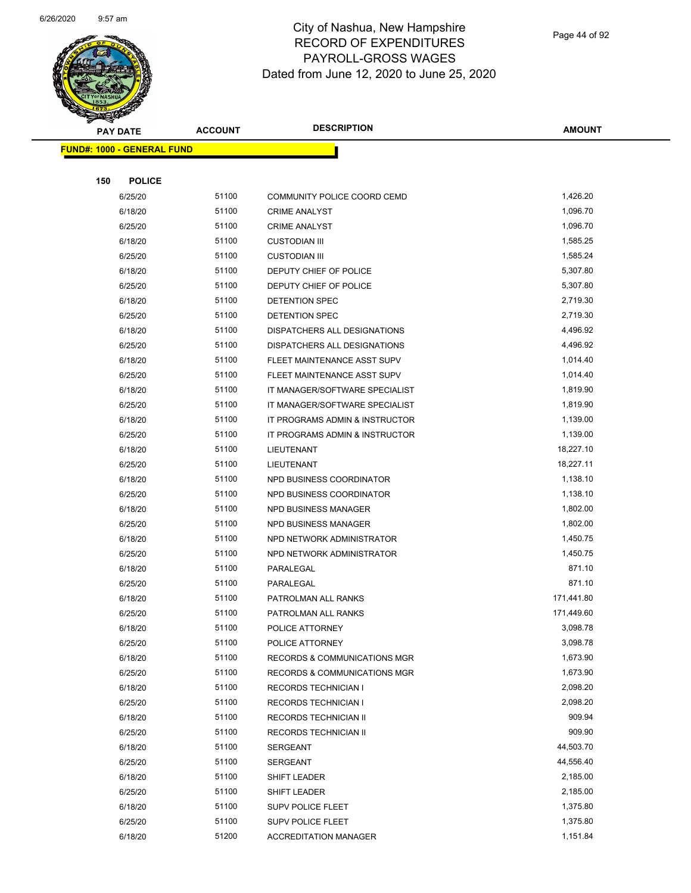

|     | <b>PAY DATE</b>                   | <b>ACCOUNT</b> | <b>DESCRIPTION</b>             | <b>AMOUNT</b> |
|-----|-----------------------------------|----------------|--------------------------------|---------------|
|     | <b>FUND#: 1000 - GENERAL FUND</b> |                |                                |               |
|     |                                   |                |                                |               |
| 150 | <b>POLICE</b>                     |                |                                |               |
|     | 6/25/20                           | 51100          | COMMUNITY POLICE COORD CEMD    | 1,426.20      |
|     | 6/18/20                           | 51100          | <b>CRIME ANALYST</b>           | 1,096.70      |
|     | 6/25/20                           | 51100          | <b>CRIME ANALYST</b>           | 1,096.70      |
|     | 6/18/20                           | 51100          | <b>CUSTODIAN III</b>           | 1,585.25      |
|     | 6/25/20                           | 51100          | <b>CUSTODIAN III</b>           | 1,585.24      |
|     | 6/18/20                           | 51100          | DEPUTY CHIEF OF POLICE         | 5,307.80      |
|     | 6/25/20                           | 51100          | DEPUTY CHIEF OF POLICE         | 5,307.80      |
|     | 6/18/20                           | 51100          | DETENTION SPEC                 | 2,719.30      |
|     | 6/25/20                           | 51100          | <b>DETENTION SPEC</b>          | 2,719.30      |
|     | 6/18/20                           | 51100          | DISPATCHERS ALL DESIGNATIONS   | 4,496.92      |
|     | 6/25/20                           | 51100          | DISPATCHERS ALL DESIGNATIONS   | 4,496.92      |
|     | 6/18/20                           | 51100          | FLEET MAINTENANCE ASST SUPV    | 1,014.40      |
|     | 6/25/20                           | 51100          | FLEET MAINTENANCE ASST SUPV    | 1,014.40      |
|     | 6/18/20                           | 51100          | IT MANAGER/SOFTWARE SPECIALIST | 1,819.90      |
|     | 6/25/20                           | 51100          | IT MANAGER/SOFTWARE SPECIALIST | 1,819.90      |
|     | 6/18/20                           | 51100          | IT PROGRAMS ADMIN & INSTRUCTOR | 1,139.00      |
|     | 6/25/20                           | 51100          | IT PROGRAMS ADMIN & INSTRUCTOR | 1,139.00      |
|     | 6/18/20                           | 51100          | LIEUTENANT                     | 18,227.10     |
|     | 6/25/20                           | 51100          | LIEUTENANT                     | 18,227.11     |
|     | 6/18/20                           | 51100          | NPD BUSINESS COORDINATOR       | 1,138.10      |
|     | 6/25/20                           | 51100          | NPD BUSINESS COORDINATOR       | 1,138.10      |
|     | 6/18/20                           | 51100          | NPD BUSINESS MANAGER           | 1,802.00      |
|     | 6/25/20                           | 51100          | NPD BUSINESS MANAGER           | 1,802.00      |
|     | 6/18/20                           | 51100          | NPD NETWORK ADMINISTRATOR      | 1,450.75      |
|     | 6/25/20                           | 51100          | NPD NETWORK ADMINISTRATOR      | 1,450.75      |
|     | 6/18/20                           | 51100          | PARALEGAL                      | 871.10        |
|     | 6/25/20                           | 51100          | PARALEGAL                      | 871.10        |
|     | 6/18/20                           | 51100          | PATROLMAN ALL RANKS            | 171,441.80    |
|     | 6/25/20                           | 51100          | PATROLMAN ALL RANKS            | 171,449.60    |
|     | 6/18/20                           | 51100          | POLICE ATTORNEY                | 3,098.78      |
|     | 6/25/20                           | 51100          | POLICE ATTORNEY                | 3,098.78      |
|     | 6/18/20                           | 51100          | RECORDS & COMMUNICATIONS MGR   | 1,673.90      |
|     | 6/25/20                           | 51100          | RECORDS & COMMUNICATIONS MGR   | 1,673.90      |
|     | 6/18/20                           | 51100          | <b>RECORDS TECHNICIAN I</b>    | 2,098.20      |
|     | 6/25/20                           | 51100          | <b>RECORDS TECHNICIAN I</b>    | 2,098.20      |
|     | 6/18/20                           | 51100          | <b>RECORDS TECHNICIAN II</b>   | 909.94        |
|     | 6/25/20                           | 51100          | RECORDS TECHNICIAN II          | 909.90        |
|     | 6/18/20                           | 51100          | SERGEANT                       | 44,503.70     |
|     | 6/25/20                           | 51100          | <b>SERGEANT</b>                | 44,556.40     |
|     | 6/18/20                           | 51100          | SHIFT LEADER                   | 2,185.00      |
|     | 6/25/20                           | 51100          | SHIFT LEADER                   | 2,185.00      |
|     | 6/18/20                           | 51100          | SUPV POLICE FLEET              | 1,375.80      |
|     | 6/25/20                           | 51100          | SUPV POLICE FLEET              | 1,375.80      |
|     | 6/18/20                           | 51200          | <b>ACCREDITATION MANAGER</b>   | 1,151.84      |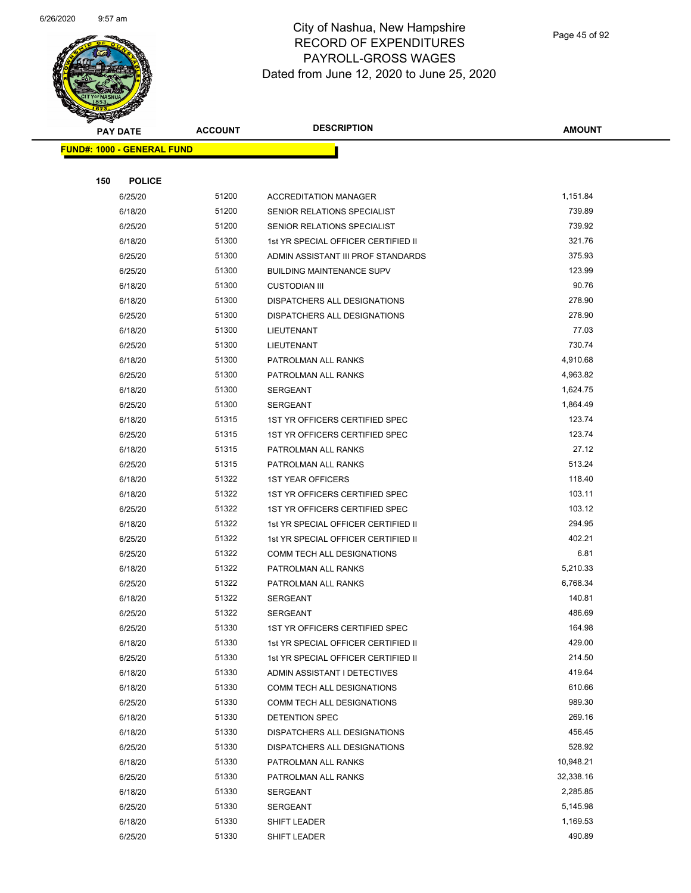

Page 45 of 92

| <b>STATERS</b>                    |                |                                     |               |
|-----------------------------------|----------------|-------------------------------------|---------------|
| <b>PAY DATE</b>                   | <b>ACCOUNT</b> | <b>DESCRIPTION</b>                  | <b>AMOUNT</b> |
| <b>FUND#: 1000 - GENERAL FUND</b> |                |                                     |               |
|                                   |                |                                     |               |
| 150<br><b>POLICE</b>              |                |                                     |               |
| 6/25/20                           | 51200          | <b>ACCREDITATION MANAGER</b>        | 1,151.84      |
| 6/18/20                           | 51200          | SENIOR RELATIONS SPECIALIST         | 739.89        |
| 6/25/20                           | 51200          | SENIOR RELATIONS SPECIALIST         | 739.92        |
| 6/18/20                           | 51300          | 1st YR SPECIAL OFFICER CERTIFIED II | 321.76        |
| 6/25/20                           | 51300          | ADMIN ASSISTANT III PROF STANDARDS  | 375.93        |
| 6/25/20                           | 51300          | <b>BUILDING MAINTENANCE SUPV</b>    | 123.99        |
| 6/18/20                           | 51300          | <b>CUSTODIAN III</b>                | 90.76         |
| 6/18/20                           | 51300          | DISPATCHERS ALL DESIGNATIONS        | 278.90        |
| 6/25/20                           | 51300          | DISPATCHERS ALL DESIGNATIONS        | 278.90        |
| 6/18/20                           | 51300          | LIEUTENANT                          | 77.03         |
| 6/25/20                           | 51300          | LIEUTENANT                          | 730.74        |
| 6/18/20                           | 51300          | PATROLMAN ALL RANKS                 | 4,910.68      |
| 6/25/20                           | 51300          | PATROLMAN ALL RANKS                 | 4,963.82      |
| 6/18/20                           | 51300          | <b>SERGEANT</b>                     | 1,624.75      |
| 6/25/20                           | 51300          | <b>SERGEANT</b>                     | 1,864.49      |
| 6/18/20                           | 51315          | 1ST YR OFFICERS CERTIFIED SPEC      | 123.74        |
| 6/25/20                           | 51315          | 1ST YR OFFICERS CERTIFIED SPEC      | 123.74        |
| 6/18/20                           | 51315          | PATROLMAN ALL RANKS                 | 27.12         |
| 6/25/20                           | 51315          | PATROLMAN ALL RANKS                 | 513.24        |
| 6/18/20                           | 51322          | <b>1ST YEAR OFFICERS</b>            | 118.40        |
| 6/18/20                           | 51322          | 1ST YR OFFICERS CERTIFIED SPEC      | 103.11        |
| 6/25/20                           | 51322          | 1ST YR OFFICERS CERTIFIED SPEC      | 103.12        |
| 6/18/20                           | 51322          | 1st YR SPECIAL OFFICER CERTIFIED II | 294.95        |
| 6/25/20                           | 51322          | 1st YR SPECIAL OFFICER CERTIFIED II | 402.21        |
| 6/25/20                           | 51322          | <b>COMM TECH ALL DESIGNATIONS</b>   | 6.81          |
| 6/18/20                           | 51322          | PATROLMAN ALL RANKS                 | 5,210.33      |
| 6/25/20                           | 51322          | PATROLMAN ALL RANKS                 | 6,768.34      |
| 6/18/20                           | 51322          | <b>SERGEANT</b>                     | 140.81        |
| 6/25/20                           | 51322          | <b>SERGEANT</b>                     | 486.69        |
| 6/25/20                           | 51330          | 1ST YR OFFICERS CERTIFIED SPEC      | 164.98        |
| 6/18/20                           | 51330          | 1st YR SPECIAL OFFICER CERTIFIED II | 429.00        |
| 6/25/20                           | 51330          | 1st YR SPECIAL OFFICER CERTIFIED II | 214.50        |
| 6/18/20                           | 51330          | ADMIN ASSISTANT I DETECTIVES        | 419.64        |
| 6/18/20                           | 51330          | COMM TECH ALL DESIGNATIONS          | 610.66        |
| 6/25/20                           | 51330          | COMM TECH ALL DESIGNATIONS          | 989.30        |
| 6/18/20                           | 51330          | DETENTION SPEC                      | 269.16        |
| 6/18/20                           | 51330          | DISPATCHERS ALL DESIGNATIONS        | 456.45        |
| 6/25/20                           | 51330          | DISPATCHERS ALL DESIGNATIONS        | 528.92        |
| 6/18/20                           | 51330          | PATROLMAN ALL RANKS                 | 10,948.21     |
| 6/25/20                           | 51330          | PATROLMAN ALL RANKS                 | 32,338.16     |
| 6/18/20                           | 51330          | SERGEANT                            | 2,285.85      |
| 6/25/20                           | 51330          | SERGEANT                            | 5,145.98      |
| 6/18/20                           | 51330          | SHIFT LEADER                        | 1,169.53      |
| 6/25/20                           | 51330          | SHIFT LEADER                        | 490.89        |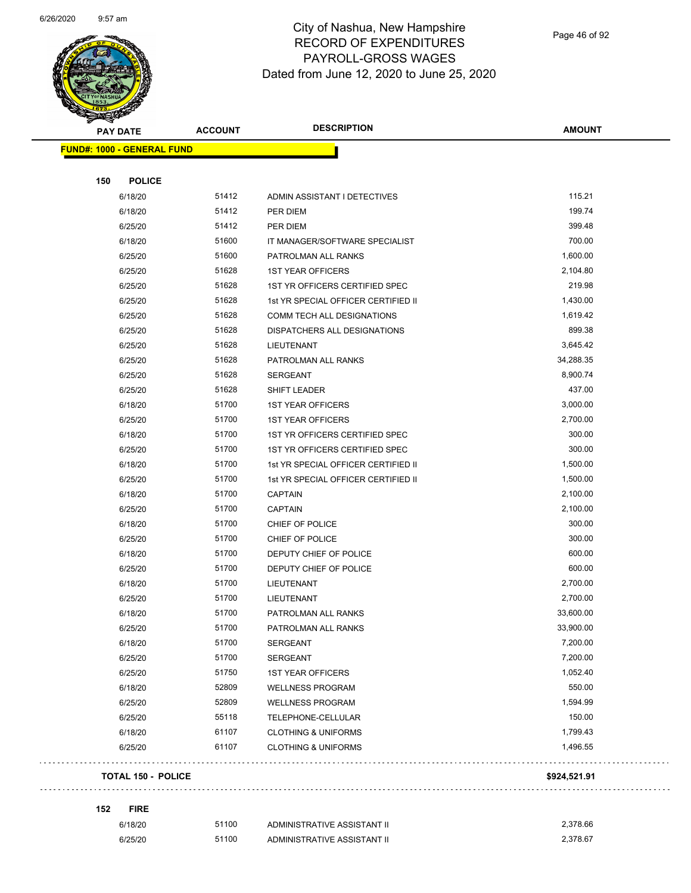and the contract of the contract of the contract of the contract of the contract of the contract of the contract of the contract of the contract of the contract of the contract of the contract of the contract of the contra



## City of Nashua, New Hampshire RECORD OF EXPENDITURES PAYROLL-GROSS WAGES Dated from June 12, 2020 to June 25, 2020

Page 46 of 92

| <b>REAL AND STATE</b><br><b>PAY DATE</b> | <b>ACCOUNT</b> | <b>DESCRIPTION</b>                  | <b>AMOUNT</b>    |
|------------------------------------------|----------------|-------------------------------------|------------------|
| <b>FUND#: 1000 - GENERAL FUND</b>        |                |                                     |                  |
|                                          |                |                                     |                  |
| 150<br><b>POLICE</b>                     |                |                                     |                  |
| 6/18/20                                  | 51412<br>51412 | ADMIN ASSISTANT I DETECTIVES        | 115.21<br>199.74 |
| 6/18/20                                  |                | PER DIEM                            |                  |
| 6/25/20                                  | 51412          | <b>PER DIEM</b>                     | 399.48           |
| 6/18/20                                  | 51600          | IT MANAGER/SOFTWARE SPECIALIST      | 700.00           |
| 6/25/20                                  | 51600          | PATROLMAN ALL RANKS                 | 1,600.00         |
| 6/25/20                                  | 51628          | <b>1ST YEAR OFFICERS</b>            | 2,104.80         |
| 6/25/20                                  | 51628          | 1ST YR OFFICERS CERTIFIED SPEC      | 219.98           |
| 6/25/20                                  | 51628          | 1st YR SPECIAL OFFICER CERTIFIED II | 1,430.00         |
| 6/25/20                                  | 51628          | COMM TECH ALL DESIGNATIONS          | 1,619.42         |
| 6/25/20                                  | 51628          | DISPATCHERS ALL DESIGNATIONS        | 899.38           |
| 6/25/20                                  | 51628          | LIEUTENANT                          | 3,645.42         |
| 6/25/20                                  | 51628          | PATROLMAN ALL RANKS                 | 34,288.35        |
| 6/25/20                                  | 51628          | <b>SERGEANT</b>                     | 8,900.74         |
| 6/25/20                                  | 51628          | <b>SHIFT LEADER</b>                 | 437.00           |
| 6/18/20                                  | 51700          | <b>1ST YEAR OFFICERS</b>            | 3,000.00         |
| 6/25/20                                  | 51700          | <b>1ST YEAR OFFICERS</b>            | 2,700.00         |
| 6/18/20                                  | 51700          | 1ST YR OFFICERS CERTIFIED SPEC      | 300.00           |
| 6/25/20                                  | 51700          | 1ST YR OFFICERS CERTIFIED SPEC      | 300.00           |
| 6/18/20                                  | 51700          | 1st YR SPECIAL OFFICER CERTIFIED II | 1,500.00         |
| 6/25/20                                  | 51700          | 1st YR SPECIAL OFFICER CERTIFIED II | 1,500.00         |
| 6/18/20                                  | 51700          | <b>CAPTAIN</b>                      | 2,100.00         |
| 6/25/20                                  | 51700          | <b>CAPTAIN</b>                      | 2,100.00         |
| 6/18/20                                  | 51700          | CHIEF OF POLICE                     | 300.00           |
| 6/25/20                                  | 51700          | CHIEF OF POLICE                     | 300.00           |
| 6/18/20                                  | 51700          | DEPUTY CHIEF OF POLICE              | 600.00           |
| 6/25/20                                  | 51700          | DEPUTY CHIEF OF POLICE              | 600.00           |
| 6/18/20                                  | 51700          | LIEUTENANT                          | 2,700.00         |
| 6/25/20                                  | 51700          | LIEUTENANT                          | 2,700.00         |
| 6/18/20                                  | 51700          | PATROLMAN ALL RANKS                 | 33,600.00        |
| 6/25/20                                  | 51700          | PATROLMAN ALL RANKS                 | 33,900.00        |
| 6/18/20                                  | 51700          | <b>SERGEANT</b>                     | 7,200.00         |
| 6/25/20                                  | 51700          | <b>SERGEANT</b>                     | 7,200.00         |
| 6/25/20                                  | 51750          | <b>1ST YEAR OFFICERS</b>            | 1,052.40         |
| 6/18/20                                  | 52809          | <b>WELLNESS PROGRAM</b>             | 550.00           |
| 6/25/20                                  | 52809          | <b>WELLNESS PROGRAM</b>             | 1,594.99         |
| 6/25/20                                  | 55118          | TELEPHONE-CELLULAR                  | 150.00           |
| 6/18/20                                  | 61107          | <b>CLOTHING &amp; UNIFORMS</b>      | 1,799.43         |
| 6/25/20                                  | 61107          | <b>CLOTHING &amp; UNIFORMS</b>      | 1,496.55         |
| <b>TOTAL 150 - POLICE</b>                |                |                                     | \$924,521.91     |
|                                          |                |                                     |                  |
| 152<br><b>FIRE</b>                       |                |                                     | 0.270.00         |

| 6/18/20 | 51100 | ADMINISTRATIVE ASSISTANT II | 2.378.66 |
|---------|-------|-----------------------------|----------|
| 6/25/20 | 51100 | ADMINISTRATIVE ASSISTANT II | 2.378.67 |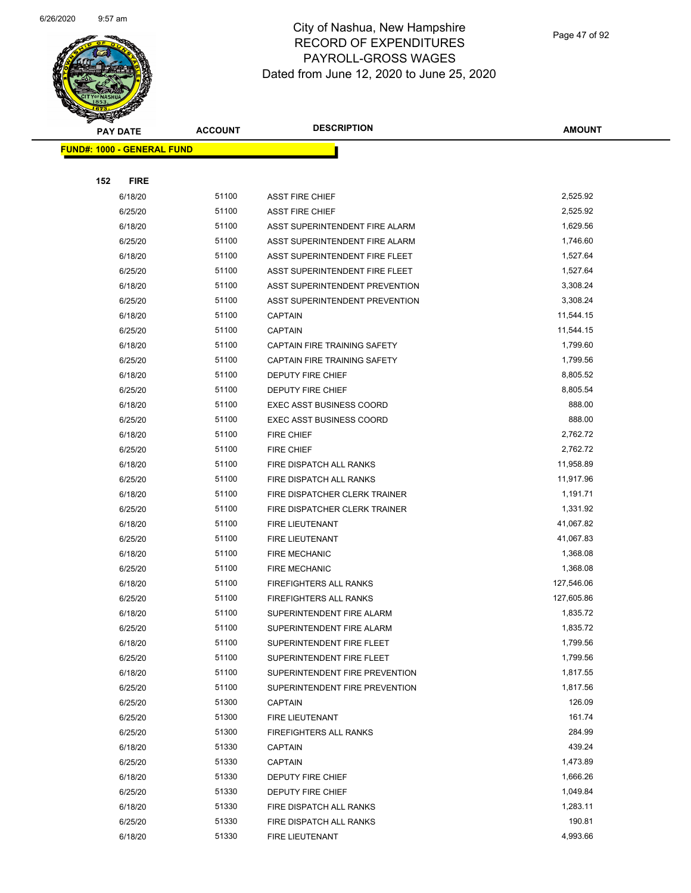

| <b>PAY DATE</b>                   | <b>ACCOUNT</b> | <b>DESCRIPTION</b>                  | <b>AMOUNT</b> |  |
|-----------------------------------|----------------|-------------------------------------|---------------|--|
| <b>FUND#: 1000 - GENERAL FUND</b> |                |                                     |               |  |
|                                   |                |                                     |               |  |
| 152<br><b>FIRE</b>                |                |                                     |               |  |
| 6/18/20                           | 51100          | <b>ASST FIRE CHIEF</b>              | 2,525.92      |  |
| 6/25/20                           | 51100          | <b>ASST FIRE CHIEF</b>              | 2,525.92      |  |
| 6/18/20                           | 51100          | ASST SUPERINTENDENT FIRE ALARM      | 1,629.56      |  |
| 6/25/20                           | 51100          | ASST SUPERINTENDENT FIRE ALARM      | 1,746.60      |  |
| 6/18/20                           | 51100          | ASST SUPERINTENDENT FIRE FLEET      | 1,527.64      |  |
| 6/25/20                           | 51100          | ASST SUPERINTENDENT FIRE FLEET      | 1,527.64      |  |
| 6/18/20                           | 51100          | ASST SUPERINTENDENT PREVENTION      | 3,308.24      |  |
| 6/25/20                           | 51100          | ASST SUPERINTENDENT PREVENTION      | 3,308.24      |  |
| 6/18/20                           | 51100          | <b>CAPTAIN</b>                      | 11,544.15     |  |
| 6/25/20                           | 51100          | <b>CAPTAIN</b>                      | 11,544.15     |  |
| 6/18/20                           | 51100          | CAPTAIN FIRE TRAINING SAFETY        | 1,799.60      |  |
| 6/25/20                           | 51100          | <b>CAPTAIN FIRE TRAINING SAFETY</b> | 1,799.56      |  |
| 6/18/20                           | 51100          | DEPUTY FIRE CHIEF                   | 8,805.52      |  |
| 6/25/20                           | 51100          | DEPUTY FIRE CHIEF                   | 8,805.54      |  |
| 6/18/20                           | 51100          | <b>EXEC ASST BUSINESS COORD</b>     | 888.00        |  |
| 6/25/20                           | 51100          | <b>EXEC ASST BUSINESS COORD</b>     | 888.00        |  |
| 6/18/20                           | 51100          | <b>FIRE CHIEF</b>                   | 2,762.72      |  |
| 6/25/20                           | 51100          | <b>FIRE CHIEF</b>                   | 2,762.72      |  |
| 6/18/20                           | 51100          | FIRE DISPATCH ALL RANKS             | 11,958.89     |  |
| 6/25/20                           | 51100          | FIRE DISPATCH ALL RANKS             | 11,917.96     |  |
| 6/18/20                           | 51100          | FIRE DISPATCHER CLERK TRAINER       | 1,191.71      |  |
| 6/25/20                           | 51100          | FIRE DISPATCHER CLERK TRAINER       | 1,331.92      |  |
| 6/18/20                           | 51100          | FIRE LIEUTENANT                     | 41,067.82     |  |
| 6/25/20                           | 51100          | <b>FIRE LIEUTENANT</b>              | 41,067.83     |  |
| 6/18/20                           | 51100          | <b>FIRE MECHANIC</b>                | 1,368.08      |  |
| 6/25/20                           | 51100          | <b>FIRE MECHANIC</b>                | 1,368.08      |  |
| 6/18/20                           | 51100          | FIREFIGHTERS ALL RANKS              | 127,546.06    |  |
| 6/25/20                           | 51100          | <b>FIREFIGHTERS ALL RANKS</b>       | 127,605.86    |  |
| 6/18/20                           | 51100          | SUPERINTENDENT FIRE ALARM           | 1,835.72      |  |
| 6/25/20                           | 51100          | SUPERINTENDENT FIRE ALARM           | 1,835.72      |  |
| 6/18/20                           | 51100          | SUPERINTENDENT FIRE FLEET           | 1,799.56      |  |
| 6/25/20                           | 51100          | SUPERINTENDENT FIRE FLEET           | 1,799.56      |  |
| 6/18/20                           | 51100          | SUPERINTENDENT FIRE PREVENTION      | 1,817.55      |  |
| 6/25/20                           | 51100          | SUPERINTENDENT FIRE PREVENTION      | 1,817.56      |  |
| 6/25/20                           | 51300          | <b>CAPTAIN</b>                      | 126.09        |  |
| 6/25/20                           | 51300          | FIRE LIEUTENANT                     | 161.74        |  |
| 6/25/20                           | 51300          | FIREFIGHTERS ALL RANKS              | 284.99        |  |
| 6/18/20                           | 51330          | <b>CAPTAIN</b>                      | 439.24        |  |
| 6/25/20                           | 51330          | <b>CAPTAIN</b>                      | 1,473.89      |  |
| 6/18/20                           | 51330          | DEPUTY FIRE CHIEF                   | 1,666.26      |  |
| 6/25/20                           | 51330          | DEPUTY FIRE CHIEF                   | 1,049.84      |  |
| 6/18/20                           | 51330          | FIRE DISPATCH ALL RANKS             | 1,283.11      |  |
| 6/25/20                           | 51330          | FIRE DISPATCH ALL RANKS             | 190.81        |  |
| 6/18/20                           | 51330          | FIRE LIEUTENANT                     | 4,993.66      |  |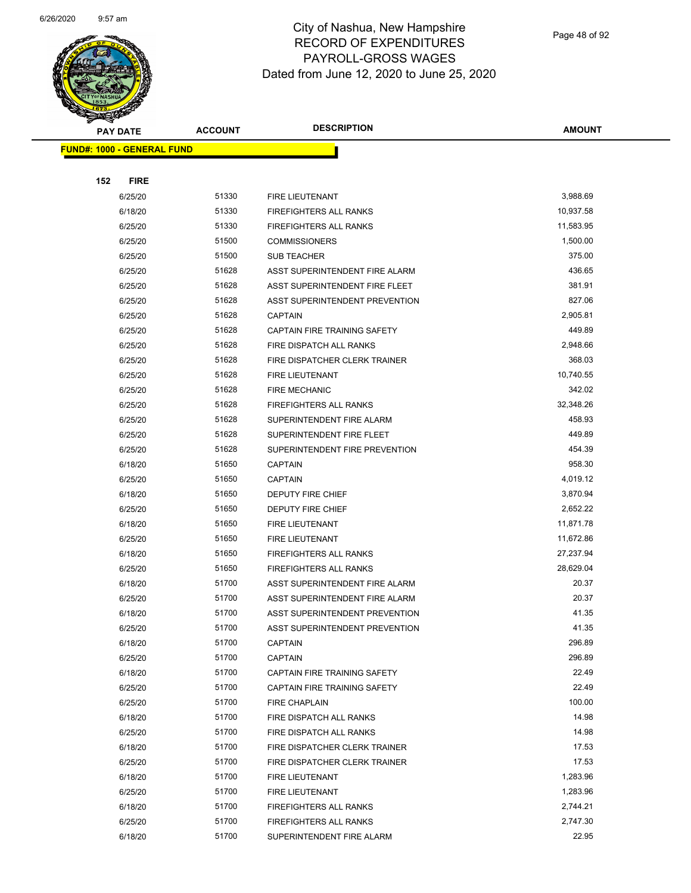

Page 48 of 92

| <b>Contraction</b><br><b>PAY DATE</b> | <b>ACCOUNT</b> | <b>DESCRIPTION</b>                                          | <b>AMOUNT</b>       |
|---------------------------------------|----------------|-------------------------------------------------------------|---------------------|
|                                       |                |                                                             |                     |
| <b>FUND#: 1000 - GENERAL FUND</b>     |                |                                                             |                     |
|                                       |                |                                                             |                     |
| 152<br><b>FIRE</b>                    |                |                                                             |                     |
| 6/25/20                               | 51330          | FIRE LIEUTENANT                                             | 3,988.69            |
| 6/18/20                               | 51330          | <b>FIREFIGHTERS ALL RANKS</b>                               | 10,937.58           |
| 6/25/20                               | 51330          | FIREFIGHTERS ALL RANKS                                      | 11,583.95           |
| 6/25/20                               | 51500          | <b>COMMISSIONERS</b>                                        | 1,500.00            |
| 6/25/20                               | 51500          | <b>SUB TEACHER</b>                                          | 375.00              |
| 6/25/20                               | 51628          | ASST SUPERINTENDENT FIRE ALARM                              | 436.65              |
| 6/25/20                               | 51628          | ASST SUPERINTENDENT FIRE FLEET                              | 381.91              |
| 6/25/20                               | 51628          | ASST SUPERINTENDENT PREVENTION                              | 827.06              |
| 6/25/20                               | 51628          | <b>CAPTAIN</b>                                              | 2,905.81            |
| 6/25/20                               | 51628          | CAPTAIN FIRE TRAINING SAFETY                                | 449.89              |
| 6/25/20                               | 51628          | FIRE DISPATCH ALL RANKS                                     | 2,948.66<br>368.03  |
| 6/25/20                               | 51628          | FIRE DISPATCHER CLERK TRAINER                               |                     |
| 6/25/20                               | 51628          | FIRE LIEUTENANT<br><b>FIRE MECHANIC</b>                     | 10,740.55<br>342.02 |
| 6/25/20                               | 51628<br>51628 |                                                             | 32,348.26           |
| 6/25/20                               | 51628          | FIREFIGHTERS ALL RANKS                                      | 458.93              |
| 6/25/20                               | 51628          | SUPERINTENDENT FIRE ALARM                                   | 449.89              |
| 6/25/20<br>6/25/20                    | 51628          | SUPERINTENDENT FIRE FLEET<br>SUPERINTENDENT FIRE PREVENTION | 454.39              |
| 6/18/20                               | 51650          | <b>CAPTAIN</b>                                              | 958.30              |
| 6/25/20                               | 51650          | <b>CAPTAIN</b>                                              | 4,019.12            |
| 6/18/20                               | 51650          | DEPUTY FIRE CHIEF                                           | 3,870.94            |
| 6/25/20                               | 51650          | DEPUTY FIRE CHIEF                                           | 2,652.22            |
| 6/18/20                               | 51650          | <b>FIRE LIEUTENANT</b>                                      | 11,871.78           |
| 6/25/20                               | 51650          | FIRE LIEUTENANT                                             | 11,672.86           |
| 6/18/20                               | 51650          | FIREFIGHTERS ALL RANKS                                      | 27,237.94           |
| 6/25/20                               | 51650          | FIREFIGHTERS ALL RANKS                                      | 28,629.04           |
| 6/18/20                               | 51700          | ASST SUPERINTENDENT FIRE ALARM                              | 20.37               |
| 6/25/20                               | 51700          | ASST SUPERINTENDENT FIRE ALARM                              | 20.37               |
| 6/18/20                               | 51700          | ASST SUPERINTENDENT PREVENTION                              | 41.35               |
| 6/25/20                               | 51700          | ASST SUPERINTENDENT PREVENTION                              | 41.35               |
| 6/18/20                               | 51700          | <b>CAPTAIN</b>                                              | 296.89              |
| 6/25/20                               | 51700          | <b>CAPTAIN</b>                                              | 296.89              |
| 6/18/20                               | 51700          | CAPTAIN FIRE TRAINING SAFETY                                | 22.49               |
| 6/25/20                               | 51700          | CAPTAIN FIRE TRAINING SAFETY                                | 22.49               |
| 6/25/20                               | 51700          | <b>FIRE CHAPLAIN</b>                                        | 100.00              |
| 6/18/20                               | 51700          | FIRE DISPATCH ALL RANKS                                     | 14.98               |
| 6/25/20                               | 51700          | FIRE DISPATCH ALL RANKS                                     | 14.98               |
| 6/18/20                               | 51700          | FIRE DISPATCHER CLERK TRAINER                               | 17.53               |
| 6/25/20                               | 51700          | FIRE DISPATCHER CLERK TRAINER                               | 17.53               |
| 6/18/20                               | 51700          | FIRE LIEUTENANT                                             | 1,283.96            |
| 6/25/20                               | 51700          | FIRE LIEUTENANT                                             | 1,283.96            |
| 6/18/20                               | 51700          | FIREFIGHTERS ALL RANKS                                      | 2,744.21            |
| 6/25/20                               | 51700          | FIREFIGHTERS ALL RANKS                                      | 2,747.30            |
| 6/18/20                               | 51700          | SUPERINTENDENT FIRE ALARM                                   | 22.95               |
|                                       |                |                                                             |                     |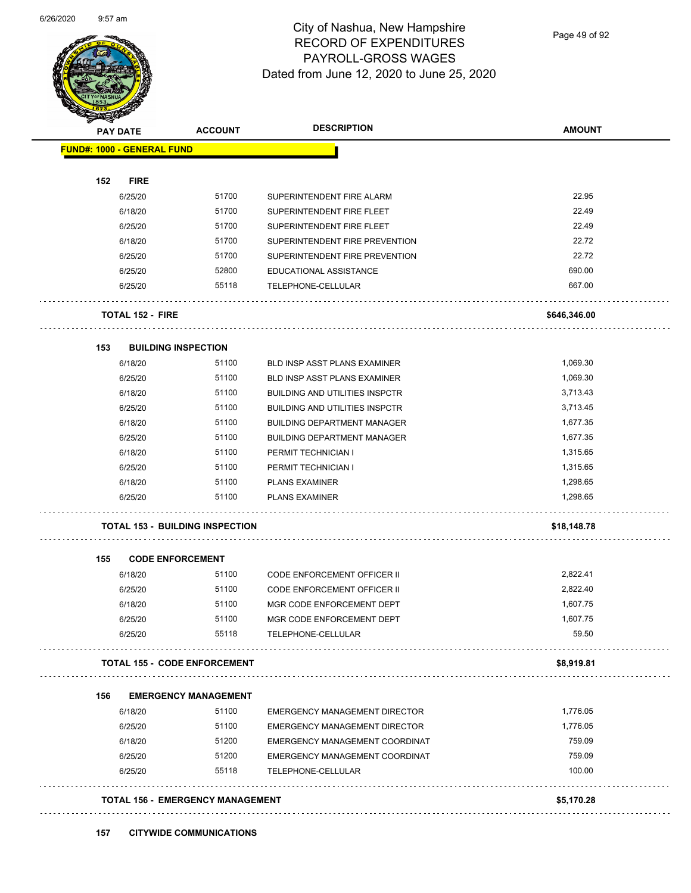

Page 49 of 92

|     | <b>PAY DATE</b>                   | <b>ACCOUNT</b>                          | <b>DESCRIPTION</b>                    | <b>AMOUNT</b> |
|-----|-----------------------------------|-----------------------------------------|---------------------------------------|---------------|
|     | <b>FUND#: 1000 - GENERAL FUND</b> |                                         |                                       |               |
| 152 | <b>FIRE</b>                       |                                         |                                       |               |
|     | 6/25/20                           | 51700                                   | SUPERINTENDENT FIRE ALARM             | 22.95         |
|     | 6/18/20                           | 51700                                   | SUPERINTENDENT FIRE FLEET             | 22.49         |
|     | 6/25/20                           | 51700                                   | SUPERINTENDENT FIRE FLEET             | 22.49         |
|     | 6/18/20                           | 51700                                   | SUPERINTENDENT FIRE PREVENTION        | 22.72         |
|     | 6/25/20                           | 51700                                   | SUPERINTENDENT FIRE PREVENTION        | 22.72         |
|     | 6/25/20                           | 52800                                   | EDUCATIONAL ASSISTANCE                | 690.00        |
|     | 6/25/20                           | 55118                                   | TELEPHONE-CELLULAR                    | 667.00        |
|     | <b>TOTAL 152 - FIRE</b>           |                                         |                                       | \$646,346.00  |
| 153 |                                   | <b>BUILDING INSPECTION</b>              |                                       |               |
|     | 6/18/20                           | 51100                                   | BLD INSP ASST PLANS EXAMINER          | 1,069.30      |
|     | 6/25/20                           | 51100                                   | BLD INSP ASST PLANS EXAMINER          | 1,069.30      |
|     | 6/18/20                           | 51100                                   | <b>BUILDING AND UTILITIES INSPCTR</b> | 3,713.43      |
|     | 6/25/20                           | 51100                                   | <b>BUILDING AND UTILITIES INSPCTR</b> | 3,713.45      |
|     | 6/18/20                           | 51100                                   | <b>BUILDING DEPARTMENT MANAGER</b>    | 1,677.35      |
|     | 6/25/20                           | 51100                                   | <b>BUILDING DEPARTMENT MANAGER</b>    | 1,677.35      |
|     | 6/18/20                           | 51100                                   | PERMIT TECHNICIAN I                   | 1,315.65      |
|     | 6/25/20                           | 51100                                   | PERMIT TECHNICIAN I                   | 1,315.65      |
|     | 6/18/20                           | 51100                                   | <b>PLANS EXAMINER</b>                 | 1,298.65      |
|     | 6/25/20                           | 51100                                   | <b>PLANS EXAMINER</b>                 | 1,298.65      |
|     |                                   | <b>TOTAL 153 - BUILDING INSPECTION</b>  |                                       | \$18,148.78   |
| 155 |                                   | <b>CODE ENFORCEMENT</b>                 |                                       |               |
|     | 6/18/20                           | 51100                                   | <b>CODE ENFORCEMENT OFFICER II</b>    | 2,822.41      |
|     | 6/25/20                           | 51100                                   | <b>CODE ENFORCEMENT OFFICER II</b>    | 2,822.40      |
|     | 6/18/20                           | 51100                                   | MGR CODE ENFORCEMENT DEPT             | 1,607.75      |
|     | 6/25/20                           | 51100                                   | MGR CODE ENFORCEMENT DEPT             | 1,607.75      |
|     | 6/25/20                           | 55118                                   | TELEPHONE-CELLULAR                    | 59.50         |
|     |                                   | <b>TOTAL 155 - CODE ENFORCEMENT</b>     |                                       | \$8,919.81    |
| 156 |                                   | <b>EMERGENCY MANAGEMENT</b>             |                                       |               |
|     | 6/18/20                           | 51100                                   | <b>EMERGENCY MANAGEMENT DIRECTOR</b>  | 1,776.05      |
|     | 6/25/20                           | 51100                                   | EMERGENCY MANAGEMENT DIRECTOR         | 1,776.05      |
|     | 6/18/20                           | 51200                                   | EMERGENCY MANAGEMENT COORDINAT        | 759.09        |
|     | 6/25/20                           | 51200                                   | EMERGENCY MANAGEMENT COORDINAT        | 759.09        |
|     | 6/25/20                           | 55118                                   | TELEPHONE-CELLULAR                    | 100.00        |
|     |                                   | <b>TOTAL 156 - EMERGENCY MANAGEMENT</b> |                                       | \$5,170.28    |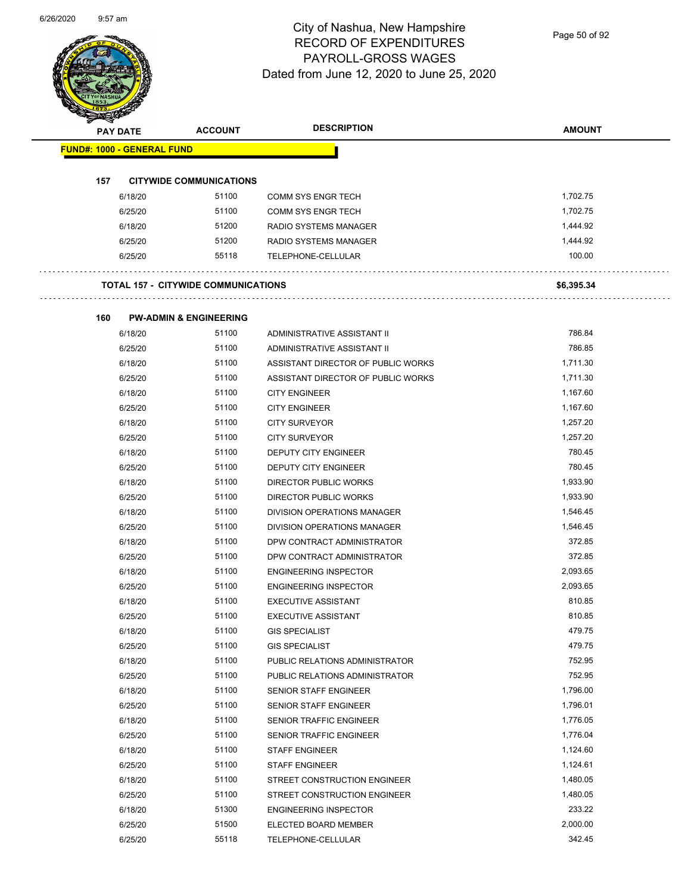Page 50 of 92

| <b>PAY DATE</b>                   |         | <b>ACCOUNT</b>                             | <b>DESCRIPTION</b>                 | <b>AMOUNT</b> |
|-----------------------------------|---------|--------------------------------------------|------------------------------------|---------------|
| <b>FUND#: 1000 - GENERAL FUND</b> |         |                                            |                                    |               |
|                                   |         |                                            |                                    |               |
| 157                               |         | <b>CITYWIDE COMMUNICATIONS</b>             |                                    |               |
|                                   | 6/18/20 | 51100                                      | <b>COMM SYS ENGR TECH</b>          | 1,702.75      |
|                                   | 6/25/20 | 51100                                      | <b>COMM SYS ENGR TECH</b>          | 1,702.75      |
|                                   | 6/18/20 | 51200                                      | <b>RADIO SYSTEMS MANAGER</b>       | 1,444.92      |
|                                   | 6/25/20 | 51200                                      | RADIO SYSTEMS MANAGER              | 1,444.92      |
|                                   | 6/25/20 | 55118                                      | TELEPHONE-CELLULAR                 | 100.00        |
|                                   |         | <b>TOTAL 157 - CITYWIDE COMMUNICATIONS</b> |                                    | \$6,395.34    |
| 160                               |         | <b>PW-ADMIN &amp; ENGINEERING</b>          |                                    |               |
|                                   | 6/18/20 | 51100                                      | ADMINISTRATIVE ASSISTANT II        | 786.84        |
|                                   | 6/25/20 | 51100                                      | ADMINISTRATIVE ASSISTANT II        | 786.85        |
|                                   | 6/18/20 | 51100                                      | ASSISTANT DIRECTOR OF PUBLIC WORKS | 1,711.30      |
|                                   | 6/25/20 | 51100                                      | ASSISTANT DIRECTOR OF PUBLIC WORKS | 1,711.30      |
|                                   | 6/18/20 | 51100                                      | <b>CITY ENGINEER</b>               | 1,167.60      |
|                                   | 6/25/20 | 51100                                      | <b>CITY ENGINEER</b>               | 1,167.60      |
|                                   | 6/18/20 | 51100                                      | <b>CITY SURVEYOR</b>               | 1,257.20      |
|                                   | 6/25/20 | 51100                                      | <b>CITY SURVEYOR</b>               | 1,257.20      |
|                                   | 6/18/20 | 51100                                      | DEPUTY CITY ENGINEER               | 780.45        |
|                                   | 6/25/20 | 51100                                      | DEPUTY CITY ENGINEER               | 780.45        |
|                                   | 6/18/20 | 51100                                      | DIRECTOR PUBLIC WORKS              | 1,933.90      |
|                                   | 6/25/20 | 51100                                      | <b>DIRECTOR PUBLIC WORKS</b>       | 1,933.90      |
|                                   | 6/18/20 | 51100                                      | DIVISION OPERATIONS MANAGER        | 1,546.45      |
|                                   | 6/25/20 | 51100                                      | DIVISION OPERATIONS MANAGER        | 1,546.45      |
|                                   | 6/18/20 | 51100                                      | DPW CONTRACT ADMINISTRATOR         | 372.85        |
|                                   | 6/25/20 | 51100                                      | DPW CONTRACT ADMINISTRATOR         | 372.85        |
|                                   | 6/18/20 | 51100                                      | <b>ENGINEERING INSPECTOR</b>       | 2,093.65      |
|                                   | 6/25/20 | 51100                                      | <b>ENGINEERING INSPECTOR</b>       | 2,093.65      |
|                                   | 6/18/20 | 51100                                      | <b>EXECUTIVE ASSISTANT</b>         | 810.85        |
|                                   | 6/25/20 | 51100                                      | <b>EXECUTIVE ASSISTANT</b>         | 810.85        |
|                                   | 6/18/20 | 51100                                      | <b>GIS SPECIALIST</b>              | 479.75        |
|                                   | 6/25/20 | 51100                                      | <b>GIS SPECIALIST</b>              | 479.75        |
|                                   | 6/18/20 | 51100                                      | PUBLIC RELATIONS ADMINISTRATOR     | 752.95        |
|                                   | 6/25/20 | 51100                                      | PUBLIC RELATIONS ADMINISTRATOR     | 752.95        |
|                                   | 6/18/20 | 51100                                      | SENIOR STAFF ENGINEER              | 1,796.00      |
|                                   | 6/25/20 | 51100                                      | SENIOR STAFF ENGINEER              | 1,796.01      |
|                                   | 6/18/20 | 51100                                      | SENIOR TRAFFIC ENGINEER            | 1,776.05      |
|                                   | 6/25/20 | 51100                                      | SENIOR TRAFFIC ENGINEER            | 1,776.04      |
|                                   | 6/18/20 | 51100                                      | <b>STAFF ENGINEER</b>              | 1,124.60      |
|                                   | 6/25/20 | 51100                                      | <b>STAFF ENGINEER</b>              | 1,124.61      |
|                                   | 6/18/20 | 51100                                      | STREET CONSTRUCTION ENGINEER       | 1,480.05      |
|                                   | 6/25/20 | 51100                                      | STREET CONSTRUCTION ENGINEER       | 1,480.05      |
|                                   | 6/18/20 | 51300                                      | <b>ENGINEERING INSPECTOR</b>       | 233.22        |
|                                   | 6/25/20 | 51500                                      | ELECTED BOARD MEMBER               | 2,000.00      |
|                                   | 6/25/20 | 55118                                      | TELEPHONE-CELLULAR                 | 342.45        |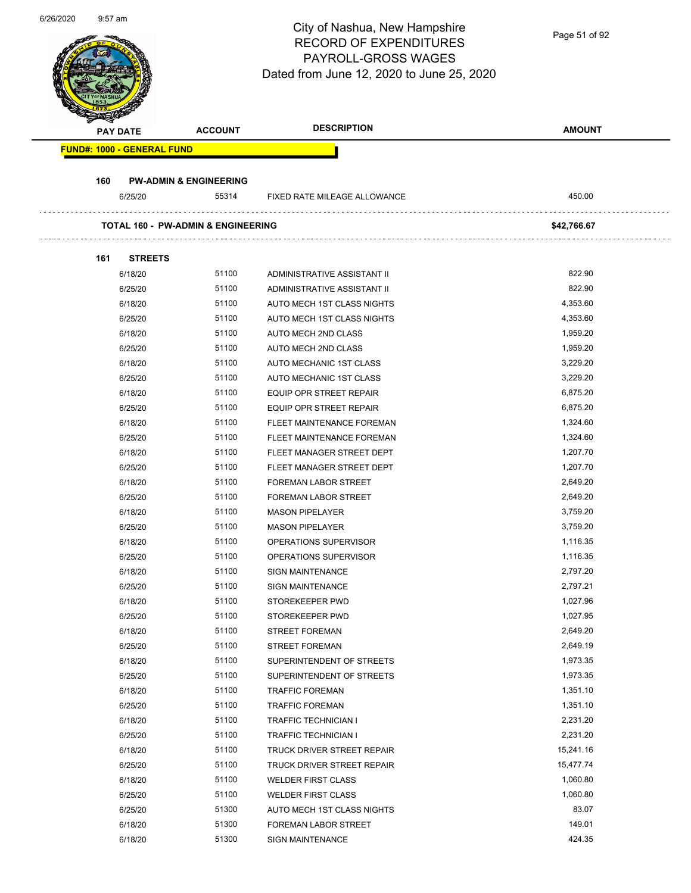|     |                                               |                                   | City of Nashua, New Hampshire             |               |
|-----|-----------------------------------------------|-----------------------------------|-------------------------------------------|---------------|
|     |                                               |                                   | <b>RECORD OF EXPENDITURES</b>             | Page 51 of 92 |
|     |                                               |                                   | PAYROLL-GROSS WAGES                       |               |
|     |                                               |                                   | Dated from June 12, 2020 to June 25, 2020 |               |
|     |                                               |                                   |                                           |               |
|     |                                               |                                   |                                           |               |
|     |                                               | <b>ACCOUNT</b>                    | <b>DESCRIPTION</b>                        | <b>AMOUNT</b> |
|     | <b>PAY DATE</b>                               |                                   |                                           |               |
|     | <b>FUND#: 1000 - GENERAL FUND</b>             |                                   |                                           |               |
| 160 |                                               | <b>PW-ADMIN &amp; ENGINEERING</b> |                                           |               |
|     | 6/25/20                                       | 55314                             | FIXED RATE MILEAGE ALLOWANCE              | 450.00        |
|     |                                               |                                   |                                           |               |
|     | <b>TOTAL 160 - PW-ADMIN &amp; ENGINEERING</b> |                                   |                                           | \$42,766.67   |
|     |                                               |                                   |                                           |               |
| 161 | <b>STREETS</b>                                |                                   |                                           |               |
|     | 6/18/20                                       | 51100                             | ADMINISTRATIVE ASSISTANT II               | 822.90        |
|     | 6/25/20                                       | 51100                             | ADMINISTRATIVE ASSISTANT II               | 822.90        |
|     | 6/18/20                                       | 51100                             | AUTO MECH 1ST CLASS NIGHTS                | 4,353.60      |
|     | 6/25/20                                       | 51100                             | AUTO MECH 1ST CLASS NIGHTS                | 4,353.60      |
|     | 6/18/20                                       | 51100                             | AUTO MECH 2ND CLASS                       | 1,959.20      |
|     | 6/25/20                                       | 51100                             | AUTO MECH 2ND CLASS                       | 1,959.20      |
|     | 6/18/20                                       | 51100                             | AUTO MECHANIC 1ST CLASS                   | 3,229.20      |
|     | 6/25/20                                       | 51100                             | AUTO MECHANIC 1ST CLASS                   | 3,229.20      |
|     | 6/18/20                                       | 51100                             | EQUIP OPR STREET REPAIR                   | 6,875.20      |
|     | 6/25/20                                       | 51100                             | EQUIP OPR STREET REPAIR                   | 6,875.20      |
|     | 6/18/20                                       | 51100                             | FLEET MAINTENANCE FOREMAN                 | 1,324.60      |
|     | 6/25/20                                       | 51100                             | FLEET MAINTENANCE FOREMAN                 | 1,324.60      |
|     | 6/18/20                                       | 51100                             | FLEET MANAGER STREET DEPT                 | 1,207.70      |
|     | 6/25/20                                       | 51100                             | FLEET MANAGER STREET DEPT                 | 1,207.70      |
|     | 6/18/20                                       | 51100                             | FOREMAN LABOR STREET                      | 2,649.20      |
|     | 6/25/20                                       | 51100                             | <b>FOREMAN LABOR STREET</b>               | 2,649.20      |
|     | 6/18/20                                       | 51100                             | <b>MASON PIPELAYER</b>                    | 3,759.20      |
|     | 6/25/20                                       | 51100                             | <b>MASON PIPELAYER</b>                    | 3,759.20      |
|     | 6/18/20                                       | 51100                             | OPERATIONS SUPERVISOR                     | 1,116.35      |
|     | 6/25/20                                       | 51100                             | OPERATIONS SUPERVISOR                     | 1,116.35      |
|     | 6/18/20                                       | 51100                             | <b>SIGN MAINTENANCE</b>                   | 2,797.20      |
|     | 6/25/20                                       | 51100                             | <b>SIGN MAINTENANCE</b>                   | 2,797.21      |
|     | 6/18/20                                       | 51100                             | STOREKEEPER PWD                           | 1,027.96      |
|     | 6/25/20                                       | 51100                             | STOREKEEPER PWD                           | 1,027.95      |
|     | 6/18/20                                       | 51100                             | <b>STREET FOREMAN</b>                     | 2,649.20      |
|     | 6/25/20                                       | 51100                             | <b>STREET FOREMAN</b>                     | 2,649.19      |
|     | 6/18/20                                       | 51100                             | SUPERINTENDENT OF STREETS                 | 1,973.35      |
|     | 6/25/20                                       | 51100                             | SUPERINTENDENT OF STREETS                 | 1,973.35      |
|     | 6/18/20                                       | 51100                             | <b>TRAFFIC FOREMAN</b>                    | 1,351.10      |
|     | 6/25/20                                       | 51100                             | <b>TRAFFIC FOREMAN</b>                    | 1,351.10      |
|     | 6/18/20                                       | 51100                             | TRAFFIC TECHNICIAN I                      | 2,231.20      |
|     | 6/25/20                                       | 51100                             | TRAFFIC TECHNICIAN I                      | 2,231.20      |
|     | 6/18/20                                       | 51100                             | TRUCK DRIVER STREET REPAIR                | 15,241.16     |
|     | 6/25/20                                       | 51100                             | TRUCK DRIVER STREET REPAIR                | 15,477.74     |
|     | 6/18/20                                       | 51100                             | <b>WELDER FIRST CLASS</b>                 | 1,060.80      |
|     | 6/25/20                                       | 51100                             | <b>WELDER FIRST CLASS</b>                 | 1,060.80      |
|     | 6/25/20                                       | 51300                             | AUTO MECH 1ST CLASS NIGHTS                | 83.07         |
|     | 6/18/20                                       | 51300                             | FOREMAN LABOR STREET                      | 149.01        |
|     | 6/18/20                                       | 51300                             | <b>SIGN MAINTENANCE</b>                   | 424.35        |

6/26/2020 9:57 am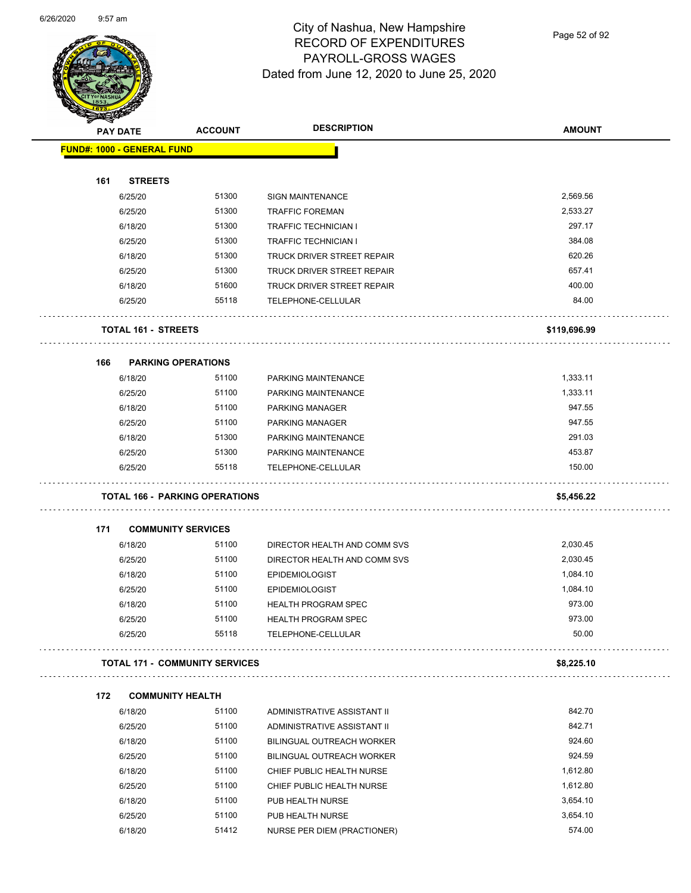

Page 52 of 92

|     | <b>PAY DATE</b>                   | <b>ACCOUNT</b>                        | <b>DESCRIPTION</b>                               | <b>AMOUNT</b>        |
|-----|-----------------------------------|---------------------------------------|--------------------------------------------------|----------------------|
|     | <b>FUND#: 1000 - GENERAL FUND</b> |                                       |                                                  |                      |
| 161 | <b>STREETS</b>                    |                                       |                                                  |                      |
|     | 6/25/20                           | 51300                                 | <b>SIGN MAINTENANCE</b>                          | 2,569.56             |
|     | 6/25/20                           | 51300                                 | <b>TRAFFIC FOREMAN</b>                           | 2,533.27             |
|     | 6/18/20                           | 51300                                 | TRAFFIC TECHNICIAN I                             | 297.17               |
|     | 6/25/20                           | 51300                                 | TRAFFIC TECHNICIAN I                             | 384.08               |
|     | 6/18/20                           | 51300                                 | TRUCK DRIVER STREET REPAIR                       | 620.26               |
|     | 6/25/20                           | 51300                                 | TRUCK DRIVER STREET REPAIR                       | 657.41               |
|     | 6/18/20                           | 51600                                 | TRUCK DRIVER STREET REPAIR                       | 400.00               |
|     | 6/25/20                           | 55118                                 | TELEPHONE-CELLULAR                               | 84.00                |
|     | <b>TOTAL 161 - STREETS</b>        |                                       |                                                  | \$119,696.99         |
|     |                                   |                                       |                                                  |                      |
| 166 | <b>PARKING OPERATIONS</b>         |                                       |                                                  |                      |
|     | 6/18/20                           | 51100                                 | PARKING MAINTENANCE                              | 1,333.11             |
|     | 6/25/20                           | 51100                                 | PARKING MAINTENANCE                              | 1,333.11             |
|     | 6/18/20                           | 51100                                 | <b>PARKING MANAGER</b>                           | 947.55               |
|     | 6/25/20                           | 51100                                 | <b>PARKING MANAGER</b>                           | 947.55               |
|     | 6/18/20                           | 51300                                 | PARKING MAINTENANCE                              | 291.03               |
|     | 6/25/20<br>6/25/20                | 51300<br>55118                        | PARKING MAINTENANCE<br>TELEPHONE-CELLULAR        | 453.87<br>150.00     |
|     |                                   | <b>TOTAL 166 - PARKING OPERATIONS</b> |                                                  | \$5,456.22           |
|     |                                   |                                       |                                                  |                      |
| 171 | <b>COMMUNITY SERVICES</b>         | 51100                                 |                                                  | 2,030.45             |
|     | 6/18/20                           |                                       | DIRECTOR HEALTH AND COMM SVS                     | 2,030.45             |
|     | 6/25/20                           | 51100<br>51100                        | DIRECTOR HEALTH AND COMM SVS                     |                      |
|     | 6/18/20                           | 51100                                 | <b>EPIDEMIOLOGIST</b>                            | 1,084.10<br>1,084.10 |
|     | 6/25/20                           | 51100                                 | <b>EPIDEMIOLOGIST</b>                            | 973.00               |
|     | 6/18/20<br>6/25/20                | 51100                                 | <b>HEALTH PROGRAM SPEC</b>                       | 973.00               |
|     | 6/25/20                           | 55118                                 | <b>HEALTH PROGRAM SPEC</b><br>TELEPHONE-CELLULAR | 50.00                |
|     |                                   | <b>TOTAL 171 - COMMUNITY SERVICES</b> |                                                  | \$8,225.10           |
| 172 | <b>COMMUNITY HEALTH</b>           |                                       |                                                  |                      |
|     | 6/18/20                           | 51100                                 | ADMINISTRATIVE ASSISTANT II                      | 842.70               |
|     | 6/25/20                           | 51100                                 | ADMINISTRATIVE ASSISTANT II                      | 842.71               |
|     | 6/18/20                           | 51100                                 | <b>BILINGUAL OUTREACH WORKER</b>                 | 924.60               |
|     | 6/25/20                           | 51100                                 | BILINGUAL OUTREACH WORKER                        | 924.59               |
|     | 6/18/20                           | 51100                                 | CHIEF PUBLIC HEALTH NURSE                        | 1,612.80             |
|     | 6/25/20                           | 51100                                 | CHIEF PUBLIC HEALTH NURSE                        | 1,612.80             |
|     | 6/18/20                           | 51100                                 | PUB HEALTH NURSE                                 | 3,654.10             |
|     | 6/25/20                           | 51100                                 | PUB HEALTH NURSE                                 | 3,654.10             |
|     | 6/18/20                           | 51412                                 | NURSE PER DIEM (PRACTIONER)                      | 574.00               |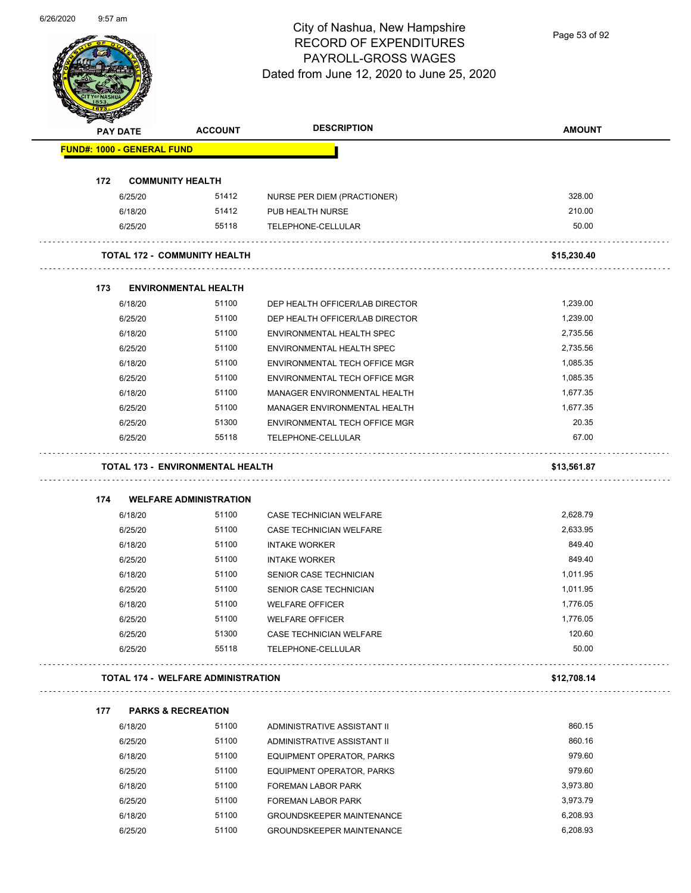Page 53 of 92

| <b>PAY DATE</b>                   | <b>ACCOUNT</b>                            | <b>DESCRIPTION</b>                                             | <b>AMOUNT</b>        |
|-----------------------------------|-------------------------------------------|----------------------------------------------------------------|----------------------|
| <b>FUND#: 1000 - GENERAL FUND</b> |                                           |                                                                |                      |
| 172                               |                                           |                                                                |                      |
|                                   | <b>COMMUNITY HEALTH</b><br>51412          |                                                                | 328.00               |
| 6/25/20                           | 51412                                     | NURSE PER DIEM (PRACTIONER)                                    | 210.00               |
| 6/18/20<br>6/25/20                | 55118                                     | PUB HEALTH NURSE<br>TELEPHONE-CELLULAR                         | 50.00                |
|                                   |                                           |                                                                |                      |
|                                   | <b>TOTAL 172 - COMMUNITY HEALTH</b>       |                                                                | \$15,230.40          |
|                                   |                                           |                                                                |                      |
| 173                               | <b>ENVIRONMENTAL HEALTH</b>               |                                                                |                      |
| 6/18/20                           | 51100                                     | DEP HEALTH OFFICER/LAB DIRECTOR                                | 1,239.00             |
| 6/25/20                           | 51100                                     | DEP HEALTH OFFICER/LAB DIRECTOR                                | 1,239.00             |
| 6/18/20                           | 51100                                     | ENVIRONMENTAL HEALTH SPEC                                      | 2,735.56<br>2,735.56 |
| 6/25/20                           | 51100<br>51100                            | <b>ENVIRONMENTAL HEALTH SPEC</b>                               | 1,085.35             |
| 6/18/20<br>6/25/20                | 51100                                     | ENVIRONMENTAL TECH OFFICE MGR<br>ENVIRONMENTAL TECH OFFICE MGR | 1,085.35             |
| 6/18/20                           | 51100                                     | MANAGER ENVIRONMENTAL HEALTH                                   | 1,677.35             |
|                                   | 51100                                     |                                                                | 1,677.35             |
| 6/25/20                           | 51300                                     | MANAGER ENVIRONMENTAL HEALTH                                   | 20.35                |
| 6/25/20<br>6/25/20                | 55118                                     | ENVIRONMENTAL TECH OFFICE MGR<br>TELEPHONE-CELLULAR            | 67.00                |
|                                   |                                           |                                                                |                      |
|                                   | <b>TOTAL 173 - ENVIRONMENTAL HEALTH</b>   |                                                                | \$13,561.87          |
|                                   |                                           |                                                                |                      |
|                                   |                                           |                                                                |                      |
| 174                               | <b>WELFARE ADMINISTRATION</b>             |                                                                |                      |
| 6/18/20                           | 51100                                     | <b>CASE TECHNICIAN WELFARE</b>                                 | 2,628.79             |
| 6/25/20                           | 51100                                     | <b>CASE TECHNICIAN WELFARE</b>                                 | 2,633.95             |
| 6/18/20                           | 51100                                     | <b>INTAKE WORKER</b>                                           | 849.40               |
| 6/25/20                           | 51100                                     | <b>INTAKE WORKER</b>                                           | 849.40               |
| 6/18/20                           | 51100                                     | SENIOR CASE TECHNICIAN                                         | 1,011.95             |
| 6/25/20                           | 51100                                     | SENIOR CASE TECHNICIAN                                         | 1,011.95             |
| 6/18/20                           | 51100                                     | <b>WELFARE OFFICER</b>                                         | 1,776.05             |
| 6/25/20                           | 51100                                     | <b>WELFARE OFFICER</b>                                         | 1,776.05             |
| 6/25/20                           | 51300                                     | CASE TECHNICIAN WELFARE                                        | 120.60               |
| 6/25/20                           | 55118                                     | TELEPHONE-CELLULAR                                             | 50.00                |
|                                   | <b>TOTAL 174 - WELFARE ADMINISTRATION</b> |                                                                | \$12,708.14          |
|                                   |                                           |                                                                |                      |
| 177                               | <b>PARKS &amp; RECREATION</b>             |                                                                |                      |
| 6/18/20                           | 51100                                     | ADMINISTRATIVE ASSISTANT II                                    | 860.15               |
| 6/25/20                           | 51100                                     | ADMINISTRATIVE ASSISTANT II                                    | 860.16               |
| 6/18/20                           | 51100                                     | EQUIPMENT OPERATOR, PARKS                                      | 979.60               |
| 6/25/20                           | 51100                                     | EQUIPMENT OPERATOR, PARKS                                      | 979.60               |
| 6/18/20                           | 51100                                     | FOREMAN LABOR PARK                                             | .<br>3,973.80        |
| 6/25/20<br>6/18/20                | 51100<br>51100                            | FOREMAN LABOR PARK<br><b>GROUNDSKEEPER MAINTENANCE</b>         | 3,973.79<br>6,208.93 |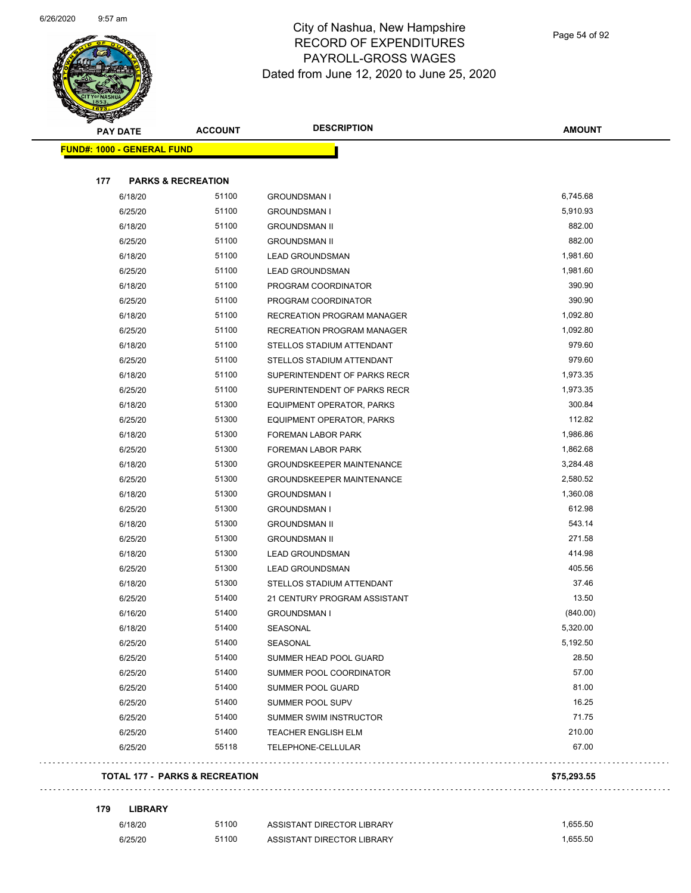

## City of Nashua, New Hampshire RECORD OF EXPENDITURES PAYROLL-GROSS WAGES Dated from June 12, 2020 to June 25, 2020

| <b>PAY DATE</b>                   | <b>ACCOUNT</b>                | <b>DESCRIPTION</b>                | <b>AMOUNT</b> |
|-----------------------------------|-------------------------------|-----------------------------------|---------------|
| <b>FUND#: 1000 - GENERAL FUND</b> |                               |                                   |               |
| 177                               | <b>PARKS &amp; RECREATION</b> |                                   |               |
| 6/18/20                           | 51100                         | <b>GROUNDSMAN I</b>               | 6,745.68      |
| 6/25/20                           | 51100                         | <b>GROUNDSMAN I</b>               | 5,910.93      |
| 6/18/20                           | 51100                         | <b>GROUNDSMAN II</b>              | 882.00        |
| 6/25/20                           | 51100                         | <b>GROUNDSMAN II</b>              | 882.00        |
| 6/18/20                           | 51100                         | <b>LEAD GROUNDSMAN</b>            | 1,981.60      |
| 6/25/20                           | 51100                         | <b>LEAD GROUNDSMAN</b>            | 1,981.60      |
| 6/18/20                           | 51100                         | PROGRAM COORDINATOR               | 390.90        |
| 6/25/20                           | 51100                         | PROGRAM COORDINATOR               | 390.90        |
| 6/18/20                           | 51100                         | <b>RECREATION PROGRAM MANAGER</b> | 1,092.80      |
| 6/25/20                           | 51100                         | RECREATION PROGRAM MANAGER        | 1,092.80      |
| 6/18/20                           | 51100                         | STELLOS STADIUM ATTENDANT         | 979.60        |
| 6/25/20                           | 51100                         | STELLOS STADIUM ATTENDANT         | 979.60        |
| 6/18/20                           | 51100                         | SUPERINTENDENT OF PARKS RECR      | 1,973.35      |
| 6/25/20                           | 51100                         | SUPERINTENDENT OF PARKS RECR      | 1,973.35      |
| 6/18/20                           | 51300                         | EQUIPMENT OPERATOR, PARKS         | 300.84        |
| 6/25/20                           | 51300                         | EQUIPMENT OPERATOR, PARKS         | 112.82        |
| 6/18/20                           | 51300                         | FOREMAN LABOR PARK                | 1,986.86      |
| 6/25/20                           | 51300                         | FOREMAN LABOR PARK                | 1,862.68      |
| 6/18/20                           | 51300                         | <b>GROUNDSKEEPER MAINTENANCE</b>  | 3,284.48      |
| 6/25/20                           | 51300                         | <b>GROUNDSKEEPER MAINTENANCE</b>  | 2,580.52      |
| 6/18/20                           | 51300                         | <b>GROUNDSMAN I</b>               | 1,360.08      |
| 6/25/20                           | 51300                         | <b>GROUNDSMAN I</b>               | 612.98        |
| 6/18/20                           | 51300                         | <b>GROUNDSMAN II</b>              | 543.14        |
| 6/25/20                           | 51300                         | <b>GROUNDSMAN II</b>              | 271.58        |
| 6/18/20                           | 51300                         | <b>LEAD GROUNDSMAN</b>            | 414.98        |
| 6/25/20                           | 51300                         | <b>LEAD GROUNDSMAN</b>            | 405.56        |
| 6/18/20                           | 51300                         | STELLOS STADIUM ATTENDANT         | 37.46         |
| 6/25/20                           | 51400                         | 21 CENTURY PROGRAM ASSISTANT      | 13.50         |
| 6/16/20                           | 51400                         | GROUNDSMAN I                      | (840.00)      |
| 6/18/20                           | 51400                         | SEASONAL                          | 5,320.00      |
| 6/25/20                           | 51400                         | SEASONAL                          | 5,192.50      |
| 6/25/20                           | 51400                         | SUMMER HEAD POOL GUARD            | 28.50         |
| 6/25/20                           | 51400                         | SUMMER POOL COORDINATOR           | 57.00         |
| 6/25/20                           | 51400                         | SUMMER POOL GUARD                 | 81.00         |
| 6/25/20                           | 51400                         | SUMMER POOL SUPV                  | 16.25         |
| 6/25/20                           | 51400                         | <b>SUMMER SWIM INSTRUCTOR</b>     | 71.75         |
| 6/25/20                           | 51400                         | <b>TEACHER ENGLISH ELM</b>        | 210.00        |
| 6/25/20                           | 55118                         | TELEPHONE-CELLULAR                | 67.00         |
|                                   |                               |                                   |               |

| 179 | <b>LIBRARY</b> |
|-----|----------------|
|-----|----------------|

÷,

| 6/18/20 | 51100 | ASSISTANT DIRECTOR LIBRARY | .655.50 |
|---------|-------|----------------------------|---------|
| 6/25/20 | 51100 | ASSISTANT DIRECTOR LIBRARY | .655.50 |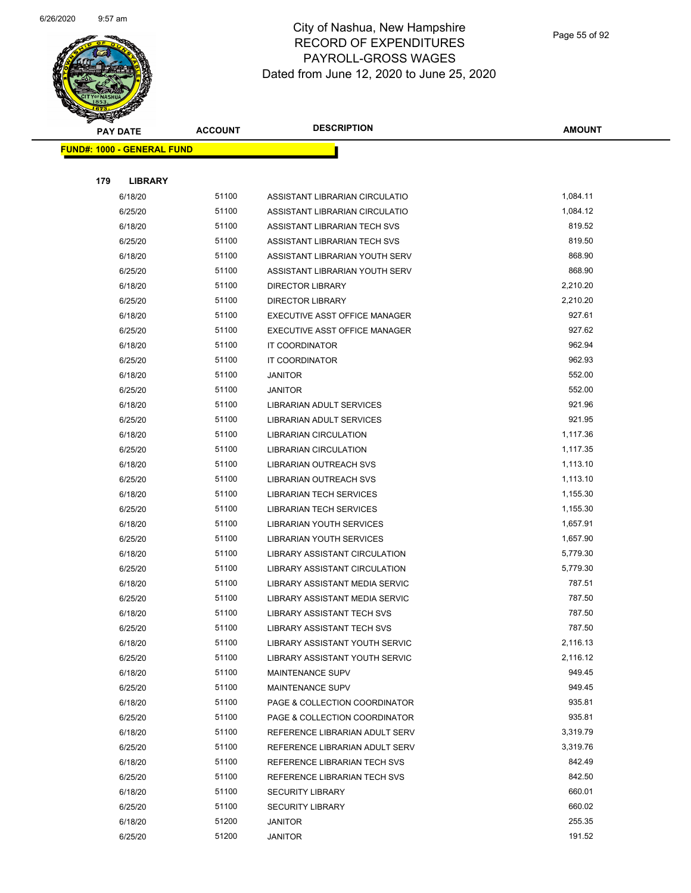

| $\checkmark$ | <b>PAY DATE</b>                   | <b>ACCOUNT</b> | <b>DESCRIPTION</b>                                 | <b>AMOUNT</b>    |
|--------------|-----------------------------------|----------------|----------------------------------------------------|------------------|
|              | <b>FUND#: 1000 - GENERAL FUND</b> |                |                                                    |                  |
|              |                                   |                |                                                    |                  |
| 179          | <b>LIBRARY</b>                    |                |                                                    |                  |
|              | 6/18/20                           | 51100          | ASSISTANT LIBRARIAN CIRCULATIO                     | 1,084.11         |
|              | 6/25/20                           | 51100          | ASSISTANT LIBRARIAN CIRCULATIO                     | 1,084.12         |
|              | 6/18/20                           | 51100          | ASSISTANT LIBRARIAN TECH SVS                       | 819.52           |
|              | 6/25/20                           | 51100          | ASSISTANT LIBRARIAN TECH SVS                       | 819.50           |
|              | 6/18/20                           | 51100          | ASSISTANT LIBRARIAN YOUTH SERV                     | 868.90           |
|              | 6/25/20                           | 51100          | ASSISTANT LIBRARIAN YOUTH SERV                     | 868.90           |
|              | 6/18/20                           | 51100          | <b>DIRECTOR LIBRARY</b>                            | 2,210.20         |
|              | 6/25/20                           | 51100          | <b>DIRECTOR LIBRARY</b>                            | 2,210.20         |
|              | 6/18/20                           | 51100          | EXECUTIVE ASST OFFICE MANAGER                      | 927.61           |
|              | 6/25/20                           | 51100          | EXECUTIVE ASST OFFICE MANAGER                      | 927.62           |
|              | 6/18/20                           | 51100          | <b>IT COORDINATOR</b>                              | 962.94           |
|              | 6/25/20                           | 51100          | <b>IT COORDINATOR</b>                              | 962.93           |
|              | 6/18/20                           | 51100          | JANITOR                                            | 552.00           |
|              | 6/25/20                           | 51100          | <b>JANITOR</b>                                     | 552.00           |
|              | 6/18/20                           | 51100          | LIBRARIAN ADULT SERVICES                           | 921.96           |
|              | 6/25/20                           | 51100          | LIBRARIAN ADULT SERVICES                           | 921.95           |
|              | 6/18/20                           | 51100          | LIBRARIAN CIRCULATION                              | 1,117.36         |
|              | 6/25/20                           | 51100          | LIBRARIAN CIRCULATION                              | 1,117.35         |
|              | 6/18/20                           | 51100          | LIBRARIAN OUTREACH SVS                             | 1,113.10         |
|              | 6/25/20                           | 51100          | LIBRARIAN OUTREACH SVS                             | 1,113.10         |
|              | 6/18/20                           | 51100          | <b>LIBRARIAN TECH SERVICES</b>                     | 1,155.30         |
|              | 6/25/20                           | 51100          | <b>LIBRARIAN TECH SERVICES</b>                     | 1,155.30         |
|              | 6/18/20                           | 51100          | LIBRARIAN YOUTH SERVICES                           | 1,657.91         |
|              | 6/25/20                           | 51100          | LIBRARIAN YOUTH SERVICES                           | 1,657.90         |
|              | 6/18/20                           | 51100          | LIBRARY ASSISTANT CIRCULATION                      | 5,779.30         |
|              | 6/25/20                           | 51100          | LIBRARY ASSISTANT CIRCULATION                      | 5,779.30         |
|              | 6/18/20                           | 51100          | LIBRARY ASSISTANT MEDIA SERVIC                     | 787.51           |
|              | 6/25/20                           | 51100          | <b>LIBRARY ASSISTANT MEDIA SERVIC</b>              | 787.50           |
|              | 6/18/20                           | 51100          | LIBRARY ASSISTANT TECH SVS                         | 787.50           |
|              | 6/25/20                           | 51100          | LIBRARY ASSISTANT TECH SVS                         | 787.50           |
|              | 6/18/20                           | 51100          | LIBRARY ASSISTANT YOUTH SERVIC                     | 2,116.13         |
|              | 6/25/20                           | 51100          | LIBRARY ASSISTANT YOUTH SERVIC                     | 2,116.12         |
|              | 6/18/20                           | 51100          | <b>MAINTENANCE SUPV</b>                            | 949.45           |
|              | 6/25/20                           | 51100          | <b>MAINTENANCE SUPV</b>                            | 949.45           |
|              | 6/18/20                           | 51100          | PAGE & COLLECTION COORDINATOR                      | 935.81           |
|              | 6/25/20                           | 51100          | PAGE & COLLECTION COORDINATOR                      | 935.81           |
|              | 6/18/20                           | 51100          | REFERENCE LIBRARIAN ADULT SERV                     | 3,319.79         |
|              | 6/25/20                           | 51100          | REFERENCE LIBRARIAN ADULT SERV                     | 3,319.76         |
|              | 6/18/20                           | 51100          | REFERENCE LIBRARIAN TECH SVS                       | 842.49           |
|              | 6/25/20                           | 51100<br>51100 | REFERENCE LIBRARIAN TECH SVS                       | 842.50<br>660.01 |
|              | 6/18/20<br>6/25/20                | 51100          | <b>SECURITY LIBRARY</b><br><b>SECURITY LIBRARY</b> | 660.02           |
|              | 6/18/20                           | 51200          | <b>JANITOR</b>                                     | 255.35           |
|              | 6/25/20                           | 51200          | JANITOR                                            | 191.52           |
|              |                                   |                |                                                    |                  |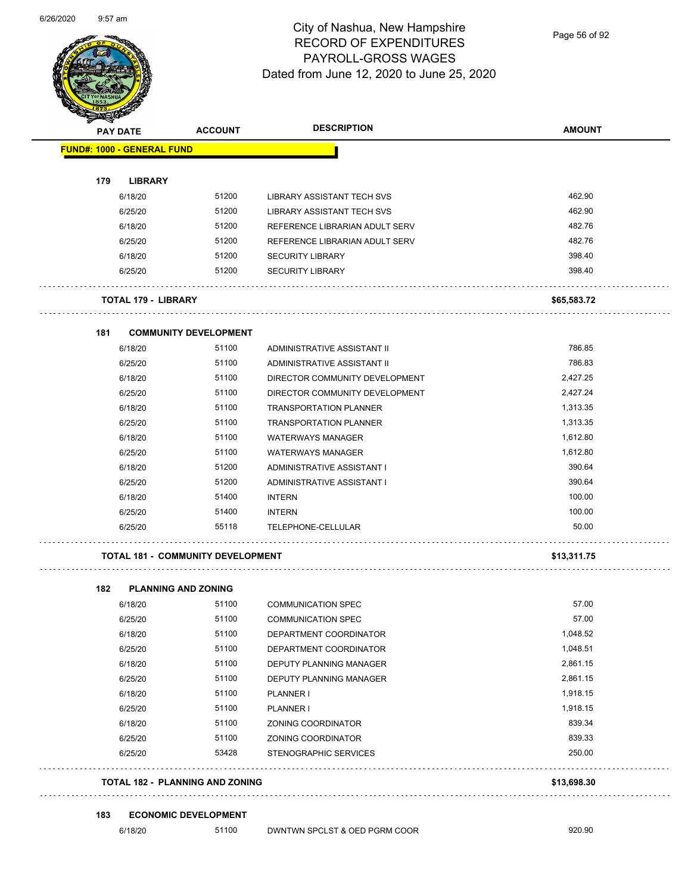

Page 56 of 92

|     | PAY DATE                          | <b>ACCOUNT</b>                           | <b>DESCRIPTION</b>             | <b>AMOUNT</b> |
|-----|-----------------------------------|------------------------------------------|--------------------------------|---------------|
|     | <b>FUND#: 1000 - GENERAL FUND</b> |                                          |                                |               |
| 179 | <b>LIBRARY</b>                    |                                          |                                |               |
|     | 6/18/20                           | 51200                                    | LIBRARY ASSISTANT TECH SVS     | 462.90        |
|     | 6/25/20                           | 51200                                    | LIBRARY ASSISTANT TECH SVS     | 462.90        |
|     | 6/18/20                           | 51200                                    | REFERENCE LIBRARIAN ADULT SERV | 482.76        |
|     | 6/25/20                           | 51200                                    | REFERENCE LIBRARIAN ADULT SERV | 482.76        |
|     | 6/18/20                           | 51200                                    | <b>SECURITY LIBRARY</b>        | 398.40        |
|     | 6/25/20                           | 51200                                    | <b>SECURITY LIBRARY</b>        | 398.40        |
|     | <b>TOTAL 179 - LIBRARY</b>        |                                          |                                | \$65,583.72   |
| 181 |                                   | <b>COMMUNITY DEVELOPMENT</b>             |                                |               |
|     | 6/18/20                           | 51100                                    | ADMINISTRATIVE ASSISTANT II    | 786.85        |
|     | 6/25/20                           | 51100                                    | ADMINISTRATIVE ASSISTANT II    | 786.83        |
|     | 6/18/20                           | 51100                                    | DIRECTOR COMMUNITY DEVELOPMENT | 2,427.25      |
|     | 6/25/20                           | 51100                                    | DIRECTOR COMMUNITY DEVELOPMENT | 2,427.24      |
|     | 6/18/20                           | 51100                                    | <b>TRANSPORTATION PLANNER</b>  | 1,313.35      |
|     | 6/25/20                           | 51100                                    | <b>TRANSPORTATION PLANNER</b>  | 1,313.35      |
|     | 6/18/20                           | 51100                                    | <b>WATERWAYS MANAGER</b>       | 1,612.80      |
|     | 6/25/20                           | 51100                                    | <b>WATERWAYS MANAGER</b>       | 1,612.80      |
|     | 6/18/20                           | 51200                                    | ADMINISTRATIVE ASSISTANT I     | 390.64        |
|     | 6/25/20                           | 51200                                    | ADMINISTRATIVE ASSISTANT I     | 390.64        |
|     | 6/18/20                           | 51400                                    | <b>INTERN</b>                  | 100.00        |
|     | 6/25/20                           | 51400                                    | <b>INTERN</b>                  | 100.00        |
|     | 6/25/20                           | 55118                                    | TELEPHONE-CELLULAR             | 50.00         |
|     |                                   | <b>TOTAL 181 - COMMUNITY DEVELOPMENT</b> |                                | \$13,311.75   |
|     |                                   |                                          |                                |               |
| 182 | <b>PLANNING AND ZONING</b>        |                                          |                                |               |
|     | 6/18/20                           | 51100                                    | <b>COMMUNICATION SPEC</b>      | 57.00         |
|     | 6/25/20                           | 51100                                    | <b>COMMUNICATION SPEC</b>      | 57.00         |
|     | 6/18/20                           | 51100                                    | DEPARTMENT COORDINATOR         | 1,048.52      |
|     | 6/25/20                           | 51100                                    | DEPARTMENT COORDINATOR         | 1,048.51      |
|     | 6/18/20                           | 51100                                    | DEPUTY PLANNING MANAGER        | 2,861.15      |
|     | 6/25/20                           | 51100                                    | DEPUTY PLANNING MANAGER        | 2,861.15      |
|     | 6/18/20                           | 51100                                    | PLANNER I                      | 1,918.15      |
|     | 6/25/20                           | 51100                                    | PLANNER I                      | 1,918.15      |
|     | 6/18/20                           | 51100                                    | ZONING COORDINATOR             | 839.34        |
|     | 6/25/20                           | 51100                                    | ZONING COORDINATOR             | 839.33        |
|     | 6/25/20                           | 53428                                    | STENOGRAPHIC SERVICES          | 250.00        |

**TOTAL 182 - PLANNING AND ZONING \$13,698.30**

#### **183 ECONOMIC DEVELOPMENT**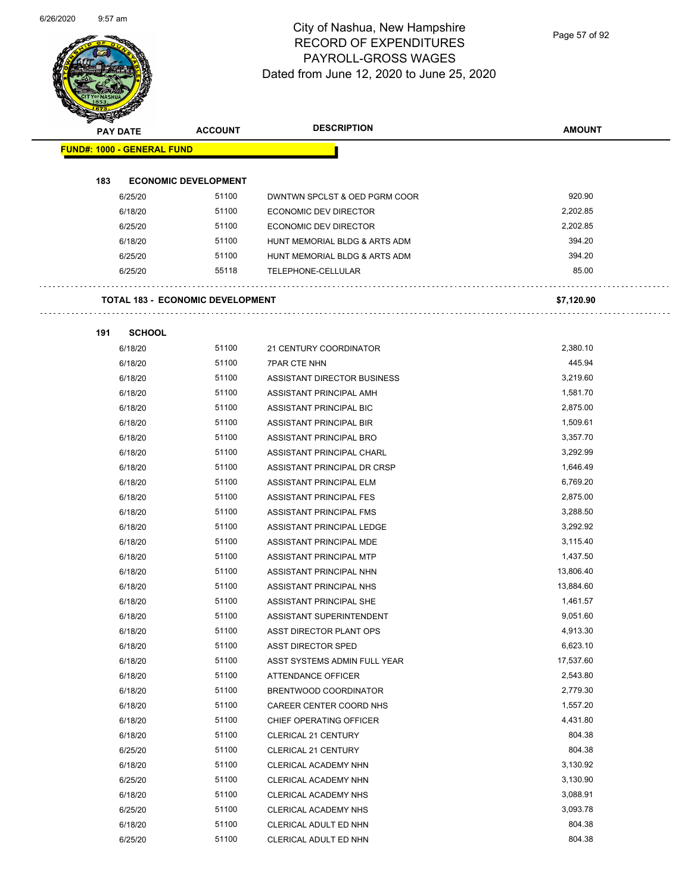

Page 57 of 92

| <b>PAY DATE</b>                   | <b>ACCOUNT</b>                          | <b>DESCRIPTION</b>             | <b>AMOUNT</b> |
|-----------------------------------|-----------------------------------------|--------------------------------|---------------|
| <b>FUND#: 1000 - GENERAL FUND</b> |                                         |                                |               |
| 183                               | <b>ECONOMIC DEVELOPMENT</b>             |                                |               |
| 6/25/20                           | 51100                                   | DWNTWN SPCLST & OED PGRM COOR  | 920.90        |
| 6/18/20                           | 51100                                   | <b>ECONOMIC DEV DIRECTOR</b>   | 2,202.85      |
| 6/25/20                           | 51100                                   | <b>ECONOMIC DEV DIRECTOR</b>   | 2,202.85      |
| 6/18/20                           | 51100                                   | HUNT MEMORIAL BLDG & ARTS ADM  | 394.20        |
| 6/25/20                           | 51100                                   | HUNT MEMORIAL BLDG & ARTS ADM  | 394.20        |
| 6/25/20                           | 55118                                   | TELEPHONE-CELLULAR             | 85.00         |
|                                   | <b>TOTAL 183 - ECONOMIC DEVELOPMENT</b> |                                | \$7,120.90    |
| 191<br><b>SCHOOL</b>              |                                         |                                |               |
| 6/18/20                           | 51100                                   | 21 CENTURY COORDINATOR         | 2.380.10      |
| 6/18/20                           | 51100                                   | <b>7PAR CTE NHN</b>            | 445.94        |
| 6/18/20                           | 51100                                   | ASSISTANT DIRECTOR BUSINESS    | 3,219.60      |
| 6/18/20                           | 51100                                   | ASSISTANT PRINCIPAL AMH        | 1,581.70      |
| 6/18/20                           | 51100                                   | ASSISTANT PRINCIPAL BIC        | 2,875.00      |
| 6/18/20                           | 51100                                   | ASSISTANT PRINCIPAL BIR        | 1,509.61      |
| 6/18/20                           | 51100                                   | ASSISTANT PRINCIPAL BRO        | 3,357.70      |
| 6/18/20                           | 51100                                   | ASSISTANT PRINCIPAL CHARL      | 3,292.99      |
| 6/18/20                           | 51100                                   | ASSISTANT PRINCIPAL DR CRSP    | 1,646.49      |
| 6/18/20                           | 51100                                   | ASSISTANT PRINCIPAL ELM        | 6,769.20      |
| 6/18/20                           | 51100                                   | ASSISTANT PRINCIPAL FES        | 2,875.00      |
| 6/18/20                           | 51100                                   | ASSISTANT PRINCIPAL FMS        | 3,288.50      |
| 6/18/20                           | 51100                                   | ASSISTANT PRINCIPAL LEDGE      | 3,292.92      |
| 6/18/20                           | 51100                                   | ASSISTANT PRINCIPAL MDE        | 3,115.40      |
| 6/18/20                           | 51100                                   | ASSISTANT PRINCIPAL MTP        | 1,437.50      |
| 6/18/20                           | 51100                                   | ASSISTANT PRINCIPAL NHN        | 13,806.40     |
| 6/18/20                           | 51100                                   | ASSISTANT PRINCIPAL NHS        | 13,884.60     |
| 6/18/20                           | 51100                                   | <b>ASSISTANT PRINCIPAL SHE</b> | 1,461.57      |
| 6/18/20                           | 51100                                   | ASSISTANT SUPERINTENDENT       | 9,051.60      |
| 6/18/20                           | 51100                                   | ASST DIRECTOR PLANT OPS        | 4,913.30      |
| 6/18/20                           | 51100                                   | <b>ASST DIRECTOR SPED</b>      | 6,623.10      |
| 6/18/20                           | 51100                                   | ASST SYSTEMS ADMIN FULL YEAR   | 17,537.60     |
| 6/18/20                           | 51100                                   | ATTENDANCE OFFICER             | 2,543.80      |
| 6/18/20                           | 51100                                   | BRENTWOOD COORDINATOR          | 2,779.30      |
| 6/18/20                           | 51100                                   | CAREER CENTER COORD NHS        | 1,557.20      |
| 6/18/20                           | 51100                                   | CHIEF OPERATING OFFICER        | 4,431.80      |
| 6/18/20                           | 51100                                   | CLERICAL 21 CENTURY            | 804.38        |
| 6/25/20                           | 51100                                   | <b>CLERICAL 21 CENTURY</b>     | 804.38        |
| 6/18/20                           | 51100                                   | CLERICAL ACADEMY NHN           | 3,130.92      |
| 6/25/20                           | 51100                                   | CLERICAL ACADEMY NHN           | 3,130.90      |
| 6/18/20                           | 51100                                   | CLERICAL ACADEMY NHS           | 3,088.91      |
| 6/25/20                           | 51100                                   | CLERICAL ACADEMY NHS           | 3,093.78      |
| 6/18/20                           | 51100                                   | CLERICAL ADULT ED NHN          | 804.38        |
| 6/25/20                           | 51100                                   | CLERICAL ADULT ED NHN          | 804.38        |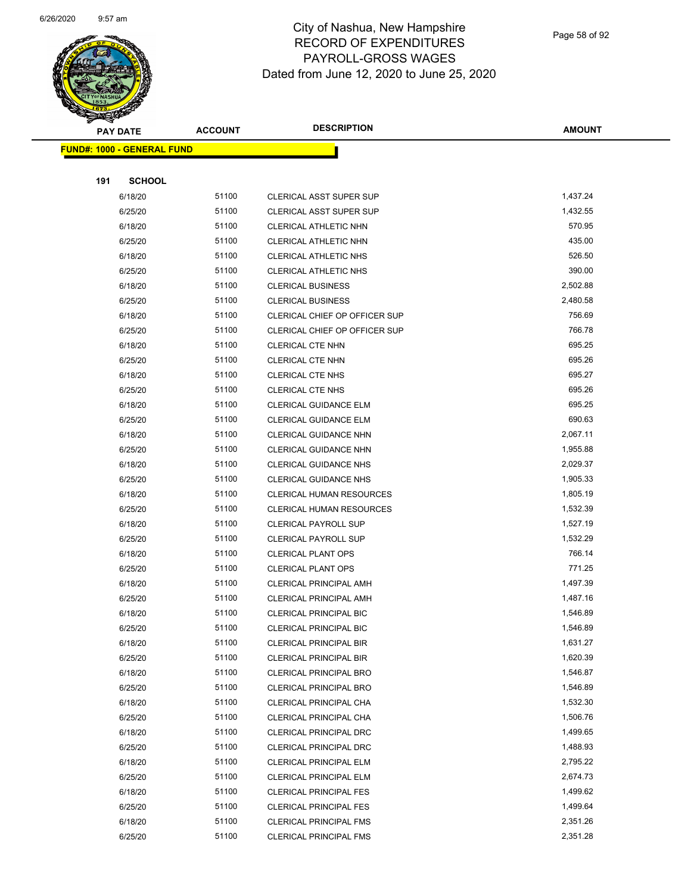

Page 58 of 92

| <b>Sandan Kara</b><br><b>PAY DATE</b> | <b>ACCOUNT</b> | <b>DESCRIPTION</b>              | <b>AMOUNT</b> |
|---------------------------------------|----------------|---------------------------------|---------------|
| <b>FUND#: 1000 - GENERAL FUND</b>     |                |                                 |               |
|                                       |                |                                 |               |
| <b>SCHOOL</b><br>191                  |                |                                 |               |
| 6/18/20                               | 51100          | CLERICAL ASST SUPER SUP         | 1,437.24      |
| 6/25/20                               | 51100          | CLERICAL ASST SUPER SUP         | 1,432.55      |
| 6/18/20                               | 51100          | CLERICAL ATHLETIC NHN           | 570.95        |
| 6/25/20                               | 51100          | CLERICAL ATHLETIC NHN           | 435.00        |
| 6/18/20                               | 51100          | CLERICAL ATHLETIC NHS           | 526.50        |
| 6/25/20                               | 51100          | CLERICAL ATHLETIC NHS           | 390.00        |
| 6/18/20                               | 51100          | <b>CLERICAL BUSINESS</b>        | 2,502.88      |
| 6/25/20                               | 51100          | <b>CLERICAL BUSINESS</b>        | 2,480.58      |
| 6/18/20                               | 51100          | CLERICAL CHIEF OP OFFICER SUP   | 756.69        |
| 6/25/20                               | 51100          | CLERICAL CHIEF OP OFFICER SUP   | 766.78        |
| 6/18/20                               | 51100          | CLERICAL CTE NHN                | 695.25        |
| 6/25/20                               | 51100          | <b>CLERICAL CTE NHN</b>         | 695.26        |
| 6/18/20                               | 51100          | <b>CLERICAL CTE NHS</b>         | 695.27        |
| 6/25/20                               | 51100          | <b>CLERICAL CTE NHS</b>         | 695.26        |
| 6/18/20                               | 51100          | <b>CLERICAL GUIDANCE ELM</b>    | 695.25        |
| 6/25/20                               | 51100          | <b>CLERICAL GUIDANCE ELM</b>    | 690.63        |
| 6/18/20                               | 51100          | CLERICAL GUIDANCE NHN           | 2,067.11      |
| 6/25/20                               | 51100          | CLERICAL GUIDANCE NHN           | 1,955.88      |
| 6/18/20                               | 51100          | CLERICAL GUIDANCE NHS           | 2,029.37      |
| 6/25/20                               | 51100          | <b>CLERICAL GUIDANCE NHS</b>    | 1,905.33      |
| 6/18/20                               | 51100          | <b>CLERICAL HUMAN RESOURCES</b> | 1,805.19      |
| 6/25/20                               | 51100          | <b>CLERICAL HUMAN RESOURCES</b> | 1,532.39      |
| 6/18/20                               | 51100          | <b>CLERICAL PAYROLL SUP</b>     | 1,527.19      |
| 6/25/20                               | 51100          | <b>CLERICAL PAYROLL SUP</b>     | 1,532.29      |
| 6/18/20                               | 51100          | <b>CLERICAL PLANT OPS</b>       | 766.14        |
| 6/25/20                               | 51100          | <b>CLERICAL PLANT OPS</b>       | 771.25        |
| 6/18/20                               | 51100          | CLERICAL PRINCIPAL AMH          | 1,497.39      |
| 6/25/20                               | 51100          | CLERICAL PRINCIPAL AMH          | 1,487.16      |
| 6/18/20                               | 51100          | <b>CLERICAL PRINCIPAL BIC</b>   | 1,546.89      |
| 6/25/20                               | 51100          | <b>CLERICAL PRINCIPAL BIC</b>   | 1,546.89      |
| 6/18/20                               | 51100          | <b>CLERICAL PRINCIPAL BIR</b>   | 1,631.27      |
| 6/25/20                               | 51100          | <b>CLERICAL PRINCIPAL BIR</b>   | 1,620.39      |
| 6/18/20                               | 51100          | <b>CLERICAL PRINCIPAL BRO</b>   | 1,546.87      |
| 6/25/20                               | 51100          | <b>CLERICAL PRINCIPAL BRO</b>   | 1,546.89      |
| 6/18/20                               | 51100          | CLERICAL PRINCIPAL CHA          | 1,532.30      |
| 6/25/20                               | 51100          | CLERICAL PRINCIPAL CHA          | 1,506.76      |
| 6/18/20                               | 51100          | <b>CLERICAL PRINCIPAL DRC</b>   | 1,499.65      |
| 6/25/20                               | 51100          | CLERICAL PRINCIPAL DRC          | 1,488.93      |
| 6/18/20                               | 51100          | <b>CLERICAL PRINCIPAL ELM</b>   | 2,795.22      |
| 6/25/20                               | 51100          | CLERICAL PRINCIPAL ELM          | 2,674.73      |
| 6/18/20                               | 51100          | CLERICAL PRINCIPAL FES          | 1,499.62      |
| 6/25/20                               | 51100          | <b>CLERICAL PRINCIPAL FES</b>   | 1,499.64      |
| 6/18/20                               | 51100          | <b>CLERICAL PRINCIPAL FMS</b>   | 2,351.26      |
| 6/25/20                               | 51100          | <b>CLERICAL PRINCIPAL FMS</b>   | 2,351.28      |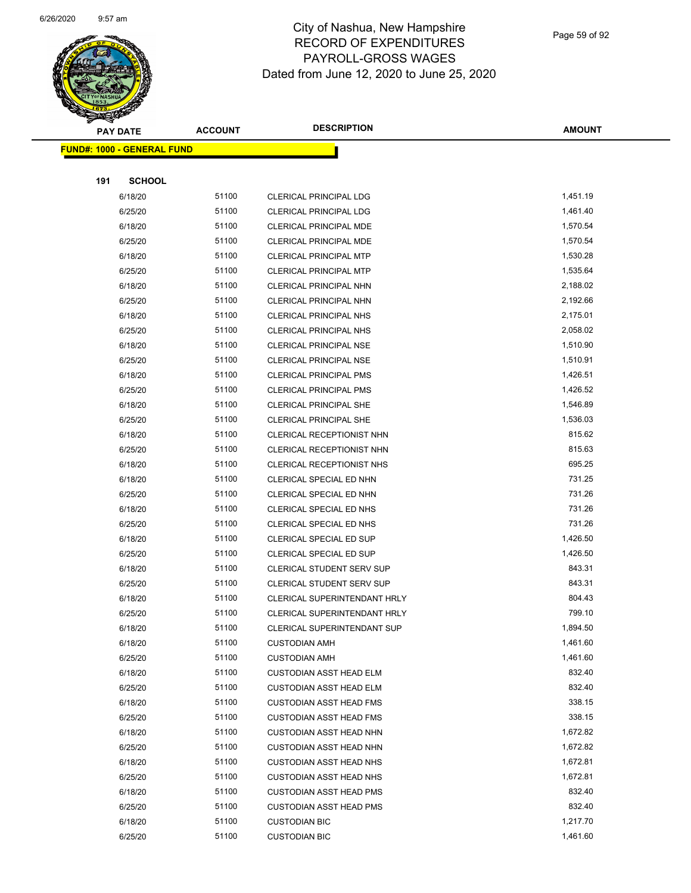

Page 59 of 92

|     | <b>PAY DATE</b>                   | <b>ACCOUNT</b> | <b>DESCRIPTION</b>               | <b>AMOUNT</b> |  |  |  |
|-----|-----------------------------------|----------------|----------------------------------|---------------|--|--|--|
|     | <b>FUND#: 1000 - GENERAL FUND</b> |                |                                  |               |  |  |  |
|     |                                   |                |                                  |               |  |  |  |
| 191 | <b>SCHOOL</b>                     |                |                                  |               |  |  |  |
|     | 6/18/20                           | 51100          | CLERICAL PRINCIPAL LDG           | 1,451.19      |  |  |  |
|     | 6/25/20                           | 51100          | <b>CLERICAL PRINCIPAL LDG</b>    | 1,461.40      |  |  |  |
|     | 6/18/20                           | 51100          | CLERICAL PRINCIPAL MDE           | 1,570.54      |  |  |  |
|     | 6/25/20                           | 51100          | <b>CLERICAL PRINCIPAL MDE</b>    | 1,570.54      |  |  |  |
|     | 6/18/20                           | 51100          | <b>CLERICAL PRINCIPAL MTP</b>    | 1,530.28      |  |  |  |
|     | 6/25/20                           | 51100          | <b>CLERICAL PRINCIPAL MTP</b>    | 1,535.64      |  |  |  |
|     | 6/18/20                           | 51100          | CLERICAL PRINCIPAL NHN           | 2,188.02      |  |  |  |
|     | 6/25/20                           | 51100          | CLERICAL PRINCIPAL NHN           | 2,192.66      |  |  |  |
|     | 6/18/20                           | 51100          | <b>CLERICAL PRINCIPAL NHS</b>    | 2,175.01      |  |  |  |
|     | 6/25/20                           | 51100          | <b>CLERICAL PRINCIPAL NHS</b>    | 2,058.02      |  |  |  |
|     | 6/18/20                           | 51100          | CLERICAL PRINCIPAL NSE           | 1,510.90      |  |  |  |
|     | 6/25/20                           | 51100          | <b>CLERICAL PRINCIPAL NSE</b>    | 1,510.91      |  |  |  |
|     | 6/18/20                           | 51100          | <b>CLERICAL PRINCIPAL PMS</b>    | 1,426.51      |  |  |  |
|     | 6/25/20                           | 51100          | <b>CLERICAL PRINCIPAL PMS</b>    | 1,426.52      |  |  |  |
|     | 6/18/20                           | 51100          | <b>CLERICAL PRINCIPAL SHE</b>    | 1,546.89      |  |  |  |
|     | 6/25/20                           | 51100          | CLERICAL PRINCIPAL SHE           | 1,536.03      |  |  |  |
|     | 6/18/20                           | 51100          | CLERICAL RECEPTIONIST NHN        | 815.62        |  |  |  |
|     | 6/25/20                           | 51100          | CLERICAL RECEPTIONIST NHN        | 815.63        |  |  |  |
|     | 6/18/20                           | 51100          | <b>CLERICAL RECEPTIONIST NHS</b> | 695.25        |  |  |  |
|     | 6/18/20                           | 51100          | CLERICAL SPECIAL ED NHN          | 731.25        |  |  |  |
|     | 6/25/20                           | 51100          | CLERICAL SPECIAL ED NHN          | 731.26        |  |  |  |
|     | 6/18/20                           | 51100          | CLERICAL SPECIAL ED NHS          | 731.26        |  |  |  |
|     | 6/25/20                           | 51100          | CLERICAL SPECIAL ED NHS          | 731.26        |  |  |  |
|     | 6/18/20                           | 51100          | CLERICAL SPECIAL ED SUP          | 1,426.50      |  |  |  |
|     | 6/25/20                           | 51100          | CLERICAL SPECIAL ED SUP          | 1,426.50      |  |  |  |
|     | 6/18/20                           | 51100          | CLERICAL STUDENT SERV SUP        | 843.31        |  |  |  |
|     | 6/25/20                           | 51100          | CLERICAL STUDENT SERV SUP        | 843.31        |  |  |  |
|     | 6/18/20                           | 51100          | CLERICAL SUPERINTENDANT HRLY     | 804.43        |  |  |  |
|     | 6/25/20                           | 51100          | CLERICAL SUPERINTENDANT HRLY     | 799.10        |  |  |  |
|     | 6/18/20                           | 51100          | CLERICAL SUPERINTENDANT SUP      | 1,894.50      |  |  |  |
|     | 6/18/20                           | 51100          | <b>CUSTODIAN AMH</b>             | 1,461.60      |  |  |  |
|     | 6/25/20                           | 51100          | <b>CUSTODIAN AMH</b>             | 1,461.60      |  |  |  |
|     | 6/18/20                           | 51100          | <b>CUSTODIAN ASST HEAD ELM</b>   | 832.40        |  |  |  |
|     | 6/25/20                           | 51100          | <b>CUSTODIAN ASST HEAD ELM</b>   | 832.40        |  |  |  |
|     | 6/18/20                           | 51100          | <b>CUSTODIAN ASST HEAD FMS</b>   | 338.15        |  |  |  |
|     | 6/25/20                           | 51100          | <b>CUSTODIAN ASST HEAD FMS</b>   | 338.15        |  |  |  |
|     | 6/18/20                           | 51100          | <b>CUSTODIAN ASST HEAD NHN</b>   | 1,672.82      |  |  |  |
|     | 6/25/20                           | 51100          | <b>CUSTODIAN ASST HEAD NHN</b>   | 1,672.82      |  |  |  |
|     | 6/18/20                           | 51100          | <b>CUSTODIAN ASST HEAD NHS</b>   | 1,672.81      |  |  |  |
|     | 6/25/20                           | 51100          | <b>CUSTODIAN ASST HEAD NHS</b>   | 1,672.81      |  |  |  |
|     | 6/18/20                           | 51100          | <b>CUSTODIAN ASST HEAD PMS</b>   | 832.40        |  |  |  |
|     | 6/25/20                           | 51100          | <b>CUSTODIAN ASST HEAD PMS</b>   | 832.40        |  |  |  |
|     | 6/18/20                           | 51100          | <b>CUSTODIAN BIC</b>             | 1,217.70      |  |  |  |
|     | 6/25/20                           | 51100          | <b>CUSTODIAN BIC</b>             | 1,461.60      |  |  |  |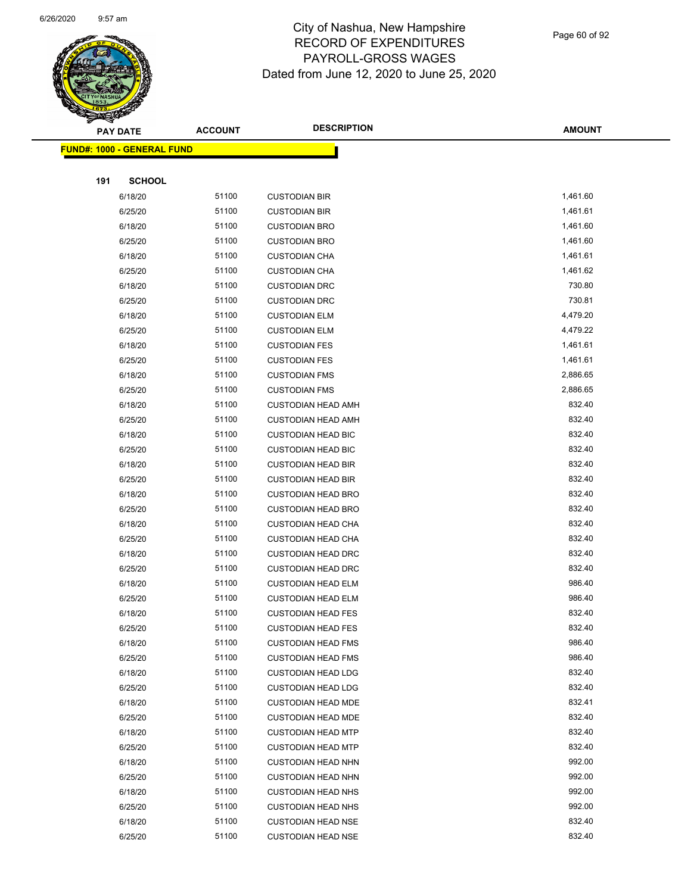

Page 60 of 92

|     | <b>PAY DATE</b>                    | <b>ACCOUNT</b> | <b>DESCRIPTION</b>                                     | <b>AMOUNT</b>    |
|-----|------------------------------------|----------------|--------------------------------------------------------|------------------|
|     | <u> FUND#: 1000 - GENERAL FUND</u> |                |                                                        |                  |
|     |                                    |                |                                                        |                  |
| 191 | <b>SCHOOL</b>                      |                |                                                        |                  |
|     | 6/18/20                            | 51100          | <b>CUSTODIAN BIR</b>                                   | 1,461.60         |
|     | 6/25/20                            | 51100          | <b>CUSTODIAN BIR</b>                                   | 1,461.61         |
|     | 6/18/20                            | 51100          | <b>CUSTODIAN BRO</b>                                   | 1,461.60         |
|     | 6/25/20                            | 51100          | <b>CUSTODIAN BRO</b>                                   | 1,461.60         |
|     | 6/18/20                            | 51100          | <b>CUSTODIAN CHA</b>                                   | 1,461.61         |
|     | 6/25/20                            | 51100          | <b>CUSTODIAN CHA</b>                                   | 1,461.62         |
|     | 6/18/20                            | 51100          | <b>CUSTODIAN DRC</b>                                   | 730.80           |
|     | 6/25/20                            | 51100          | <b>CUSTODIAN DRC</b>                                   | 730.81           |
|     | 6/18/20                            | 51100          | <b>CUSTODIAN ELM</b>                                   | 4,479.20         |
|     | 6/25/20                            | 51100          | <b>CUSTODIAN ELM</b>                                   | 4,479.22         |
|     | 6/18/20                            | 51100          | <b>CUSTODIAN FES</b>                                   | 1,461.61         |
|     | 6/25/20                            | 51100          | <b>CUSTODIAN FES</b>                                   | 1,461.61         |
|     | 6/18/20                            | 51100          | <b>CUSTODIAN FMS</b>                                   | 2,886.65         |
|     | 6/25/20                            | 51100          | <b>CUSTODIAN FMS</b>                                   | 2,886.65         |
|     | 6/18/20                            | 51100          | <b>CUSTODIAN HEAD AMH</b>                              | 832.40           |
|     | 6/25/20                            | 51100          | <b>CUSTODIAN HEAD AMH</b>                              | 832.40           |
|     | 6/18/20                            | 51100          | <b>CUSTODIAN HEAD BIC</b>                              | 832.40           |
|     | 6/25/20                            | 51100          | <b>CUSTODIAN HEAD BIC</b>                              | 832.40           |
|     | 6/18/20                            | 51100          | <b>CUSTODIAN HEAD BIR</b>                              | 832.40           |
|     | 6/25/20                            | 51100          | <b>CUSTODIAN HEAD BIR</b>                              | 832.40           |
|     | 6/18/20                            | 51100          | <b>CUSTODIAN HEAD BRO</b>                              | 832.40           |
|     | 6/25/20                            | 51100          | <b>CUSTODIAN HEAD BRO</b>                              | 832.40           |
|     | 6/18/20                            | 51100          | <b>CUSTODIAN HEAD CHA</b>                              | 832.40           |
|     | 6/25/20                            | 51100          | <b>CUSTODIAN HEAD CHA</b>                              | 832.40           |
|     | 6/18/20                            | 51100          | <b>CUSTODIAN HEAD DRC</b>                              | 832.40           |
|     | 6/25/20                            | 51100          | <b>CUSTODIAN HEAD DRC</b>                              | 832.40           |
|     | 6/18/20                            | 51100          | <b>CUSTODIAN HEAD ELM</b>                              | 986.40           |
|     | 6/25/20                            | 51100          | <b>CUSTODIAN HEAD ELM</b>                              | 986.40           |
|     | 6/18/20                            | 51100          | <b>CUSTODIAN HEAD FES</b>                              | 832.40           |
|     | 6/25/20                            | 51100          | <b>CUSTODIAN HEAD FES</b>                              | 832.40           |
|     | 6/18/20                            | 51100          | <b>CUSTODIAN HEAD FMS</b>                              | 986.40           |
|     | 6/25/20                            | 51100          | <b>CUSTODIAN HEAD FMS</b>                              | 986.40           |
|     | 6/18/20                            | 51100          | <b>CUSTODIAN HEAD LDG</b>                              | 832.40           |
|     | 6/25/20                            | 51100          | <b>CUSTODIAN HEAD LDG</b>                              | 832.40           |
|     | 6/18/20                            | 51100<br>51100 | <b>CUSTODIAN HEAD MDE</b>                              | 832.41<br>832.40 |
|     | 6/25/20                            |                | <b>CUSTODIAN HEAD MDE</b>                              | 832.40           |
|     | 6/18/20                            | 51100          | <b>CUSTODIAN HEAD MTP</b>                              |                  |
|     | 6/25/20                            | 51100<br>51100 | <b>CUSTODIAN HEAD MTP</b><br><b>CUSTODIAN HEAD NHN</b> | 832.40<br>992.00 |
|     | 6/18/20                            | 51100          |                                                        | 992.00           |
|     | 6/25/20<br>6/18/20                 | 51100          | <b>CUSTODIAN HEAD NHN</b><br><b>CUSTODIAN HEAD NHS</b> | 992.00           |
|     | 6/25/20                            | 51100          | <b>CUSTODIAN HEAD NHS</b>                              | 992.00           |
|     | 6/18/20                            | 51100          | <b>CUSTODIAN HEAD NSE</b>                              | 832.40           |
|     | 6/25/20                            | 51100          | <b>CUSTODIAN HEAD NSE</b>                              | 832.40           |
|     |                                    |                |                                                        |                  |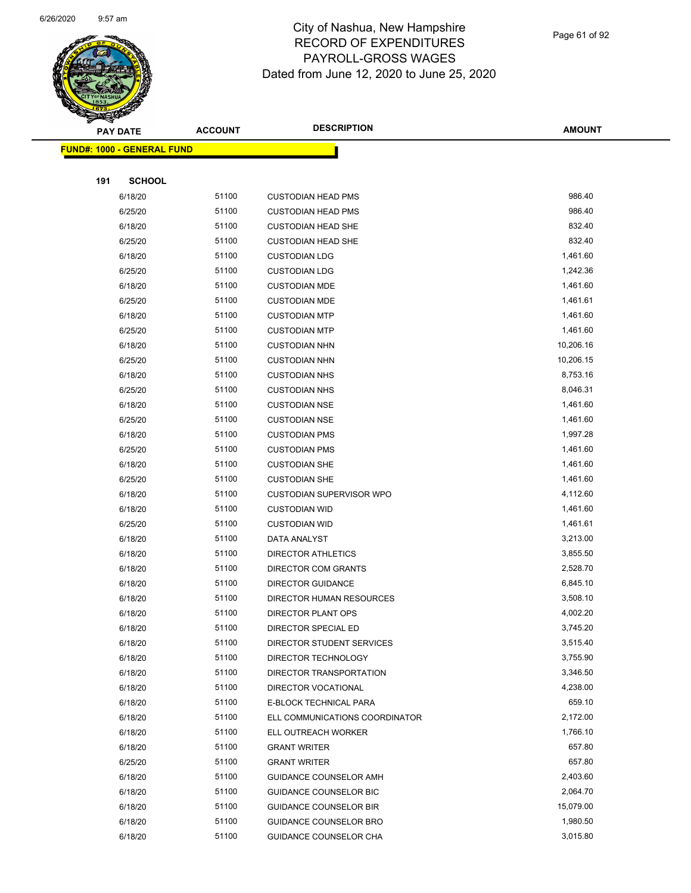

Page 61 of 92

|     | <b>PAY DATE</b>                   | <b>ACCOUNT</b> | <b>DESCRIPTION</b>              | <b>AMOUNT</b> |
|-----|-----------------------------------|----------------|---------------------------------|---------------|
|     | <b>FUND#: 1000 - GENERAL FUND</b> |                |                                 |               |
|     |                                   |                |                                 |               |
| 191 | <b>SCHOOL</b>                     |                |                                 |               |
|     | 6/18/20                           | 51100          | <b>CUSTODIAN HEAD PMS</b>       | 986.40        |
|     | 6/25/20                           | 51100          | <b>CUSTODIAN HEAD PMS</b>       | 986.40        |
|     | 6/18/20                           | 51100          | <b>CUSTODIAN HEAD SHE</b>       | 832.40        |
|     | 6/25/20                           | 51100          | <b>CUSTODIAN HEAD SHE</b>       | 832.40        |
|     | 6/18/20                           | 51100          | <b>CUSTODIAN LDG</b>            | 1,461.60      |
|     | 6/25/20                           | 51100          | <b>CUSTODIAN LDG</b>            | 1,242.36      |
|     | 6/18/20                           | 51100          | <b>CUSTODIAN MDE</b>            | 1,461.60      |
|     | 6/25/20                           | 51100          | <b>CUSTODIAN MDE</b>            | 1,461.61      |
|     | 6/18/20                           | 51100          | <b>CUSTODIAN MTP</b>            | 1,461.60      |
|     | 6/25/20                           | 51100          | <b>CUSTODIAN MTP</b>            | 1,461.60      |
|     | 6/18/20                           | 51100          | <b>CUSTODIAN NHN</b>            | 10,206.16     |
|     | 6/25/20                           | 51100          | <b>CUSTODIAN NHN</b>            | 10,206.15     |
|     | 6/18/20                           | 51100          | <b>CUSTODIAN NHS</b>            | 8,753.16      |
|     | 6/25/20                           | 51100          | <b>CUSTODIAN NHS</b>            | 8,046.31      |
|     | 6/18/20                           | 51100          | <b>CUSTODIAN NSE</b>            | 1,461.60      |
|     | 6/25/20                           | 51100          | <b>CUSTODIAN NSE</b>            | 1,461.60      |
|     | 6/18/20                           | 51100          | <b>CUSTODIAN PMS</b>            | 1,997.28      |
|     | 6/25/20                           | 51100          | <b>CUSTODIAN PMS</b>            | 1,461.60      |
|     | 6/18/20                           | 51100          | <b>CUSTODIAN SHE</b>            | 1,461.60      |
|     | 6/25/20                           | 51100          | <b>CUSTODIAN SHE</b>            | 1,461.60      |
|     | 6/18/20                           | 51100          | <b>CUSTODIAN SUPERVISOR WPO</b> | 4,112.60      |
|     | 6/18/20                           | 51100          | <b>CUSTODIAN WID</b>            | 1,461.60      |
|     | 6/25/20                           | 51100          | <b>CUSTODIAN WID</b>            | 1,461.61      |
|     | 6/18/20                           | 51100          | DATA ANALYST                    | 3,213.00      |
|     | 6/18/20                           | 51100          | <b>DIRECTOR ATHLETICS</b>       | 3,855.50      |
|     | 6/18/20                           | 51100          | DIRECTOR COM GRANTS             | 2,528.70      |
|     | 6/18/20                           | 51100          | <b>DIRECTOR GUIDANCE</b>        | 6,845.10      |
|     | 6/18/20                           | 51100          | <b>DIRECTOR HUMAN RESOURCES</b> | 3,508.10      |
|     | 6/18/20                           | 51100          | DIRECTOR PLANT OPS              | 4,002.20      |
|     | 6/18/20                           | 51100          | DIRECTOR SPECIAL ED             | 3,745.20      |
|     | 6/18/20                           | 51100          | DIRECTOR STUDENT SERVICES       | 3,515.40      |
|     | 6/18/20                           | 51100          | DIRECTOR TECHNOLOGY             | 3,755.90      |
|     | 6/18/20                           | 51100          | DIRECTOR TRANSPORTATION         | 3,346.50      |
|     | 6/18/20                           | 51100          | DIRECTOR VOCATIONAL             | 4,238.00      |
|     | 6/18/20                           | 51100          | E-BLOCK TECHNICAL PARA          | 659.10        |
|     | 6/18/20                           | 51100          | ELL COMMUNICATIONS COORDINATOR  | 2,172.00      |
|     | 6/18/20                           | 51100          | ELL OUTREACH WORKER             | 1,766.10      |
|     | 6/18/20                           | 51100          | <b>GRANT WRITER</b>             | 657.80        |
|     | 6/25/20                           | 51100          | <b>GRANT WRITER</b>             | 657.80        |
|     | 6/18/20                           | 51100          | <b>GUIDANCE COUNSELOR AMH</b>   | 2,403.60      |
|     | 6/18/20                           | 51100          | GUIDANCE COUNSELOR BIC          | 2,064.70      |
|     | 6/18/20                           | 51100          | <b>GUIDANCE COUNSELOR BIR</b>   | 15,079.00     |
|     | 6/18/20                           | 51100          | GUIDANCE COUNSELOR BRO          | 1,980.50      |
|     | 6/18/20                           | 51100          | GUIDANCE COUNSELOR CHA          | 3,015.80      |
|     |                                   |                |                                 |               |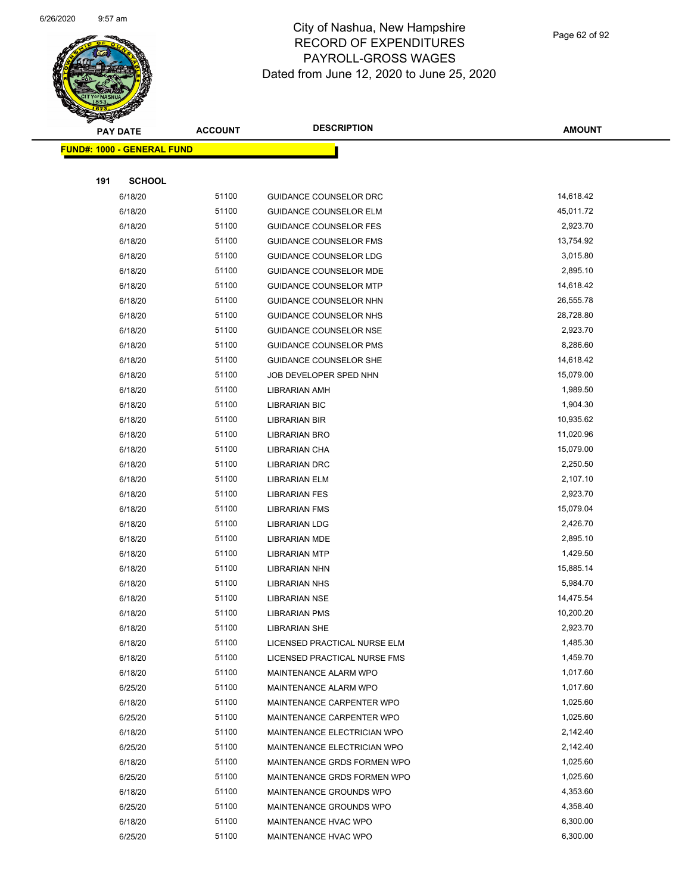

Page 62 of 92

|                                   |                | <b>DESCRIPTION</b>            |               |
|-----------------------------------|----------------|-------------------------------|---------------|
| <b>PAY DATE</b>                   | <b>ACCOUNT</b> |                               | <b>AMOUNT</b> |
| <b>FUND#: 1000 - GENERAL FUND</b> |                |                               |               |
|                                   |                |                               |               |
| 191<br><b>SCHOOL</b>              |                |                               |               |
| 6/18/20                           | 51100          | <b>GUIDANCE COUNSELOR DRC</b> | 14,618.42     |
| 6/18/20                           | 51100          | <b>GUIDANCE COUNSELOR ELM</b> | 45,011.72     |
| 6/18/20                           | 51100          | <b>GUIDANCE COUNSELOR FES</b> | 2,923.70      |
| 6/18/20                           | 51100          | GUIDANCE COUNSELOR FMS        | 13,754.92     |
| 6/18/20                           | 51100          | <b>GUIDANCE COUNSELOR LDG</b> | 3,015.80      |
| 6/18/20                           | 51100          | <b>GUIDANCE COUNSELOR MDE</b> | 2,895.10      |
| 6/18/20                           | 51100          | <b>GUIDANCE COUNSELOR MTP</b> | 14,618.42     |
| 6/18/20                           | 51100          | GUIDANCE COUNSELOR NHN        | 26,555.78     |
| 6/18/20                           | 51100          | GUIDANCE COUNSELOR NHS        | 28,728.80     |
| 6/18/20                           | 51100          | GUIDANCE COUNSELOR NSE        | 2,923.70      |
| 6/18/20                           | 51100          | <b>GUIDANCE COUNSELOR PMS</b> | 8,286.60      |
| 6/18/20                           | 51100          | <b>GUIDANCE COUNSELOR SHE</b> | 14,618.42     |
| 6/18/20                           | 51100          | JOB DEVELOPER SPED NHN        | 15,079.00     |
| 6/18/20                           | 51100          | LIBRARIAN AMH                 | 1,989.50      |
| 6/18/20                           | 51100          | <b>LIBRARIAN BIC</b>          | 1,904.30      |
| 6/18/20                           | 51100          | LIBRARIAN BIR                 | 10,935.62     |
| 6/18/20                           | 51100          | LIBRARIAN BRO                 | 11,020.96     |
| 6/18/20                           | 51100          | LIBRARIAN CHA                 | 15,079.00     |
| 6/18/20                           | 51100          | LIBRARIAN DRC                 | 2,250.50      |
| 6/18/20                           | 51100          | <b>LIBRARIAN ELM</b>          | 2,107.10      |
| 6/18/20                           | 51100          | <b>LIBRARIAN FES</b>          | 2,923.70      |
| 6/18/20                           | 51100          | <b>LIBRARIAN FMS</b>          | 15,079.04     |
| 6/18/20                           | 51100          | <b>LIBRARIAN LDG</b>          | 2,426.70      |
| 6/18/20                           | 51100          | LIBRARIAN MDE                 | 2,895.10      |
| 6/18/20                           | 51100          | <b>LIBRARIAN MTP</b>          | 1,429.50      |
| 6/18/20                           | 51100          | <b>LIBRARIAN NHN</b>          | 15,885.14     |
| 6/18/20                           | 51100          | <b>LIBRARIAN NHS</b>          | 5,984.70      |
| 6/18/20                           | 51100          | <b>LIBRARIAN NSE</b>          | 14,475.54     |
| 6/18/20                           | 51100          | <b>LIBRARIAN PMS</b>          | 10,200.20     |
| 6/18/20                           | 51100          | <b>LIBRARIAN SHE</b>          | 2,923.70      |
| 6/18/20                           | 51100          | LICENSED PRACTICAL NURSE ELM  | 1,485.30      |
| 6/18/20                           | 51100          | LICENSED PRACTICAL NURSE FMS  | 1,459.70      |
| 6/18/20                           | 51100          | MAINTENANCE ALARM WPO         | 1,017.60      |
| 6/25/20                           | 51100          | MAINTENANCE ALARM WPO         | 1,017.60      |
| 6/18/20                           | 51100          | MAINTENANCE CARPENTER WPO     | 1,025.60      |
| 6/25/20                           | 51100          | MAINTENANCE CARPENTER WPO     | 1,025.60      |
| 6/18/20                           | 51100          | MAINTENANCE ELECTRICIAN WPO   | 2,142.40      |
| 6/25/20                           | 51100          | MAINTENANCE ELECTRICIAN WPO   | 2,142.40      |
| 6/18/20                           | 51100          | MAINTENANCE GRDS FORMEN WPO   | 1,025.60      |
| 6/25/20                           | 51100          | MAINTENANCE GRDS FORMEN WPO   | 1,025.60      |
| 6/18/20                           | 51100          | MAINTENANCE GROUNDS WPO       | 4,353.60      |
| 6/25/20                           | 51100          | MAINTENANCE GROUNDS WPO       | 4,358.40      |
| 6/18/20                           | 51100          | MAINTENANCE HVAC WPO          | 6,300.00      |
| 6/25/20                           | 51100          | MAINTENANCE HVAC WPO          | 6,300.00      |
|                                   |                |                               |               |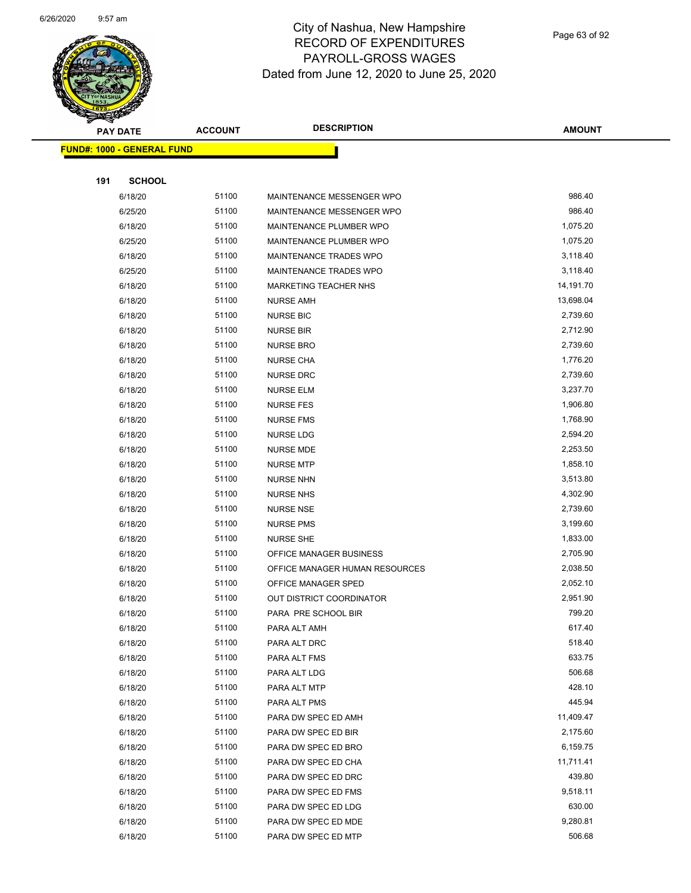

Page 63 of 92

| Ð<br>A.<br>PAY DATE               | <b>ACCOUNT</b> | <b>DESCRIPTION</b>             | <b>AMOUNT</b> |
|-----------------------------------|----------------|--------------------------------|---------------|
| <b>FUND#: 1000 - GENERAL FUND</b> |                |                                |               |
|                                   |                |                                |               |
| <b>SCHOOL</b><br>191              |                |                                |               |
| 6/18/20                           | 51100          | MAINTENANCE MESSENGER WPO      | 986.40        |
| 6/25/20                           | 51100          | MAINTENANCE MESSENGER WPO      | 986.40        |
| 6/18/20                           | 51100          | MAINTENANCE PLUMBER WPO        | 1,075.20      |
| 6/25/20                           | 51100          | MAINTENANCE PLUMBER WPO        | 1,075.20      |
| 6/18/20                           | 51100          | MAINTENANCE TRADES WPO         | 3,118.40      |
| 6/25/20                           | 51100          | MAINTENANCE TRADES WPO         | 3,118.40      |
| 6/18/20                           | 51100          | <b>MARKETING TEACHER NHS</b>   | 14,191.70     |
| 6/18/20                           | 51100          | <b>NURSE AMH</b>               | 13,698.04     |
| 6/18/20                           | 51100          | <b>NURSE BIC</b>               | 2,739.60      |
| 6/18/20                           | 51100          | <b>NURSE BIR</b>               | 2,712.90      |
| 6/18/20                           | 51100          | <b>NURSE BRO</b>               | 2,739.60      |
| 6/18/20                           | 51100          | <b>NURSE CHA</b>               | 1,776.20      |
| 6/18/20                           | 51100          | <b>NURSE DRC</b>               | 2,739.60      |
| 6/18/20                           | 51100          | <b>NURSE ELM</b>               | 3,237.70      |
| 6/18/20                           | 51100          | <b>NURSE FES</b>               | 1,906.80      |
| 6/18/20                           | 51100          | <b>NURSE FMS</b>               | 1,768.90      |
| 6/18/20                           | 51100          | <b>NURSE LDG</b>               | 2,594.20      |
| 6/18/20                           | 51100          | <b>NURSE MDE</b>               | 2,253.50      |
| 6/18/20                           | 51100          | <b>NURSE MTP</b>               | 1,858.10      |
| 6/18/20                           | 51100          | <b>NURSE NHN</b>               | 3,513.80      |
| 6/18/20                           | 51100          | <b>NURSE NHS</b>               | 4,302.90      |
| 6/18/20                           | 51100          | NURSE NSE                      | 2,739.60      |
| 6/18/20                           | 51100          | <b>NURSE PMS</b>               | 3,199.60      |
| 6/18/20                           | 51100          | <b>NURSE SHE</b>               | 1,833.00      |
| 6/18/20                           | 51100          | OFFICE MANAGER BUSINESS        | 2,705.90      |
| 6/18/20                           | 51100          | OFFICE MANAGER HUMAN RESOURCES | 2,038.50      |
| 6/18/20                           | 51100          | OFFICE MANAGER SPED            | 2,052.10      |
| 6/18/20                           | 51100          | OUT DISTRICT COORDINATOR       | 2,951.90      |
| 6/18/20                           | 51100          | PARA PRE SCHOOL BIR            | 799.20        |
| 6/18/20                           | 51100          | PARA ALT AMH                   | 617.40        |
| 6/18/20                           | 51100          | PARA ALT DRC                   | 518.40        |
| 6/18/20                           | 51100          | PARA ALT FMS                   | 633.75        |
| 6/18/20                           | 51100          | PARA ALT LDG                   | 506.68        |
| 6/18/20                           | 51100          | PARA ALT MTP                   | 428.10        |
| 6/18/20                           | 51100          | PARA ALT PMS                   | 445.94        |
| 6/18/20                           | 51100          | PARA DW SPEC ED AMH            | 11,409.47     |
| 6/18/20                           | 51100          | PARA DW SPEC ED BIR            | 2,175.60      |
| 6/18/20                           | 51100          | PARA DW SPEC ED BRO            | 6,159.75      |
| 6/18/20                           | 51100          | PARA DW SPEC ED CHA            | 11,711.41     |
| 6/18/20                           | 51100          | PARA DW SPEC ED DRC            | 439.80        |
| 6/18/20                           | 51100          | PARA DW SPEC ED FMS            | 9,518.11      |
| 6/18/20                           | 51100          | PARA DW SPEC ED LDG            | 630.00        |
| 6/18/20                           | 51100          | PARA DW SPEC ED MDE            | 9,280.81      |
| 6/18/20                           | 51100          | PARA DW SPEC ED MTP            | 506.68        |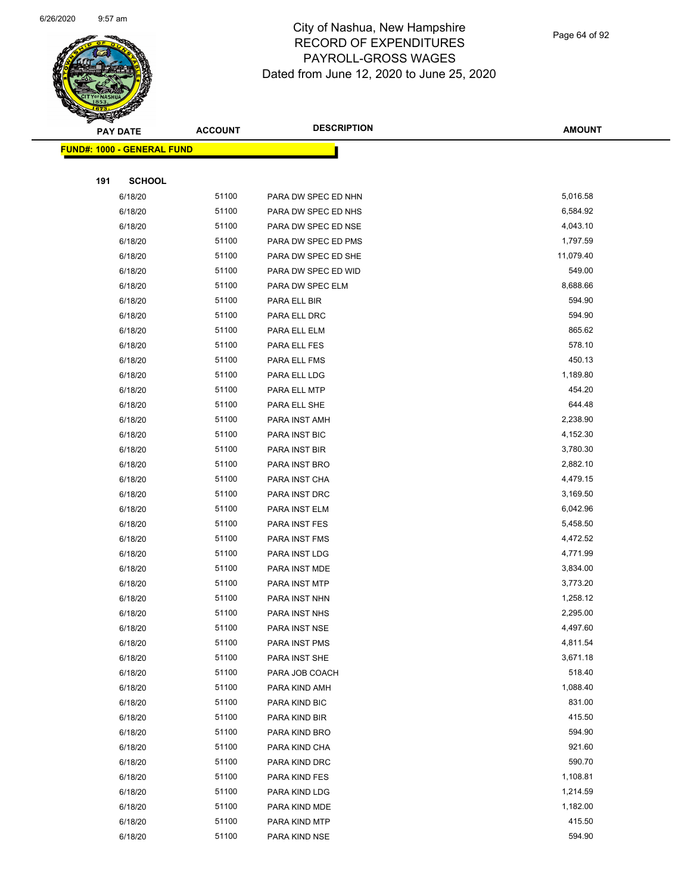

Page 64 of 92

| s<br>$\tilde{\phantom{a}}$ | <b>PAY DATE</b>                   | <b>ACCOUNT</b> | <b>DESCRIPTION</b>  | <b>AMOUNT</b> |  |  |  |
|----------------------------|-----------------------------------|----------------|---------------------|---------------|--|--|--|
|                            | <b>FUND#: 1000 - GENERAL FUND</b> |                |                     |               |  |  |  |
|                            |                                   |                |                     |               |  |  |  |
| 191                        | <b>SCHOOL</b>                     |                |                     |               |  |  |  |
|                            | 6/18/20                           | 51100          | PARA DW SPEC ED NHN | 5,016.58      |  |  |  |
|                            | 6/18/20                           | 51100          | PARA DW SPEC ED NHS | 6,584.92      |  |  |  |
|                            | 6/18/20                           | 51100          | PARA DW SPEC ED NSE | 4,043.10      |  |  |  |
|                            | 6/18/20                           | 51100          | PARA DW SPEC ED PMS | 1,797.59      |  |  |  |
|                            | 6/18/20                           | 51100          | PARA DW SPEC ED SHE | 11,079.40     |  |  |  |
|                            | 6/18/20                           | 51100          | PARA DW SPEC ED WID | 549.00        |  |  |  |
|                            | 6/18/20                           | 51100          | PARA DW SPEC ELM    | 8,688.66      |  |  |  |
|                            | 6/18/20                           | 51100          | PARA ELL BIR        | 594.90        |  |  |  |
|                            | 6/18/20                           | 51100          | PARA ELL DRC        | 594.90        |  |  |  |
|                            | 6/18/20                           | 51100          | PARA ELL ELM        | 865.62        |  |  |  |
|                            | 6/18/20                           | 51100          | PARA ELL FES        | 578.10        |  |  |  |
|                            | 6/18/20                           | 51100          | PARA ELL FMS        | 450.13        |  |  |  |
|                            | 6/18/20                           | 51100          | PARA ELL LDG        | 1,189.80      |  |  |  |
|                            | 6/18/20                           | 51100          | PARA ELL MTP        | 454.20        |  |  |  |
|                            | 6/18/20                           | 51100          | PARA ELL SHE        | 644.48        |  |  |  |
|                            | 6/18/20                           | 51100          | PARA INST AMH       | 2,238.90      |  |  |  |
|                            | 6/18/20                           | 51100          | PARA INST BIC       | 4,152.30      |  |  |  |
|                            | 6/18/20                           | 51100          | PARA INST BIR       | 3,780.30      |  |  |  |
|                            | 6/18/20                           | 51100          | PARA INST BRO       | 2,882.10      |  |  |  |
|                            | 6/18/20                           | 51100          | PARA INST CHA       | 4,479.15      |  |  |  |
|                            | 6/18/20                           | 51100          | PARA INST DRC       | 3,169.50      |  |  |  |
|                            | 6/18/20                           | 51100          | PARA INST ELM       | 6,042.96      |  |  |  |
|                            | 6/18/20                           | 51100          | PARA INST FES       | 5,458.50      |  |  |  |
|                            | 6/18/20                           | 51100          | PARA INST FMS       | 4,472.52      |  |  |  |
|                            | 6/18/20                           | 51100          | PARA INST LDG       | 4,771.99      |  |  |  |
|                            | 6/18/20                           | 51100          | PARA INST MDE       | 3,834.00      |  |  |  |
|                            | 6/18/20                           | 51100          | PARA INST MTP       | 3,773.20      |  |  |  |
|                            | 6/18/20                           | 51100          | PARA INST NHN       | 1,258.12      |  |  |  |
|                            | 6/18/20                           | 51100          | PARA INST NHS       | 2,295.00      |  |  |  |
|                            | 6/18/20                           | 51100          | PARA INST NSE       | 4,497.60      |  |  |  |
|                            | 6/18/20                           | 51100          | PARA INST PMS       | 4,811.54      |  |  |  |
|                            | 6/18/20                           | 51100          | PARA INST SHE       | 3,671.18      |  |  |  |
|                            | 6/18/20                           | 51100          | PARA JOB COACH      | 518.40        |  |  |  |
|                            | 6/18/20                           | 51100          | PARA KIND AMH       | 1,088.40      |  |  |  |
|                            | 6/18/20                           | 51100          | PARA KIND BIC       | 831.00        |  |  |  |
|                            | 6/18/20                           | 51100          | PARA KIND BIR       | 415.50        |  |  |  |
|                            | 6/18/20                           | 51100          | PARA KIND BRO       | 594.90        |  |  |  |
|                            | 6/18/20                           | 51100          | PARA KIND CHA       | 921.60        |  |  |  |
|                            | 6/18/20                           | 51100          | PARA KIND DRC       | 590.70        |  |  |  |
|                            | 6/18/20                           | 51100          | PARA KIND FES       | 1,108.81      |  |  |  |
|                            | 6/18/20                           | 51100          | PARA KIND LDG       | 1,214.59      |  |  |  |
|                            | 6/18/20                           | 51100          | PARA KIND MDE       | 1,182.00      |  |  |  |
|                            | 6/18/20                           | 51100          | PARA KIND MTP       | 415.50        |  |  |  |
|                            | 6/18/20                           | 51100          | PARA KIND NSE       | 594.90        |  |  |  |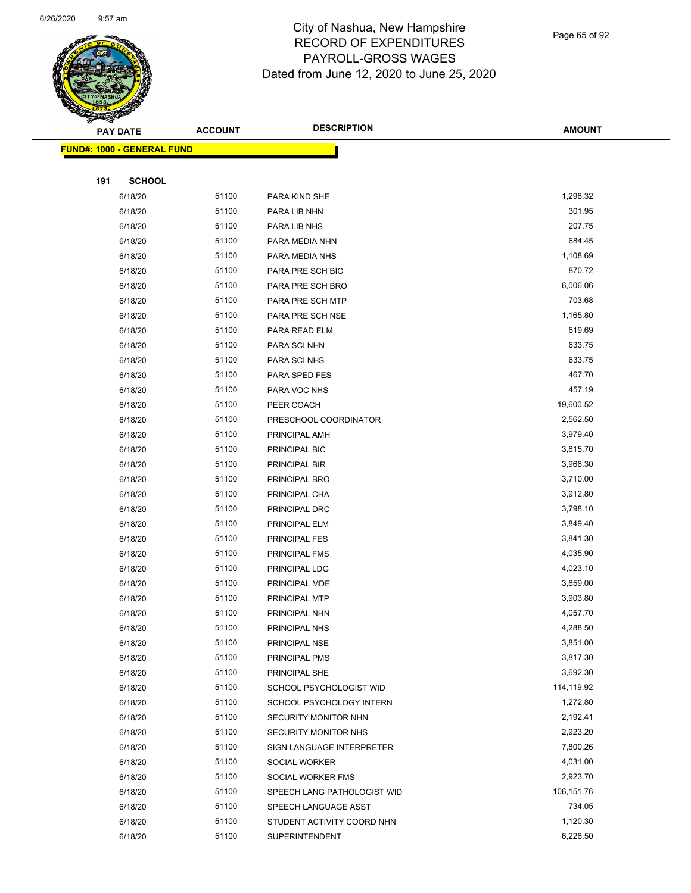

Page 65 of 92

|     | <b>PAY DATE</b>                   | <b>ACCOUNT</b> | <b>DESCRIPTION</b>                       | <b>AMOUNT</b>        |  |
|-----|-----------------------------------|----------------|------------------------------------------|----------------------|--|
|     | <b>FUND#: 1000 - GENERAL FUND</b> |                |                                          |                      |  |
|     |                                   |                |                                          |                      |  |
| 191 | <b>SCHOOL</b>                     |                |                                          |                      |  |
|     | 6/18/20                           | 51100          | PARA KIND SHE                            | 1,298.32             |  |
|     | 6/18/20                           | 51100          | PARA LIB NHN                             | 301.95               |  |
|     | 6/18/20                           | 51100          | PARA LIB NHS                             | 207.75               |  |
|     | 6/18/20                           | 51100          | PARA MEDIA NHN                           | 684.45               |  |
|     | 6/18/20                           | 51100          | PARA MEDIA NHS                           | 1,108.69             |  |
|     | 6/18/20                           | 51100          | PARA PRE SCH BIC                         | 870.72               |  |
|     | 6/18/20                           | 51100          | PARA PRE SCH BRO                         | 6,006.06             |  |
|     | 6/18/20                           | 51100          | PARA PRE SCH MTP                         | 703.68               |  |
|     | 6/18/20                           | 51100          | PARA PRE SCH NSE                         | 1,165.80             |  |
|     | 6/18/20                           | 51100          | PARA READ ELM                            | 619.69               |  |
|     | 6/18/20                           | 51100          | PARA SCI NHN                             | 633.75               |  |
|     | 6/18/20                           | 51100          | PARA SCI NHS                             | 633.75               |  |
|     | 6/18/20                           | 51100          | PARA SPED FES                            | 467.70               |  |
|     | 6/18/20                           | 51100          | PARA VOC NHS                             | 457.19               |  |
|     | 6/18/20                           | 51100          | PEER COACH                               | 19,600.52            |  |
|     | 6/18/20                           | 51100          | PRESCHOOL COORDINATOR                    | 2,562.50             |  |
|     | 6/18/20                           | 51100          | PRINCIPAL AMH                            | 3,979.40             |  |
|     | 6/18/20                           | 51100          | PRINCIPAL BIC                            | 3,815.70             |  |
|     | 6/18/20                           | 51100          | PRINCIPAL BIR                            | 3,966.30             |  |
|     | 6/18/20                           | 51100          | PRINCIPAL BRO                            | 3,710.00             |  |
|     | 6/18/20                           | 51100          | PRINCIPAL CHA                            | 3,912.80             |  |
|     | 6/18/20                           | 51100          | PRINCIPAL DRC                            | 3,798.10             |  |
|     | 6/18/20                           | 51100          | PRINCIPAL ELM                            | 3,849.40             |  |
|     | 6/18/20                           | 51100          | PRINCIPAL FES                            | 3,841.30             |  |
|     | 6/18/20                           | 51100          | PRINCIPAL FMS                            | 4,035.90             |  |
|     | 6/18/20                           | 51100          | PRINCIPAL LDG                            | 4,023.10             |  |
|     | 6/18/20                           | 51100          | PRINCIPAL MDE                            | 3,859.00             |  |
|     | 6/18/20                           | 51100          | PRINCIPAL MTP                            | 3,903.80             |  |
|     | 6/18/20                           | 51100          | PRINCIPAL NHN                            | 4,057.70             |  |
|     | 6/18/20                           | 51100          | PRINCIPAL NHS                            | 4,288.50             |  |
|     | 6/18/20                           | 51100<br>51100 | PRINCIPAL NSE                            | 3,851.00<br>3,817.30 |  |
|     | 6/18/20                           | 51100          | PRINCIPAL PMS                            | 3,692.30             |  |
|     | 6/18/20<br>6/18/20                | 51100          | PRINCIPAL SHE<br>SCHOOL PSYCHOLOGIST WID | 114,119.92           |  |
|     | 6/18/20                           | 51100          | SCHOOL PSYCHOLOGY INTERN                 | 1,272.80             |  |
|     | 6/18/20                           | 51100          | SECURITY MONITOR NHN                     | 2,192.41             |  |
|     | 6/18/20                           | 51100          | SECURITY MONITOR NHS                     | 2,923.20             |  |
|     | 6/18/20                           | 51100          | SIGN LANGUAGE INTERPRETER                | 7,800.26             |  |
|     | 6/18/20                           | 51100          | SOCIAL WORKER                            | 4,031.00             |  |
|     | 6/18/20                           | 51100          | SOCIAL WORKER FMS                        | 2,923.70             |  |
|     | 6/18/20                           | 51100          | SPEECH LANG PATHOLOGIST WID              | 106,151.76           |  |
|     | 6/18/20                           | 51100          | SPEECH LANGUAGE ASST                     | 734.05               |  |
|     | 6/18/20                           | 51100          | STUDENT ACTIVITY COORD NHN               | 1,120.30             |  |
|     | 6/18/20                           | 51100          | <b>SUPERINTENDENT</b>                    | 6,228.50             |  |
|     |                                   |                |                                          |                      |  |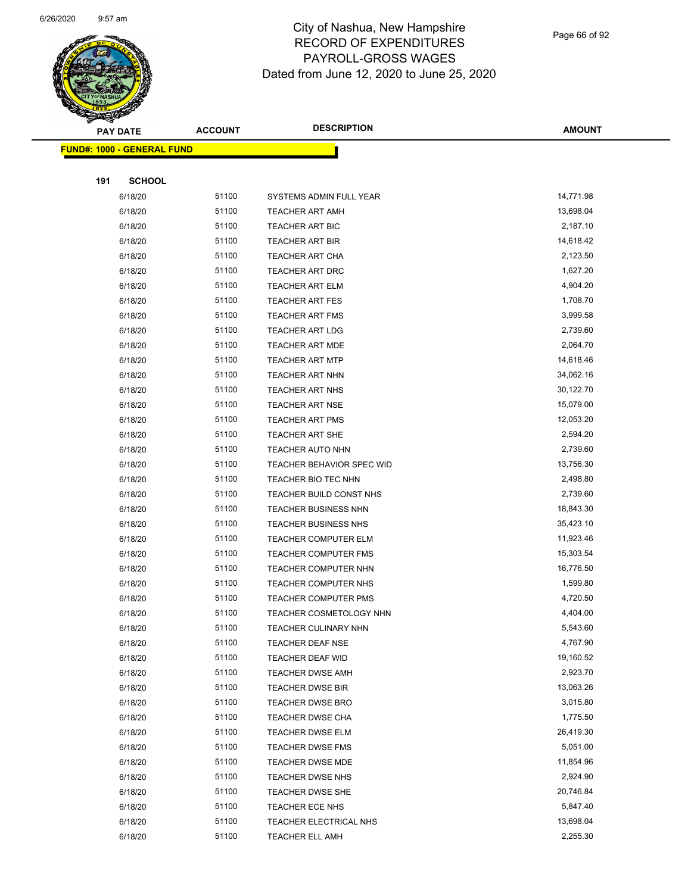

Page 66 of 92

|     | <b>PAY DATE</b>                   | <b>ACCOUNT</b> | <b>DESCRIPTION</b>               | <b>AMOUNT</b> |
|-----|-----------------------------------|----------------|----------------------------------|---------------|
|     | <b>FUND#: 1000 - GENERAL FUND</b> |                |                                  |               |
|     |                                   |                |                                  |               |
| 191 | <b>SCHOOL</b>                     |                |                                  |               |
|     | 6/18/20                           | 51100          | SYSTEMS ADMIN FULL YEAR          | 14,771.98     |
|     | 6/18/20                           | 51100          | <b>TEACHER ART AMH</b>           | 13,698.04     |
|     | 6/18/20                           | 51100          | <b>TEACHER ART BIC</b>           | 2,187.10      |
|     | 6/18/20                           | 51100          | <b>TEACHER ART BIR</b>           | 14,618.42     |
|     | 6/18/20                           | 51100          | <b>TEACHER ART CHA</b>           | 2,123.50      |
|     | 6/18/20                           | 51100          | TEACHER ART DRC                  | 1,627.20      |
|     | 6/18/20                           | 51100          | <b>TEACHER ART ELM</b>           | 4,904.20      |
|     | 6/18/20                           | 51100          | <b>TEACHER ART FES</b>           | 1,708.70      |
|     | 6/18/20                           | 51100          | <b>TEACHER ART FMS</b>           | 3,999.58      |
|     | 6/18/20                           | 51100          | <b>TEACHER ART LDG</b>           | 2,739.60      |
|     | 6/18/20                           | 51100          | <b>TEACHER ART MDE</b>           | 2,064.70      |
|     | 6/18/20                           | 51100          | <b>TEACHER ART MTP</b>           | 14,618.46     |
|     | 6/18/20                           | 51100          | <b>TEACHER ART NHN</b>           | 34,062.16     |
|     | 6/18/20                           | 51100          | <b>TEACHER ART NHS</b>           | 30,122.70     |
|     | 6/18/20                           | 51100          | <b>TEACHER ART NSE</b>           | 15,079.00     |
|     | 6/18/20                           | 51100          | TEACHER ART PMS                  | 12,053.20     |
|     | 6/18/20                           | 51100          | <b>TEACHER ART SHE</b>           | 2,594.20      |
|     | 6/18/20                           | 51100          | TEACHER AUTO NHN                 | 2,739.60      |
|     | 6/18/20                           | 51100          | <b>TEACHER BEHAVIOR SPEC WID</b> | 13,756.30     |
|     | 6/18/20                           | 51100          | TEACHER BIO TEC NHN              | 2,498.80      |
|     | 6/18/20                           | 51100          | TEACHER BUILD CONST NHS          | 2,739.60      |
|     | 6/18/20                           | 51100          | <b>TEACHER BUSINESS NHN</b>      | 18,843.30     |
|     | 6/18/20                           | 51100          | <b>TEACHER BUSINESS NHS</b>      | 35,423.10     |
|     | 6/18/20                           | 51100          | <b>TEACHER COMPUTER ELM</b>      | 11,923.46     |
|     | 6/18/20                           | 51100          | TEACHER COMPUTER FMS             | 15,303.54     |
|     | 6/18/20                           | 51100          | TEACHER COMPUTER NHN             | 16,776.50     |
|     | 6/18/20                           | 51100          | <b>TEACHER COMPUTER NHS</b>      | 1,599.80      |
|     | 6/18/20                           | 51100          | <b>TEACHER COMPUTER PMS</b>      | 4,720.50      |
|     | 6/18/20                           | 51100          | TEACHER COSMETOLOGY NHN          | 4,404.00      |
|     | 6/18/20                           | 51100          | TEACHER CULINARY NHN             | 5,543.60      |
|     | 6/18/20                           | 51100          | TEACHER DEAF NSE                 | 4,767.90      |
|     | 6/18/20                           | 51100          | TEACHER DEAF WID                 | 19,160.52     |
|     | 6/18/20                           | 51100          | <b>TEACHER DWSE AMH</b>          | 2,923.70      |
|     | 6/18/20                           | 51100          | <b>TEACHER DWSE BIR</b>          | 13,063.26     |
|     | 6/18/20                           | 51100          | TEACHER DWSE BRO                 | 3,015.80      |
|     | 6/18/20                           | 51100          | TEACHER DWSE CHA                 | 1,775.50      |
|     | 6/18/20                           | 51100          | <b>TEACHER DWSE ELM</b>          | 26,419.30     |
|     | 6/18/20                           | 51100          | <b>TEACHER DWSE FMS</b>          | 5,051.00      |
|     | 6/18/20                           | 51100          | <b>TEACHER DWSE MDE</b>          | 11,854.96     |
|     | 6/18/20                           | 51100          | <b>TEACHER DWSE NHS</b>          | 2,924.90      |
|     | 6/18/20                           | 51100          | TEACHER DWSE SHE                 | 20,746.84     |
|     | 6/18/20                           | 51100          | TEACHER ECE NHS                  | 5,847.40      |
|     | 6/18/20                           | 51100          | TEACHER ELECTRICAL NHS           | 13,698.04     |
|     | 6/18/20                           | 51100          | <b>TEACHER ELL AMH</b>           | 2,255.30      |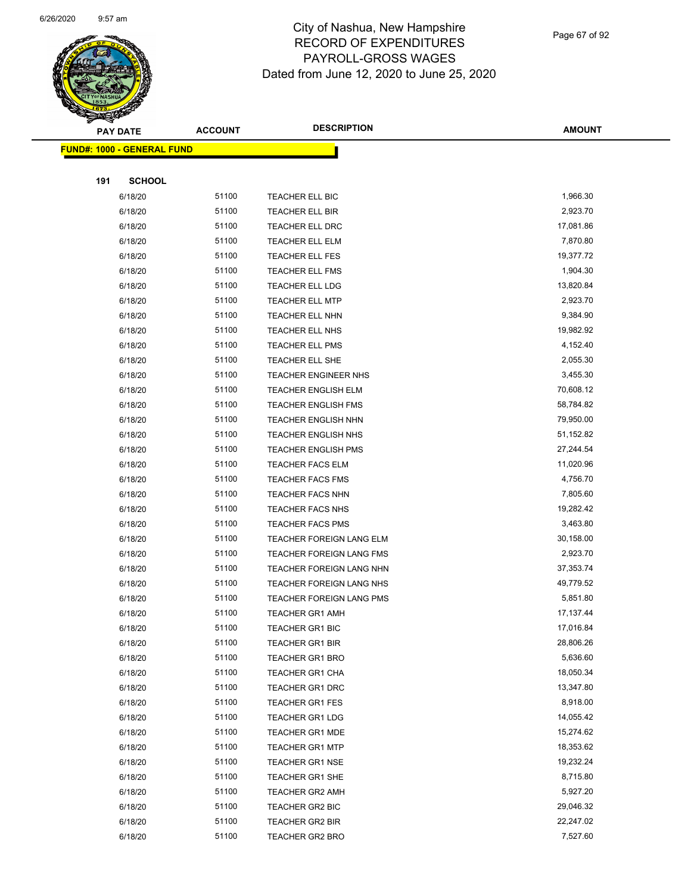

Page 67 of 92

| <b>Experience</b> |                                    | <b>DESCRIPTION</b><br><b>ACCOUNT</b> |                             |               |
|-------------------|------------------------------------|--------------------------------------|-----------------------------|---------------|
| <b>PAY DATE</b>   |                                    |                                      |                             | <b>AMOUNT</b> |
|                   | <u> FUND#: 1000 - GENERAL FUND</u> |                                      |                             |               |
|                   |                                    |                                      |                             |               |
| 191               | <b>SCHOOL</b>                      |                                      |                             |               |
|                   | 6/18/20                            | 51100                                | TEACHER ELL BIC             | 1,966.30      |
|                   | 6/18/20                            | 51100                                | TEACHER ELL BIR             | 2,923.70      |
|                   | 6/18/20                            | 51100                                | TEACHER ELL DRC             | 17,081.86     |
|                   | 6/18/20                            | 51100                                | TEACHER ELL ELM             | 7,870.80      |
|                   | 6/18/20                            | 51100                                | TEACHER ELL FES             | 19,377.72     |
|                   | 6/18/20                            | 51100                                | <b>TEACHER ELL FMS</b>      | 1,904.30      |
|                   | 6/18/20                            | 51100                                | TEACHER ELL LDG             | 13,820.84     |
|                   | 6/18/20                            | 51100                                | <b>TEACHER ELL MTP</b>      | 2,923.70      |
|                   | 6/18/20                            | 51100                                | TEACHER ELL NHN             | 9,384.90      |
|                   | 6/18/20                            | 51100                                | <b>TEACHER ELL NHS</b>      | 19,982.92     |
|                   | 6/18/20                            | 51100                                | <b>TEACHER ELL PMS</b>      | 4,152.40      |
|                   | 6/18/20                            | 51100                                | TEACHER ELL SHE             | 2,055.30      |
|                   | 6/18/20                            | 51100                                | <b>TEACHER ENGINEER NHS</b> | 3,455.30      |
|                   | 6/18/20                            | 51100                                | TEACHER ENGLISH ELM         | 70,608.12     |
|                   | 6/18/20                            | 51100                                | <b>TEACHER ENGLISH FMS</b>  | 58,784.82     |
|                   | 6/18/20                            | 51100                                | <b>TEACHER ENGLISH NHN</b>  | 79,950.00     |
|                   | 6/18/20                            | 51100                                | <b>TEACHER ENGLISH NHS</b>  | 51,152.82     |
|                   | 6/18/20                            | 51100                                | <b>TEACHER ENGLISH PMS</b>  | 27,244.54     |
|                   | 6/18/20                            | 51100                                | <b>TEACHER FACS ELM</b>     | 11,020.96     |
|                   | 6/18/20                            | 51100                                | <b>TEACHER FACS FMS</b>     | 4,756.70      |
|                   | 6/18/20                            | 51100                                | <b>TEACHER FACS NHN</b>     | 7,805.60      |
|                   | 6/18/20                            | 51100                                | <b>TEACHER FACS NHS</b>     | 19,282.42     |
|                   | 6/18/20                            | 51100                                | <b>TEACHER FACS PMS</b>     | 3,463.80      |
|                   | 6/18/20                            | 51100                                | TEACHER FOREIGN LANG ELM    | 30,158.00     |
|                   | 6/18/20                            | 51100                                | TEACHER FOREIGN LANG FMS    | 2,923.70      |
|                   | 6/18/20                            | 51100                                | TEACHER FOREIGN LANG NHN    | 37, 353. 74   |
|                   | 6/18/20                            | 51100                                | TEACHER FOREIGN LANG NHS    | 49,779.52     |
|                   | 6/18/20                            | 51100                                | TEACHER FOREIGN LANG PMS    | 5,851.80      |
|                   | 6/18/20                            | 51100                                | <b>TEACHER GR1 AMH</b>      | 17,137.44     |
|                   | 6/18/20                            | 51100                                | TEACHER GR1 BIC             | 17,016.84     |
|                   | 6/18/20                            | 51100                                | <b>TEACHER GR1 BIR</b>      | 28,806.26     |
|                   | 6/18/20                            | 51100                                | <b>TEACHER GR1 BRO</b>      | 5,636.60      |
|                   | 6/18/20                            | 51100                                | TEACHER GR1 CHA             | 18,050.34     |
|                   | 6/18/20                            | 51100                                | <b>TEACHER GR1 DRC</b>      | 13,347.80     |
|                   | 6/18/20                            | 51100                                | <b>TEACHER GR1 FES</b>      | 8,918.00      |
|                   | 6/18/20                            | 51100                                | <b>TEACHER GR1 LDG</b>      | 14,055.42     |
|                   | 6/18/20                            | 51100                                | <b>TEACHER GR1 MDE</b>      | 15,274.62     |
|                   | 6/18/20                            | 51100                                | <b>TEACHER GR1 MTP</b>      | 18,353.62     |
|                   | 6/18/20                            | 51100                                | <b>TEACHER GR1 NSE</b>      | 19,232.24     |
|                   | 6/18/20                            | 51100                                | <b>TEACHER GR1 SHE</b>      | 8,715.80      |
|                   | 6/18/20                            | 51100                                | <b>TEACHER GR2 AMH</b>      | 5,927.20      |
|                   | 6/18/20                            | 51100                                | TEACHER GR2 BIC             | 29,046.32     |
|                   | 6/18/20                            | 51100                                | <b>TEACHER GR2 BIR</b>      | 22,247.02     |
|                   | 6/18/20                            | 51100                                | <b>TEACHER GR2 BRO</b>      | 7,527.60      |
|                   |                                    |                                      |                             |               |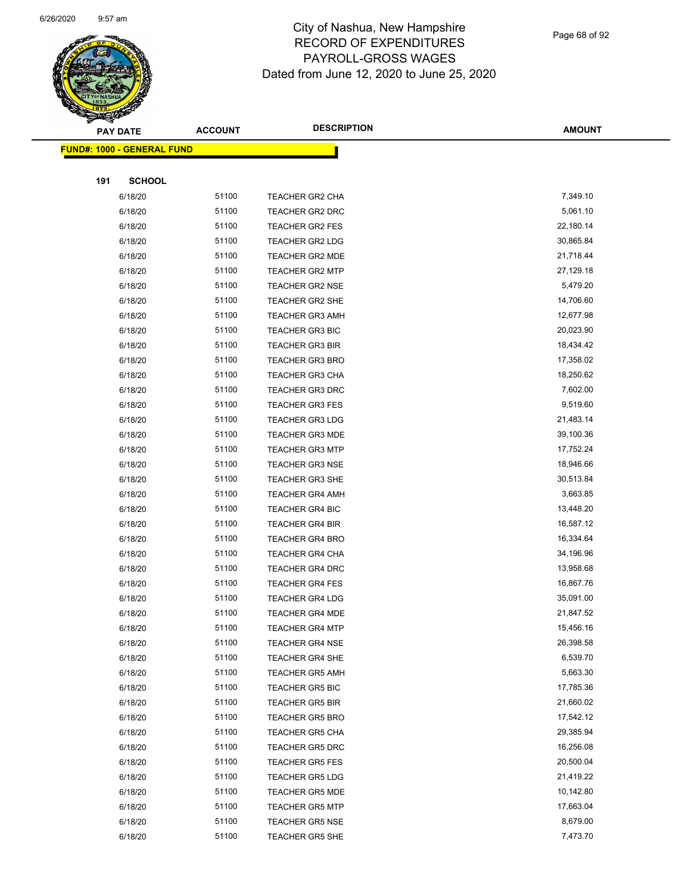

Page 68 of 92

|     | <b>PAY DATE</b>                    | <b>ACCOUNT</b> | <b>DESCRIPTION</b>     | <b>AMOUNT</b> |
|-----|------------------------------------|----------------|------------------------|---------------|
|     | <u> FUND#: 1000 - GENERAL FUND</u> |                |                        |               |
|     |                                    |                |                        |               |
| 191 | <b>SCHOOL</b>                      |                |                        |               |
|     | 6/18/20                            | 51100          | TEACHER GR2 CHA        | 7,349.10      |
|     | 6/18/20                            | 51100          | <b>TEACHER GR2 DRC</b> | 5,061.10      |
|     | 6/18/20                            | 51100          | <b>TEACHER GR2 FES</b> | 22,180.14     |
|     | 6/18/20                            | 51100          | <b>TEACHER GR2 LDG</b> | 30,865.84     |
|     | 6/18/20                            | 51100          | TEACHER GR2 MDE        | 21,718.44     |
|     | 6/18/20                            | 51100          | <b>TEACHER GR2 MTP</b> | 27,129.18     |
|     | 6/18/20                            | 51100          | <b>TEACHER GR2 NSE</b> | 5,479.20      |
|     | 6/18/20                            | 51100          | <b>TEACHER GR2 SHE</b> | 14,706.60     |
|     | 6/18/20                            | 51100          | <b>TEACHER GR3 AMH</b> | 12,677.98     |
|     | 6/18/20                            | 51100          | <b>TEACHER GR3 BIC</b> | 20,023.90     |
|     | 6/18/20                            | 51100          | <b>TEACHER GR3 BIR</b> | 18,434.42     |
|     | 6/18/20                            | 51100          | <b>TEACHER GR3 BRO</b> | 17,358.02     |
|     | 6/18/20                            | 51100          | <b>TEACHER GR3 CHA</b> | 18,250.62     |
|     | 6/18/20                            | 51100          | TEACHER GR3 DRC        | 7,602.00      |
|     | 6/18/20                            | 51100          | <b>TEACHER GR3 FES</b> | 9,519.60      |
|     | 6/18/20                            | 51100          | <b>TEACHER GR3 LDG</b> | 21,483.14     |
|     | 6/18/20                            | 51100          | <b>TEACHER GR3 MDE</b> | 39,100.36     |
|     | 6/18/20                            | 51100          | <b>TEACHER GR3 MTP</b> | 17,752.24     |
|     | 6/18/20                            | 51100          | <b>TEACHER GR3 NSE</b> | 18,946.66     |
|     | 6/18/20                            | 51100          | <b>TEACHER GR3 SHE</b> | 30,513.84     |
|     | 6/18/20                            | 51100          | <b>TEACHER GR4 AMH</b> | 3,663.85      |
|     | 6/18/20                            | 51100          | <b>TEACHER GR4 BIC</b> | 13,448.20     |
|     | 6/18/20                            | 51100          | <b>TEACHER GR4 BIR</b> | 16,587.12     |
|     | 6/18/20                            | 51100          | <b>TEACHER GR4 BRO</b> | 16,334.64     |
|     | 6/18/20                            | 51100          | <b>TEACHER GR4 CHA</b> | 34,196.96     |
|     | 6/18/20                            | 51100          | <b>TEACHER GR4 DRC</b> | 13,958.68     |
|     | 6/18/20                            | 51100          | <b>TEACHER GR4 FES</b> | 16,867.76     |
|     | 6/18/20                            | 51100          | <b>TEACHER GR4 LDG</b> | 35,091.00     |
|     | 6/18/20                            | 51100          | <b>TEACHER GR4 MDE</b> | 21,847.52     |
|     | 6/18/20                            | 51100          | <b>TEACHER GR4 MTP</b> | 15,456.16     |
|     | 6/18/20                            | 51100          | <b>TEACHER GR4 NSE</b> | 26,398.58     |
|     | 6/18/20                            | 51100          | <b>TEACHER GR4 SHE</b> | 6,539.70      |
|     | 6/18/20                            | 51100          | <b>TEACHER GR5 AMH</b> | 5,663.30      |
|     | 6/18/20                            | 51100          | <b>TEACHER GR5 BIC</b> | 17,785.36     |
|     | 6/18/20                            | 51100          | <b>TEACHER GR5 BIR</b> | 21,660.02     |
|     | 6/18/20                            | 51100          | TEACHER GR5 BRO        | 17,542.12     |
|     | 6/18/20                            | 51100          | <b>TEACHER GR5 CHA</b> | 29,385.94     |
|     | 6/18/20                            | 51100          | TEACHER GR5 DRC        | 16,256.08     |
|     | 6/18/20                            | 51100          | <b>TEACHER GR5 FES</b> | 20,500.04     |
|     | 6/18/20                            | 51100          | <b>TEACHER GR5 LDG</b> | 21,419.22     |
|     | 6/18/20                            | 51100          | <b>TEACHER GR5 MDE</b> | 10,142.80     |
|     | 6/18/20                            | 51100          | <b>TEACHER GR5 MTP</b> | 17,663.04     |
|     | 6/18/20                            | 51100          | <b>TEACHER GR5 NSE</b> | 8,679.00      |
|     | 6/18/20                            | 51100          | <b>TEACHER GR5 SHE</b> | 7,473.70      |
|     |                                    |                |                        |               |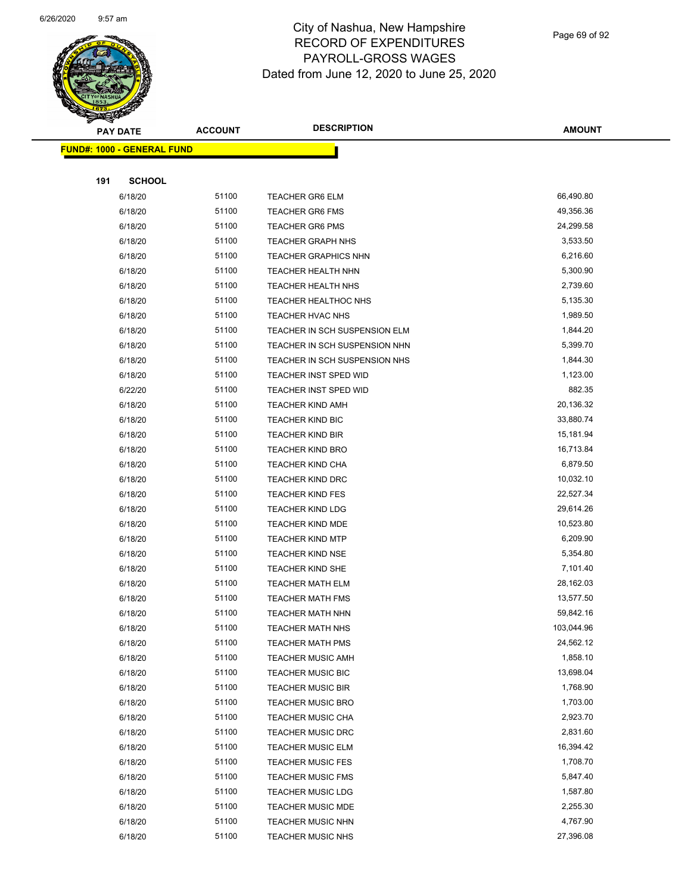

Page 69 of 92

| ☞<br>$\tilde{\phantom{a}}$<br><b>PAY DATE</b> | <b>ACCOUNT</b> | <b>DESCRIPTION</b>            | <b>AMOUNT</b> |
|-----------------------------------------------|----------------|-------------------------------|---------------|
| <b>FUND#: 1000 - GENERAL FUND</b>             |                |                               |               |
|                                               |                |                               |               |
| 191<br><b>SCHOOL</b>                          |                |                               |               |
| 6/18/20                                       | 51100          | <b>TEACHER GR6 ELM</b>        | 66,490.80     |
| 6/18/20                                       | 51100          | <b>TEACHER GR6 FMS</b>        | 49,356.36     |
| 6/18/20                                       | 51100          | <b>TEACHER GR6 PMS</b>        | 24,299.58     |
| 6/18/20                                       | 51100          | <b>TEACHER GRAPH NHS</b>      | 3,533.50      |
| 6/18/20                                       | 51100          | <b>TEACHER GRAPHICS NHN</b>   | 6,216.60      |
| 6/18/20                                       | 51100          | TEACHER HEALTH NHN            | 5,300.90      |
| 6/18/20                                       | 51100          | <b>TEACHER HEALTH NHS</b>     | 2,739.60      |
| 6/18/20                                       | 51100          | <b>TEACHER HEALTHOC NHS</b>   | 5,135.30      |
| 6/18/20                                       | 51100          | <b>TEACHER HVAC NHS</b>       | 1,989.50      |
| 6/18/20                                       | 51100          | TEACHER IN SCH SUSPENSION ELM | 1,844.20      |
| 6/18/20                                       | 51100          | TEACHER IN SCH SUSPENSION NHN | 5,399.70      |
| 6/18/20                                       | 51100          | TEACHER IN SCH SUSPENSION NHS | 1,844.30      |
| 6/18/20                                       | 51100          | TEACHER INST SPED WID         | 1,123.00      |
| 6/22/20                                       | 51100          | TEACHER INST SPED WID         | 882.35        |
| 6/18/20                                       | 51100          | <b>TEACHER KIND AMH</b>       | 20,136.32     |
| 6/18/20                                       | 51100          | TEACHER KIND BIC              | 33,880.74     |
| 6/18/20                                       | 51100          | TEACHER KIND BIR              | 15,181.94     |
| 6/18/20                                       | 51100          | <b>TEACHER KIND BRO</b>       | 16,713.84     |
| 6/18/20                                       | 51100          | <b>TEACHER KIND CHA</b>       | 6,879.50      |
| 6/18/20                                       | 51100          | TEACHER KIND DRC              | 10,032.10     |
| 6/18/20                                       | 51100          | <b>TEACHER KIND FES</b>       | 22,527.34     |
| 6/18/20                                       | 51100          | <b>TEACHER KIND LDG</b>       | 29,614.26     |
| 6/18/20                                       | 51100          | TEACHER KIND MDE              | 10,523.80     |
| 6/18/20                                       | 51100          | <b>TEACHER KIND MTP</b>       | 6,209.90      |
| 6/18/20                                       | 51100          | <b>TEACHER KIND NSE</b>       | 5,354.80      |
| 6/18/20                                       | 51100          | TEACHER KIND SHE              | 7,101.40      |
| 6/18/20                                       | 51100          | TEACHER MATH ELM              | 28,162.03     |
| 6/18/20                                       | 51100          | <b>TEACHER MATH FMS</b>       | 13,577.50     |
| 6/18/20                                       | 51100          | <b>TEACHER MATH NHN</b>       | 59,842.16     |
| 6/18/20                                       | 51100          | TEACHER MATH NHS              | 103,044.96    |
| 6/18/20                                       | 51100          | <b>TEACHER MATH PMS</b>       | 24,562.12     |
| 6/18/20                                       | 51100          | <b>TEACHER MUSIC AMH</b>      | 1,858.10      |
| 6/18/20                                       | 51100          | <b>TEACHER MUSIC BIC</b>      | 13,698.04     |
| 6/18/20                                       | 51100          | <b>TEACHER MUSIC BIR</b>      | 1,768.90      |
| 6/18/20                                       | 51100          | <b>TEACHER MUSIC BRO</b>      | 1,703.00      |
| 6/18/20                                       | 51100          | <b>TEACHER MUSIC CHA</b>      | 2,923.70      |
| 6/18/20                                       | 51100          | <b>TEACHER MUSIC DRC</b>      | 2,831.60      |
| 6/18/20                                       | 51100          | <b>TEACHER MUSIC ELM</b>      | 16,394.42     |
| 6/18/20                                       | 51100          | <b>TEACHER MUSIC FES</b>      | 1,708.70      |
| 6/18/20                                       | 51100          | <b>TEACHER MUSIC FMS</b>      | 5,847.40      |
| 6/18/20                                       | 51100          | <b>TEACHER MUSIC LDG</b>      | 1,587.80      |
| 6/18/20                                       | 51100          | <b>TEACHER MUSIC MDE</b>      | 2,255.30      |
| 6/18/20                                       | 51100          | <b>TEACHER MUSIC NHN</b>      | 4,767.90      |
| 6/18/20                                       | 51100          | <b>TEACHER MUSIC NHS</b>      | 27,396.08     |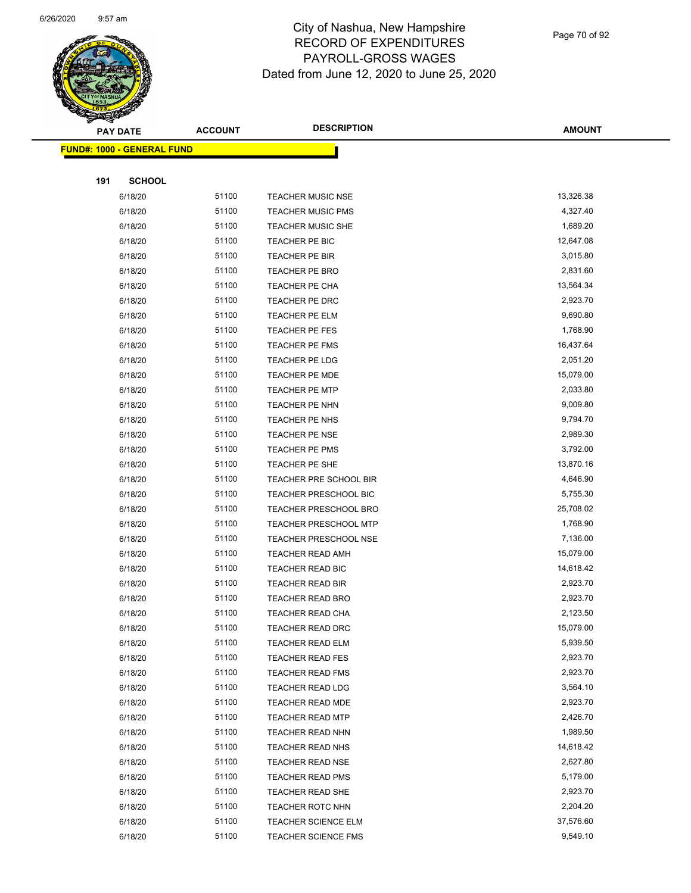

Page 70 of 92

| <b>PAY DATE</b>                   | <b>ACCOUNT</b> | <b>DESCRIPTION</b>           | <b>AMOUNT</b> |
|-----------------------------------|----------------|------------------------------|---------------|
| <b>FUND#: 1000 - GENERAL FUND</b> |                |                              |               |
|                                   |                |                              |               |
| 191<br><b>SCHOOL</b>              |                |                              |               |
| 6/18/20                           | 51100          | <b>TEACHER MUSIC NSE</b>     | 13,326.38     |
| 6/18/20                           | 51100          | <b>TEACHER MUSIC PMS</b>     | 4,327.40      |
| 6/18/20                           | 51100          | <b>TEACHER MUSIC SHE</b>     | 1,689.20      |
| 6/18/20                           | 51100          | TEACHER PE BIC               | 12,647.08     |
| 6/18/20                           | 51100          | TEACHER PE BIR               | 3,015.80      |
| 6/18/20                           | 51100          | TEACHER PE BRO               | 2,831.60      |
| 6/18/20                           | 51100          | TEACHER PE CHA               | 13,564.34     |
| 6/18/20                           | 51100          | TEACHER PE DRC               | 2,923.70      |
| 6/18/20                           | 51100          | TEACHER PE ELM               | 9,690.80      |
| 6/18/20                           | 51100          | TEACHER PE FES               | 1,768.90      |
| 6/18/20                           | 51100          | TEACHER PE FMS               | 16,437.64     |
| 6/18/20                           | 51100          | TEACHER PE LDG               | 2,051.20      |
| 6/18/20                           | 51100          | TEACHER PE MDE               | 15,079.00     |
| 6/18/20                           | 51100          | <b>TEACHER PE MTP</b>        | 2,033.80      |
| 6/18/20                           | 51100          | TEACHER PE NHN               | 9,009.80      |
| 6/18/20                           | 51100          | TEACHER PE NHS               | 9,794.70      |
| 6/18/20                           | 51100          | TEACHER PE NSE               | 2,989.30      |
| 6/18/20                           | 51100          | TEACHER PE PMS               | 3,792.00      |
| 6/18/20                           | 51100          | TEACHER PE SHE               | 13,870.16     |
| 6/18/20                           | 51100          | TEACHER PRE SCHOOL BIR       | 4,646.90      |
| 6/18/20                           | 51100          | <b>TEACHER PRESCHOOL BIC</b> | 5,755.30      |
| 6/18/20                           | 51100          | <b>TEACHER PRESCHOOL BRO</b> | 25,708.02     |
| 6/18/20                           | 51100          | <b>TEACHER PRESCHOOL MTP</b> | 1,768.90      |
| 6/18/20                           | 51100          | <b>TEACHER PRESCHOOL NSE</b> | 7,136.00      |
| 6/18/20                           | 51100          | <b>TEACHER READ AMH</b>      | 15,079.00     |
| 6/18/20                           | 51100          | TEACHER READ BIC             | 14,618.42     |
| 6/18/20                           | 51100          | <b>TEACHER READ BIR</b>      | 2,923.70      |
| 6/18/20                           | 51100          | <b>TEACHER READ BRO</b>      | 2,923.70      |
| 6/18/20                           | 51100          | TEACHER READ CHA             | 2,123.50      |
| 6/18/20                           | 51100          | TEACHER READ DRC             | 15,079.00     |
| 6/18/20                           | 51100          | TEACHER READ ELM             | 5,939.50      |
| 6/18/20                           | 51100          | <b>TEACHER READ FES</b>      | 2,923.70      |
| 6/18/20                           | 51100          | <b>TEACHER READ FMS</b>      | 2,923.70      |
| 6/18/20                           | 51100          | <b>TEACHER READ LDG</b>      | 3,564.10      |
| 6/18/20                           | 51100          | <b>TEACHER READ MDE</b>      | 2,923.70      |
| 6/18/20                           | 51100          | <b>TEACHER READ MTP</b>      | 2,426.70      |
| 6/18/20                           | 51100          | <b>TEACHER READ NHN</b>      | 1,989.50      |
| 6/18/20                           | 51100          | <b>TEACHER READ NHS</b>      | 14,618.42     |
| 6/18/20                           | 51100          | <b>TEACHER READ NSE</b>      | 2,627.80      |
| 6/18/20                           | 51100          | <b>TEACHER READ PMS</b>      | 5,179.00      |
| 6/18/20                           | 51100          | TEACHER READ SHE             | 2,923.70      |
| 6/18/20                           | 51100          | TEACHER ROTC NHN             | 2,204.20      |
| 6/18/20                           | 51100          | TEACHER SCIENCE ELM          | 37,576.60     |
| 6/18/20                           | 51100          | <b>TEACHER SCIENCE FMS</b>   | 9,549.10      |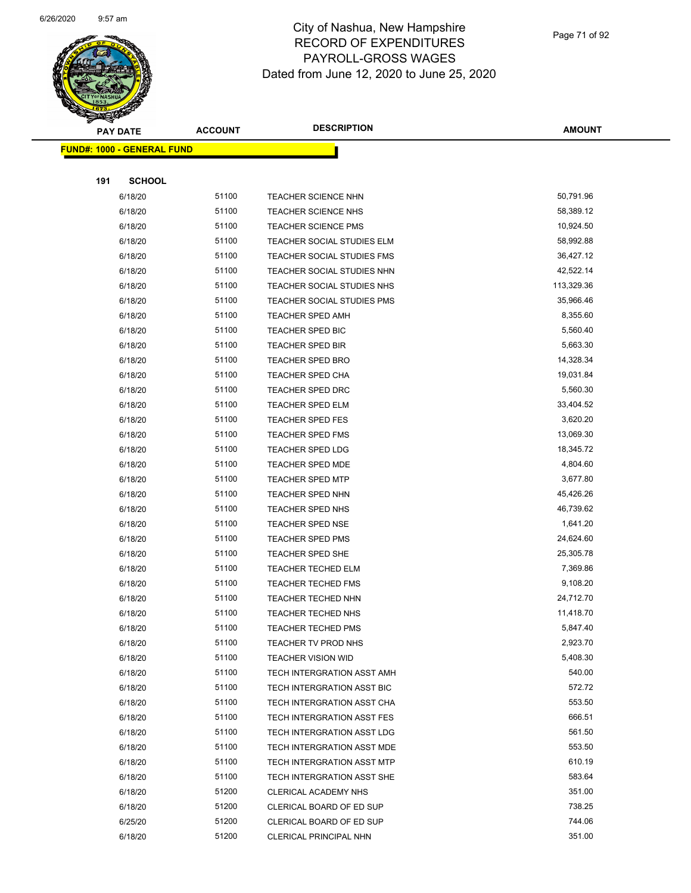

| <b>PAY DATE</b>                   | <b>ACCOUNT</b> | <b>DESCRIPTION</b>         | <b>AMOUNT</b>    |
|-----------------------------------|----------------|----------------------------|------------------|
| <b>FUND#: 1000 - GENERAL FUND</b> |                |                            |                  |
|                                   |                |                            |                  |
| 191<br><b>SCHOOL</b>              |                |                            |                  |
| 6/18/20                           | 51100          | TEACHER SCIENCE NHN        | 50,791.96        |
| 6/18/20                           | 51100          | <b>TEACHER SCIENCE NHS</b> | 58,389.12        |
| 6/18/20                           | 51100          | <b>TEACHER SCIENCE PMS</b> | 10,924.50        |
| 6/18/20                           | 51100          | TEACHER SOCIAL STUDIES ELM | 58,992.88        |
| 6/18/20                           | 51100          | TEACHER SOCIAL STUDIES FMS | 36,427.12        |
| 6/18/20                           | 51100          | TEACHER SOCIAL STUDIES NHN | 42,522.14        |
| 6/18/20                           | 51100          | TEACHER SOCIAL STUDIES NHS | 113,329.36       |
| 6/18/20                           | 51100          | TEACHER SOCIAL STUDIES PMS | 35,966.46        |
| 6/18/20                           | 51100          | <b>TEACHER SPED AMH</b>    | 8,355.60         |
| 6/18/20                           | 51100          | TEACHER SPED BIC           | 5,560.40         |
| 6/18/20                           | 51100          | <b>TEACHER SPED BIR</b>    | 5,663.30         |
| 6/18/20                           | 51100          | <b>TEACHER SPED BRO</b>    | 14,328.34        |
| 6/18/20                           | 51100          | TEACHER SPED CHA           | 19,031.84        |
| 6/18/20                           | 51100          | TEACHER SPED DRC           | 5,560.30         |
| 6/18/20                           | 51100          | <b>TEACHER SPED ELM</b>    | 33,404.52        |
| 6/18/20                           | 51100          | <b>TEACHER SPED FES</b>    | 3,620.20         |
| 6/18/20                           | 51100          | TEACHER SPED FMS           | 13,069.30        |
| 6/18/20                           | 51100          | <b>TEACHER SPED LDG</b>    | 18,345.72        |
| 6/18/20                           | 51100          | TEACHER SPED MDE           | 4,804.60         |
| 6/18/20                           | 51100          | <b>TEACHER SPED MTP</b>    | 3,677.80         |
| 6/18/20                           | 51100          | TEACHER SPED NHN           | 45,426.26        |
| 6/18/20                           | 51100          | TEACHER SPED NHS           | 46,739.62        |
| 6/18/20                           | 51100          | <b>TEACHER SPED NSE</b>    | 1,641.20         |
| 6/18/20                           | 51100          | <b>TEACHER SPED PMS</b>    | 24,624.60        |
| 6/18/20                           | 51100          | TEACHER SPED SHE           | 25,305.78        |
| 6/18/20                           | 51100          | TEACHER TECHED ELM         | 7,369.86         |
| 6/18/20                           | 51100          | TEACHER TECHED FMS         | 9,108.20         |
| 6/18/20                           | 51100          | TEACHER TECHED NHN         | 24,712.70        |
| 6/18/20                           | 51100          | TEACHER TECHED NHS         | 11,418.70        |
| 6/18/20                           | 51100          | TEACHER TECHED PMS         | 5,847.40         |
| 6/18/20                           | 51100          | TEACHER TV PROD NHS        | 2,923.70         |
| 6/18/20                           | 51100          | <b>TEACHER VISION WID</b>  | 5,408.30         |
| 6/18/20                           | 51100          | TECH INTERGRATION ASST AMH | 540.00           |
| 6/18/20                           | 51100          | TECH INTERGRATION ASST BIC | 572.72           |
| 6/18/20                           | 51100          | TECH INTERGRATION ASST CHA | 553.50           |
| 6/18/20                           | 51100          | TECH INTERGRATION ASST FES | 666.51           |
| 6/18/20                           | 51100          | TECH INTERGRATION ASST LDG | 561.50           |
| 6/18/20                           | 51100          | TECH INTERGRATION ASST MDE | 553.50           |
| 6/18/20                           | 51100          | TECH INTERGRATION ASST MTP | 610.19           |
| 6/18/20                           | 51100          | TECH INTERGRATION ASST SHE | 583.64           |
| 6/18/20                           | 51200          | CLERICAL ACADEMY NHS       | 351.00<br>738.25 |
| 6/18/20                           | 51200          | CLERICAL BOARD OF ED SUP   | 744.06           |
| 6/25/20                           | 51200          | CLERICAL BOARD OF ED SUP   |                  |
| 6/18/20                           | 51200          | CLERICAL PRINCIPAL NHN     | 351.00           |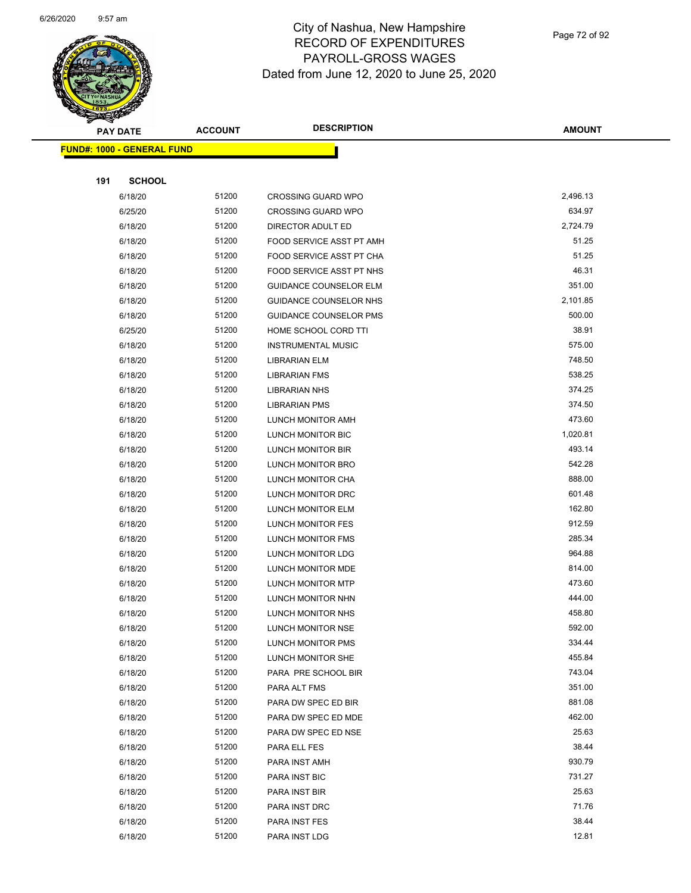

Page 72 of 92

| <b>Andrew</b><br><b>PAY DATE</b>  | <b>ACCOUNT</b> | <b>DESCRIPTION</b>            | <b>AMOUNT</b> |
|-----------------------------------|----------------|-------------------------------|---------------|
| <b>FUND#: 1000 - GENERAL FUND</b> |                |                               |               |
|                                   |                |                               |               |
| 191<br><b>SCHOOL</b>              |                |                               |               |
| 6/18/20                           | 51200          | <b>CROSSING GUARD WPO</b>     | 2,496.13      |
| 6/25/20                           | 51200          | <b>CROSSING GUARD WPO</b>     | 634.97        |
| 6/18/20                           | 51200          | DIRECTOR ADULT ED             | 2,724.79      |
| 6/18/20                           | 51200          | FOOD SERVICE ASST PT AMH      | 51.25         |
| 6/18/20                           | 51200          | FOOD SERVICE ASST PT CHA      | 51.25         |
| 6/18/20                           | 51200          | FOOD SERVICE ASST PT NHS      | 46.31         |
| 6/18/20                           | 51200          | <b>GUIDANCE COUNSELOR ELM</b> | 351.00        |
| 6/18/20                           | 51200          | GUIDANCE COUNSELOR NHS        | 2,101.85      |
| 6/18/20                           | 51200          | <b>GUIDANCE COUNSELOR PMS</b> | 500.00        |
| 6/25/20                           | 51200          | HOME SCHOOL CORD TTI          | 38.91         |
| 6/18/20                           | 51200          | <b>INSTRUMENTAL MUSIC</b>     | 575.00        |
| 6/18/20                           | 51200          | LIBRARIAN ELM                 | 748.50        |
| 6/18/20                           | 51200          | <b>LIBRARIAN FMS</b>          | 538.25        |
| 6/18/20                           | 51200          | <b>LIBRARIAN NHS</b>          | 374.25        |
| 6/18/20                           | 51200          | <b>LIBRARIAN PMS</b>          | 374.50        |
| 6/18/20                           | 51200          | LUNCH MONITOR AMH             | 473.60        |
| 6/18/20                           | 51200          | LUNCH MONITOR BIC             | 1,020.81      |
| 6/18/20                           | 51200          | LUNCH MONITOR BIR             | 493.14        |
| 6/18/20                           | 51200          | LUNCH MONITOR BRO             | 542.28        |
| 6/18/20                           | 51200          | LUNCH MONITOR CHA             | 888.00        |
| 6/18/20                           | 51200          | LUNCH MONITOR DRC             | 601.48        |
| 6/18/20                           | 51200          | LUNCH MONITOR ELM             | 162.80        |
| 6/18/20                           | 51200          | LUNCH MONITOR FES             | 912.59        |
| 6/18/20                           | 51200          | LUNCH MONITOR FMS             | 285.34        |
| 6/18/20                           | 51200          | <b>LUNCH MONITOR LDG</b>      | 964.88        |
| 6/18/20                           | 51200          | LUNCH MONITOR MDE             | 814.00        |
| 6/18/20                           | 51200          | LUNCH MONITOR MTP             | 473.60        |
| 6/18/20                           | 51200          | LUNCH MONITOR NHN             | 444.00        |
| 6/18/20                           | 51200          | LUNCH MONITOR NHS             | 458.80        |
| 6/18/20                           | 51200          | LUNCH MONITOR NSE             | 592.00        |
| 6/18/20                           | 51200          | LUNCH MONITOR PMS             | 334.44        |
| 6/18/20                           | 51200          | LUNCH MONITOR SHE             | 455.84        |
| 6/18/20                           | 51200          | PARA PRE SCHOOL BIR           | 743.04        |
| 6/18/20                           | 51200          | PARA ALT FMS                  | 351.00        |
| 6/18/20                           | 51200          | PARA DW SPEC ED BIR           | 881.08        |
| 6/18/20                           | 51200          | PARA DW SPEC ED MDE           | 462.00        |
| 6/18/20                           | 51200          | PARA DW SPEC ED NSE           | 25.63         |
| 6/18/20                           | 51200          | PARA ELL FES                  | 38.44         |
| 6/18/20                           | 51200          | PARA INST AMH                 | 930.79        |
| 6/18/20                           | 51200          | PARA INST BIC                 | 731.27        |
| 6/18/20                           | 51200          | PARA INST BIR                 | 25.63         |
| 6/18/20                           | 51200          | PARA INST DRC                 | 71.76         |
| 6/18/20                           | 51200          | PARA INST FES                 | 38.44         |
| 6/18/20                           | 51200          | PARA INST LDG                 | 12.81         |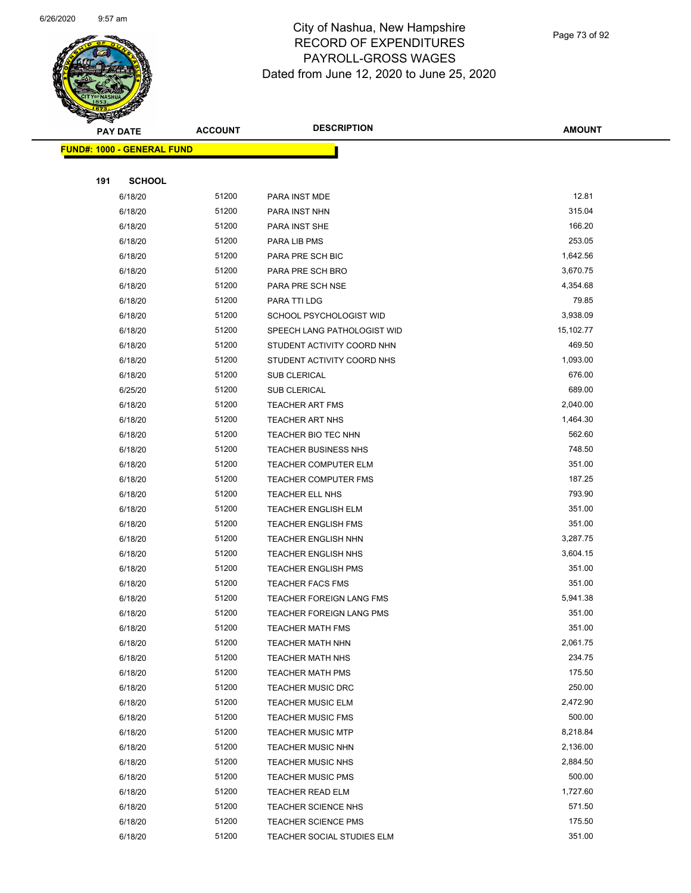

| <b>Anthony</b>                    |                | <b>DESCRIPTION</b>          | <b>AMOUNT</b> |
|-----------------------------------|----------------|-----------------------------|---------------|
| <b>PAY DATE</b>                   | <b>ACCOUNT</b> |                             |               |
| <b>FUND#: 1000 - GENERAL FUND</b> |                |                             |               |
|                                   |                |                             |               |
| 191<br><b>SCHOOL</b>              |                |                             |               |
| 6/18/20                           | 51200          | PARA INST MDE               | 12.81         |
| 6/18/20                           | 51200          | PARA INST NHN               | 315.04        |
| 6/18/20                           | 51200          | PARA INST SHE               | 166.20        |
| 6/18/20                           | 51200          | PARA LIB PMS                | 253.05        |
| 6/18/20                           | 51200          | PARA PRE SCH BIC            | 1,642.56      |
| 6/18/20                           | 51200          | PARA PRE SCH BRO            | 3,670.75      |
| 6/18/20                           | 51200          | PARA PRE SCH NSE            | 4,354.68      |
| 6/18/20                           | 51200          | PARA TTI LDG                | 79.85         |
| 6/18/20                           | 51200          | SCHOOL PSYCHOLOGIST WID     | 3,938.09      |
| 6/18/20                           | 51200          | SPEECH LANG PATHOLOGIST WID | 15,102.77     |
| 6/18/20                           | 51200          | STUDENT ACTIVITY COORD NHN  | 469.50        |
| 6/18/20                           | 51200          | STUDENT ACTIVITY COORD NHS  | 1,093.00      |
| 6/18/20                           | 51200          | SUB CLERICAL                | 676.00        |
| 6/25/20                           | 51200          | SUB CLERICAL                | 689.00        |
| 6/18/20                           | 51200          | <b>TEACHER ART FMS</b>      | 2,040.00      |
| 6/18/20                           | 51200          | <b>TEACHER ART NHS</b>      | 1,464.30      |
| 6/18/20                           | 51200          | TEACHER BIO TEC NHN         | 562.60        |
| 6/18/20                           | 51200          | <b>TEACHER BUSINESS NHS</b> | 748.50        |
| 6/18/20                           | 51200          | <b>TEACHER COMPUTER ELM</b> | 351.00        |
| 6/18/20                           | 51200          | TEACHER COMPUTER FMS        | 187.25        |
| 6/18/20                           | 51200          | TEACHER ELL NHS             | 793.90        |
| 6/18/20                           | 51200          | <b>TEACHER ENGLISH ELM</b>  | 351.00        |
| 6/18/20                           | 51200          | <b>TEACHER ENGLISH FMS</b>  | 351.00        |
| 6/18/20                           | 51200          | <b>TEACHER ENGLISH NHN</b>  | 3,287.75      |
| 6/18/20                           | 51200          | TEACHER ENGLISH NHS         | 3,604.15      |
| 6/18/20                           | 51200          | <b>TEACHER ENGLISH PMS</b>  | 351.00        |
| 6/18/20                           | 51200          | <b>TEACHER FACS FMS</b>     | 351.00        |
| 6/18/20                           | 51200          | TEACHER FOREIGN LANG FMS    | 5,941.38      |
| 6/18/20                           | 51200          | TEACHER FOREIGN LANG PMS    | 351.00        |
| 6/18/20                           | 51200          | <b>TEACHER MATH FMS</b>     | 351.00        |
| 6/18/20                           | 51200          | <b>TEACHER MATH NHN</b>     | 2,061.75      |
| 6/18/20                           | 51200          | <b>TEACHER MATH NHS</b>     | 234.75        |
| 6/18/20                           | 51200          | <b>TEACHER MATH PMS</b>     | 175.50        |
| 6/18/20                           | 51200          | <b>TEACHER MUSIC DRC</b>    | 250.00        |
| 6/18/20                           | 51200          | <b>TEACHER MUSIC ELM</b>    | 2,472.90      |
| 6/18/20                           | 51200          | <b>TEACHER MUSIC FMS</b>    | 500.00        |
| 6/18/20                           | 51200          | <b>TEACHER MUSIC MTP</b>    | 8,218.84      |
| 6/18/20                           | 51200          | <b>TEACHER MUSIC NHN</b>    | 2,136.00      |
| 6/18/20                           | 51200          | <b>TEACHER MUSIC NHS</b>    | 2,884.50      |
| 6/18/20                           | 51200          | <b>TEACHER MUSIC PMS</b>    | 500.00        |
| 6/18/20                           | 51200          | TEACHER READ ELM            | 1,727.60      |
| 6/18/20                           | 51200          | <b>TEACHER SCIENCE NHS</b>  | 571.50        |
| 6/18/20                           | 51200          | <b>TEACHER SCIENCE PMS</b>  | 175.50        |
| 6/18/20                           | 51200          | TEACHER SOCIAL STUDIES ELM  | 351.00        |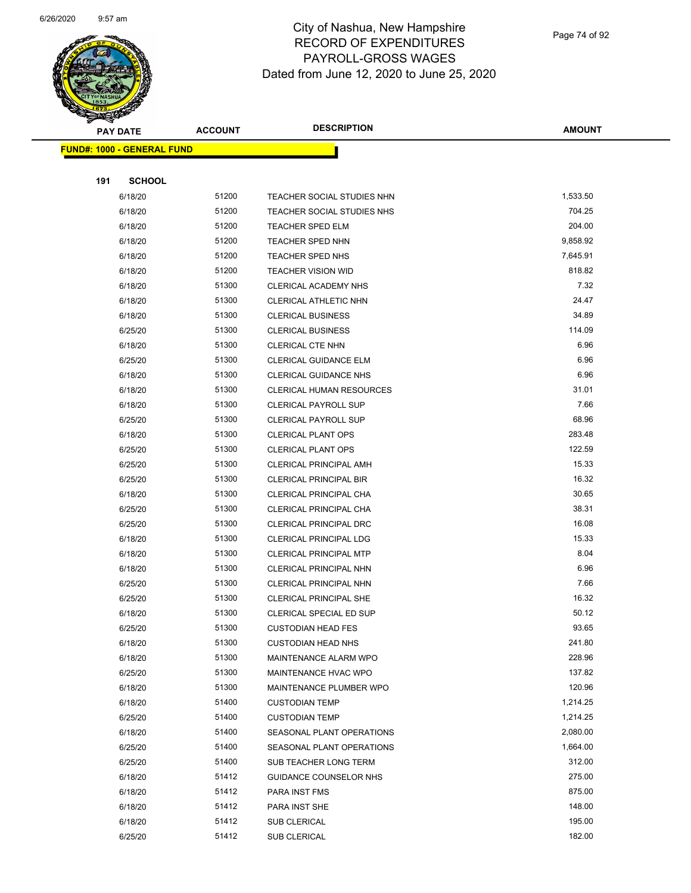

Page 74 of 92

| <u>Landari </u><br><b>PAY DATE</b> | <b>ACCOUNT</b> | <b>DESCRIPTION</b>              | <b>AMOUNT</b> |
|------------------------------------|----------------|---------------------------------|---------------|
| <b>FUND#: 1000 - GENERAL FUND</b>  |                |                                 |               |
|                                    |                |                                 |               |
| 191<br><b>SCHOOL</b>               |                |                                 |               |
| 6/18/20                            | 51200          | TEACHER SOCIAL STUDIES NHN      | 1,533.50      |
| 6/18/20                            | 51200          | TEACHER SOCIAL STUDIES NHS      | 704.25        |
| 6/18/20                            | 51200          | TEACHER SPED ELM                | 204.00        |
| 6/18/20                            | 51200          | <b>TEACHER SPED NHN</b>         | 9,858.92      |
| 6/18/20                            | 51200          | TEACHER SPED NHS                | 7,645.91      |
| 6/18/20                            | 51200          | <b>TEACHER VISION WID</b>       | 818.82        |
| 6/18/20                            | 51300          | CLERICAL ACADEMY NHS            | 7.32          |
| 6/18/20                            | 51300          | CLERICAL ATHLETIC NHN           | 24.47         |
| 6/18/20                            | 51300          | <b>CLERICAL BUSINESS</b>        | 34.89         |
| 6/25/20                            | 51300          | <b>CLERICAL BUSINESS</b>        | 114.09        |
| 6/18/20                            | 51300          | <b>CLERICAL CTE NHN</b>         | 6.96          |
| 6/25/20                            | 51300          | CLERICAL GUIDANCE ELM           | 6.96          |
| 6/18/20                            | 51300          | <b>CLERICAL GUIDANCE NHS</b>    | 6.96          |
| 6/18/20                            | 51300          | <b>CLERICAL HUMAN RESOURCES</b> | 31.01         |
| 6/18/20                            | 51300          | <b>CLERICAL PAYROLL SUP</b>     | 7.66          |
| 6/25/20                            | 51300          | CLERICAL PAYROLL SUP            | 68.96         |
| 6/18/20                            | 51300          | <b>CLERICAL PLANT OPS</b>       | 283.48        |
| 6/25/20                            | 51300          | <b>CLERICAL PLANT OPS</b>       | 122.59        |
| 6/25/20                            | 51300          | <b>CLERICAL PRINCIPAL AMH</b>   | 15.33         |
| 6/25/20                            | 51300          | <b>CLERICAL PRINCIPAL BIR</b>   | 16.32         |
| 6/18/20                            | 51300          | CLERICAL PRINCIPAL CHA          | 30.65         |
| 6/25/20                            | 51300          | CLERICAL PRINCIPAL CHA          | 38.31         |
| 6/25/20                            | 51300          | CLERICAL PRINCIPAL DRC          | 16.08         |
| 6/18/20                            | 51300          | <b>CLERICAL PRINCIPAL LDG</b>   | 15.33         |
| 6/18/20                            | 51300          | <b>CLERICAL PRINCIPAL MTP</b>   | 8.04          |
| 6/18/20                            | 51300          | CLERICAL PRINCIPAL NHN          | 6.96          |
| 6/25/20                            | 51300          | CLERICAL PRINCIPAL NHN          | 7.66          |
| 6/25/20                            | 51300          | CLERICAL PRINCIPAL SHE          | 16.32         |
| 6/18/20                            | 51300          | CLERICAL SPECIAL ED SUP         | 50.12         |
| 6/25/20                            | 51300          | <b>CUSTODIAN HEAD FES</b>       | 93.65         |
| 6/18/20                            | 51300          | <b>CUSTODIAN HEAD NHS</b>       | 241.80        |
| 6/18/20                            | 51300          | <b>MAINTENANCE ALARM WPO</b>    | 228.96        |
| 6/25/20                            | 51300          | MAINTENANCE HVAC WPO            | 137.82        |
| 6/18/20                            | 51300          | MAINTENANCE PLUMBER WPO         | 120.96        |
| 6/18/20                            | 51400          | <b>CUSTODIAN TEMP</b>           | 1,214.25      |
| 6/25/20                            | 51400          | <b>CUSTODIAN TEMP</b>           | 1,214.25      |
| 6/18/20                            | 51400          | SEASONAL PLANT OPERATIONS       | 2,080.00      |
| 6/25/20                            | 51400          | SEASONAL PLANT OPERATIONS       | 1,664.00      |
| 6/25/20                            | 51400          | SUB TEACHER LONG TERM           | 312.00        |
| 6/18/20                            | 51412          | GUIDANCE COUNSELOR NHS          | 275.00        |
| 6/18/20                            | 51412          | PARA INST FMS                   | 875.00        |
| 6/18/20                            | 51412          | PARA INST SHE                   | 148.00        |
| 6/18/20                            | 51412          | SUB CLERICAL                    | 195.00        |
| 6/25/20                            | 51412          | SUB CLERICAL                    | 182.00        |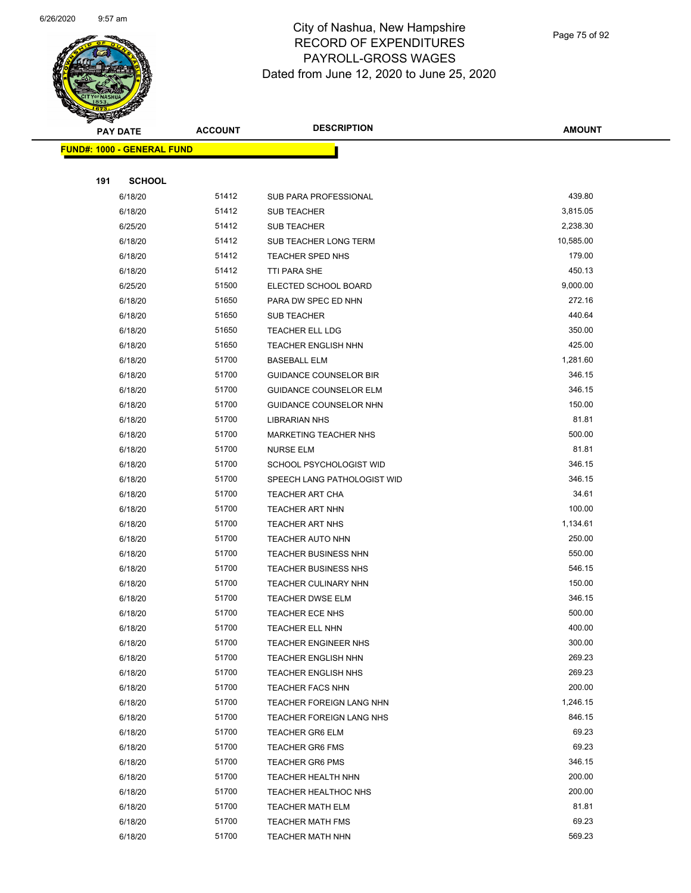

Page 75 of 92

| <b>Anthony</b> | <b>PAY DATE</b>                   | <b>ACCOUNT</b> | <b>DESCRIPTION</b>            | <b>AMOUNT</b> |
|----------------|-----------------------------------|----------------|-------------------------------|---------------|
|                | <b>FUND#: 1000 - GENERAL FUND</b> |                |                               |               |
|                |                                   |                |                               |               |
| 191            | <b>SCHOOL</b>                     |                |                               |               |
|                | 6/18/20                           | 51412          | SUB PARA PROFESSIONAL         | 439.80        |
|                | 6/18/20                           | 51412          | <b>SUB TEACHER</b>            | 3,815.05      |
|                | 6/25/20                           | 51412          | <b>SUB TEACHER</b>            | 2,238.30      |
|                | 6/18/20                           | 51412          | SUB TEACHER LONG TERM         | 10,585.00     |
|                | 6/18/20                           | 51412          | TEACHER SPED NHS              | 179.00        |
|                | 6/18/20                           | 51412          | TTI PARA SHE                  | 450.13        |
|                | 6/25/20                           | 51500          | ELECTED SCHOOL BOARD          | 9,000.00      |
|                | 6/18/20                           | 51650          | PARA DW SPEC ED NHN           | 272.16        |
|                | 6/18/20                           | 51650          | <b>SUB TEACHER</b>            | 440.64        |
|                | 6/18/20                           | 51650          | TEACHER ELL LDG               | 350.00        |
|                | 6/18/20                           | 51650          | <b>TEACHER ENGLISH NHN</b>    | 425.00        |
|                | 6/18/20                           | 51700          | <b>BASEBALL ELM</b>           | 1,281.60      |
|                | 6/18/20                           | 51700          | <b>GUIDANCE COUNSELOR BIR</b> | 346.15        |
|                | 6/18/20                           | 51700          | <b>GUIDANCE COUNSELOR ELM</b> | 346.15        |
|                | 6/18/20                           | 51700          | GUIDANCE COUNSELOR NHN        | 150.00        |
|                | 6/18/20                           | 51700          | <b>LIBRARIAN NHS</b>          | 81.81         |
|                | 6/18/20                           | 51700          | MARKETING TEACHER NHS         | 500.00        |
|                | 6/18/20                           | 51700          | <b>NURSE ELM</b>              | 81.81         |
|                | 6/18/20                           | 51700          | SCHOOL PSYCHOLOGIST WID       | 346.15        |
|                | 6/18/20                           | 51700          | SPEECH LANG PATHOLOGIST WID   | 346.15        |
|                | 6/18/20                           | 51700          | <b>TEACHER ART CHA</b>        | 34.61         |
|                | 6/18/20                           | 51700          | <b>TEACHER ART NHN</b>        | 100.00        |
|                | 6/18/20                           | 51700          | <b>TEACHER ART NHS</b>        | 1,134.61      |
|                | 6/18/20                           | 51700          | TEACHER AUTO NHN              | 250.00        |
|                | 6/18/20                           | 51700          | TEACHER BUSINESS NHN          | 550.00        |
|                | 6/18/20                           | 51700          | TEACHER BUSINESS NHS          | 546.15        |
|                | 6/18/20                           | 51700          | TEACHER CULINARY NHN          | 150.00        |
|                | 6/18/20                           | 51700          | <b>TEACHER DWSE ELM</b>       | 346.15        |
|                | 6/18/20                           | 51700          | TEACHER ECE NHS               | 500.00        |
|                | 6/18/20                           | 51700          | TEACHER ELL NHN               | 400.00        |
|                | 6/18/20                           | 51700          | TEACHER ENGINEER NHS          | 300.00        |
|                | 6/18/20                           | 51700          | <b>TEACHER ENGLISH NHN</b>    | 269.23        |
|                | 6/18/20                           | 51700          | <b>TEACHER ENGLISH NHS</b>    | 269.23        |
|                | 6/18/20                           | 51700          | <b>TEACHER FACS NHN</b>       | 200.00        |
|                | 6/18/20                           | 51700          | TEACHER FOREIGN LANG NHN      | 1,246.15      |
|                | 6/18/20                           | 51700          | TEACHER FOREIGN LANG NHS      | 846.15        |
|                | 6/18/20                           | 51700          | <b>TEACHER GR6 ELM</b>        | 69.23         |
|                | 6/18/20                           | 51700          | <b>TEACHER GR6 FMS</b>        | 69.23         |
|                | 6/18/20                           | 51700          | <b>TEACHER GR6 PMS</b>        | 346.15        |
|                | 6/18/20                           | 51700          | TEACHER HEALTH NHN            | 200.00        |
|                | 6/18/20                           | 51700          | <b>TEACHER HEALTHOC NHS</b>   | 200.00        |
|                | 6/18/20                           | 51700          | <b>TEACHER MATH ELM</b>       | 81.81         |
|                | 6/18/20                           | 51700          | <b>TEACHER MATH FMS</b>       | 69.23         |
|                | 6/18/20                           | 51700          | <b>TEACHER MATH NHN</b>       | 569.23        |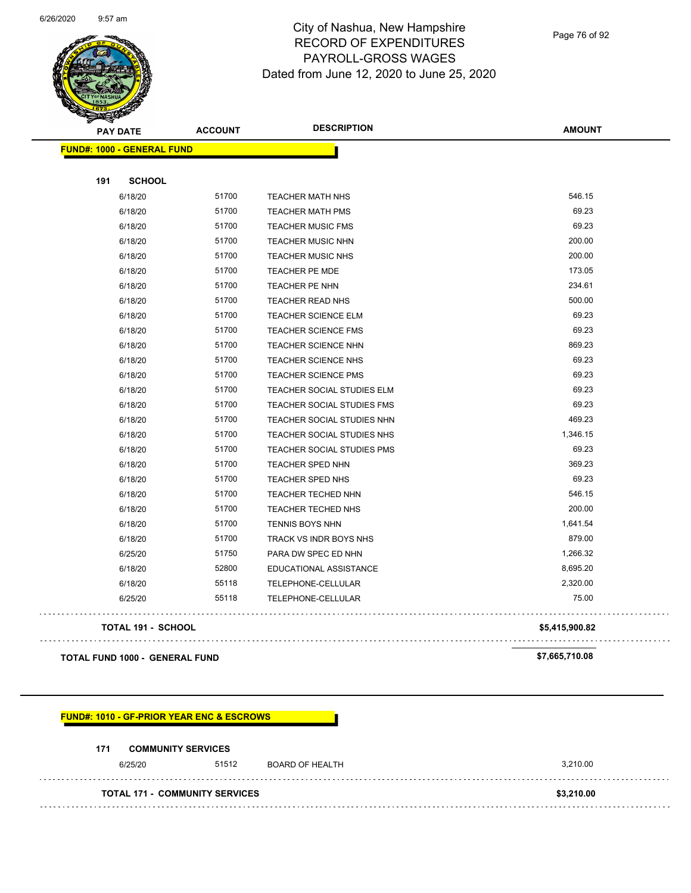

Page 76 of 92

| <b>PAY DATE</b>                       | <b>ACCOUNT</b> | <b>DESCRIPTION</b>                | <b>AMOUNT</b>  |
|---------------------------------------|----------------|-----------------------------------|----------------|
| <b>FUND#: 1000 - GENERAL FUND</b>     |                |                                   |                |
| 191<br><b>SCHOOL</b>                  |                |                                   |                |
| 6/18/20                               | 51700          | <b>TEACHER MATH NHS</b>           | 546.15         |
| 6/18/20                               | 51700          | <b>TEACHER MATH PMS</b>           | 69.23          |
| 6/18/20                               | 51700          | <b>TEACHER MUSIC FMS</b>          | 69.23          |
| 6/18/20                               | 51700          | <b>TEACHER MUSIC NHN</b>          | 200.00         |
| 6/18/20                               | 51700          | <b>TEACHER MUSIC NHS</b>          | 200.00         |
| 6/18/20                               | 51700          | <b>TEACHER PE MDE</b>             | 173.05         |
| 6/18/20                               | 51700          | <b>TEACHER PE NHN</b>             | 234.61         |
| 6/18/20                               | 51700          | <b>TEACHER READ NHS</b>           | 500.00         |
| 6/18/20                               | 51700          | TEACHER SCIENCE ELM               | 69.23          |
| 6/18/20                               | 51700          | <b>TEACHER SCIENCE FMS</b>        | 69.23          |
| 6/18/20                               | 51700          | TEACHER SCIENCE NHN               | 869.23         |
| 6/18/20                               | 51700          | <b>TEACHER SCIENCE NHS</b>        | 69.23          |
| 6/18/20                               | 51700          | <b>TEACHER SCIENCE PMS</b>        | 69.23          |
| 6/18/20                               | 51700          | <b>TEACHER SOCIAL STUDIES ELM</b> | 69.23          |
| 6/18/20                               | 51700          | <b>TEACHER SOCIAL STUDIES FMS</b> | 69.23          |
| 6/18/20                               | 51700          | <b>TEACHER SOCIAL STUDIES NHN</b> | 469.23         |
| 6/18/20                               | 51700          | TEACHER SOCIAL STUDIES NHS        | 1,346.15       |
| 6/18/20                               | 51700          | <b>TEACHER SOCIAL STUDIES PMS</b> | 69.23          |
| 6/18/20                               | 51700          | <b>TEACHER SPED NHN</b>           | 369.23         |
| 6/18/20                               | 51700          | TEACHER SPED NHS                  | 69.23          |
| 6/18/20                               | 51700          | TEACHER TECHED NHN                | 546.15         |
| 6/18/20                               | 51700          | TEACHER TECHED NHS                | 200.00         |
| 6/18/20                               | 51700          | TENNIS BOYS NHN                   | 1,641.54       |
| 6/18/20                               | 51700          | TRACK VS INDR BOYS NHS            | 879.00         |
| 6/25/20                               | 51750          | PARA DW SPEC ED NHN               | 1,266.32       |
| 6/18/20                               | 52800          | EDUCATIONAL ASSISTANCE            | 8,695.20       |
| 6/18/20                               | 55118          | <b>TELEPHONE-CELLULAR</b>         | 2,320.00       |
| 6/25/20                               | 55118          | <b>TELEPHONE-CELLULAR</b>         | 75.00          |
| <b>TOTAL 191 - SCHOOL</b>             |                |                                   | \$5,415,900.82 |
| <b>TOTAL FUND 1000 - GENERAL FUND</b> |                |                                   | \$7,665,710.08 |

#### **FUND#: 1010 - GF-PRIOR YEAR ENC & ESCROWS**

#### **171 COMMUNITY SERVICES**

 $\bar{z}$  .

| 6/25/20                               | 51512 | BOARD OF HEALTH | 3.210.00   |  |
|---------------------------------------|-------|-----------------|------------|--|
| <b>TOTAL 171 - COMMUNITY SERVICES</b> |       |                 | \$3.210.00 |  |
|                                       |       |                 |            |  |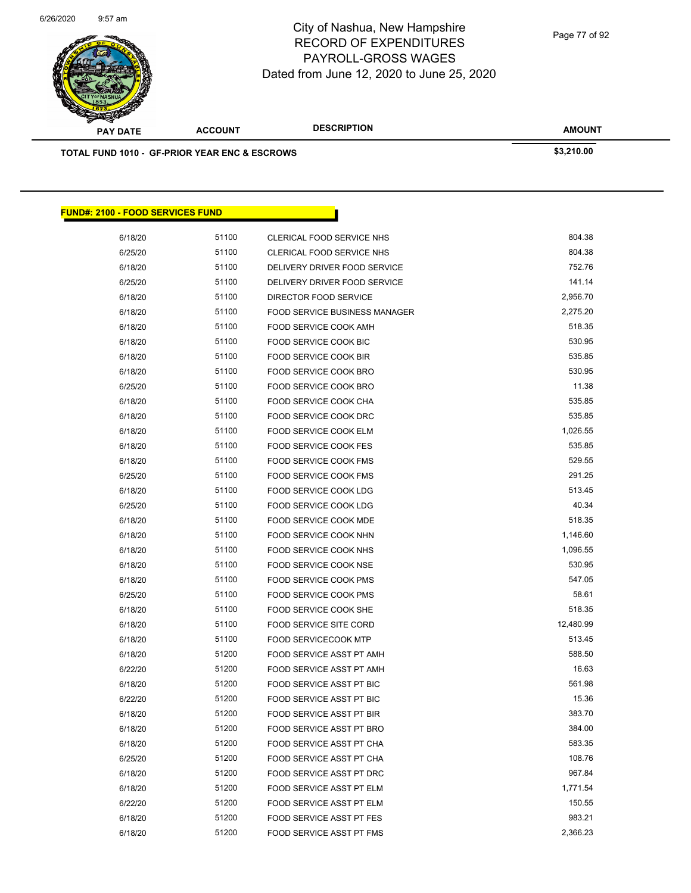

Page 77 of 92

| <b>PAY DATE</b>                                          | <b>ACCOUNT</b> | <b>DESCRIPTION</b>                   | <b>AMOUNT</b> |  |
|----------------------------------------------------------|----------------|--------------------------------------|---------------|--|
| <b>TOTAL FUND 1010 - GF-PRIOR YEAR ENC &amp; ESCROWS</b> |                |                                      | \$3,210.00    |  |
|                                                          |                |                                      |               |  |
|                                                          |                |                                      |               |  |
|                                                          |                |                                      |               |  |
| <b>FUND#: 2100 - FOOD SERVICES FUND</b>                  |                |                                      |               |  |
| 6/18/20                                                  | 51100          | <b>CLERICAL FOOD SERVICE NHS</b>     | 804.38        |  |
| 6/25/20                                                  | 51100          | CLERICAL FOOD SERVICE NHS            | 804.38        |  |
| 6/18/20                                                  | 51100          | DELIVERY DRIVER FOOD SERVICE         | 752.76        |  |
| 6/25/20                                                  | 51100          | DELIVERY DRIVER FOOD SERVICE         | 141.14        |  |
| 6/18/20                                                  | 51100          | DIRECTOR FOOD SERVICE                | 2,956.70      |  |
| 6/18/20                                                  | 51100          | <b>FOOD SERVICE BUSINESS MANAGER</b> | 2,275.20      |  |
| 6/18/20                                                  | 51100          | FOOD SERVICE COOK AMH                | 518.35        |  |
| 6/18/20                                                  | 51100          | <b>FOOD SERVICE COOK BIC</b>         | 530.95        |  |
| 6/18/20                                                  | 51100          | <b>FOOD SERVICE COOK BIR</b>         | 535.85        |  |
| 6/18/20                                                  | 51100          | <b>FOOD SERVICE COOK BRO</b>         | 530.95        |  |
| 6/25/20                                                  | 51100          | FOOD SERVICE COOK BRO                | 11.38         |  |
| 6/18/20                                                  | 51100          | <b>FOOD SERVICE COOK CHA</b>         | 535.85        |  |
| 6/18/20                                                  | 51100          | <b>FOOD SERVICE COOK DRC</b>         | 535.85        |  |
| 6/18/20                                                  | 51100          | FOOD SERVICE COOK ELM                | 1,026.55      |  |
| 6/18/20                                                  | 51100          | FOOD SERVICE COOK FES                | 535.85        |  |
| 6/18/20                                                  | 51100          | <b>FOOD SERVICE COOK FMS</b>         | 529.55        |  |
| 6/25/20                                                  | 51100          | FOOD SERVICE COOK FMS                | 291.25        |  |
| 6/18/20                                                  | 51100          | FOOD SERVICE COOK LDG                | 513.45        |  |
| 6/25/20                                                  | 51100          | FOOD SERVICE COOK LDG                | 40.34         |  |
| 6/18/20                                                  | 51100          | FOOD SERVICE COOK MDE                | 518.35        |  |
| 6/18/20                                                  | 51100          | FOOD SERVICE COOK NHN                | 1,146.60      |  |
| 6/18/20                                                  | 51100          | FOOD SERVICE COOK NHS                | 1,096.55      |  |
| 6/18/20                                                  | 51100          | <b>FOOD SERVICE COOK NSE</b>         | 530.95        |  |
| 6/18/20                                                  | 51100          | FOOD SERVICE COOK PMS                | 547.05        |  |
| 6/25/20                                                  | 51100          | FOOD SERVICE COOK PMS                | 58.61         |  |
| 6/18/20                                                  | 51100          | FOOD SERVICE COOK SHE                | 518.35        |  |
| 6/18/20                                                  | 51100          | <b>FOOD SERVICE SITE CORD</b>        | 12,480.99     |  |
| 6/18/20                                                  | 51100          | <b>FOOD SERVICECOOK MTP</b>          | 513.45        |  |
| 6/18/20                                                  | 51200          | FOOD SERVICE ASST PT AMH             | 588.50        |  |
| 6/22/20                                                  | 51200          | FOOD SERVICE ASST PT AMH             | 16.63         |  |
| 6/18/20                                                  | 51200          | <b>FOOD SERVICE ASST PT BIC</b>      | 561.98        |  |
| 6/22/20                                                  | 51200          | FOOD SERVICE ASST PT BIC             | 15.36         |  |
| 6/18/20                                                  | 51200          | FOOD SERVICE ASST PT BIR             | 383.70        |  |
| 6/18/20                                                  | 51200          | FOOD SERVICE ASST PT BRO             | 384.00        |  |
| 6/18/20                                                  | 51200          | FOOD SERVICE ASST PT CHA             | 583.35        |  |
| 6/25/20                                                  | 51200          | FOOD SERVICE ASST PT CHA             | 108.76        |  |
| 6/18/20                                                  | 51200          | <b>FOOD SERVICE ASST PT DRC</b>      | 967.84        |  |
| 6/18/20                                                  | 51200          | FOOD SERVICE ASST PT ELM             | 1,771.54      |  |
| 6/22/20                                                  | 51200          | FOOD SERVICE ASST PT ELM             | 150.55        |  |
| 6/18/20                                                  | 51200          | FOOD SERVICE ASST PT FES             | 983.21        |  |
| 6/18/20                                                  | 51200          | FOOD SERVICE ASST PT FMS             | 2,366.23      |  |
|                                                          |                |                                      |               |  |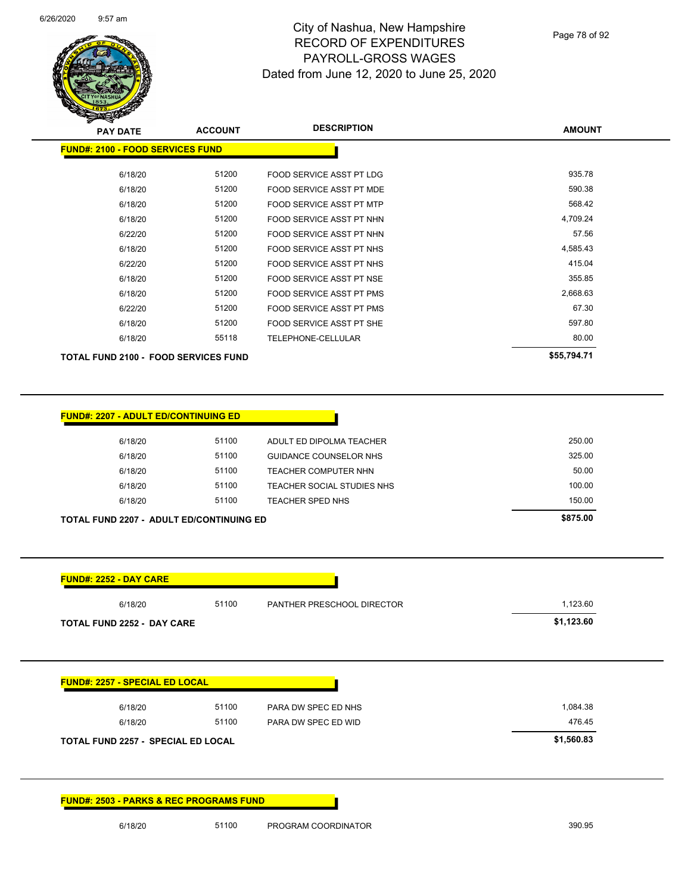

Page 78 of 92

| $\mathscr{D} \rightarrow \mathscr{D}$<br><b>PAY DATE</b> | <b>ACCOUNT</b> | <b>DESCRIPTION</b>              | <b>AMOUNT</b> |
|----------------------------------------------------------|----------------|---------------------------------|---------------|
| <b>FUND#: 2100 - FOOD SERVICES FUND</b>                  |                |                                 |               |
| 6/18/20                                                  | 51200          | FOOD SERVICE ASST PT LDG        | 935.78        |
| 6/18/20                                                  | 51200          | FOOD SERVICE ASST PT MDE        | 590.38        |
| 6/18/20                                                  | 51200          | <b>FOOD SERVICE ASST PT MTP</b> | 568.42        |
| 6/18/20                                                  | 51200          | FOOD SERVICE ASST PT NHN        | 4,709.24      |
| 6/22/20                                                  | 51200          | FOOD SERVICE ASST PT NHN        | 57.56         |
| 6/18/20                                                  | 51200          | FOOD SERVICE ASST PT NHS        | 4,585.43      |
| 6/22/20                                                  | 51200          | FOOD SERVICE ASST PT NHS        | 415.04        |
| 6/18/20                                                  | 51200          | FOOD SERVICE ASST PT NSE        | 355.85        |
| 6/18/20                                                  | 51200          | FOOD SERVICE ASST PT PMS        | 2,668.63      |
| 6/22/20                                                  | 51200          | <b>FOOD SERVICE ASST PT PMS</b> | 67.30         |
| 6/18/20                                                  | 51200          | FOOD SERVICE ASST PT SHE        | 597.80        |
| 6/18/20                                                  | 55118          | TELEPHONE-CELLULAR              | 80.00         |
| <b>TOTAL FUND 2100 - FOOD SERVICES FUND</b>              |                |                                 | \$55,794.71   |

| <b>TOTAL FUND 2207 - ADULT ED/CONTINUING ED</b> |       |                            | \$875.00 |
|-------------------------------------------------|-------|----------------------------|----------|
| 6/18/20                                         | 51100 | TEACHER SPED NHS           | 150.00   |
| 6/18/20                                         | 51100 | TEACHER SOCIAL STUDIES NHS | 100.00   |
| 6/18/20                                         | 51100 | TEACHER COMPUTER NHN       | 50.00    |
| 6/18/20                                         | 51100 | GUIDANCE COUNSELOR NHS     | 325.00   |
| 6/18/20                                         | 51100 | ADULT ED DIPOLMA TEACHER   | 250.00   |

Π

| 6/18/20                               | 51100 | PANTHER PRESCHOOL DIRECTOR | 1,123.60   |
|---------------------------------------|-------|----------------------------|------------|
| <b>TOTAL FUND 2252 - DAY CARE</b>     |       |                            | \$1,123.60 |
|                                       |       |                            |            |
|                                       |       |                            |            |
| <b>FUND#: 2257 - SPECIAL ED LOCAL</b> |       |                            |            |
| 6/18/20                               | 51100 | PARA DW SPEC ED NHS        | 1,084.38   |
|                                       | 51100 | PARA DW SPEC ED WID        | 476.45     |
| 6/18/20                               |       |                            |            |

**FUND#: 2503 - PARKS & REC PROGRAMS FUND**

**FUND#: 2207 - ADULT ED/CONTINUING ED**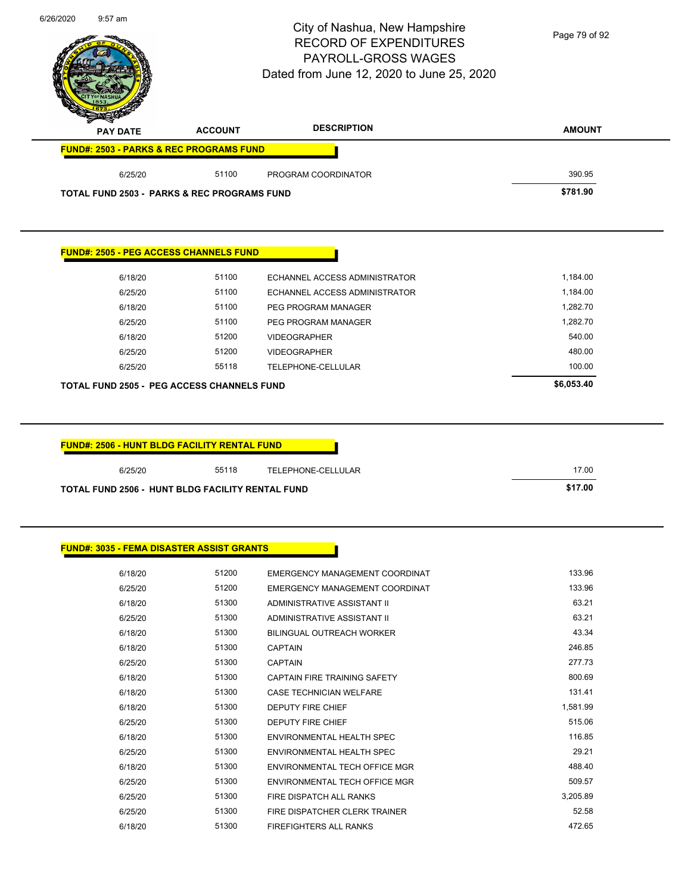|                                                                                                                 |                | City of Nashua, New Hampshire<br><b>RECORD OF EXPENDITURES</b><br><b>PAYROLL-GROSS WAGES</b> | Page 79 of 92   |
|-----------------------------------------------------------------------------------------------------------------|----------------|----------------------------------------------------------------------------------------------|-----------------|
|                                                                                                                 |                | Dated from June 12, 2020 to June 25, 2020                                                    |                 |
| <b>PAY DATE</b>                                                                                                 | <b>ACCOUNT</b> | <b>DESCRIPTION</b>                                                                           | <b>AMOUNT</b>   |
| <b>FUND#: 2503 - PARKS &amp; REC PROGRAMS FUND</b>                                                              |                |                                                                                              |                 |
| 6/25/20                                                                                                         | 51100          | PROGRAM COORDINATOR                                                                          | 390.95          |
| <b>TOTAL FUND 2503 - PARKS &amp; REC PROGRAMS FUND</b>                                                          |                |                                                                                              | \$781.90        |
| <b>FUND#: 2505 - PEG ACCESS CHANNELS FUND</b>                                                                   |                |                                                                                              |                 |
| 6/18/20                                                                                                         | 51100          | ECHANNEL ACCESS ADMINISTRATOR                                                                | 1,184.00        |
| 6/25/20                                                                                                         | 51100          | <b>ECHANNEL ACCESS ADMINISTRATOR</b>                                                         | 1,184.00        |
| 6/18/20                                                                                                         | 51100          | PEG PROGRAM MANAGER                                                                          | 1,282.70        |
| 6/25/20                                                                                                         | 51100          | PEG PROGRAM MANAGER                                                                          | 1,282.70        |
| 6/18/20                                                                                                         | 51200          | <b>VIDEOGRAPHER</b>                                                                          | 540.00          |
| 6/25/20                                                                                                         | 51200          | <b>VIDEOGRAPHER</b>                                                                          | 480.00          |
| 6/25/20                                                                                                         | 55118          | TELEPHONE-CELLULAR                                                                           | 100.00          |
| <b>TOTAL FUND 2505 - PEG ACCESS CHANNELS FUND</b>                                                               |                |                                                                                              | \$6,053.40      |
| <b>FUND#: 2506 - HUNT BLDG FACILITY RENTAL FUND</b>                                                             |                |                                                                                              |                 |
| 6/25/20                                                                                                         | 55118          | TELEPHONE-CELLULAR                                                                           | 17.00           |
|                                                                                                                 |                |                                                                                              | \$17.00         |
|                                                                                                                 |                |                                                                                              |                 |
| 6/18/20                                                                                                         | 51200          | EMERGENCY MANAGEMENT COORDINAT                                                               | 133.96          |
| 6/25/20                                                                                                         | 51200          | EMERGENCY MANAGEMENT COORDINAT                                                               | 133.96          |
| 6/18/20                                                                                                         | 51300          | ADMINISTRATIVE ASSISTANT II                                                                  | 63.21           |
| 6/25/20                                                                                                         | 51300          | ADMINISTRATIVE ASSISTANT II                                                                  | 63.21           |
| 6/18/20                                                                                                         | 51300          | <b>BILINGUAL OUTREACH WORKER</b>                                                             | 43.34           |
| 6/18/20                                                                                                         | 51300          | <b>CAPTAIN</b>                                                                               | 246.85          |
| 6/25/20                                                                                                         | 51300          | <b>CAPTAIN</b>                                                                               | 277.73          |
| 6/18/20                                                                                                         | 51300          | CAPTAIN FIRE TRAINING SAFETY                                                                 | 800.69          |
| 6/18/20                                                                                                         | 51300          | CASE TECHNICIAN WELFARE                                                                      | 131.41          |
| 6/18/20                                                                                                         | 51300          | <b>DEPUTY FIRE CHIEF</b>                                                                     | 1,581.99        |
| 6/25/20                                                                                                         | 51300          | <b>DEPUTY FIRE CHIEF</b>                                                                     | 515.06          |
| 6/18/20                                                                                                         | 51300          | ENVIRONMENTAL HEALTH SPEC                                                                    | 116.85          |
| 6/25/20                                                                                                         | 51300          | ENVIRONMENTAL HEALTH SPEC                                                                    | 29.21           |
| 6/18/20                                                                                                         | 51300          | ENVIRONMENTAL TECH OFFICE MGR                                                                | 488.40          |
| 6/25/20                                                                                                         | 51300          | ENVIRONMENTAL TECH OFFICE MGR                                                                | 509.57          |
| TOTAL FUND 2506 - HUNT BLDG FACILITY RENTAL FUND<br><b>FUND#: 3035 - FEMA DISASTER ASSIST GRANTS</b><br>6/25/20 | 51300          | FIRE DISPATCH ALL RANKS                                                                      | 3,205.89        |
| 6/25/20                                                                                                         | 51300<br>51300 | FIRE DISPATCHER CLERK TRAINER<br>FIREFIGHTERS ALL RANKS                                      | 52.58<br>472.65 |

6/26/2020 9:57 am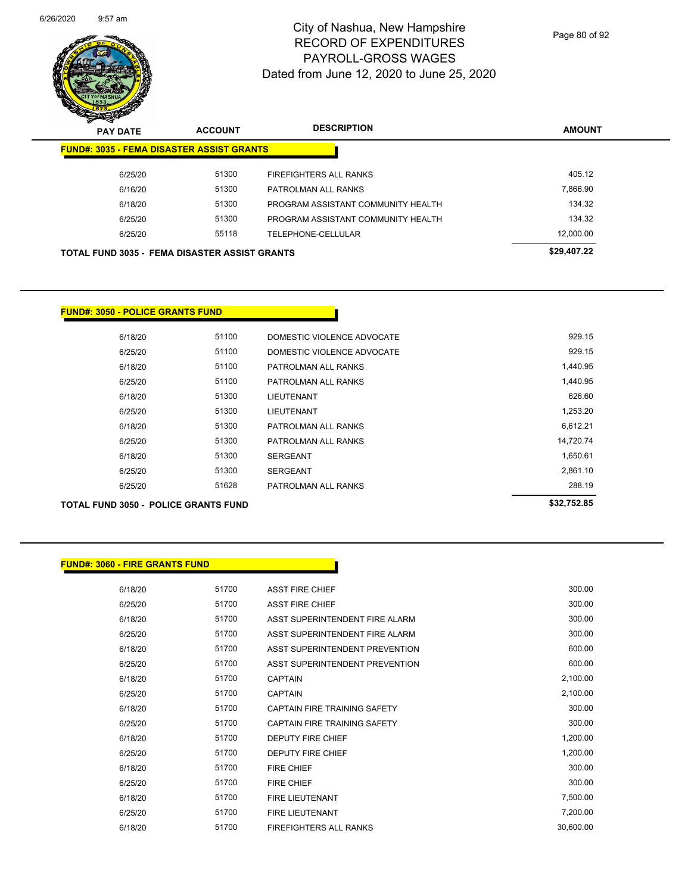

Page 80 of 92

|         |       |                                    | <b>AMOUNT</b>                                                                                            |
|---------|-------|------------------------------------|----------------------------------------------------------------------------------------------------------|
|         |       |                                    |                                                                                                          |
| 6/25/20 | 51300 | <b>FIREFIGHTERS ALL RANKS</b>      | 405.12                                                                                                   |
| 6/16/20 | 51300 | PATROLMAN ALL RANKS                | 7,866.90                                                                                                 |
| 6/18/20 | 51300 | PROGRAM ASSISTANT COMMUNITY HEALTH | 134.32                                                                                                   |
| 6/25/20 | 51300 | PROGRAM ASSISTANT COMMUNITY HEALTH | 134.32                                                                                                   |
| 6/25/20 | 55118 | TELEPHONE-CELLULAR                 | 12,000.00                                                                                                |
|         |       |                                    | \$29,407.22                                                                                              |
|         |       |                                    | <b>FUND#: 3035 - FEMA DISASTER ASSIST GRANTS</b><br><b>TOTAL FUND 3035 - FEMA DISASTER ASSIST GRANTS</b> |

### **FUND#: 3050 - POLICE GRANTS FUND**

| <b>TOTAL FUND 3050 - POLICE GRANTS FUND</b> | \$32.752.85 |                            |           |
|---------------------------------------------|-------------|----------------------------|-----------|
| 6/25/20                                     | 51628       | PATROLMAN ALL RANKS        | 288.19    |
| 6/25/20                                     | 51300       | <b>SERGEANT</b>            | 2,861.10  |
| 6/18/20                                     | 51300       | <b>SERGEANT</b>            | 1,650.61  |
| 6/25/20                                     | 51300       | PATROLMAN ALL RANKS        | 14,720.74 |
| 6/18/20                                     | 51300       | PATROLMAN ALL RANKS        | 6,612.21  |
| 6/25/20                                     | 51300       | LIEUTENANT                 | 1,253.20  |
| 6/18/20                                     | 51300       | LIEUTENANT                 | 626.60    |
| 6/25/20                                     | 51100       | PATROLMAN ALL RANKS        | 1.440.95  |
| 6/18/20                                     | 51100       | PATROLMAN ALL RANKS        | 1,440.95  |
| 6/25/20                                     | 51100       | DOMESTIC VIOLENCE ADVOCATE | 929.15    |
| 6/18/20                                     | 51100       | DOMESTIC VIOLENCE ADVOCATE | 929.15    |

| <b>FUND#: 3060 - FIRE GRANTS FUND</b> |       |                                     |           |
|---------------------------------------|-------|-------------------------------------|-----------|
| 6/18/20                               | 51700 | <b>ASST FIRE CHIEF</b>              | 300.00    |
|                                       |       |                                     |           |
| 6/25/20                               | 51700 | <b>ASST FIRE CHIEF</b>              | 300.00    |
| 6/18/20                               | 51700 | ASST SUPERINTENDENT FIRE ALARM      | 300.00    |
| 6/25/20                               | 51700 | ASST SUPERINTENDENT FIRE ALARM      | 300.00    |
| 6/18/20                               | 51700 | ASST SUPERINTENDENT PREVENTION      | 600.00    |
| 6/25/20                               | 51700 | ASST SUPERINTENDENT PREVENTION      | 600.00    |
| 6/18/20                               | 51700 | <b>CAPTAIN</b>                      | 2,100.00  |
| 6/25/20                               | 51700 | <b>CAPTAIN</b>                      | 2,100.00  |
| 6/18/20                               | 51700 | <b>CAPTAIN FIRE TRAINING SAFETY</b> | 300.00    |
| 6/25/20                               | 51700 | CAPTAIN FIRE TRAINING SAFETY        | 300.00    |
| 6/18/20                               | 51700 | <b>DEPUTY FIRE CHIEF</b>            | 1,200.00  |
| 6/25/20                               | 51700 | <b>DEPUTY FIRE CHIEF</b>            | 1,200.00  |
| 6/18/20                               | 51700 | <b>FIRE CHIEF</b>                   | 300.00    |
| 6/25/20                               | 51700 | <b>FIRE CHIEF</b>                   | 300.00    |
| 6/18/20                               | 51700 | <b>FIRE LIEUTENANT</b>              | 7,500.00  |
| 6/25/20                               | 51700 | <b>FIRE LIEUTENANT</b>              | 7,200.00  |
| 6/18/20                               | 51700 | <b>FIREFIGHTERS ALL RANKS</b>       | 30,600.00 |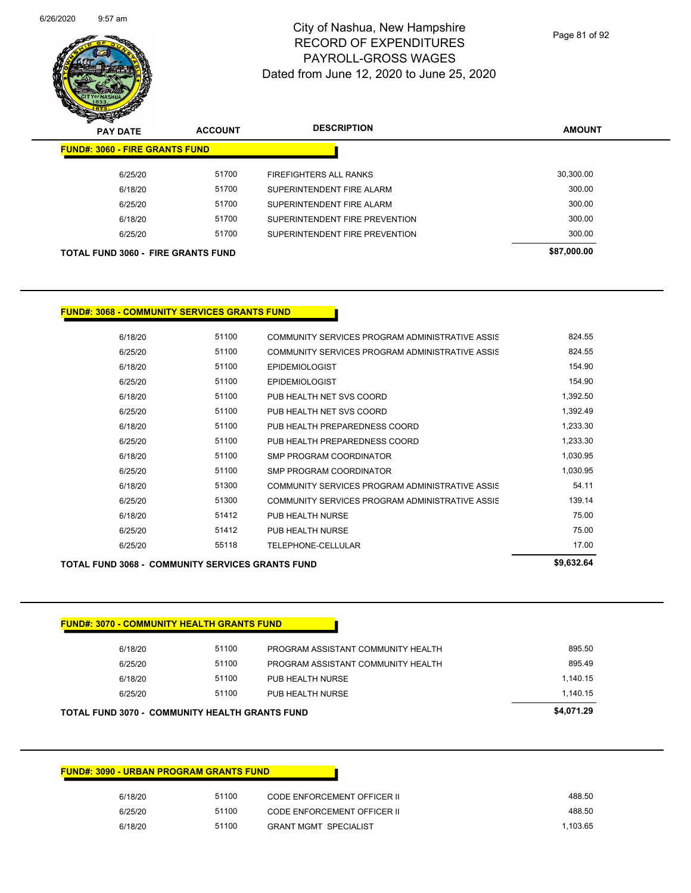

Page 81 of 92

| $\mathscr{D} \curvearrowright$<br><b>PAY DATE</b> | <b>ACCOUNT</b> | <b>DESCRIPTION</b>             | <b>AMOUNT</b> |
|---------------------------------------------------|----------------|--------------------------------|---------------|
| <b>FUND#: 3060 - FIRE GRANTS FUND</b>             |                |                                |               |
| 6/25/20                                           | 51700          | <b>FIREFIGHTERS ALL RANKS</b>  | 30,300.00     |
| 6/18/20                                           | 51700          | SUPERINTENDENT FIRE ALARM      | 300.00        |
| 6/25/20                                           | 51700          | SUPERINTENDENT FIRE ALARM      | 300.00        |
| 6/18/20                                           | 51700          | SUPERINTENDENT FIRE PREVENTION | 300.00        |
| 6/25/20                                           | 51700          | SUPERINTENDENT FIRE PREVENTION | 300.00        |
| <b>TOTAL FUND 3060 - FIRE GRANTS FUND</b>         |                |                                | \$87,000.00   |

#### **FUND#: 3068 - COMMUNITY SERVICES GRANTS FUND**

| 6/18/20 | 51100 | COMMUNITY SERVICES PROGRAM ADMINISTRATIVE ASSIS | 824.55   |
|---------|-------|-------------------------------------------------|----------|
| 6/25/20 | 51100 | COMMUNITY SERVICES PROGRAM ADMINISTRATIVE ASSIS | 824.55   |
| 6/18/20 | 51100 | <b>EPIDEMIOLOGIST</b>                           | 154.90   |
| 6/25/20 | 51100 | <b>EPIDEMIOLOGIST</b>                           | 154.90   |
| 6/18/20 | 51100 | PUB HEALTH NET SVS COORD                        | 1,392.50 |
| 6/25/20 | 51100 | PUB HEALTH NET SVS COORD                        | 1,392.49 |
| 6/18/20 | 51100 | PUB HEALTH PREPAREDNESS COORD                   | 1,233.30 |
| 6/25/20 | 51100 | PUB HEALTH PREPAREDNESS COORD                   | 1,233.30 |
| 6/18/20 | 51100 | SMP PROGRAM COORDINATOR                         | 1,030.95 |
| 6/25/20 | 51100 | SMP PROGRAM COORDINATOR                         | 1,030.95 |
| 6/18/20 | 51300 | COMMUNITY SERVICES PROGRAM ADMINISTRATIVE ASSIS | 54.11    |
| 6/25/20 | 51300 | COMMUNITY SERVICES PROGRAM ADMINISTRATIVE ASSIS | 139.14   |
| 6/18/20 | 51412 | PUB HEALTH NURSE                                | 75.00    |
| 6/25/20 | 51412 | PUB HEALTH NURSE                                | 75.00    |
| 6/25/20 | 55118 | TELEPHONE-CELLULAR                              | 17.00    |
|         |       |                                                 |          |

#### **TOTAL FUND 3068 - COMMUNITY SERVICES GRANTS FUND \$9,632.64**

| <b>FUND#: 3070 - COMMUNITY HEALTH GRANTS FUND</b>     |       |                                    |            |
|-------------------------------------------------------|-------|------------------------------------|------------|
| 6/18/20                                               | 51100 | PROGRAM ASSISTANT COMMUNITY HEALTH | 895.50     |
| 6/25/20                                               | 51100 | PROGRAM ASSISTANT COMMUNITY HEALTH | 895.49     |
| 6/18/20                                               | 51100 | PUB HEALTH NURSE                   | 1.140.15   |
| 6/25/20                                               | 51100 | PUB HEALTH NURSE                   | 1.140.15   |
| <b>TOTAL FUND 3070 - COMMUNITY HEALTH GRANTS FUND</b> |       |                                    | \$4,071.29 |

| <b>FUND#: 3090 - URBAN PROGRAM GRANTS FUND</b> |
|------------------------------------------------|

| 488.50   | CODE ENFORCEMENT OFFICER II  | 51100 | 6/18/20 |
|----------|------------------------------|-------|---------|
| 488.50   | CODE ENFORCEMENT OFFICER II  | 51100 | 6/25/20 |
| 1.103.65 | <b>GRANT MGMT SPECIALIST</b> | 51100 | 6/18/20 |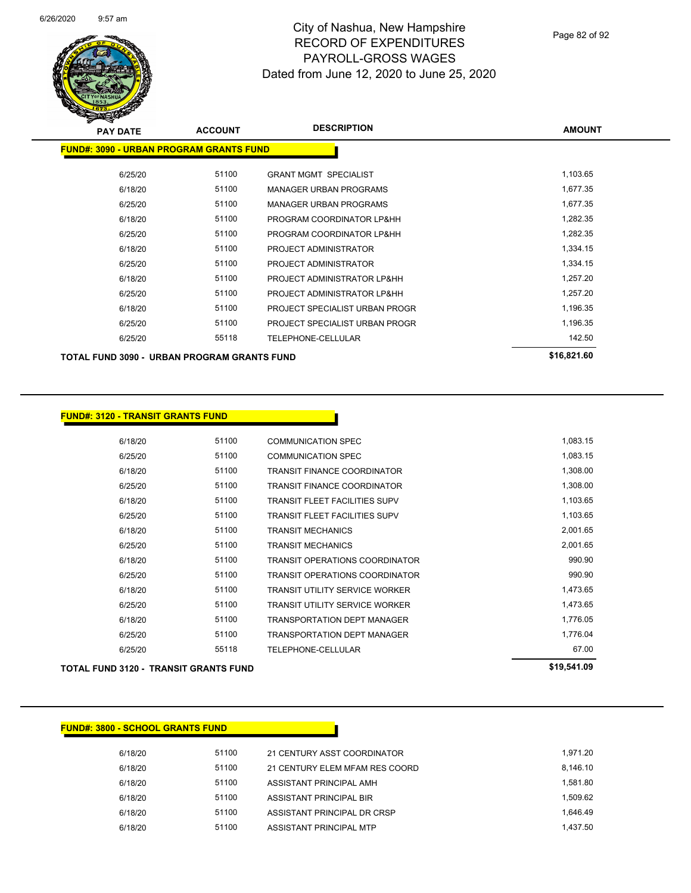

| <b>PAY DATE</b>                                | <b>ACCOUNT</b> | <b>DESCRIPTION</b>             | <b>AMOUNT</b> |
|------------------------------------------------|----------------|--------------------------------|---------------|
| <b>FUND#: 3090 - URBAN PROGRAM GRANTS FUND</b> |                |                                |               |
| 6/25/20                                        | 51100          | <b>GRANT MGMT SPECIALIST</b>   | 1,103.65      |
| 6/18/20                                        | 51100          | <b>MANAGER URBAN PROGRAMS</b>  | 1,677.35      |
| 6/25/20                                        | 51100          | <b>MANAGER URBAN PROGRAMS</b>  | 1,677.35      |
| 6/18/20                                        | 51100          | PROGRAM COORDINATOR LP&HH      | 1,282.35      |
| 6/25/20                                        | 51100          | PROGRAM COORDINATOR LP&HH      | 1,282.35      |
| 6/18/20                                        | 51100          | PROJECT ADMINISTRATOR          | 1,334.15      |
| 6/25/20                                        | 51100          | PROJECT ADMINISTRATOR          | 1,334.15      |
| 6/18/20                                        | 51100          | PROJECT ADMINISTRATOR LP&HH    | 1,257.20      |
| 6/25/20                                        | 51100          | PROJECT ADMINISTRATOR LP&HH    | 1,257.20      |
| 6/18/20                                        | 51100          | PROJECT SPECIALIST URBAN PROGR | 1,196.35      |
| 6/25/20                                        | 51100          | PROJECT SPECIALIST URBAN PROGR | 1,196.35      |
| 6/25/20                                        | 55118          | <b>TELEPHONE-CELLULAR</b>      | 142.50        |
| TOTAL FUND 3090 - URBAN PROGRAM GRANTS FUND    |                |                                | \$16,821.60   |

### **FUND#: 3120 - TRANSIT GRANTS FUND**

| 6/18/20 | 51100 | <b>COMMUNICATION SPEC</b>             | 1,083.15 |
|---------|-------|---------------------------------------|----------|
| 6/25/20 | 51100 | <b>COMMUNICATION SPEC</b>             | 1,083.15 |
| 6/18/20 | 51100 | <b>TRANSIT FINANCE COORDINATOR</b>    | 1,308.00 |
| 6/25/20 | 51100 | <b>TRANSIT FINANCE COORDINATOR</b>    | 1,308.00 |
| 6/18/20 | 51100 | <b>TRANSIT FLEET FACILITIES SUPV</b>  | 1,103.65 |
| 6/25/20 | 51100 | <b>TRANSIT FLEET FACILITIES SUPV</b>  | 1,103.65 |
| 6/18/20 | 51100 | <b>TRANSIT MECHANICS</b>              | 2,001.65 |
| 6/25/20 | 51100 | <b>TRANSIT MECHANICS</b>              | 2,001.65 |
| 6/18/20 | 51100 | <b>TRANSIT OPERATIONS COORDINATOR</b> | 990.90   |
| 6/25/20 | 51100 | TRANSIT OPERATIONS COORDINATOR        | 990.90   |
| 6/18/20 | 51100 | <b>TRANSIT UTILITY SERVICE WORKER</b> | 1,473.65 |
| 6/25/20 | 51100 | <b>TRANSIT UTILITY SERVICE WORKER</b> | 1,473.65 |
| 6/18/20 | 51100 | <b>TRANSPORTATION DEPT MANAGER</b>    | 1,776.05 |
| 6/25/20 | 51100 | <b>TRANSPORTATION DEPT MANAGER</b>    | 1,776.04 |
| 6/25/20 | 55118 | TELEPHONE-CELLULAR                    | 67.00    |
|         |       |                                       |          |

TOTAL FUND 3120 - TRANSIT GRANTS FUND<br>
\$19,541.09

### **FUND#: 3800 - SCHOOL GRANTS FUND**

| 6/18/20 | 51100 | 21 CENTURY ASST COORDINATOR    | 1.971.20 |
|---------|-------|--------------------------------|----------|
| 6/18/20 | 51100 | 21 CENTURY ELEM MFAM RES COORD | 8.146.10 |
| 6/18/20 | 51100 | ASSISTANT PRINCIPAL AMH        | 1.581.80 |
| 6/18/20 | 51100 | ASSISTANT PRINCIPAL BIR        | 1.509.62 |
| 6/18/20 | 51100 | ASSISTANT PRINCIPAL DR CRSP    | 1.646.49 |
| 6/18/20 | 51100 | ASSISTANT PRINCIPAL MTP        | 1.437.50 |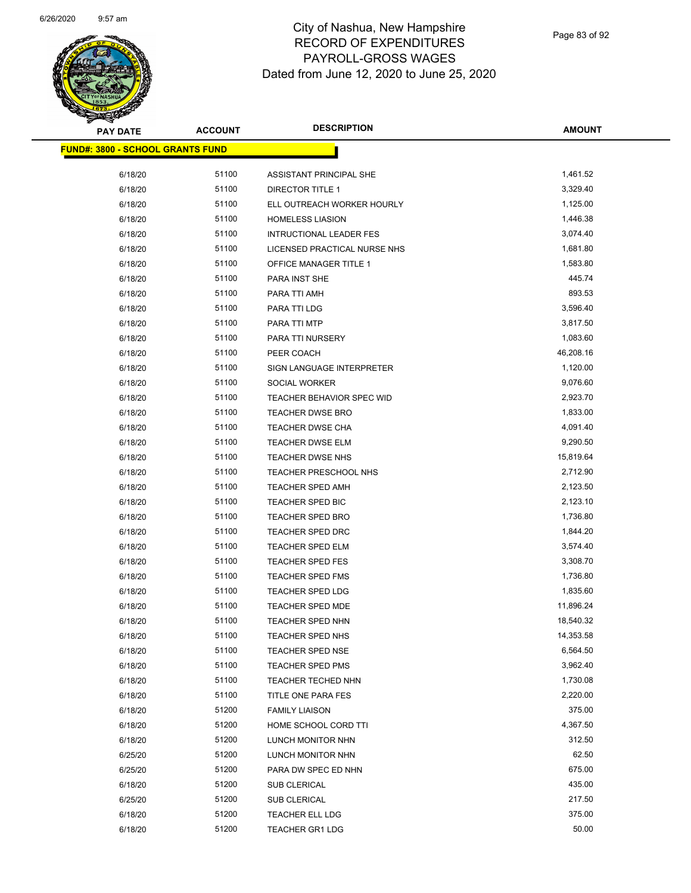

| <b>PAY DATE</b>                         | <b>ACCOUNT</b> | <b>DESCRIPTION</b>             | <b>AMOUNT</b> |
|-----------------------------------------|----------------|--------------------------------|---------------|
| <b>FUND#: 3800 - SCHOOL GRANTS FUND</b> |                |                                |               |
| 6/18/20                                 | 51100          | ASSISTANT PRINCIPAL SHE        | 1,461.52      |
| 6/18/20                                 | 51100          | <b>DIRECTOR TITLE 1</b>        | 3,329.40      |
| 6/18/20                                 | 51100          | ELL OUTREACH WORKER HOURLY     | 1,125.00      |
| 6/18/20                                 | 51100          | <b>HOMELESS LIASION</b>        | 1,446.38      |
| 6/18/20                                 | 51100          | <b>INTRUCTIONAL LEADER FES</b> | 3,074.40      |
| 6/18/20                                 | 51100          | LICENSED PRACTICAL NURSE NHS   | 1,681.80      |
| 6/18/20                                 | 51100          | OFFICE MANAGER TITLE 1         | 1,583.80      |
| 6/18/20                                 | 51100          | PARA INST SHE                  | 445.74        |
| 6/18/20                                 | 51100          | PARA TTI AMH                   | 893.53        |
| 6/18/20                                 | 51100          | PARA TTI LDG                   | 3,596.40      |
| 6/18/20                                 | 51100          | PARA TTI MTP                   | 3,817.50      |
| 6/18/20                                 | 51100          |                                | 1,083.60      |
|                                         | 51100          | PARA TTI NURSERY               | 46,208.16     |
| 6/18/20                                 | 51100          | PEER COACH                     | 1,120.00      |
| 6/18/20<br>6/18/20                      | 51100          | SIGN LANGUAGE INTERPRETER      | 9,076.60      |
|                                         |                | SOCIAL WORKER                  |               |
| 6/18/20                                 | 51100          | TEACHER BEHAVIOR SPEC WID      | 2,923.70      |
| 6/18/20                                 | 51100          | <b>TEACHER DWSE BRO</b>        | 1,833.00      |
| 6/18/20                                 | 51100          | TEACHER DWSE CHA               | 4,091.40      |
| 6/18/20                                 | 51100          | TEACHER DWSE ELM               | 9,290.50      |
| 6/18/20                                 | 51100          | TEACHER DWSE NHS               | 15,819.64     |
| 6/18/20                                 | 51100          | <b>TEACHER PRESCHOOL NHS</b>   | 2,712.90      |
| 6/18/20                                 | 51100          | <b>TEACHER SPED AMH</b>        | 2,123.50      |
| 6/18/20                                 | 51100          | TEACHER SPED BIC               | 2,123.10      |
| 6/18/20                                 | 51100          | TEACHER SPED BRO               | 1,736.80      |
| 6/18/20                                 | 51100          | TEACHER SPED DRC               | 1,844.20      |
| 6/18/20                                 | 51100          | <b>TEACHER SPED ELM</b>        | 3,574.40      |
| 6/18/20                                 | 51100          | <b>TEACHER SPED FES</b>        | 3,308.70      |
| 6/18/20                                 | 51100          | TEACHER SPED FMS               | 1,736.80      |
| 6/18/20                                 | 51100          | TEACHER SPED LDG               | 1,835.60      |
| 6/18/20                                 | 51100          | <b>TEACHER SPED MDE</b>        | 11,896.24     |
| 6/18/20                                 | 51100          | <b>TEACHER SPED NHN</b>        | 18,540.32     |
| 6/18/20                                 | 51100          | TEACHER SPED NHS               | 14,353.58     |
| 6/18/20                                 | 51100          | TEACHER SPED NSE               | 6,564.50      |
| 6/18/20                                 | 51100          | <b>TEACHER SPED PMS</b>        | 3,962.40      |
| 6/18/20                                 | 51100          | TEACHER TECHED NHN             | 1,730.08      |
| 6/18/20                                 | 51100          | TITLE ONE PARA FES             | 2,220.00      |
| 6/18/20                                 | 51200          | <b>FAMILY LIAISON</b>          | 375.00        |
| 6/18/20                                 | 51200          | HOME SCHOOL CORD TTI           | 4,367.50      |
| 6/18/20                                 | 51200          | LUNCH MONITOR NHN              | 312.50        |
| 6/25/20                                 | 51200          | LUNCH MONITOR NHN              | 62.50         |
| 6/25/20                                 | 51200          | PARA DW SPEC ED NHN            | 675.00        |
| 6/18/20                                 | 51200          | SUB CLERICAL                   | 435.00        |
| 6/25/20                                 | 51200          | <b>SUB CLERICAL</b>            | 217.50        |
| 6/18/20                                 | 51200          | TEACHER ELL LDG                | 375.00        |
| 6/18/20                                 | 51200          | <b>TEACHER GR1 LDG</b>         | 50.00         |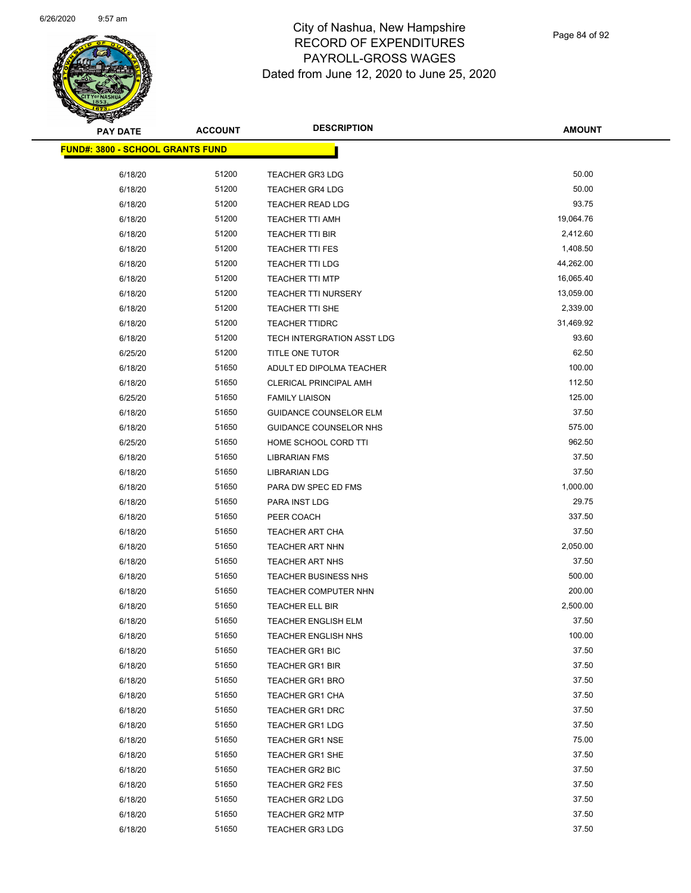

| <b>PAY DATE</b>                          | <b>ACCOUNT</b> | <b>DESCRIPTION</b>            | AMOUNT    |
|------------------------------------------|----------------|-------------------------------|-----------|
| <u> FUND#: 3800 - SCHOOL GRANTS FUND</u> |                |                               |           |
|                                          |                |                               |           |
| 6/18/20                                  | 51200          | <b>TEACHER GR3 LDG</b>        | 50.00     |
| 6/18/20                                  | 51200          | <b>TEACHER GR4 LDG</b>        | 50.00     |
| 6/18/20                                  | 51200          | <b>TEACHER READ LDG</b>       | 93.75     |
| 6/18/20                                  | 51200          | <b>TEACHER TTI AMH</b>        | 19,064.76 |
| 6/18/20                                  | 51200          | TEACHER TTI BIR               | 2,412.60  |
| 6/18/20                                  | 51200          | <b>TEACHER TTI FES</b>        | 1,408.50  |
| 6/18/20                                  | 51200          | <b>TEACHER TTI LDG</b>        | 44,262.00 |
| 6/18/20                                  | 51200          | <b>TEACHER TTI MTP</b>        | 16,065.40 |
| 6/18/20                                  | 51200          | <b>TEACHER TTI NURSERY</b>    | 13,059.00 |
| 6/18/20                                  | 51200          | TEACHER TTI SHE               | 2,339.00  |
| 6/18/20                                  | 51200          | TEACHER TTIDRC                | 31,469.92 |
| 6/18/20                                  | 51200          | TECH INTERGRATION ASST LDG    | 93.60     |
| 6/25/20                                  | 51200          | TITLE ONE TUTOR               | 62.50     |
| 6/18/20                                  | 51650          | ADULT ED DIPOLMA TEACHER      | 100.00    |
| 6/18/20                                  | 51650          | <b>CLERICAL PRINCIPAL AMH</b> | 112.50    |
| 6/25/20                                  | 51650          | <b>FAMILY LIAISON</b>         | 125.00    |
| 6/18/20                                  | 51650          | <b>GUIDANCE COUNSELOR ELM</b> | 37.50     |
| 6/18/20                                  | 51650          | GUIDANCE COUNSELOR NHS        | 575.00    |
| 6/25/20                                  | 51650          | HOME SCHOOL CORD TTI          | 962.50    |
| 6/18/20                                  | 51650          | LIBRARIAN FMS                 | 37.50     |
| 6/18/20                                  | 51650          | <b>LIBRARIAN LDG</b>          | 37.50     |
| 6/18/20                                  | 51650          | PARA DW SPEC ED FMS           | 1,000.00  |
| 6/18/20                                  | 51650          | PARA INST LDG                 | 29.75     |
| 6/18/20                                  | 51650          | PEER COACH                    | 337.50    |
| 6/18/20                                  | 51650          | TEACHER ART CHA               | 37.50     |
| 6/18/20                                  | 51650          | <b>TEACHER ART NHN</b>        | 2,050.00  |
| 6/18/20                                  | 51650          | <b>TEACHER ART NHS</b>        | 37.50     |
| 6/18/20                                  | 51650          | <b>TEACHER BUSINESS NHS</b>   | 500.00    |
| 6/18/20                                  | 51650          | TEACHER COMPUTER NHN          | 200.00    |
| 6/18/20                                  | 51650          | TEACHER ELL BIR               | 2,500.00  |
| 6/18/20                                  | 51650          | <b>TEACHER ENGLISH ELM</b>    | 37.50     |
| 6/18/20                                  | 51650          | <b>TEACHER ENGLISH NHS</b>    | 100.00    |
| 6/18/20                                  | 51650          | <b>TEACHER GR1 BIC</b>        | 37.50     |
| 6/18/20                                  | 51650          | <b>TEACHER GR1 BIR</b>        | 37.50     |
| 6/18/20                                  | 51650          | <b>TEACHER GR1 BRO</b>        | 37.50     |
| 6/18/20                                  | 51650          | TEACHER GR1 CHA               | 37.50     |
| 6/18/20                                  | 51650          | <b>TEACHER GR1 DRC</b>        | 37.50     |
| 6/18/20                                  | 51650          | <b>TEACHER GR1 LDG</b>        | 37.50     |
| 6/18/20                                  | 51650          | <b>TEACHER GR1 NSE</b>        | 75.00     |
| 6/18/20                                  | 51650          | <b>TEACHER GR1 SHE</b>        | 37.50     |
| 6/18/20                                  | 51650          | TEACHER GR2 BIC               | 37.50     |
| 6/18/20                                  | 51650          | <b>TEACHER GR2 FES</b>        | 37.50     |
| 6/18/20                                  | 51650          | <b>TEACHER GR2 LDG</b>        | 37.50     |
| 6/18/20                                  | 51650          | <b>TEACHER GR2 MTP</b>        | 37.50     |
| 6/18/20                                  | 51650          | <b>TEACHER GR3 LDG</b>        | 37.50     |
|                                          |                |                               |           |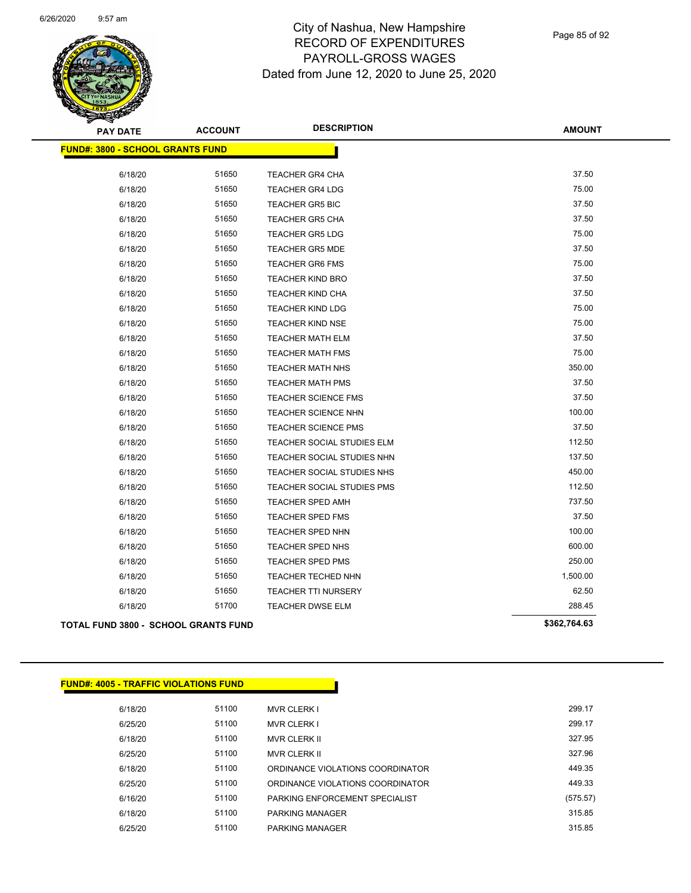

Page 85 of 92

| <b>PAY DATE</b>                             | <b>ACCOUNT</b> | <b>DESCRIPTION</b>                | <b>AMOUNT</b> |
|---------------------------------------------|----------------|-----------------------------------|---------------|
| <b>FUND#: 3800 - SCHOOL GRANTS FUND</b>     |                |                                   |               |
| 6/18/20                                     | 51650          | <b>TEACHER GR4 CHA</b>            | 37.50         |
| 6/18/20                                     | 51650          | <b>TEACHER GR4 LDG</b>            | 75.00         |
| 6/18/20                                     | 51650          | <b>TEACHER GR5 BIC</b>            | 37.50         |
| 6/18/20                                     | 51650          | <b>TEACHER GR5 CHA</b>            | 37.50         |
| 6/18/20                                     | 51650          | <b>TEACHER GR5 LDG</b>            | 75.00         |
| 6/18/20                                     | 51650          | <b>TEACHER GR5 MDE</b>            | 37.50         |
| 6/18/20                                     | 51650          | <b>TEACHER GR6 FMS</b>            | 75.00         |
| 6/18/20                                     | 51650          | <b>TEACHER KIND BRO</b>           | 37.50         |
| 6/18/20                                     | 51650          | TEACHER KIND CHA                  | 37.50         |
| 6/18/20                                     | 51650          | <b>TEACHER KIND LDG</b>           | 75.00         |
| 6/18/20                                     | 51650          | <b>TEACHER KIND NSE</b>           | 75.00         |
| 6/18/20                                     | 51650          | <b>TEACHER MATH ELM</b>           | 37.50         |
| 6/18/20                                     | 51650          | <b>TEACHER MATH FMS</b>           | 75.00         |
| 6/18/20                                     | 51650          | <b>TEACHER MATH NHS</b>           | 350.00        |
| 6/18/20                                     | 51650          | <b>TEACHER MATH PMS</b>           | 37.50         |
| 6/18/20                                     | 51650          | <b>TEACHER SCIENCE FMS</b>        | 37.50         |
| 6/18/20                                     | 51650          | <b>TEACHER SCIENCE NHN</b>        | 100.00        |
| 6/18/20                                     | 51650          | <b>TEACHER SCIENCE PMS</b>        | 37.50         |
| 6/18/20                                     | 51650          | <b>TEACHER SOCIAL STUDIES ELM</b> | 112.50        |
| 6/18/20                                     | 51650          | TEACHER SOCIAL STUDIES NHN        | 137.50        |
| 6/18/20                                     | 51650          | TEACHER SOCIAL STUDIES NHS        | 450.00        |
| 6/18/20                                     | 51650          | TEACHER SOCIAL STUDIES PMS        | 112.50        |
| 6/18/20                                     | 51650          | <b>TEACHER SPED AMH</b>           | 737.50        |
| 6/18/20                                     | 51650          | <b>TEACHER SPED FMS</b>           | 37.50         |
| 6/18/20                                     | 51650          | <b>TEACHER SPED NHN</b>           | 100.00        |
| 6/18/20                                     | 51650          | TEACHER SPED NHS                  | 600.00        |
| 6/18/20                                     | 51650          | <b>TEACHER SPED PMS</b>           | 250.00        |
| 6/18/20                                     | 51650          | TEACHER TECHED NHN                | 1,500.00      |
| 6/18/20                                     | 51650          | <b>TEACHER TTI NURSERY</b>        | 62.50         |
| 6/18/20                                     | 51700          | TEACHER DWSE ELM                  | 288.45        |
| <b>TOTAL FUND 3800 - SCHOOL GRANTS FUND</b> |                |                                   | \$362,764.63  |

| <b>FUND#: 4005 - TRAFFIC VIOLATIONS FUND</b> |       |                                  |          |
|----------------------------------------------|-------|----------------------------------|----------|
| 6/18/20                                      | 51100 | <b>MVR CLERK I</b>               | 299.17   |
| 6/25/20                                      | 51100 | <b>MVR CLERK I</b>               | 299.17   |
| 6/18/20                                      | 51100 | <b>MVR CLERK II</b>              | 327.95   |
| 6/25/20                                      | 51100 | <b>MVR CLERK II</b>              | 327.96   |
| 6/18/20                                      | 51100 | ORDINANCE VIOLATIONS COORDINATOR | 449.35   |
| 6/25/20                                      | 51100 | ORDINANCE VIOLATIONS COORDINATOR | 449.33   |
| 6/16/20                                      | 51100 | PARKING ENFORCEMENT SPECIALIST   | (575.57) |
| 6/18/20                                      | 51100 | <b>PARKING MANAGER</b>           | 315.85   |
| 6/25/20                                      | 51100 | <b>PARKING MANAGER</b>           | 315.85   |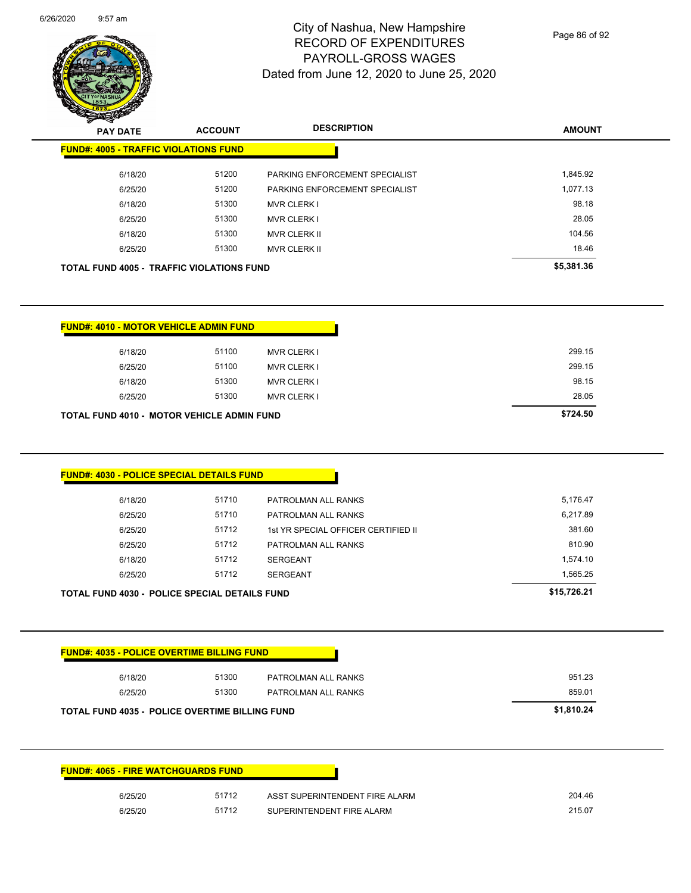| 6/18/20                                                                                                                                                                                            |                |                                                             |                  |
|----------------------------------------------------------------------------------------------------------------------------------------------------------------------------------------------------|----------------|-------------------------------------------------------------|------------------|
|                                                                                                                                                                                                    | 51300          | <b>MVR CLERK I</b>                                          | 98.18            |
| 6/25/20                                                                                                                                                                                            | 51300          | <b>MVR CLERK I</b>                                          | 28.05            |
| 6/18/20                                                                                                                                                                                            | 51300          | MVR CLERK II                                                | 104.56           |
| 6/25/20                                                                                                                                                                                            | 51300          | MVR CLERK II                                                | 18.46            |
| TOTAL FUND 4005 - TRAFFIC VIOLATIONS FUND                                                                                                                                                          |                |                                                             | \$5,381.36       |
|                                                                                                                                                                                                    |                |                                                             |                  |
|                                                                                                                                                                                                    |                |                                                             |                  |
|                                                                                                                                                                                                    |                |                                                             |                  |
| <b>FUND#: 4010 - MOTOR VEHICLE ADMIN FUND</b>                                                                                                                                                      |                |                                                             |                  |
| 6/18/20                                                                                                                                                                                            | 51100          | <b>MVR CLERK I</b>                                          | 299.15           |
| 6/25/20                                                                                                                                                                                            | 51100          | <b>MVR CLERK I</b>                                          | 299.15           |
| 6/18/20                                                                                                                                                                                            | 51300          | <b>MVR CLERK I</b>                                          | 98.15            |
| 6/25/20                                                                                                                                                                                            | 51300          | <b>MVR CLERK I</b>                                          | 28.05            |
|                                                                                                                                                                                                    |                |                                                             | \$724.50         |
| TOTAL FUND 4010 - MOTOR VEHICLE ADMIN FUND                                                                                                                                                         |                |                                                             |                  |
|                                                                                                                                                                                                    |                |                                                             |                  |
|                                                                                                                                                                                                    |                |                                                             |                  |
| FUND#: 4030 - POLICE SPECIAL DETAILS FUND                                                                                                                                                          |                |                                                             |                  |
|                                                                                                                                                                                                    |                |                                                             |                  |
| 6/18/20                                                                                                                                                                                            | 51710          | PATROLMAN ALL RANKS                                         | 5,176.47         |
| 6/25/20                                                                                                                                                                                            | 51710          | PATROLMAN ALL RANKS                                         | 6,217.89         |
| 6/25/20                                                                                                                                                                                            | 51712          | 1st YR SPECIAL OFFICER CERTIFIED II                         | 381.60           |
| 6/25/20                                                                                                                                                                                            | 51712          | PATROLMAN ALL RANKS                                         | 810.90           |
|                                                                                                                                                                                                    | 51712          | <b>SERGEANT</b>                                             | 1,574.10         |
| 6/18/20                                                                                                                                                                                            | 51712          | <b>SERGEANT</b>                                             | 1,565.25         |
| 6/25/20                                                                                                                                                                                            |                |                                                             | \$15,726.21      |
|                                                                                                                                                                                                    |                |                                                             |                  |
|                                                                                                                                                                                                    |                |                                                             |                  |
|                                                                                                                                                                                                    |                |                                                             |                  |
|                                                                                                                                                                                                    |                |                                                             |                  |
|                                                                                                                                                                                                    |                |                                                             |                  |
| 6/18/20                                                                                                                                                                                            | 51300          | PATROLMAN ALL RANKS                                         | 951.23           |
| 6/25/20                                                                                                                                                                                            | 51300          | PATROLMAN ALL RANKS                                         | 859.01           |
|                                                                                                                                                                                                    |                |                                                             |                  |
|                                                                                                                                                                                                    |                |                                                             | \$1,810.24       |
|                                                                                                                                                                                                    |                |                                                             |                  |
|                                                                                                                                                                                                    |                |                                                             |                  |
|                                                                                                                                                                                                    |                |                                                             |                  |
| TOTAL FUND 4030 - POLICE SPECIAL DETAILS FUND<br><b>FUND#: 4035 - POLICE OVERTIME BILLING FUND</b><br>TOTAL FUND 4035 - POLICE OVERTIME BILLING FUND<br><b>FUND#: 4065 - FIRE WATCHGUARDS FUND</b> |                |                                                             |                  |
| 6/25/20<br>6/25/20                                                                                                                                                                                 | 51712<br>51712 | ASST SUPERINTENDENT FIRE ALARM<br>SUPERINTENDENT FIRE ALARM | 204.46<br>215.07 |

# **AMOUNT PAY DATE ACCOUNT DESCRIPTION FUND#: 4005 - TRAFFIC VIOLATIONS FUND** 6/18/20 51200 PARKING ENFORCEMENT SPECIALIST 6/18/20 1,845.92 6/25/20 51200 PARKING ENFORCEMENT SPECIALIST 1,077.13

6/26/2020 9:57 am

# City of Nashua, New Hampshire RECORD OF EXPENDITURES PAYROLL-GROSS WAGES Dated from June 12, 2020 to June 25, 2020

Page 86 of 92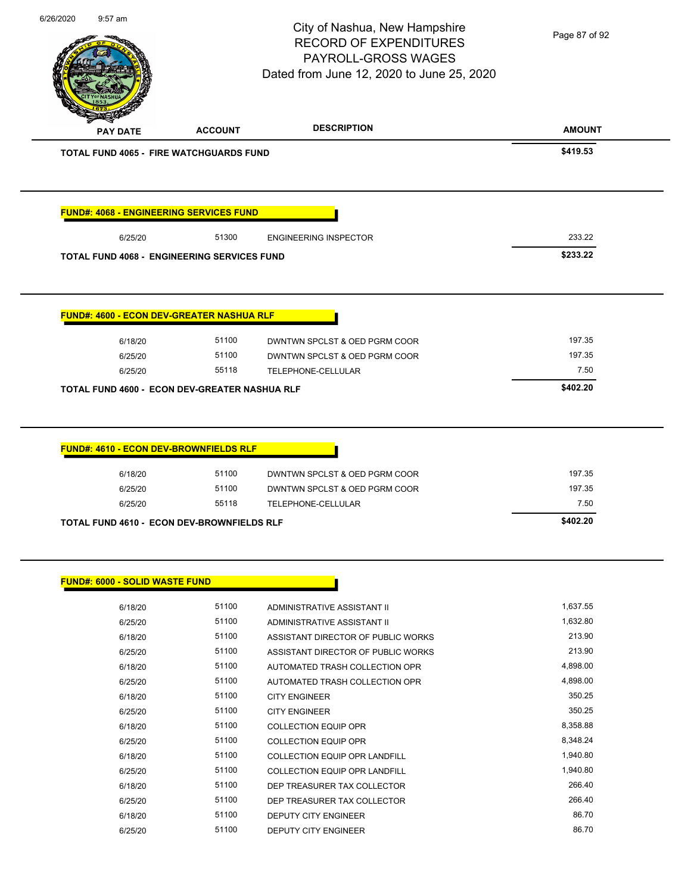|                                                    |                | City of Nashua, New Hampshire<br><b>RECORD OF EXPENDITURES</b><br>PAYROLL-GROSS WAGES<br>Dated from June 12, 2020 to June 25, 2020 | Page 87 of 92 |
|----------------------------------------------------|----------------|------------------------------------------------------------------------------------------------------------------------------------|---------------|
| <b>PAY DATE</b>                                    | <b>ACCOUNT</b> | <b>DESCRIPTION</b>                                                                                                                 | <b>AMOUNT</b> |
| <b>TOTAL FUND 4065 - FIRE WATCHGUARDS FUND</b>     |                |                                                                                                                                    | \$419.53      |
| <b>FUND#: 4068 - ENGINEERING SERVICES FUND</b>     |                |                                                                                                                                    |               |
| 6/25/20                                            | 51300          | <b>ENGINEERING INSPECTOR</b>                                                                                                       | 233.22        |
| <b>TOTAL FUND 4068 - ENGINEERING SERVICES FUND</b> |                |                                                                                                                                    | \$233.22      |
| <b>FUND#: 4600 - ECON DEV-GREATER NASHUA RLF</b>   |                |                                                                                                                                    |               |
| 6/18/20                                            | 51100          | DWNTWN SPCLST & OED PGRM COOR                                                                                                      | 197.35        |
|                                                    |                |                                                                                                                                    |               |
| 6/25/20                                            | 51100          | DWNTWN SPCLST & OED PGRM COOR                                                                                                      | 197.35        |
| 6/25/20                                            | 55118          | TELEPHONE-CELLULAR                                                                                                                 | 7.50          |
| TOTAL FUND 4600 - ECON DEV-GREATER NASHUA RLF      |                |                                                                                                                                    | \$402.20      |
| <b>FUND#: 4610 - ECON DEV-BROWNFIELDS RLF</b>      |                |                                                                                                                                    |               |
| 6/18/20                                            | 51100          | DWNTWN SPCLST & OED PGRM COOR                                                                                                      | 197.35        |
| 6/25/20                                            | 51100          | DWNTWN SPCLST & OED PGRM COOR                                                                                                      | 197.35        |
| 6/25/20                                            | 55118          | TELEPHONE-CELLULAR                                                                                                                 | 7.50          |
| TOTAL FUND 4610 - ECON DEV-BROWNFIELDS RLF         |                |                                                                                                                                    | \$402.20      |
| FUND#: 6000 - SOLID WASTE FUND                     |                |                                                                                                                                    |               |
| 6/18/20                                            | 51100          | ADMINISTRATIVE ASSISTANT II                                                                                                        | 1,637.55      |
| 6/25/20                                            | 51100          | ADMINISTRATIVE ASSISTANT II                                                                                                        | 1,632.80      |
| 6/18/20                                            | 51100          | ASSISTANT DIRECTOR OF PUBLIC WORKS                                                                                                 | 213.90        |
| 6/25/20                                            | 51100          | ASSISTANT DIRECTOR OF PUBLIC WORKS                                                                                                 | 213.90        |
| 6/18/20                                            | 51100          | AUTOMATED TRASH COLLECTION OPR                                                                                                     | 4,898.00      |
| 6/25/20                                            | 51100          | AUTOMATED TRASH COLLECTION OPR                                                                                                     | 4,898.00      |

| 6/18/20 | 51100 | <b>CITY ENGINEER</b>                 | 350.25   |
|---------|-------|--------------------------------------|----------|
| 6/25/20 | 51100 | <b>CITY ENGINEER</b>                 | 350.25   |
| 6/18/20 | 51100 | COLLECTION EQUIP OPR                 | 8.358.88 |
| 6/25/20 | 51100 | <b>COLLECTION EQUIP OPR</b>          | 8.348.24 |
| 6/18/20 | 51100 | <b>COLLECTION EQUIP OPR LANDFILL</b> | 1.940.80 |
| 6/25/20 | 51100 | COLLECTION EQUIP OPR LANDFILL        | 1.940.80 |
| 6/18/20 | 51100 | DEP TREASURER TAX COLLECTOR          | 266.40   |
| 6/25/20 | 51100 | DEP TREASURER TAX COLLECTOR          | 266.40   |
| 6/18/20 | 51100 | <b>DEPUTY CITY ENGINEER</b>          | 86.70    |
| 6/25/20 | 51100 | DEPUTY CITY ENGINEER                 | 86.70    |
|         |       |                                      |          |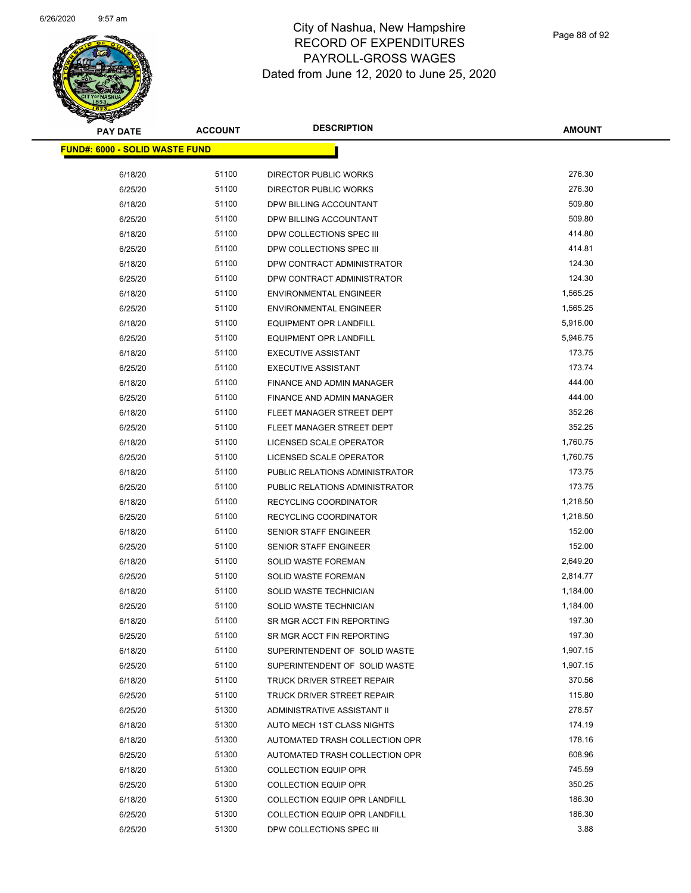

Page 88 of 92

| <b>PAY DATE</b>                       | <b>ACCOUNT</b> | <b>DESCRIPTION</b>                   | <b>AMOUNT</b>  |
|---------------------------------------|----------------|--------------------------------------|----------------|
| <b>FUND#: 6000 - SOLID WASTE FUND</b> |                |                                      |                |
| 6/18/20                               | 51100          | DIRECTOR PUBLIC WORKS                | 276.30         |
| 6/25/20                               | 51100          | DIRECTOR PUBLIC WORKS                | 276.30         |
| 6/18/20                               | 51100          | DPW BILLING ACCOUNTANT               | 509.80         |
| 6/25/20                               | 51100          | DPW BILLING ACCOUNTANT               | 509.80         |
| 6/18/20                               | 51100          | DPW COLLECTIONS SPEC III             | 414.80         |
| 6/25/20                               | 51100          | DPW COLLECTIONS SPEC III             | 414.81         |
| 6/18/20                               | 51100          | DPW CONTRACT ADMINISTRATOR           | 124.30         |
| 6/25/20                               | 51100          | DPW CONTRACT ADMINISTRATOR           | 124.30         |
| 6/18/20                               | 51100          | <b>ENVIRONMENTAL ENGINEER</b>        | 1,565.25       |
| 6/25/20                               | 51100          | <b>ENVIRONMENTAL ENGINEER</b>        | 1,565.25       |
| 6/18/20                               | 51100          | <b>EQUIPMENT OPR LANDFILL</b>        | 5,916.00       |
| 6/25/20                               | 51100          | <b>EQUIPMENT OPR LANDFILL</b>        | 5,946.75       |
| 6/18/20                               | 51100          | <b>EXECUTIVE ASSISTANT</b>           | 173.75         |
| 6/25/20                               | 51100          | <b>EXECUTIVE ASSISTANT</b>           | 173.74         |
| 6/18/20                               | 51100          | FINANCE AND ADMIN MANAGER            | 444.00         |
| 6/25/20                               | 51100          | <b>FINANCE AND ADMIN MANAGER</b>     | 444.00         |
| 6/18/20                               | 51100          | FLEET MANAGER STREET DEPT            | 352.26         |
| 6/25/20                               | 51100          | FLEET MANAGER STREET DEPT            | 352.25         |
| 6/18/20                               | 51100          | LICENSED SCALE OPERATOR              | 1,760.75       |
| 6/25/20                               | 51100          | LICENSED SCALE OPERATOR              | 1,760.75       |
| 6/18/20                               | 51100          | PUBLIC RELATIONS ADMINISTRATOR       | 173.75         |
| 6/25/20                               | 51100          | PUBLIC RELATIONS ADMINISTRATOR       | 173.75         |
| 6/18/20                               | 51100          | RECYCLING COORDINATOR                | 1,218.50       |
| 6/25/20                               | 51100          | RECYCLING COORDINATOR                | 1,218.50       |
| 6/18/20                               | 51100          | <b>SENIOR STAFF ENGINEER</b>         | 152.00         |
| 6/25/20                               | 51100          | SENIOR STAFF ENGINEER                | 152.00         |
| 6/18/20                               | 51100          | SOLID WASTE FOREMAN                  | 2,649.20       |
| 6/25/20                               | 51100          | <b>SOLID WASTE FOREMAN</b>           | 2,814.77       |
| 6/18/20                               | 51100          | SOLID WASTE TECHNICIAN               | 1,184.00       |
| 6/25/20                               | 51100          | SOLID WASTE TECHNICIAN               | 1,184.00       |
| 6/18/20                               | 51100          | SR MGR ACCT FIN REPORTING            | 197.30         |
| 6/25/20                               | 51100          | SR MGR ACCT FIN REPORTING            | 197.30         |
| 6/18/20                               | 51100          | SUPERINTENDENT OF SOLID WASTE        | 1,907.15       |
| 6/25/20                               | 51100          | SUPERINTENDENT OF SOLID WASTE        | 1,907.15       |
| 6/18/20                               | 51100          | TRUCK DRIVER STREET REPAIR           | 370.56         |
| 6/25/20                               | 51100          | TRUCK DRIVER STREET REPAIR           | 115.80         |
| 6/25/20                               | 51300          | ADMINISTRATIVE ASSISTANT II          | 278.57         |
| 6/18/20                               | 51300          | AUTO MECH 1ST CLASS NIGHTS           | 174.19         |
| 6/18/20                               | 51300          | AUTOMATED TRASH COLLECTION OPR       | 178.16         |
| 6/25/20                               | 51300          | AUTOMATED TRASH COLLECTION OPR       | 608.96         |
| 6/18/20                               | 51300          | <b>COLLECTION EQUIP OPR</b>          | 745.59         |
| 6/25/20                               | 51300          | <b>COLLECTION EQUIP OPR</b>          | 350.25         |
| 6/18/20                               | 51300          | <b>COLLECTION EQUIP OPR LANDFILL</b> | 186.30         |
| 6/25/20                               | 51300          | COLLECTION EQUIP OPR LANDFILL        | 186.30<br>3.88 |
| 6/25/20                               | 51300          | DPW COLLECTIONS SPEC III             |                |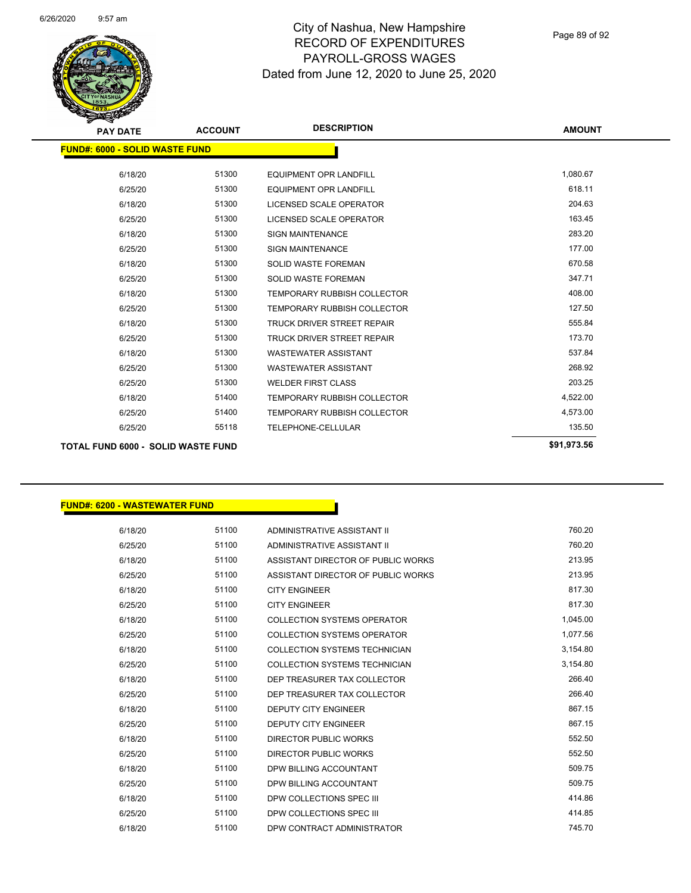

| <b>PAY DATE</b>                           | <b>ACCOUNT</b> | <b>DESCRIPTION</b>                 | <b>AMOUNT</b> |
|-------------------------------------------|----------------|------------------------------------|---------------|
| <b>FUND#: 6000 - SOLID WASTE FUND</b>     |                |                                    |               |
| 6/18/20                                   | 51300          | <b>EQUIPMENT OPR LANDFILL</b>      | 1,080.67      |
| 6/25/20                                   | 51300          | <b>EQUIPMENT OPR LANDFILL</b>      | 618.11        |
| 6/18/20                                   | 51300          | LICENSED SCALE OPERATOR            | 204.63        |
| 6/25/20                                   | 51300          | <b>LICENSED SCALE OPERATOR</b>     | 163.45        |
| 6/18/20                                   | 51300          | <b>SIGN MAINTENANCE</b>            | 283.20        |
| 6/25/20                                   | 51300          | <b>SIGN MAINTENANCE</b>            | 177.00        |
| 6/18/20                                   | 51300          | <b>SOLID WASTE FOREMAN</b>         | 670.58        |
| 6/25/20                                   | 51300          | <b>SOLID WASTE FOREMAN</b>         | 347.71        |
| 6/18/20                                   | 51300          | <b>TEMPORARY RUBBISH COLLECTOR</b> | 408.00        |
| 6/25/20                                   | 51300          | <b>TEMPORARY RUBBISH COLLECTOR</b> | 127.50        |
| 6/18/20                                   | 51300          | <b>TRUCK DRIVER STREET REPAIR</b>  | 555.84        |
| 6/25/20                                   | 51300          | <b>TRUCK DRIVER STREET REPAIR</b>  | 173.70        |
| 6/18/20                                   | 51300          | <b>WASTEWATER ASSISTANT</b>        | 537.84        |
| 6/25/20                                   | 51300          | <b>WASTEWATER ASSISTANT</b>        | 268.92        |
| 6/25/20                                   | 51300          | <b>WELDER FIRST CLASS</b>          | 203.25        |
| 6/18/20                                   | 51400          | <b>TEMPORARY RUBBISH COLLECTOR</b> | 4,522.00      |
| 6/25/20                                   | 51400          | <b>TEMPORARY RUBBISH COLLECTOR</b> | 4,573.00      |
| 6/25/20                                   | 55118          | <b>TELEPHONE-CELLULAR</b>          | 135.50        |
| <b>TOTAL FUND 6000 - SOLID WASTE FUND</b> |                |                                    | \$91,973.56   |

### **FUND#: 6200 - WASTEWATER FUND**

| 6/18/20 | 51100 | ADMINISTRATIVE ASSISTANT II        | 760.20   |
|---------|-------|------------------------------------|----------|
| 6/25/20 | 51100 | ADMINISTRATIVE ASSISTANT II        | 760.20   |
| 6/18/20 | 51100 | ASSISTANT DIRECTOR OF PUBLIC WORKS | 213.95   |
| 6/25/20 | 51100 | ASSISTANT DIRECTOR OF PUBLIC WORKS | 213.95   |
| 6/18/20 | 51100 | <b>CITY ENGINEER</b>               | 817.30   |
| 6/25/20 | 51100 | <b>CITY ENGINEER</b>               | 817.30   |
| 6/18/20 | 51100 | <b>COLLECTION SYSTEMS OPERATOR</b> | 1,045.00 |
| 6/25/20 | 51100 | <b>COLLECTION SYSTEMS OPERATOR</b> | 1,077.56 |
| 6/18/20 | 51100 | COLLECTION SYSTEMS TECHNICIAN      | 3,154.80 |
| 6/25/20 | 51100 | COLLECTION SYSTEMS TECHNICIAN      | 3,154.80 |
| 6/18/20 | 51100 | DEP TREASURER TAX COLLECTOR        | 266.40   |
| 6/25/20 | 51100 | DEP TREASURER TAX COLLECTOR        | 266.40   |
| 6/18/20 | 51100 | <b>DEPUTY CITY ENGINEER</b>        | 867.15   |
| 6/25/20 | 51100 | <b>DEPUTY CITY ENGINEER</b>        | 867.15   |
| 6/18/20 | 51100 | DIRECTOR PUBLIC WORKS              | 552.50   |
| 6/25/20 | 51100 | DIRECTOR PUBLIC WORKS              | 552.50   |
| 6/18/20 | 51100 | DPW BILLING ACCOUNTANT             | 509.75   |
| 6/25/20 | 51100 | DPW BILLING ACCOUNTANT             | 509.75   |
| 6/18/20 | 51100 | DPW COLLECTIONS SPEC III           | 414.86   |
| 6/25/20 | 51100 | DPW COLLECTIONS SPEC III           | 414.85   |
| 6/18/20 | 51100 | DPW CONTRACT ADMINISTRATOR         | 745.70   |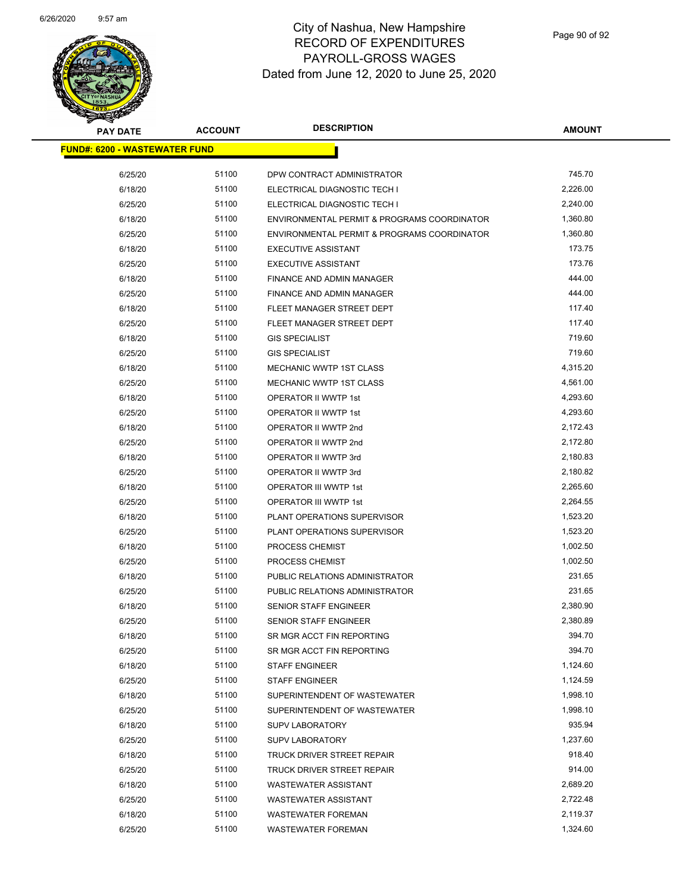

| <b>PAY DATE</b>                      | <b>ACCOUNT</b> | <b>DESCRIPTION</b>                          | <b>AMOUNT</b> |  |
|--------------------------------------|----------------|---------------------------------------------|---------------|--|
| <b>FUND#: 6200 - WASTEWATER FUND</b> |                |                                             |               |  |
| 6/25/20                              | 51100          | DPW CONTRACT ADMINISTRATOR                  | 745.70        |  |
| 6/18/20                              | 51100          | ELECTRICAL DIAGNOSTIC TECH I                | 2,226.00      |  |
| 6/25/20                              | 51100          | ELECTRICAL DIAGNOSTIC TECH I                | 2,240.00      |  |
| 6/18/20                              | 51100          | ENVIRONMENTAL PERMIT & PROGRAMS COORDINATOR | 1,360.80      |  |
| 6/25/20                              | 51100          | ENVIRONMENTAL PERMIT & PROGRAMS COORDINATOR | 1,360.80      |  |
| 6/18/20                              | 51100          | <b>EXECUTIVE ASSISTANT</b>                  | 173.75        |  |
| 6/25/20                              | 51100          | <b>EXECUTIVE ASSISTANT</b>                  | 173.76        |  |
| 6/18/20                              | 51100          | FINANCE AND ADMIN MANAGER                   | 444.00        |  |
| 6/25/20                              | 51100          | FINANCE AND ADMIN MANAGER                   | 444.00        |  |
| 6/18/20                              | 51100          | FLEET MANAGER STREET DEPT                   | 117.40        |  |
| 6/25/20                              | 51100          | FLEET MANAGER STREET DEPT                   | 117.40        |  |
| 6/18/20                              | 51100          | <b>GIS SPECIALIST</b>                       | 719.60        |  |
| 6/25/20                              | 51100          | <b>GIS SPECIALIST</b>                       | 719.60        |  |
| 6/18/20                              | 51100          | <b>MECHANIC WWTP 1ST CLASS</b>              | 4,315.20      |  |
| 6/25/20                              | 51100          | <b>MECHANIC WWTP 1ST CLASS</b>              | 4,561.00      |  |
| 6/18/20                              | 51100          | OPERATOR II WWTP 1st                        | 4,293.60      |  |
| 6/25/20                              | 51100          | OPERATOR II WWTP 1st                        | 4,293.60      |  |
| 6/18/20                              | 51100          | OPERATOR II WWTP 2nd                        | 2,172.43      |  |
| 6/25/20                              | 51100          | OPERATOR II WWTP 2nd                        | 2,172.80      |  |
| 6/18/20                              | 51100          | OPERATOR II WWTP 3rd                        | 2,180.83      |  |
| 6/25/20                              | 51100          | OPERATOR II WWTP 3rd                        | 2,180.82      |  |
| 6/18/20                              | 51100          | OPERATOR III WWTP 1st                       | 2,265.60      |  |
| 6/25/20                              | 51100          | OPERATOR III WWTP 1st                       | 2,264.55      |  |
| 6/18/20                              | 51100          | PLANT OPERATIONS SUPERVISOR                 | 1,523.20      |  |
| 6/25/20                              | 51100          | PLANT OPERATIONS SUPERVISOR                 | 1,523.20      |  |
| 6/18/20                              | 51100          | PROCESS CHEMIST                             | 1,002.50      |  |
| 6/25/20                              | 51100          | <b>PROCESS CHEMIST</b>                      | 1,002.50      |  |
| 6/18/20                              | 51100          | PUBLIC RELATIONS ADMINISTRATOR              | 231.65        |  |
| 6/25/20                              | 51100          | PUBLIC RELATIONS ADMINISTRATOR              | 231.65        |  |
| 6/18/20                              | 51100          | <b>SENIOR STAFF ENGINEER</b>                | 2,380.90      |  |
| 6/25/20                              | 51100          | <b>SENIOR STAFF ENGINEER</b>                | 2,380.89      |  |
| 6/18/20                              | 51100          | SR MGR ACCT FIN REPORTING                   | 394.70        |  |
| 6/25/20                              | 51100          | SR MGR ACCT FIN REPORTING                   | 394.70        |  |
| 6/18/20                              | 51100          | <b>STAFF ENGINEER</b>                       | 1,124.60      |  |
| 6/25/20                              | 51100          | <b>STAFF ENGINEER</b>                       | 1,124.59      |  |
| 6/18/20                              | 51100          | SUPERINTENDENT OF WASTEWATER                | 1,998.10      |  |
| 6/25/20                              | 51100          | SUPERINTENDENT OF WASTEWATER                | 1,998.10      |  |
| 6/18/20                              | 51100          | <b>SUPV LABORATORY</b>                      | 935.94        |  |
| 6/25/20                              | 51100          | <b>SUPV LABORATORY</b>                      | 1,237.60      |  |
| 6/18/20                              | 51100          | <b>TRUCK DRIVER STREET REPAIR</b>           | 918.40        |  |
| 6/25/20                              | 51100          | TRUCK DRIVER STREET REPAIR                  | 914.00        |  |
| 6/18/20                              | 51100          | <b>WASTEWATER ASSISTANT</b>                 | 2,689.20      |  |
| 6/25/20                              | 51100          | <b>WASTEWATER ASSISTANT</b>                 | 2,722.48      |  |
| 6/18/20                              | 51100          | <b>WASTEWATER FOREMAN</b>                   | 2,119.37      |  |
| 6/25/20                              | 51100          | <b>WASTEWATER FOREMAN</b>                   | 1,324.60      |  |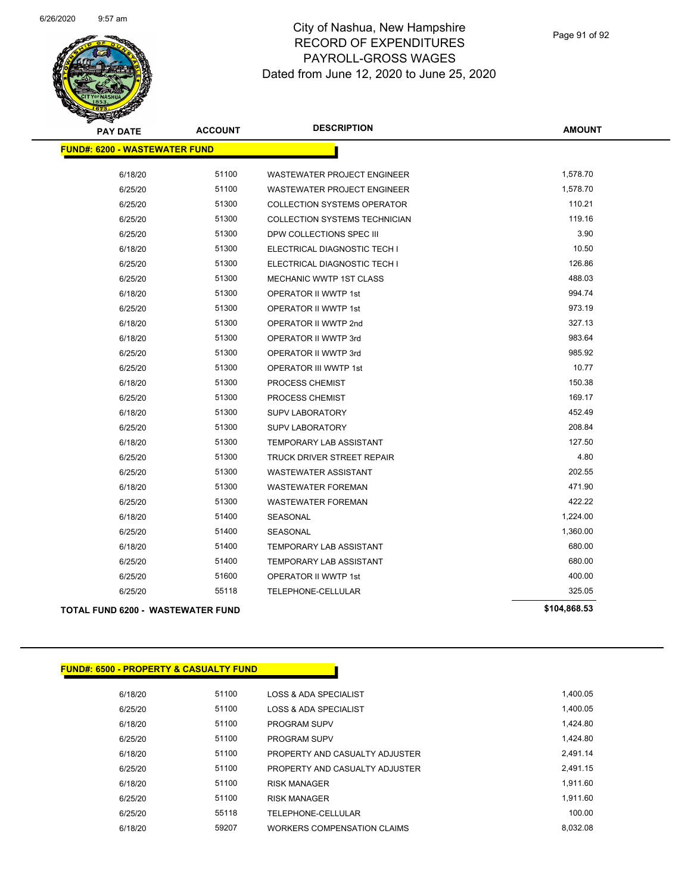

| <b>PAY DATE</b>                          | <b>ACCOUNT</b> | <b>DESCRIPTION</b>                 | <b>AMOUNT</b> |
|------------------------------------------|----------------|------------------------------------|---------------|
| <b>FUND#: 6200 - WASTEWATER FUND</b>     |                |                                    |               |
| 6/18/20                                  | 51100          | <b>WASTEWATER PROJECT ENGINEER</b> | 1,578.70      |
| 6/25/20                                  | 51100          | WASTEWATER PROJECT ENGINEER        | 1,578.70      |
| 6/25/20                                  | 51300          | <b>COLLECTION SYSTEMS OPERATOR</b> | 110.21        |
| 6/25/20                                  | 51300          | COLLECTION SYSTEMS TECHNICIAN      | 119.16        |
| 6/25/20                                  | 51300          | DPW COLLECTIONS SPEC III           | 3.90          |
| 6/18/20                                  | 51300          | ELECTRICAL DIAGNOSTIC TECH I       | 10.50         |
| 6/25/20                                  | 51300          | ELECTRICAL DIAGNOSTIC TECH I       | 126.86        |
| 6/25/20                                  | 51300          | <b>MECHANIC WWTP 1ST CLASS</b>     | 488.03        |
| 6/18/20                                  | 51300          | <b>OPERATOR II WWTP 1st</b>        | 994.74        |
| 6/25/20                                  | 51300          | OPERATOR II WWTP 1st               | 973.19        |
| 6/18/20                                  | 51300          | OPERATOR II WWTP 2nd               | 327.13        |
| 6/18/20                                  | 51300          | OPERATOR II WWTP 3rd               | 983.64        |
| 6/25/20                                  | 51300          | OPERATOR II WWTP 3rd               | 985.92        |
| 6/25/20                                  | 51300          | OPERATOR III WWTP 1st              | 10.77         |
| 6/18/20                                  | 51300          | PROCESS CHEMIST                    | 150.38        |
| 6/25/20                                  | 51300          | PROCESS CHEMIST                    | 169.17        |
| 6/18/20                                  | 51300          | <b>SUPV LABORATORY</b>             | 452.49        |
| 6/25/20                                  | 51300          | <b>SUPV LABORATORY</b>             | 208.84        |
| 6/18/20                                  | 51300          | <b>TEMPORARY LAB ASSISTANT</b>     | 127.50        |
| 6/25/20                                  | 51300          | TRUCK DRIVER STREET REPAIR         | 4.80          |
| 6/25/20                                  | 51300          | <b>WASTEWATER ASSISTANT</b>        | 202.55        |
| 6/18/20                                  | 51300          | <b>WASTEWATER FOREMAN</b>          | 471.90        |
| 6/25/20                                  | 51300          | <b>WASTEWATER FOREMAN</b>          | 422.22        |
| 6/18/20                                  | 51400          | SEASONAL                           | 1,224.00      |
| 6/25/20                                  | 51400          | SEASONAL                           | 1,360.00      |
| 6/18/20                                  | 51400          | TEMPORARY LAB ASSISTANT            | 680.00        |
| 6/25/20                                  | 51400          | TEMPORARY LAB ASSISTANT            | 680.00        |
| 6/25/20                                  | 51600          | <b>OPERATOR II WWTP 1st</b>        | 400.00        |
| 6/25/20                                  | 55118          | TELEPHONE-CELLULAR                 | 325.05        |
| <b>TOTAL FUND 6200 - WASTEWATER FUND</b> |                |                                    | \$104,868.53  |

#### **FUND#: 6500 - PROPERTY & CASUALTY FUND**

6/18/20 51100 LOSS & ADA SPECIALIST 6/18/20 1,400.05 6/25/20 51100 LOSS & ADA SPECIALIST 6/25/20 1,400.05 6/18/20 51100 PROGRAM SUPV 3 20 19 1,424.80 6/25/20 51100 PROGRAM SUPV 6/25/20 1,424.80 6/18/20 51100 PROPERTY AND CASUALTY ADJUSTER 2,491.14 6/25/20 51100 PROPERTY AND CASUALTY ADJUSTER 2,491.15 6/18/20 51100 RISK MANAGER 1,911.60 6/25/20 51100 RISK MANAGER 1,911.60 6/25/20 55118 TELEPHONE-CELLULAR 100.00 6/18/20 59207 WORKERS COMPENSATION CLAIMS 8,032.08